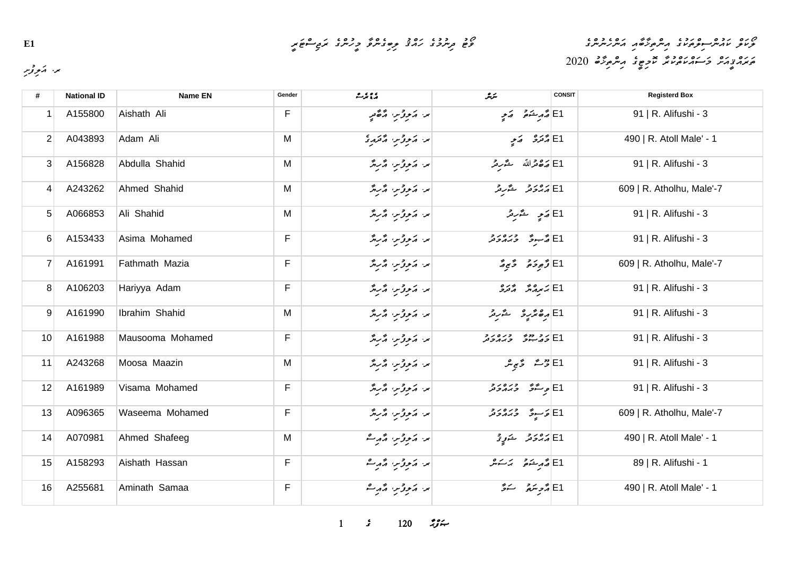*sCw7q7s5w7m< o<n9nOoAw7o< sCq;mAwBoEw7q<m; wBm;vB* م من المرة المرة المرة المرة المرة المرة العربية 2020<br>مجم*د المريض المريض المربع المربع المربع المراجع المراجع ال* 

| ,                 |  |
|-------------------|--|
| بر. مرور<br>للمسر |  |

| #               | <b>National ID</b> | Name EN          | Gender      | ړ، بر ک                   | ىترىگر                               | <b>CONSIT</b> | <b>Registerd Box</b>      |
|-----------------|--------------------|------------------|-------------|---------------------------|--------------------------------------|---------------|---------------------------|
|                 | A155800            | Aishath Ali      | F           | پر انگروژس انگامی         | E1 مُدِينَة مَعٍ                     |               | 91   R. Alifushi - 3      |
| $\mathbf{2}$    | A043893            | Adam Ali         | M           | پر مرکز وقت مرکز دی       | E1 جُمَعَر حَم <i>وِ</i>             |               | 490   R. Atoll Male' - 1  |
| 3               | A156828            | Abdulla Shahid   | M           | برا متعاوض مرسد           | E1 مَەھْتَراللە مەمَرىتر             |               | 91   R. Alifushi - 3      |
| 4               | A243262            | Ahmed Shahid     | M           | برا متعادين مرسد          | E1 <i>مەندى ئىشىرى</i> تى            |               | 609   R. Atholhu, Male'-7 |
| 5 <sup>1</sup>  | A066853            | Ali Shahid       | M           | پر اړنووکس اړرانه         | E1 کی پی سنگریٹر                     |               | 91   R. Alifushi - 3      |
| 6               | A153433            | Asima Mohamed    | F           | ما المروفين المريكة       | E1 مُسِبِرَّ وَيَدْوَيْرَ            |               | 91   R. Alifushi - 3      |
|                 | A161991            | Fathmath Mazia   | $\mathsf F$ | ما الأحواق الأرامية       | E1 وَجِودَة وَمِنةَ                  |               | 609   R. Atholhu, Male'-7 |
| 8               | A106203            | Hariyya Adam     | F           | برا متعادين مرسد          | E1 بَرَ <i>بِروْ بَرْ وَ بَرُودْ</i> |               | 91   R. Alifushi - 3      |
| 9               | A161990            | Ibrahim Shahid   | M           | أمرا مكوفر من المرسر      | E1 مەھەر بۇ ھەرىر                    |               | 91   R. Alifushi - 3      |
| 10 <sup>1</sup> | A161988            | Mausooma Mohamed | F           | بر مورش مرته              |                                      |               | 91   R. Alifushi - 3      |
| 11              | A243268            | Moosa Maazin     | M           | برا مُتَوَوَّينَ مُرْسِدٌ | E1 جُرْ مَتَ تَحْرَمُ مَنْ           |               | 91   R. Alifushi - 3      |
| 12              | A161989            | Visama Mohamed   | F           | برا متعادين مرسد          | E1 وِسَّعَرَّ وَبَرَهُ وَسَ          |               | 91   R. Alifushi - 3      |
| 13              | A096365            | Waseema Mohamed  | F           | أبرا مأفروهن المرسر       | E1 كۆسىرى مەمەمەدىر                  |               | 609   R. Atholhu, Male'-7 |
| 14              | A070981            | Ahmed Shafeeg    | M           | بر رنجوتر رمهر شه         | E1 <i>222 مىنوڭ</i>                  |               | 490   R. Atoll Male' - 1  |
| 15              | A158293            | Aishath Hassan   | F           | بر رکوری ارامی            | E1 مۇم ھۇم ئەسكەنلىر                 |               | 89   R. Alifushi - 1      |
| 16              | A255681            | Aminath Samaa    | F           | ىر مەجەزىر، مەرگ          | E1 أُمُّ حِسَمٌ سَنَّةً              |               | 490   R. Atoll Male' - 1  |

 $1$  *s*  $120$   $23$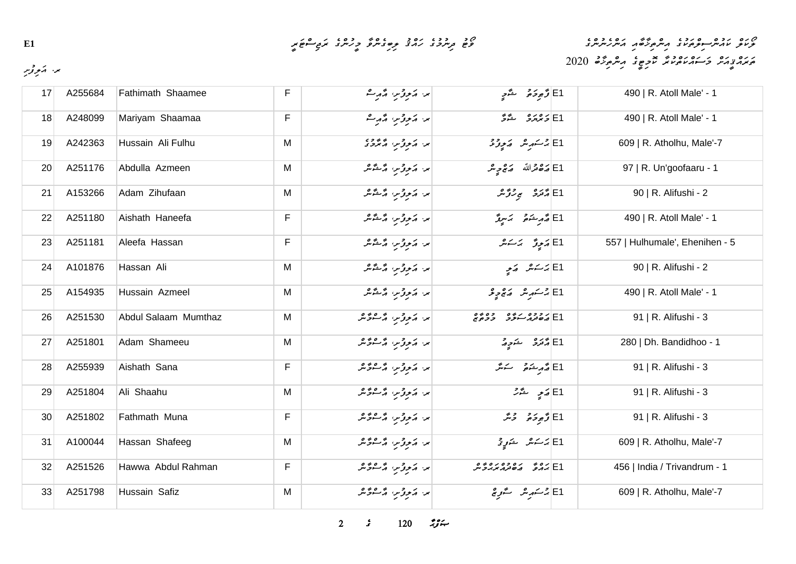*sCw7q7s5w7m< o<n9nOoAw7o< sCq;mAwBoEw7q<m; wBm;vB* م من المرة المرة المرة المرجع المرجع في المركبة 2020<br>مجم*د المريض المربوط المربع المرجع في المراجع المركبة* 

| 17 | A255684 | Fathimath Shaamee    | $\mathsf{F}$ | ىن مەجزۇس مەمەت            | E1 <i>وَّجِ دَمَّة حَدَّدٍ</i>                                     | 490   R. Atoll Male' - 1       |
|----|---------|----------------------|--------------|----------------------------|--------------------------------------------------------------------|--------------------------------|
| 18 | A248099 | Mariyam Shaamaa      | F            | ىن مەجوۋىن مەم ھ           | $52.225$ $E1$                                                      | 490   R. Atoll Male' - 1       |
| 19 | A242363 | Hussain Ali Fulhu    | M            | بر. مُعِرْفُسِ، مُنْعَرَفُ | E1 پرڪيريش ڪريوري                                                  | 609   R. Atholhu, Male'-7      |
| 20 | A251176 | Abdulla Azmeen       | M            | ىن مەمرۇس مەشگىر           | E1 مَەھىراللە مەج <i>ج</i> ىر                                      | 97   R. Un'goofaaru - 1        |
| 21 | A153266 | Adam Zihufaan        | M            | ىن مەمرۇس مەشكىل           | E1 جۇنرى ب <i>ې رۇ</i> بىر                                         | 90   R. Alifushi - 2           |
| 22 | A251180 | Aishath Haneefa      | $\mathsf F$  | ىن مەمرۇس مەشكىل           | E1 مَدْمِ شَمَعْ سَمَسِيَّتَر                                      | 490   R. Atoll Male' - 1       |
| 23 | A251181 | Aleefa Hassan        | $\mathsf F$  | ىن مەجزۇس مەشكىل           | E1 كەمچى كەسكىلى                                                   | 557   Hulhumale', Ehenihen - 5 |
| 24 | A101876 | Hassan Ali           | M            | ىن مەمرۇس مەشكىل           | E1   پرسترس کامی                                                   | 90   R. Alifushi - 2           |
| 25 | A154935 | Hussain Azmeel       | M            | ىن ئەنزىۋىن ئاستىگىر       | E1 برڪبر شريع ۾ پولو                                               | 490   R. Atoll Male' - 1       |
| 26 | A251530 | Abdul Salaam Mumthaz | M            | ىن مەمرۇس مەسىر ھ          | $0.402$ $0.402$ $0.702$ $0.67$ $\approx$ $0.702$ $\approx$ $0.702$ | 91   R. Alifushi - 3           |
| 27 | A251801 | Adam Shameeu         | M            | بر. مَعِوْسٍ مُرْحَقِهِ    | E1 جُمْعَرْ حَمَّحِ جُ                                             | 280   Dh. Bandidhoo - 1        |
| 28 | A255939 | Aishath Sana         | $\mathsf F$  | بر. مَعِرْضٍ مُرْحَقِ مَرْ | E1 مەم ئىسكە ئىس كىشى كىلىك                                        | 91   R. Alifushi - 3           |
| 29 | A251804 | Ali Shaahu           | M            | ىن مەمۇرىن مەسىرە ش        | E1 كەير مىش <sup>ىر</sup>                                          | 91   R. Alifushi - 3           |
| 30 | A251802 | Fathmath Muna        | F            | ىن مەمرۇس مەسىر ھ          | E1 تَ <i>وجو جيمَّ</i>                                             | 91   R. Alifushi - 3           |
| 31 | A100044 | Hassan Shafeeg       | M            | بر موزیر، ممسور            | E1 پرڪش ڪ <i>وي</i> ٽر                                             | 609   R. Atholhu, Male'-7      |
| 32 | A251526 | Hawwa Abdul Rahman   | $\mathsf F$  | بر. مَعِوْسٍ مُرْحَقِهِ    | E1 بروی بروووبرویو                                                 | 456   India / Trivandrum - 1   |
| 33 | A251798 | Hussain Safiz        | M            | بر رووس رمومبر             | E1 پرستمبر شریع<br>سنگرین                                          | 609   R. Atholhu, Male'-7      |

 $2$  *s*  $120$  *z*  $25$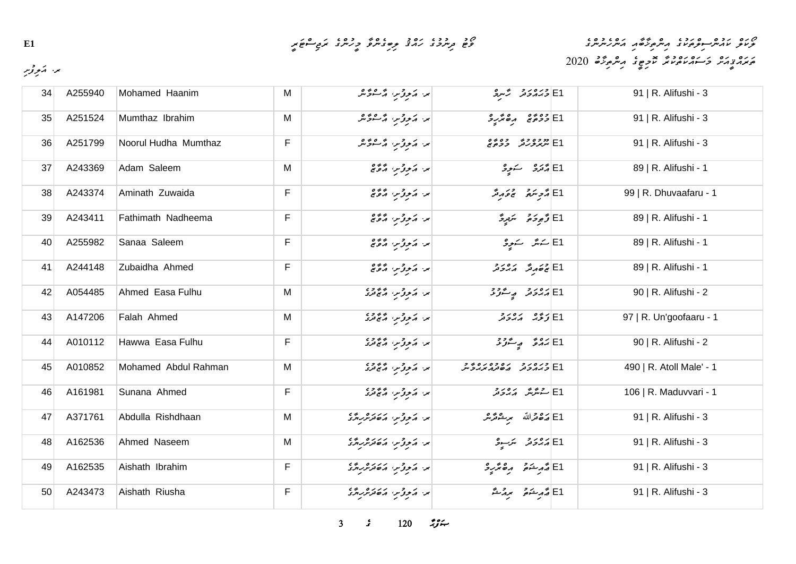*sCw7q7s5w7m< o<n9nOoAw7o< sCq;mAwBoEw7q<m; wBm;vB* م من المرة المرة المرة المرجع المرجع في المركبة 2020<br>مجم*د المريض المربوط المربع المرجع في المراجع المركبة* 

| 34 | A255940 | Mohamed Haanim       | M           | پر نمرموقرس مرکشور همر         | E1 <i>55.25 رُسرة</i>                | 91   R. Alifushi - 3     |
|----|---------|----------------------|-------------|--------------------------------|--------------------------------------|--------------------------|
| 35 | A251524 | Mumthaz Ibrahim      | M           | بر مرور من من                  | E1 وُوڤَى مِھْتَرِوْ                 | 91   R. Alifushi - 3     |
| 36 | A251799 | Noorul Hudha Mumthaz | F           | ىن مەمرۇس مەسىۋىل              | E1 شرمرمرمبر وه ده و                 | 91   R. Alifushi - 3     |
| 37 | A243369 | Adam Saleem          | M           | برا أتروس أروه                 | E1 جُمْعَرڤ سَمَعِرڤ                 | 89   R. Alifushi - 1     |
| 38 | A243374 | Aminath Zuwaida      | $\mathsf F$ | أبرز أتروش أزوهم               | E1 مُجِسَع مِحَمِدِمُّ               | 99   R. Dhuvaafaru - 1   |
| 39 | A243411 | Fathimath Nadheema   | $\mathsf F$ | برا متعرفرس المتفاطي           | E1 تَ <i>وْجِ حَمْ</i> سَمَبِرِمَّ   | 89   R. Alifushi - 1     |
| 40 | A255982 | Sanaa Saleem         | F           | أبرا أتروس أزوه                | E1 سَتَرَ سَوِرْ                     | 89   R. Alifushi - 1     |
| 41 | A244148 | Zubaidha Ahmed       | $\mathsf F$ | أبرا وكموفر والمراكبون         | E1 تح <i>قه قر مح</i> مد در          | 89   R. Alifushi - 1     |
| 42 | A054485 | Ahmed Easa Fulhu     | M           | بر المتوفر المتجمد             | E1 ړورو په شوی                       | 90   R. Alifushi - 2     |
| 43 | A147206 | Falah Ahmed          | M           | برا الكروفر المراقيقي          | E1 تونژبر برورو<br>E1 تونژبر برگرونژ | 97   R. Un'goofaaru - 1  |
| 44 | A010112 | Hawwa Easa Fulhu     | F           | بر، مکروکرد، مگاهری            | E1 بَرْدُوَ <sub>مِ</sub> رْسُوْرْ   | 90   R. Alifushi - 2     |
| 45 | A010852 | Mohamed Abdul Rahman | M           | پر اړمورمن اړمځ فری            | E1 دره در دره ده ده در د             | 490   R. Atoll Male' - 1 |
| 46 | A161981 | Sunana Ahmed         | $\mathsf F$ | بر مووس مجموع                  | E1 _ شرشر مربر در در                 | 106   R. Maduvvari - 1   |
| 47 | A371761 | Abdulla Rishdhaan    | M           | أبرا أكروفرس المقافر مرمرون    | E1 مَەھمَراللە مېشەت <i>رىنز</i>     | 91   R. Alifushi - 3     |
| 48 | A162536 | Ahmed Naseem         | M           | بر موري مەمدىر مە              | E1 <i>222 مترجي</i>                  | 91   R. Alifushi - 3     |
| 49 | A162535 | Aishath Ibrahim      | F           | پر مرکز وقرار مصر مرکز در در د | E1 مُرمِسَمَ مِهْتَرِيْتِ            | 91   R. Alifushi - 3     |
| 50 | A243473 | Aishath Riusha       | F           | بر مُووْر مُقتر مرد            | E1 مُذہبِ شَمَعَ مِیمَشَّہُ          | 91   R. Alifushi - 3     |

*3 <i><i>s s* **120** *<i>z*<sub>3</sub> *z*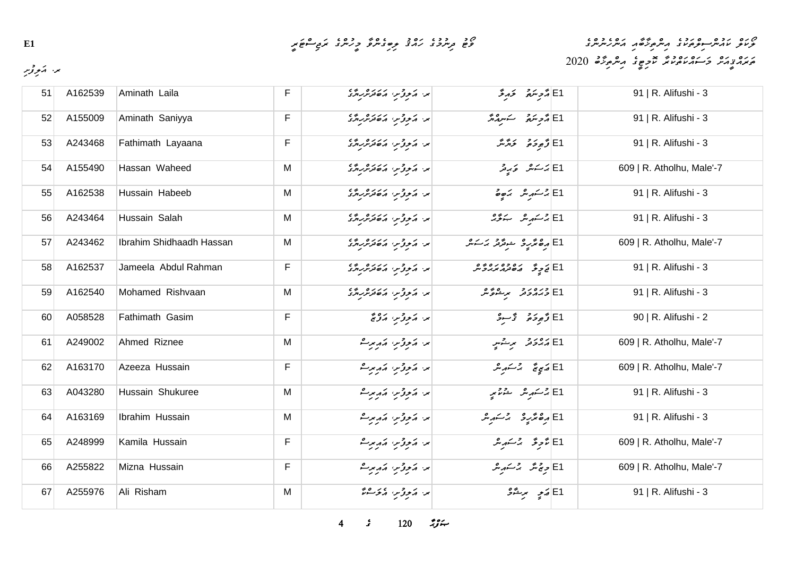*sCw7q7s5w7m< o<n9nOoAw7o< sCq;mAwBoEw7q<m; wBm;vB* م من المرة المرة المرة المرجع المرجع في المركبة 2020<br>مجم*د المريض المربوط المربع المرجع في المراجع المركبة* 

| 51 | A162539 | Aminath Laila            | F            | بر· مُ وِرْسِ مُصَوَّرْ مِرْدُ  | E1 أَدَّحِ سَمَعٌ فَتَحْدِثُوا السَّا | 91   R. Alifushi - 3      |
|----|---------|--------------------------|--------------|---------------------------------|---------------------------------------|---------------------------|
| 52 | A155009 | Aminath Saniyya          | F            | أمرا أكروفرس المكافر مردور الرو | E1 مُتَّحِسَمُ مُسْتَمَرِّمَتُهُ      | 91   R. Alifushi - 3      |
| 53 | A243468 | Fathimath Layaana        | F            | أمرا أكروفرس المكافر مردور الرد | E1 تُرجوحَ حَ تَرَمَّدَ               | 91   R. Alifushi - 3      |
| 54 | A155490 | Hassan Waheed            | M            | بر رکور روزه وه در              | E1   پرسترچی کا پرچر                  | 609   R. Atholhu, Male'-7 |
| 55 | A162538 | Hussain Habeeb           | M            | أمرا أكروفرس المكافر مردور الرد | E1 پر شہر شریف تھے۔<br>ا              | 91   R. Alifushi - 3      |
| 56 | A243464 | Hussain Salah            | M            | أمرا مأجوفر مرا ما مقابل مردوج  | E1 پرستہر سر سنگر پر                  | 91   R. Alifushi - 3      |
| 57 | A243462 | Ibrahim Shidhaadh Hassan | M            | أبرا أكروفرس المقافر مردورة     | E1 رەڭرىرۇ ھوترىز برسەش               | 609   R. Atholhu, Male'-7 |
| 58 | A162537 | Jameela Abdul Rahman     | $\mathsf F$  | بر رکور روزره ده                | E1 نے برق برہ دہ دہ دی محمد شر        | 91   R. Alifushi - 3      |
| 59 | A162540 | Mohamed Rishvaan         | M            | بر رکور روزره ده                | E1 32025 مرشو <i>م</i> ش              | 91   R. Alifushi - 3      |
| 60 | A058528 | Fathimath Gasim          | F            | برا م توفرس مروح                | E1 <i>وُجوحَمْ</i> تَحْسِوْ           | 90   R. Alifushi - 2      |
| 61 | A249002 | Ahmed Riznee             | M            | برا مكووثين مكربرك              | E1   <i>زود تر موس</i> مبر            | 609   R. Atholhu, Male'-7 |
| 62 | A163170 | Azeeza Hussain           | $\mathsf{F}$ | برا مكروفر الممدرك              | E1 <i>ھَي جُھ جُڪوپنگ</i>             | 609   R. Atholhu, Male'-7 |
| 63 | A043280 | Hussain Shukuree         | M            | برا مكروحوا الماريرے            | E1 پر ستمبر شرح مقدم میں<br>ا         | 91   R. Alifushi - 3      |
| 64 | A163169 | Ibrahim Hussain          | M            | بر. مَعِرْفُرٍ، مَدبرِ ک        | E1 مەھمگىر ق سىمبەشر                  | 91   R. Alifushi - 3      |
| 65 | A248999 | Kamila Hussain           | $\mathsf F$  | برا مكروفر مكربر                | E1 مَّ حِرَّ بِمُ سَهْرِ مَّرْ        | 609   R. Atholhu, Male'-7 |
| 66 | A255822 | Mizna Hussain            | $\mathsf F$  | برا مكووثين مكربرك              | E1 <i>جي تگھ پر ڪوپير</i>             | 609   R. Atholhu, Male'-7 |
| 67 | A255976 | Ali Risham               | M            | ىن مەجوۋىر، مەنزىسىما           | E1 رَمٍ مِرْشَرْ E1                   | 91   R. Alifushi - 3      |

*4 s* 120 *i*<sub>s</sub> $\approx$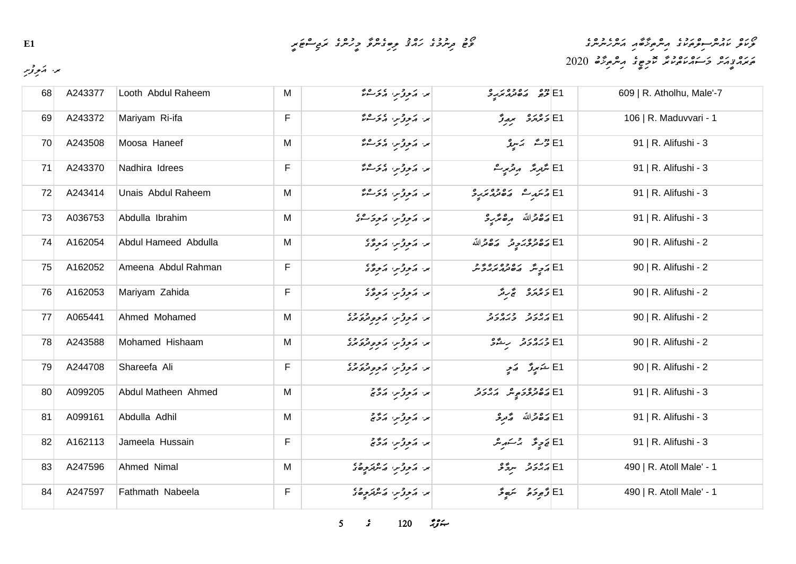*sCw7q7s5w7m< o<n9nOoAw7o< sCq;mAwBoEw7q<m; wBm;vB* م من المسجد المسجد المسجد المسجد المسجد العام 2020<br>مجم*د المسجد المسجد المستجد المسجد المسجد المسجد المسجد المسجد المسجد المسجد المسجد المسجد المسجد المسجد المسجد* 

| 68 | A243377 | Looth Abdul Raheem   | M | ىر. مەجەۋىر، مەمۇسىمدە      | E1 جوړ په <i>ه وه تر ټر</i> يږ و                       | 609   R. Atholhu, Male'-7 |
|----|---------|----------------------|---|-----------------------------|--------------------------------------------------------|---------------------------|
| 69 | A243372 | Mariyam Ri-ifa       | F | أبرا أتروحوا الكواشرة       | E1 5 <i>بروژ بروژ</i>                                  | 106   R. Maduvvari - 1    |
| 70 | A243508 | Moosa Haneef         | M | ىن مەجەۋىر، مەنزىسىما       | E1 فِرْسٌ بَرْسِرٌ                                     | 91   R. Alifushi - 3      |
| 71 | A243370 | Nadhira Idrees       | F | أبرا مأفروش المركوشة        | E1 مُتَعِيمٌ مِعْتَمِي <sup>م</sup> ٌ                  | 91   R. Alifushi - 3      |
| 72 | A243414 | Unais Abdul Raheem   | M | أيرا مكروحي المكرومة        | E1 أيسم مصر معصوم محمد برقم                            | 91   R. Alifushi - 3      |
| 73 | A036753 | Abdulla Ibrahim      | M | ما مأموره من مأمود كرد ويج  | E1 مَەھمَراللە م <i>ەھمَّرى</i> 3                      | 91   R. Alifushi - 3      |
| 74 | A162054 | Abdul Hameed Abdulla | M | برا الأبوقر من الأبورة في   | E1 <i>مَ®مَرْوْبَرُوٍ مَنْ</i> مَ <i>نْ</i> ®مِرْاللّه | 90   R. Alifushi - 2      |
| 75 | A162052 | Ameena Abdul Rahman  | F | أأرا أتروقس أتروهم          | E1 <i>הُحِسَّر הُ</i> ھتر <i>مُحدِّد مُ</i>            | 90   R. Alifushi - 2      |
| 76 | A162053 | Mariyam Zahida       | F | أأرا أتروقس أتروهم          | E1 <i>وَبُرْمَرْدُ</i> بِمُ رِمَّزُ                    | 90   R. Alifushi - 2      |
| 77 | A065441 | Ahmed Mohamed        | M | بر رووس رووده ده            | E1 ג׳כנר כג' בני בי                                    | 90   R. Alifushi - 2      |
| 78 | A243588 | Mohamed Hishaam      | M | بر مرور مروو فرود           | E1 <i>وَبَهُ وَمَرْ</i> بِسُمُوْرَ                     | 90   R. Alifushi - 2      |
| 79 | A244708 | Shareefa Ali         | F | بر رووس رووده ده            | E1 ڪمپر <i>ڙ مک</i> ر                                  | 90   R. Alifushi - 2      |
| 80 | A099205 | Abdul Matheen Ahmed  | M | برا متعادين منطبي           | E1 مُەقىر <i>ئۇچ ھەر مەدە</i> ر                        | 91   R. Alifushi - 3      |
| 81 | A099161 | Abdulla Adhil        | M | برا متعارض متعظم            | E1 رَصْحَرْاللّه مُحْمَدِ مُحْ                         | 91   R. Alifushi - 3      |
| 82 | A162113 | Jameela Hussain      | F | أين أكر وقرس أكروح          | E1 ق و ع سمبر شر بالس                                  | 91   R. Alifushi - 3      |
| 83 | A247596 | Ahmed Nimal          | M | أين أركوفرس أراه مرتكز وهاي | E1 <i>222 برد</i> َّ و                                 | 490   R. Atoll Male' - 1  |
| 84 | A247597 | Fathmath Nabeela     | F | بر موزیر مشروع              | E1 زُّەپ ئ <sup>ە</sup> سَەپ ئىل                       | 490   R. Atoll Male' - 1  |

 $5$   $5$   $120$   $25$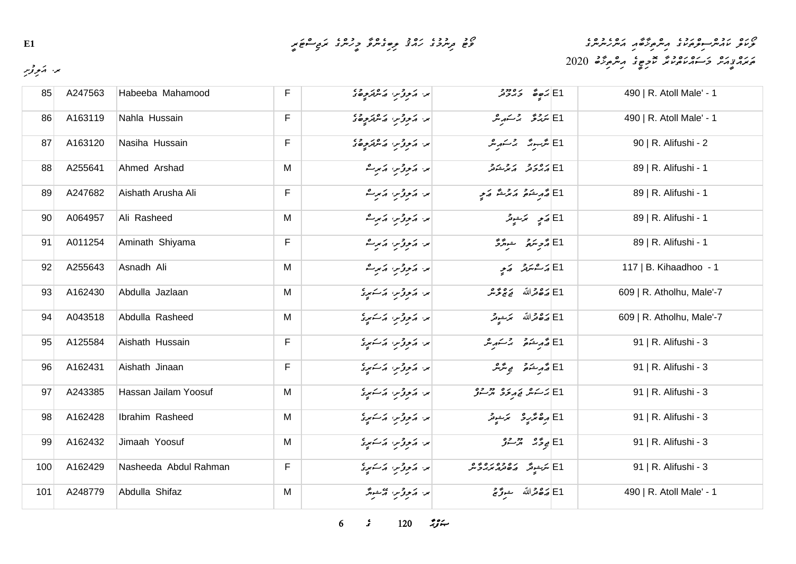*sCw7q7s5w7m< o<n9nOoAw7o< sCq;mAwBoEw7q<m; wBm;vB* م من المسجد المسجد المسجد المسجد المسجد العام 2020<br>مجم*د المسجد المسجد المستجد المسجد المسجد المسجد المسجد المسجد المسجد المسجد المسجد المسجد المسجد المسجد المسجد* 

| 85  | A247563 | Habeeba Mahamood      | $\mathsf F$ | أأرا الكروفين الاستراد ودعا | E1 بَرَصِرَ حَمَدَ وَبَرَدَ رَ                            | 490   R. Atoll Male' - 1  |
|-----|---------|-----------------------|-------------|-----------------------------|-----------------------------------------------------------|---------------------------|
| 86  | A163119 | Nahla Hussain         | $\mathsf F$ | بر موري مكروف               | E1 ىترىمى ئەسەر ش                                         | 490   R. Atoll Male' - 1  |
| 87  | A163120 | Nasiha Hussain        | $\mathsf F$ | أبرا مكروثين مكافر وموقاته  | E1 مَرْسِدِيَّ پِرْسَمْدِيْر                              | 90   R. Alifushi - 2      |
| 88  | A255641 | Ahmed Arshad          | M           | أيرا الكروفران الكرس        | E1 كەبرو كىلى كەرگىيە كىلىدىن ئى                          | 89   R. Alifushi - 1      |
| 89  | A247682 | Aishath Arusha Ali    | $\mathsf F$ | برا متوويرا مهرف            | E1 مُرمِشَمَ مَكْرَشَّ مَعِ                               | 89   R. Alifushi - 1      |
| 90  | A064957 | Ali Rasheed           | M           | برا اړنوژس اړیږے            | E1 <i>ھَ۔</i> پرَجونَرُ                                   | 89   R. Alifushi - 1      |
| 91  | A011254 | Aminath Shiyama       | $\mathsf F$ | برا مکروژین مکرک            | E1 أَرُو سَرَةً مُسْتَرَدَّ                               | 89   R. Alifushi - 1      |
| 92  | A255643 | Asnadh Ali            | M           | برا الكروحوا الكرسة         | E1 كەشىشىتى كەيج                                          | 117   B. Kihaadhoo - 1    |
| 93  | A162430 | Abdulla Jazlaan       | M           | ىن مەجەۋىن مەسكىرى          | E1 مَەھْمَراللە مَى مَحْمَد                               | 609   R. Atholhu, Male'-7 |
| 94  | A043518 | Abdulla Rasheed       | M           | أيرا أزووس أركتهوى          | E1   رَحْمَةُ اللَّهُ تَمَ شَوْمَرُ                       | 609   R. Atholhu, Male'-7 |
| 95  | A125584 | Aishath Hussain       | $\mathsf F$ | پر انگروژس انگریزی          | E1 مۇم شىمۇ بىر شىمبەشر                                   | 91   R. Alifushi - 3      |
| 96  | A162431 | Aishath Jinaan        | $\mathsf F$ | أيرا أزووهن أركتهوى         | E1 م <i>ەُم</i> رىش <i>ەۋ بې مەُن</i> ىر                  | 91   R. Alifushi - 3      |
| 97  | A243385 | Hassan Jailam Yoosuf  | M           | أمرا أتروقوا أأرسكيرة       | E1   يَرْسَسْ فَهُرِ فَرَقَ الرَّسُورُ                    | 91   R. Alifushi - 3      |
| 98  | A162428 | Ibrahim Rasheed       | M           | أيرا الكوفرس الكاسكيرة      | E1 ب <i>رھ مگرچ ڪي م</i> ئيونگر                           | 91   R. Alifushi - 3      |
| 99  | A162432 | Jimaah Yoosuf         | M           | أيرا أزووهن أركتهوى         | E1 <sub>م</sub> وڭر برگرو                                 | 91   R. Alifushi - 3      |
| 100 | A162429 | Nasheeda Abdul Rahman | $\mathsf F$ | بر رووی رسور                | E1 <sub>س</sub> َ <sub>رْشو</sub> مَر ر <i>ەھەرە جەرە</i> | 91   R. Alifushi - 3      |
| 101 | A248779 | Abdulla Shifaz        | M           | ىن ئەتروگىر، ئاسىيەنگ       | E1   پره قرالله شو <i>وځ</i> مح                           | 490   R. Atoll Male' - 1  |

 $6$   $\cancel{5}$   $120$   $\cancel{25}$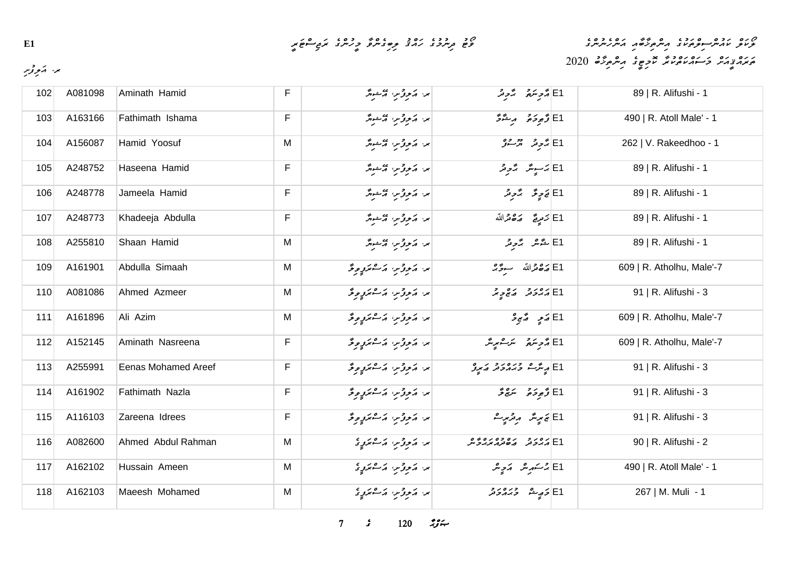*sCw7q7s5w7m< o<n9nOoAw7o< sCq;mAwBoEw7q<m; wBm;vB* م من المرة المرة المرة المرجع المرجع في المركبة 2020<br>مجم*د المريض المربوط المربع المرجع في المراجع المركبة* 

| 102 | A081098 | Aminath Hamid              | F            | بر. مَعِرْفُرٍ، مَنْ شِيعَةٌ        | E1 مُتَّحِبَّتُمْ مُتَّحِمَّدُ              | 89   R. Alifushi - 1      |
|-----|---------|----------------------------|--------------|-------------------------------------|---------------------------------------------|---------------------------|
| 103 | A163166 | Fathimath Ishama           | $\mathsf{F}$ | برا مكروكرا الكشوم                  | E1 زَّجِرَة مِشَّرَّ                        | 490   R. Atoll Male' - 1  |
| 104 | A156087 | Hamid Yoosuf               | M            | برا مكروكرا الكشوم                  | E1 بَرْحِ مِرْ مَرْ سُوْرٌ وَ               | 262   V. Rakeedhoo - 1    |
| 105 | A248752 | Haseena Hamid              | $\mathsf F$  | برا مكروثين المتحيش                 | E1   يَرْسِعْدُ مَجْرِحْدُ                  | 89   R. Alifushi - 1      |
| 106 | A248778 | Jameela Hamid              | $\mathsf F$  | ىن مەكروگىر، كالمىلەر               | E1 ت <sub>ح</sub> وِرَ گروٹر                | 89   R. Alifushi - 1      |
| 107 | A248773 | Khadeeja Abdulla           | $\mathsf F$  | برا مكرور المحافظة                  | E1 تزميعً صَرَّةً مَثَّلَّهُ                | 89   R. Alifushi - 1      |
| 108 | A255810 | Shaan Hamid                | M            | أين الكروفرس الكرجوري               | E1 گەنگە گەجەتمر                            | 89   R. Alifushi - 1      |
| 109 | A161901 | Abdulla Simaah             | M            | أمرا مكووش مكافير ووق               | E1 مَەھْمَراللە س <i>وڭرى</i>               | 609   R. Atholhu, Male'-7 |
| 110 | A081086 | Ahmed Azmeer               | M            | ىر. مُعِوْسٍ مُسْتَمَوِهِ وَ        | E1 <i>ג جوجر مي جوجر</i>                    | 91   R. Alifushi - 3      |
| 111 | A161896 | Ali Azim                   | M            | ىن مُتَوَوَّىن مُتَشَمَّرُوهِ بُمُّ | E1 <i>ړنو گ</i> ې د                         | 609   R. Atholhu, Male'-7 |
| 112 | A152145 | Aminath Nasreena           | $\mathsf F$  | أمرا مكووش مك مكروجة                | E1 مَّ <i>جِيدَة مَّ</i> سَرَ شَهْرِ مَّدَّ | 609   R. Atholhu, Male'-7 |
| 113 | A255991 | <b>Eenas Mohamed Areef</b> | F            | أين أكولوس أكاسكوبوغ                | E1 ړیگ ورورو <sub>کم</sub> ړو               | 91   R. Alifushi - 3      |
| 114 | A161902 | Fathimath Nazla            | $\mathsf F$  | أين أكولوس أكاسكوبوغ                | E1 تَ <i>وْجِوَدَةْ</i> سَيْءَ تَبْ         | 91   R. Alifushi - 3      |
| 115 | A116103 | Zareena Idrees             | $\mathsf F$  | أين أركولوس أرك يمركون وتحر         | E1 ئۈيدىگە بوقرىمپ <sup>ىش</sup>            | 91   R. Alifushi - 3      |
| 116 | A082600 | Ahmed Abdul Rahman         | M            | أين أركوفوس أرك يمركونى             | E1 رور و روورووه و                          | 90   R. Alifushi - 2      |
| 117 | A162102 | Hussain Ameen              | M            | أين أركوفر الراسم وكالمركوبي        | E1 پرڪيريش کم <i>چي</i> ش                   | 490   R. Atoll Male' - 1  |
| 118 | A162103 | Maeesh Mohamed             | M            | أما أيووس أركامورة                  | E1 5مپشر وبرورو                             | 267   M. Muli - 1         |

 $7$  *s*  $120$   $23$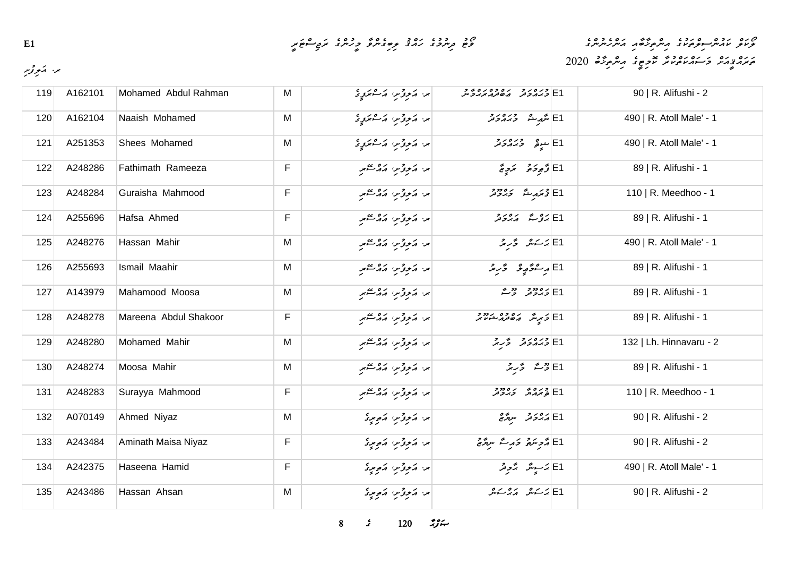*sCw7q7s5w7m< o<n9nOoAw7o< sCq;mAwBoEw7q<m; wBm;vB* م من المرة المرة المرة المرجع المرجع في المركبة 2020<br>مجم*د المريض المربوط المربع المرجع في المراجع المركبة* 

| 119 | A162101 | Mohamed Abdul Rahman  | M           | بر. مَعِرْشٍ مَـــْمَرَدٍ وَ | E1 37070 دەپرە دەپرى                                                                                                                                                                                                           | 90   R. Alifushi - 2     |
|-----|---------|-----------------------|-------------|------------------------------|--------------------------------------------------------------------------------------------------------------------------------------------------------------------------------------------------------------------------------|--------------------------|
| 120 | A162104 | Naaish Mohamed        | M           | پر انگروگری انگریکویی        | E1 شهر شده در در د                                                                                                                                                                                                             | 490   R. Atoll Male' - 1 |
| 121 | A251353 | Shees Mohamed         | M           | أين أركوفر الراسم وكالمركوبي | E1 شون <sub>ۇ م</sub> ېرمەر د                                                                                                                                                                                                  | 490   R. Atoll Male' - 1 |
| 122 | A248286 | Fathimath Rameeza     | $\mathsf F$ | برا مأفروهن مكالمتفهر        | E1 تَ <i>وجوحو مَرْحِيقَ</i>                                                                                                                                                                                                   | 89   R. Alifushi - 1     |
| 123 | A248284 | Guraisha Mahmood      | F           | پر اړیوتر براړ شمېر          | E1 تۇتتى <i>م بىش كەندە تە</i>                                                                                                                                                                                                 | 110   R. Meedhoo - 1     |
| 124 | A255696 | Hafsa Ahmed           | $\mathsf F$ | بر مَعِرْفُرٌ، مَا يَشْمِرُ  | E1 ئەۋىبە كەردىتى                                                                                                                                                                                                              | 89   R. Alifushi - 1     |
| 125 | A248276 | Hassan Mahir          | M           | برا مأفروهن مكاركتين         | E1   پرسترس تخ ریز                                                                                                                                                                                                             | 490   R. Atoll Male' - 1 |
| 126 | A255693 | Ismail Maahir         | M           | پر اړیوتر براړ شمېر          | E1 م <i>ېرىنى قۇم</i> بۇ ھەر                                                                                                                                                                                                   | 89   R. Alifushi - 1     |
| 127 | A143979 | Mahamood Moosa        | M           | پر انگروژین انگریشی          | $23.3$ $52.5$ E1                                                                                                                                                                                                               | 89   R. Alifushi - 1     |
| 128 | A248278 | Mareena Abdul Shakoor | $\mathsf F$ | پر اړیوتر براړ شمېر          | E1 <i>ۈېرىگە ھەقرەر شىرى</i> د                                                                                                                                                                                                 | 89   R. Alifushi - 1     |
| 129 | A248280 | Mohamed Mahir         | M           | برا مأفروهن المام فصحير      | E1 دېرورو گريز                                                                                                                                                                                                                 | 132   Lh. Hinnavaru - 2  |
| 130 | A248274 | Moosa Mahir           | M           | ىن مەجەۋىر، مەمەسىمىي        | E1 ص 3 م م م م بر م تر بر تر به تر بر تر به تر بر تر به تر بر تر به تر بر تر به تر بر تر بر تر بر تر بر تر بر<br>مسائل الله تر بر تر بر تر بر تر بر تر بر تر بر تر بر تر بر تر بر تر بر تر بر تر بر تر بر تر بر تر بر تر بر تر | 89   R. Alifushi - 1     |
| 131 | A248283 | Surayya Mahmood       | $\mathsf F$ | بر مَعِرْفَرْ مَهْشَمْرِ     | E1 <sub>خو</sub> یره بره دور                                                                                                                                                                                                   | 110   R. Meedhoo - 1     |
| 132 | A070149 | Ahmed Niyaz           | M           | بر مورمن موبره               | E1 كەبرى قىر سىرتىمى بىر                                                                                                                                                                                                       | 90   R. Alifushi - 2     |
| 133 | A243484 | Aminath Maisa Niyaz   | F           | بر موقرس موبرهٔ              | E1 أَمُّ مِ سَمَّةً وَ مِ سَمَّ سِيَنَّةً                                                                                                                                                                                      | 90   R. Alifushi - 2     |
| 134 | A242375 | Haseena Hamid         | F           | بر رووس روبره                | E1 بَرَسِیٹر گروٹر                                                                                                                                                                                                             | 490   R. Atoll Male' - 1 |
| 135 | A243486 | Hassan Ahsan          | M           | ىن مەجەۋىر، مەھ بىرد         |                                                                                                                                                                                                                                | 90   R. Alifushi - 2     |

**8** *s* **120** *fg*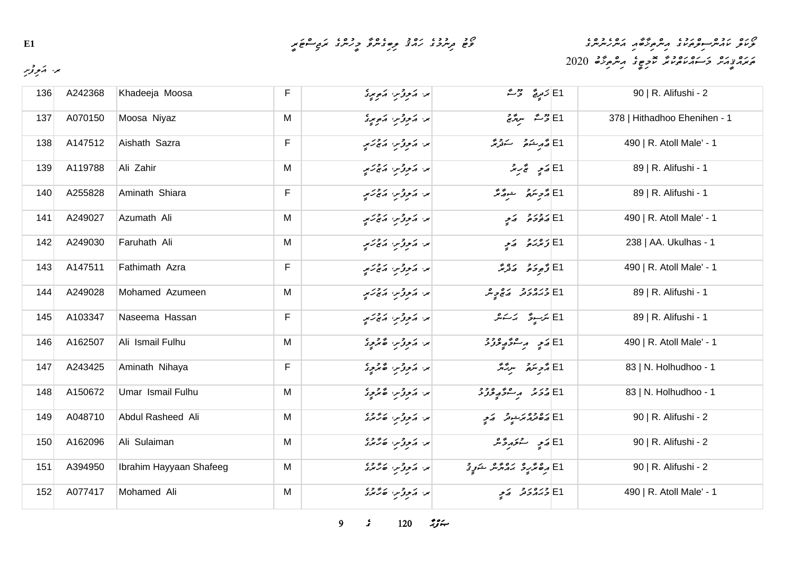*sCw7q7s5w7m< o<n9nOoAw7o< sCq;mAwBoEw7q<m; wBm;vB* م من المرة المرة المرة المرجع المرجع في المركبة 2020<br>مجم*د المريض المربوط المربع المرجع في المراجع المركبة* 

| 136 | A242368 | Khadeeja Moosa          | F           | ىن مەجوڭرىي مەھمىيەتى          | E1 زَمرِجٌ حَرْمٌ                                         | 90   R. Alifushi - 2         |
|-----|---------|-------------------------|-------------|--------------------------------|-----------------------------------------------------------|------------------------------|
| 137 | A070150 | Moosa Niyaz             | M           | برا مورقرا موبرة               | E1 رُبَّتُہ سِ <i>بَرْج</i>                               | 378   Hithadhoo Ehenihen - 1 |
| 138 | A147512 | Aishath Sazra           | F           | برا مأجروش مالج كالبر          | E1 م <i>ەم ھەم ئىسى سى</i> فتىر <i>ىتى</i>                | 490   R. Atoll Male' - 1     |
| 139 | A119788 | Ali Zahir               | M           | برا أيجوش أيتجارس              | E1 <i>ھَي پي گريم</i> ُ                                   | 89   R. Alifushi - 1         |
| 140 | A255828 | Aminath Shiara          | F           | برا مأفرقر المتحاكير           | E1 مُرْحِسَمُ مُشْرَمُّهُ مُنْ                            | 89   R. Alifushi - 1         |
| 141 | A249027 | Azumath Ali             | M           | برا أرجوقرا أرجي كرمير         | E1 <i>مَحْوَدَة</i> مَعِ                                  | 490   R. Atoll Male' - 1     |
| 142 | A249030 | Faruhath Ali            | M           | برا أرجوقرا أرجي كرمير         | E1 <i>وَ بُرْبَہِ *</i> مَعِ                              | 238   AA. Ukulhas - 1        |
| 143 | A147511 | Fathimath Azra          | $\mathsf F$ | برا مأفرقر المتحاكير           | E1 وَجِعَة صَغَرَبَّتَهُ                                  | 490   R. Atoll Male' - 1     |
| 144 | A249028 | Mohamed Azumeen         | M           | برا مُتَوَوَّينَ مُتَحَرَّمَةٍ | E1 <i>وُبَهُ وَبُنَّ سَعْ وِسُ</i>                        | 89   R. Alifushi - 1         |
| 145 | A103347 | Naseema Hassan          | F           | برا مأفرقر المتحاكير           | E1   سَرَسودٌ   بَرَسَہْرُ                                | 89   R. Alifushi - 1         |
| 146 | A162507 | Ali Ismail Fulhu        | M           | برا مركزيرا كالركرى            | E1 <sub>ه</sub> َ مِي مِرْ مُوَ <sub>مِ</sub> عْرُوْ مُوَ | 490   R. Atoll Male' - 1     |
| 147 | A243425 | Aminath Nihaya          | F           | أيرا مكروش كالمردع             | E1 مُ <i>ج</i> سَع مرسَّمَّ                               | 83   N. Holhudhoo - 1        |
| 148 | A150672 | Umar Ismail Fulhu       | M           | ىن مەجەۋىر، ھەجوى              | E1 رُدَىرْ بِرِ سْرَّمُّ رُوزْرْ                          | 83   N. Holhudhoo - 1        |
| 149 | A048710 | Abdul Rasheed Ali       | M           | برا مأفروهن كالمتلاد           | / E1 <i>ماھ وہ مرشودگر م</i> کم                           | 90   R. Alifushi - 2         |
| 150 | A162096 | Ali Sulaiman            | M           | بر رکوری کاربرد                | E1 <sub>ھ</sub> َ جِ سُمَحَ <i>وِ دُ</i> ش                | 90   R. Alifushi - 2         |
| 151 | A394950 | Ibrahim Hayyaan Shafeeg | M           | بر رکوری کاربرد                | E1 مەھەر بەر بەر بەر ئەر ق                                | 90   R. Alifushi - 2         |
| 152 | A077417 | Mohamed Ali             | M           | أمرا وكمعروض كالزمرى           | E1 <i>وَبَرُوْدَوْ <sub>م</sub>َ</i> مِ                   | 490   R. Atoll Male' - 1     |

*9 s* 120 *i*<sub>s</sub>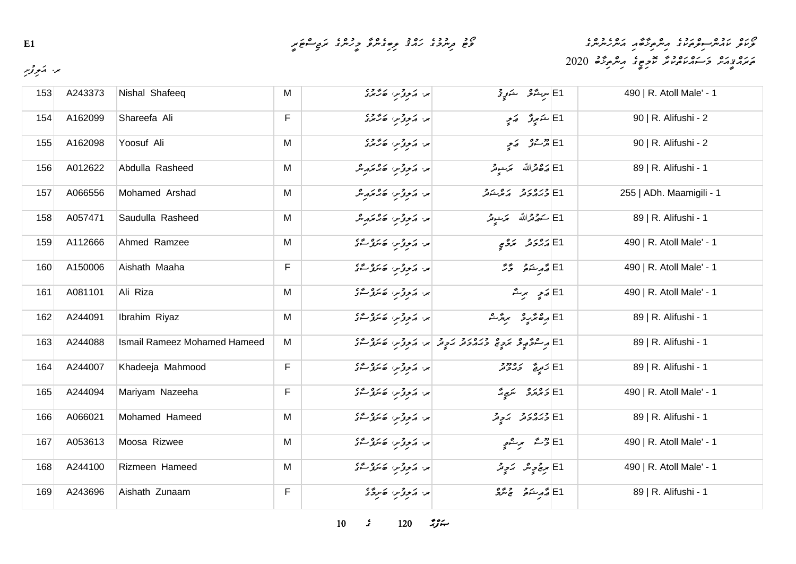*sCw7q7s5w7m< o<n9nOoAw7o< sCq;mAwBoEw7q<m; wBm;vB* م من المسجد المسجد المسجد المسجد المسجد العام 2020<br>مجم*د المسجد المسجد المستجد المسجد المسجد المسجد المسجد المسجد المسجد المسجد المسجد المسجد المسجد المسجد المسجد* 

| 153 | A243373 | Nishal Shafeeq                      | M           | بر. مُتَوَرُّسُ کَارْ بَرْدُ   | E1 سرگ ئۇ ھۆر ئىچە ئىل                                                        | 490   R. Atoll Male' - 1 |
|-----|---------|-------------------------------------|-------------|--------------------------------|-------------------------------------------------------------------------------|--------------------------|
| 154 | A162099 | Shareefa Ali                        | $\mathsf F$ | بر. مَعِرْضٍ کَمَرُمْرَدُ      | E1 ڪ <sub>يم</sub> رگ <i>مک</i> م                                             | 90   R. Alifushi - 2     |
| 155 | A162098 | Yoosuf Ali                          | M           | بر. مُعِرْوٌسِ صَرَّبَرَ       | E1 پر قسمبر کرمبر                                                             | 90   R. Alifushi - 2     |
| 156 | A012622 | Abdulla Rasheed                     | M           | برا مأفروش كالاعتمام           | E1 مَەھْمَراللە مَرْسِعْ                                                      | 89   R. Alifushi - 1     |
| 157 | A066556 | Mohamed Arshad                      | M           | أين الموارس كالمتعده           | E1 <i>32025 كەنگەنى</i> گە                                                    | 255   ADh. Maamigili - 1 |
| 158 | A057471 | Saudulla Rasheed                    | M           | أأرا مكروح المحار مكرمين       | E1 كەرگەراللە كەن بىر                                                         | 89   R. Alifushi - 1     |
| 159 | A112666 | Ahmed Ramzee                        | M           | ىن مەمرۇس ھەتلەشتى             | E1 <i>ג ب</i> حقر برو <sub>م</sub> ي                                          | 490   R. Atoll Male' - 1 |
| 160 | A150006 | Aishath Maaha                       | F           | ىر ، مُتوفِّر ، كَاسَمْه سُنَج | $23 - 22 - 5 = 1$                                                             | 490   R. Atoll Male' - 1 |
| 161 | A081101 | Ali Riza                            | M           | أبرا أيجوش كالمتوضوع           | E1 کرم ہوتے                                                                   | 490   R. Atoll Male' - 1 |
| 162 | A244091 | Ibrahim Riyaz                       | M           | پر انگروژس کاملاک              | E1 رەئزىر ئىبرىشى<br>E1                                                       | 89   R. Alifushi - 1     |
| 163 | A244088 | <b>Ismail Rameez Mohamed Hameed</b> | M           |                                | E1 رِ حُوَّرٍ وَ تَرَدٍ وَ دَرَ دَوْ تَرَدٍ مَنْ اللهِ وَفَرَّسِ صَمَّرٌ مَنْ | 89   R. Alifushi - 1     |
| 164 | A244007 | Khadeeja Mahmood                    | $\mathsf F$ | ىن مەرۇس قەتتۇشى               | E1 زَمرِيحٌ    وَرُومُرٌ                                                      | 89   R. Alifushi - 1     |
| 165 | A244094 | Mariyam Nazeeha                     | $\mathsf F$ | ىن مەمرۇس ھەتلەشتى             | E1 كەبىر بىر ئىكى ئىككى ئىگە ئىگە ئىگە                                        | 490   R. Atoll Male' - 1 |
| 166 | A066021 | Mohamed Hameed                      | M           | پر مرکز کوری کا میں مستقر      | E1 <i>وبروبرو بروتر</i>                                                       | 89   R. Alifushi - 1     |
| 167 | A053613 | Moosa Rizwee                        | M           | ىن مەمرۇس ھەتلەشتى             | E1 رُمَشَہ مِرِسْہِ ِ                                                         | 490   R. Atoll Male' - 1 |
| 168 | A244100 | Rizmeen Hameed                      | M           | أين أركوفر المتحاسن والمحيي    | E1 برج <sub>جو</sub> يثر - برَ <sub>ج</sub> ِيثر                              | 490   R. Atoll Male' - 1 |
| 169 | A243696 | Aishath Zunaam                      | F           | بر. ה وژیر، ځېروگ              | E1 م <i>ەم ھەم تى تىرى</i>                                                    | 89   R. Alifushi - 1     |

 $10$  *s*  $120$   $29$   $\div$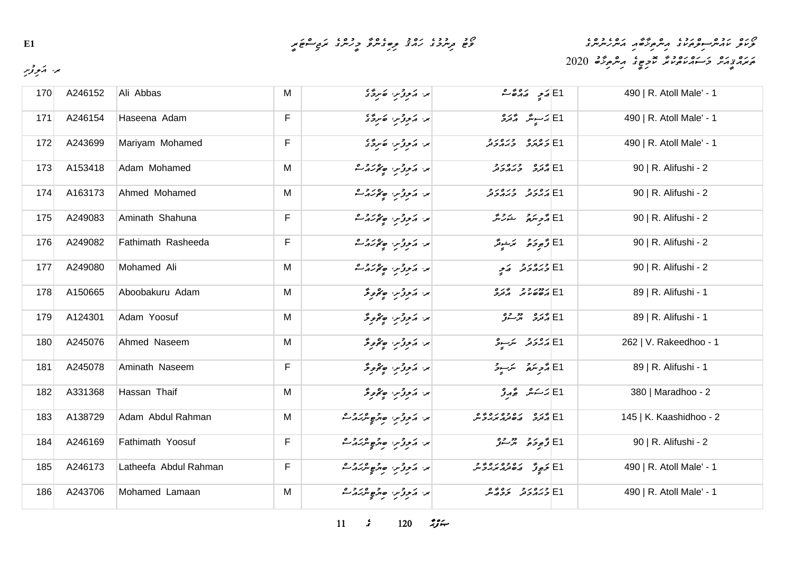*sCw7q7s5w7m< o<n9nOoAw7o< sCq;mAwBoEw7q<m; wBm;vB* م من المسجد المسجد المسجد المسجد المسجد العام 2020<br>مجم*د المسجد المسجد المستجد المسجد المسجد المسجد المسجد المسجد المسجد المسجد المسجد المسجد المسجد المسجد المسجد* 

| 170 | A246152 | Ali Abbas             | M            | ىر. مۇقرىر، ھەردە ئ        | $25.2 \div 10^{-10}$                 | 490   R. Atoll Male' - 1 |
|-----|---------|-----------------------|--------------|----------------------------|--------------------------------------|--------------------------|
| 171 | A246154 | Haseena Adam          | F            | برا مأفروهن كالردعى        | E1   يَرْسِعْرُ مُرْتَدَةِرْ         | 490   R. Atoll Male' - 1 |
| 172 | A243699 | Mariyam Mohamed       | $\mathsf F$  | أين أتروس كالردمي          | E1 <i>ביצתפ בגמבת</i>                | 490   R. Atoll Male' - 1 |
| 173 | A153418 | Adam Mohamed          | M            | بر مُعِرْفَر مِهْرُمْ م    | E1 څره وره دي.                       | 90   R. Alifushi - 2     |
| 174 | A163173 | Ahmed Mohamed         | M            | بر مَعِرْس ھِ مُحْرَمَ م   | E1 ג' ביט ביט בי ביט בי ה            | 90   R. Alifushi - 2     |
| 175 | A249083 | Aminath Shahuna       | $\mathsf{F}$ | مز مزوز مورد مدرد م        | E1 أَمَّ حِسَمَةً شَدَيْدً           | 90   R. Alifushi - 2     |
| 176 | A249082 | Fathimath Rasheeda    | F            | بر مُعِرْفَ مِهْرَمْ       | E1 وَّجِرِحَمْ - مَرْشِرْمَّر        | 90   R. Alifushi - 2     |
| 177 | A249080 | Mohamed Ali           | M            | أمز وكمورض كالحركروث       | E1 <i>وَبَرْدُوَنْھُ مَبْرِ</i>      | 90   R. Alifushi - 2     |
| 178 | A150665 | Aboobakuru Adam       | M            | ىن مەجرۇس ھەھمى ئ          | $5.5$ $-2.500$ $E1$                  | 89   R. Alifushi - 1     |
| 179 | A124301 | Adam Yoosuf           | M            | ىن مەجرۇس ھەھموق           | E1 جُعَرَى بِمَرْ سِرْ وَ            | 89   R. Alifushi - 1     |
| 180 | A245076 | Ahmed Naseem          | M            | ىن مەجرۇس ھەھمى ئ          | E1 <i>252, مَرْسِوط</i>              | 262   V. Rakeedhoo - 1   |
| 181 | A245078 | Aminath Naseem        | F            | بر مروز مهمود              | E1 مُتَّحِسَمُ مَسِيحَ               | 89   R. Alifushi - 1     |
| 182 | A331368 | Hassan Thaif          | M            | بر مورتر، ھڻوڻ             | E1 پرسته گچهر تو                     | 380   Maradhoo - 2       |
| 183 | A138729 | Adam Abdul Rahman     | M            | أمرا مأكروس ومرتو مرسور من | E1 גינם גם כסגם <i>בים</i>           | 145   K. Kaashidhoo - 2  |
| 184 | A246169 | Fathimath Yoosuf      | F            | مز مزموز من مورد من مرد م  | E1 ژ <sub>ېږ خ</sub> و د مرگز        | 90   R. Alifushi - 2     |
| 185 | A246173 | Latheefa Abdul Rahman | $\mathsf F$  | أمرا مكروح والمتوج مركدمات | E1 ځېږ <i>و م</i> ه <i>ده ده و</i> ح | 490   R. Atoll Male' - 1 |
| 186 | A243706 | Mohamed Lamaan        | M            | ىر. م كرومر، ھەرھ مركبەر م | E1 32023 كوه شرح محمد السير          | 490   R. Atoll Male' - 1 |

 $11$  *s*  $120$  *if*<sub>s</sub>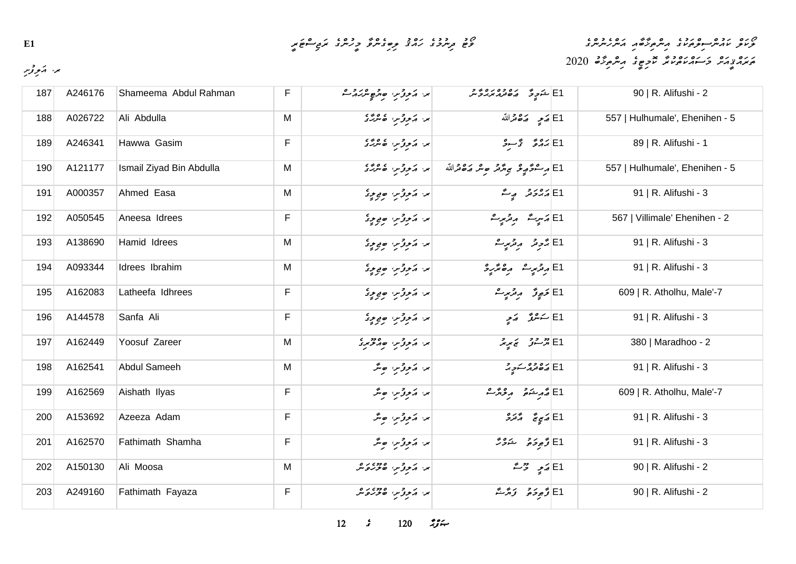*sCw7q7s5w7m< o<n9nOoAw7o< sCq;mAwBoEw7q<m; wBm;vB* م من المرة المرة المرة المرجع المرجع في المركبة 2020<br>مجم*د المريض المربوط المربع المرجع في المراجع المركبة* 

| 187 | A246176 | Shameema Abdul Rahman    | F            | أبرا مكروكر المواصر والمركد والمحمد | E1 خۇچ ئە مەھەرمەدىس                           | 90   R. Alifushi - 2           |
|-----|---------|--------------------------|--------------|-------------------------------------|------------------------------------------------|--------------------------------|
| 188 | A026722 | Ali Abdulla              | M            | پر مرکزویں کا مرکزی                 | E1 <i>مَجِ مَ§مَّ</i> رَاللَّه                 | 557   Hulhumale', Ehenihen - 5 |
| 189 | A246341 | Hawwa Gasim              | F            | أأمرا أتروس كالمرارى                | $3 - 3 - 2 - 2 = 1$                            | 89   R. Alifushi - 1           |
| 190 | A121177 | Ismail Ziyad Bin Abdulla | M            | ما الكرومي، كالأمري                 | E1 مر محصوف ہے مرتقہ صنفہ م <i>کھ م</i> قداللہ | 557   Hulhumale', Ehenihen - 5 |
| 191 | A000357 | Ahmed Easa               | M            | پر اړکور س ه د د د کا               | E1 كەبرى تەرىپىسى ئىستىدا ئىست                 | 91   R. Alifushi - 3           |
| 192 | A050545 | Aneesa Idrees            | $\mathsf F$  | پر انگروژس ھي وچ                    | E1 كەسرىسە مەرتىرىسە                           | 567   Villimale' Ehenihen - 2  |
| 193 | A138690 | Hamid Idrees             | M            | بر رکور موجد                        | E1 بَرُوتِرُ م <i>وتَرْمِرِتْ</i>              | 91   R. Alifushi - 3           |
| 194 | A093344 | Idrees Ibrahim           | M            | بر رکور موجد                        | E1 <sub>م</sub> وتر پرے میں مقدم کی ایک ا      | 91   R. Alifushi - 3           |
| 195 | A162083 | Latheefa Idhrees         | $\mathsf F$  | بر رکور موجد                        | E1 كَرَبِّدٍوَّ مُتَرَبِّيْتُ مِنْ             | 609   R. Atholhu, Male'-7      |
| 196 | A144578 | Sanfa Ali                | $\mathsf{F}$ | بر ، كروژس ھەجەكى                   | E1 سنگر ق <i>م</i> و                           | 91   R. Alifushi - 3           |
| 197 | A162449 | Yoosuf Zareer            | M            | بر مُعِرْس مِمْعَهُ                 | E1 ہر ہے جو بھی ہے۔<br>ا                       | 380   Maradhoo - 2             |
| 198 | A162541 | Abdul Sameeh             | M            | ىن مەجوۋىر، ھەش                     | E1 مەھەر بەر شەھ بەر                           | 91   R. Alifushi - 3           |
| 199 | A162569 | Aishath Ilyas            | $\mathsf F$  | ىن مەجەزىر، ھەش                     | E1 مۇم شەھ مەمەرىشە                            | 609   R. Atholhu, Male'-7      |
| 200 | A153692 | Azeeza Adam              | $\mathsf F$  | ىد. مەجەۋىر، ھەنگە                  | E1 <i>ھَي جَنَّۃ مُ</i> قرَّحر                 | 91   R. Alifushi - 3           |
| 201 | A162570 | Fathimath Shamha         | $\mathsf{F}$ | ىن مەجەۋىر، ھەنگە                   | E1 تَ <i>وْجِدَة</i> شَدَرْرٌ                  | 91   R. Alifushi - 3           |
| 202 | A150130 | Ali Moosa                | M            | أمرا أتروس كالرزوجين                | E1 کی تی تخریحہ م                              | 90   R. Alifushi - 2           |
| 203 | A249160 | Fathimath Fayaza         | $\mathsf{F}$ | بر رووس ۱۶۶۵ و                      | E1 وَّجِرَدَةٌ وَتَرَسَّدُ                     | 90   R. Alifushi - 2           |

 $12$  *s*  $120$  *i*<sub>s</sub>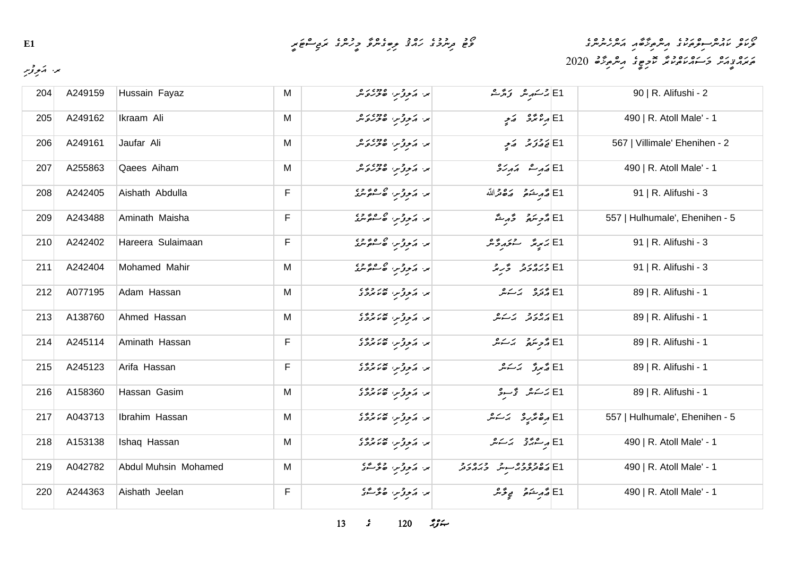*sCw7q7s5w7m< o<n9nOoAw7o< sCq;mAwBoEw7q<m; wBm;vB* م من المرة المرة المرة المرجع المرجع في المركبة 2020<br>مجم*د المريض المربوط المربع المرجع في المراجع المركبة* 

| 204 | A249159 | Hussain Fayaz        | M           | بر. مُتْرِوْسِ 2006 و        | E1 پرستہریش کی پڑتے                           | 90   R. Alifushi - 2           |
|-----|---------|----------------------|-------------|------------------------------|-----------------------------------------------|--------------------------------|
| 205 | A249162 | Ikraam Ali           | M           | بر خورش ھوروند               | E1 م <i>رنامڈڈ م</i> َی                       | 490   R. Atoll Male' - 1       |
| 206 | A249161 | Jaufar Ali           | M           | بر رکوری موروند              | E1 يَحْمَدُونَ مَرْمَ                         | 567   Villimale' Ehenihen - 2  |
| 207 | A255863 | Qaees Aiham          | M           | أبر أيجوز من مجموعه          | E1 <i>مَهرب مَهدَى \$</i>                     | 490   R. Atoll Male' - 1       |
| 208 | A242405 | Aishath Abdulla      | F           | من مكتوفر من صحيح من         | E1 مُجْمِسْتَمْ مُحَمَّدِ اللَّهُ             | 91   R. Alifushi - 3           |
| 209 | A243488 | Aminath Maisha       | $\mathsf F$ | پر مرکز تر ه صورت            | E1 أَدَّحِ سَمَّةً = قَ <sup>ا</sup> مِ سَدَّ | 557   Hulhumale', Ehenihen - 5 |
| 210 | A242402 | Hareera Sulaimaan    | F           | پر مرکز تروم ده ده           | E1 ئەيرىگە سە <i>قەم</i> ەرگەر                | 91   R. Alifushi - 3           |
| 211 | A242404 | Mohamed Mahir        | M           | بر مرور ه شوره               | E1 ة <i>بَرْدْدَوْدْ</i> وَرِيْرُ             | 91   R. Alifushi - 3           |
| 212 | A077195 | Adam Hassan          | M           | بر موري به دوره              | E1 كەتىرى كەسكەنلەر                           | 89   R. Alifushi - 1           |
| 213 | A138760 | Ahmed Hassan         | M           | بر مردوس ځاندون              | E1 كەبروتى كەسكەنلى                           | 89   R. Alifushi - 1           |
| 214 | A245114 | Aminath Hassan       | $\mathsf F$ | بر مرکز وقت مورده            | E1 مَّ حِسَمَة سَرَسْر                        | 89   R. Alifushi - 1           |
| 215 | A245123 | Arifa Hassan         | F           | بر مرکز و مندوره             | E1 ۾ پروگ - پرڪنگر-                           | 89   R. Alifushi - 1           |
| 216 | A158360 | Hassan Gasim         | M           | بر رکوری می دون              | E1 ټر شهر ځ <sup>ي</sup> په د                 | 89   R. Alifushi - 1           |
| 217 | A043713 | Ibrahim Hassan       | M           | بر مردوس ځاندون              | E1 مەھم <i>گىرى بىك شى</i> ر                  | 557   Hulhumale', Ehenihen - 5 |
| 218 | A153138 | Ishaq Hassan         | M           | بر موزير مهم دور             | E1 <sub>م</sub> رے پچ پر سکار                 | 490   R. Atoll Male' - 1       |
| 219 | A042782 | Abdul Muhsin Mohamed | M           | برا م توويرا المؤسكى         | E1 <i>ړه وه وه په د ورور</i> و                | 490   R. Atoll Male' - 1       |
| 220 | A244363 | Aishath Jeelan       | $\mathsf F$ | أبرا وكروز والمحافظ والمحافي | E1 <i>ڇُوِحدَوَ</i> ۾ِوَ <i>گر</i>            | 490   R. Atoll Male' - 1       |

 $13$  *s*  $120$  *n***<sub>s</sub>**  $\frac{2}{3}$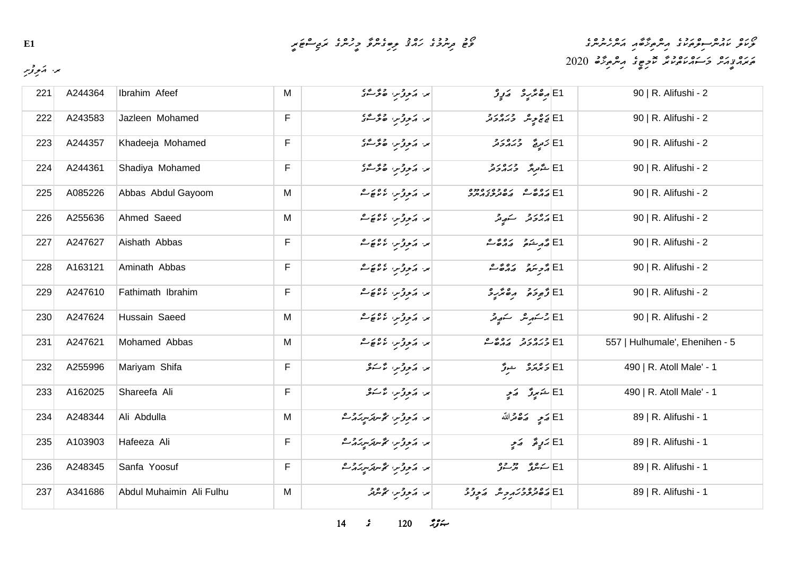*sCw7q7s5w7m< o<n9nOoAw7o< sCq;mAwBoEw7q<m; wBm;vB* م من المرة المرة المرة المرجع المرجع في المركبة 2020<br>مجم*د المريض المربوط المربع المرجع في المراجع المركبة* 

| 221 | A244364 | Ibrahim Afeef            | M            | برا أنزوقرمرا الصحر مصبحة كالمحمد | E1 <sub>م</sub> ەنگەر <i>5 مۇ</i> رۇ                                                                                                                                                                                                                                                                                | 90   R. Alifushi - 2           |
|-----|---------|--------------------------|--------------|-----------------------------------|---------------------------------------------------------------------------------------------------------------------------------------------------------------------------------------------------------------------------------------------------------------------------------------------------------------------|--------------------------------|
| 222 | A243583 | Jazleen Mohamed          | $\mathsf{F}$ | پر اړیوژنو، ځوگړو وي              | E1 ئے تج م <sub>ج</sub> ىنز - 3 <i>× 5 دە</i>                                                                                                                                                                                                                                                                       | 90   R. Alifushi - 2           |
| 223 | A244357 | Khadeeja Mohamed         | $\mathsf{F}$ | پر مُعِرْشٍ ھُوَسُوَ              | E1 زَمَرِيحَ     دُبَرُ دُوَمَرُ                                                                                                                                                                                                                                                                                    | 90   R. Alifushi - 2           |
| 224 | A244361 | Shadiya Mohamed          | $\mathsf{F}$ | پر مَعِرْمَنِ صَعَّرَ مَمَّوَ     | E1 شَمَعِرْدَ حَ <i>مَدُوحَ</i> وَ                                                                                                                                                                                                                                                                                  | 90   R. Alifushi - 2           |
| 225 | A085226 | Abbas Abdul Gayoom       | M            | بر موزير، عناء ع                  | $\frac{1}{2}$ $\frac{1}{2}$ $\frac{1}{2}$ $\frac{1}{2}$ $\frac{1}{2}$ $\frac{1}{2}$ $\frac{1}{2}$ $\frac{1}{2}$ $\frac{1}{2}$ $\frac{1}{2}$ $\frac{1}{2}$ $\frac{1}{2}$ $\frac{1}{2}$ $\frac{1}{2}$ $\frac{1}{2}$ $\frac{1}{2}$ $\frac{1}{2}$ $\frac{1}{2}$ $\frac{1}{2}$ $\frac{1}{2}$ $\frac{1}{2}$ $\frac{1}{2}$ | 90   R. Alifushi - 2           |
| 226 | A255636 | Ahmed Saeed              | M            | بر. مَعِرْسُ الْمَنْاءِ مَثْ      | E1 كەبرى بىر سىمب <i>ە</i> ر ئىر                                                                                                                                                                                                                                                                                    | 90   R. Alifushi - 2           |
| 227 | A247627 | Aishath Abbas            | $\mathsf{F}$ | برا م تروس الملائق م              | E1 مەم ئەم ئەم ئەرمۇب،                                                                                                                                                                                                                                                                                              | 90   R. Alifushi - 2           |
| 228 | A163121 | Aminath Abbas            | $\mathsf F$  | أيرا م توفرس الأماني م            | $2.600$ $2.70$ $\approx$ $5$ $\approx$ $5$ $\approx$ $1$                                                                                                                                                                                                                                                            | 90   R. Alifushi - 2           |
| 229 | A247610 | Fathimath Ibrahim        | $\mathsf{F}$ | بر مَعِرْسِ عَمَّعْ ثَمَّ         | E1 <i>وُّجوحَمْ بِرەْ يُرْرِ</i> وْ                                                                                                                                                                                                                                                                                 | 90   R. Alifushi - 2           |
| 230 | A247624 | Hussain Saeed            | M            | برا م تروس الالقاب                | E1 پرسکوپٹر کے می <sup>و</sup> ر                                                                                                                                                                                                                                                                                    | 90   R. Alifushi - 2           |
| 231 | A247621 | Mohamed Abbas            | M            | برا م تروس الالقاب                | $2501$ $2707$ $27$ $-1$                                                                                                                                                                                                                                                                                             | 557   Hulhumale', Ehenihen - 5 |
| 232 | A255996 | Mariyam Shifa            | $\mathsf{F}$ | پر انگروژس، ماکسترنی              | E1 كا <i>ترىر ئى مىدۇ</i>                                                                                                                                                                                                                                                                                           | 490   R. Atoll Male' - 1       |
| 233 | A162025 | Shareefa Ali             | $\mathsf{F}$ | ىر. مۇرۇش ئاسكى                   | E1 ڪ <sub>يو</sub> ڙ <i>مک</i> و                                                                                                                                                                                                                                                                                    | 490   R. Atoll Male' - 1       |
| 234 | A248344 | Ali Abdulla              | M            | ىلى مەجرۇس ئۇستەسىرىدە م          | E1 <i>مَجِ مَ§مَّد</i> َاللَّه                                                                                                                                                                                                                                                                                      | 89   R. Alifushi - 1           |
| 235 | A103903 | Hafeeza Ali              | $\mathsf F$  | من مُتوفِّس مُحَسِّدَ سِرْمُدَ -  | E1 پَروِتٌر کرم ِ                                                                                                                                                                                                                                                                                                   | 89   R. Alifushi - 1           |
| 236 | A248345 | Sanfa Yoosuf             | F            | أمرا مكروحس كالمستكر سيركد مث     | E1 سَتَرَبَّرُ بَرْسَرُ                                                                                                                                                                                                                                                                                             | 89   R. Alifushi - 1           |
| 237 | A341686 | Abdul Muhaimin Ali Fulhu | M            | پر انگروژ کو محمد مر              | E1 رەدە دىر جەن ھېرىد                                                                                                                                                                                                                                                                                               | 89   R. Alifushi - 1           |

 $14$  *s*  $120$  *i*<sub>s</sub>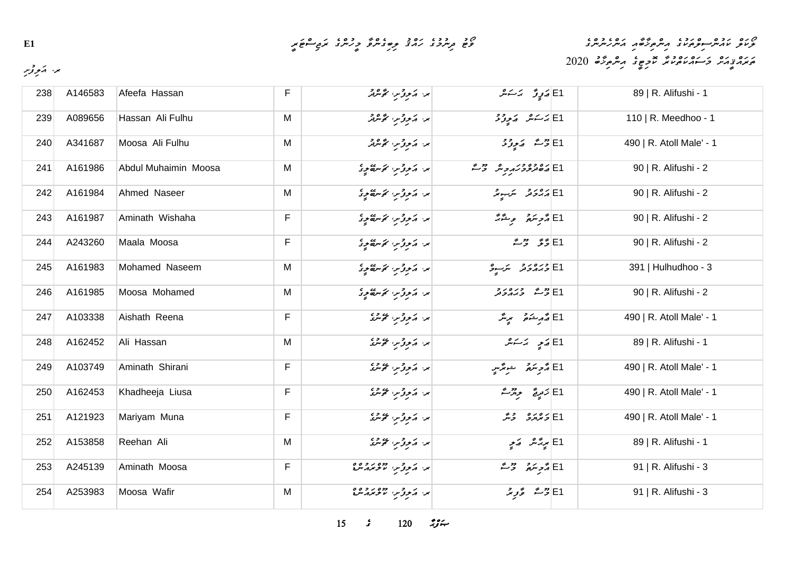*sCw7q7s5w7m< o<n9nOoAw7o< sCq;mAwBoEw7q<m; wBm;vB* م من المرة المرة المرة المرجع المرجع في المركبة 2020<br>مجم*د المريض المربوط المربع المرجع في المراجع المركبة* 

| 238 | A146583 | Afeefa Hassan        | F | بر مروزم گم مرقر                        | E1 <i>ڇَ پِي پُرڪيل</i>               | 89   R. Alifushi - 1     |
|-----|---------|----------------------|---|-----------------------------------------|---------------------------------------|--------------------------|
| 239 | A089656 | Hassan Ali Fulhu     | M | برا أرجوقرس كالعرفر                     | E1 ټر <i>ټرو په پو</i> ژن             | 110   R. Meedhoo - 1     |
| 240 | A341687 | Moosa Ali Fulhu      | M | برا م تروس گارو                         | E1 چينگ ڪي پورٽ                       | 490   R. Atoll Male' - 1 |
| 241 | A161986 | Abdul Muhaimin Moosa | M | بر مرور كوسه                            | E1 رەمورىرىم ھەر ج                    | 90   R. Alifushi - 2     |
| 242 | A161984 | Ahmed Naseer         | M | من الأحراق من المحاسرة المحرجة كالمحرجة | E1 <i>ړې دی.</i> سَرَ <sub>سو</sub> س | 90   R. Alifushi - 2     |
| 243 | A161987 | Aminath Wishaha      | F | بن مكروز من مؤسكرونج                    | E1 مَّ حِسَمَةً مِشَمَّدٌ             | 90   R. Alifushi - 2     |
| 244 | A243260 | Maala Moosa          | F | من مكروش كالمله المحاري                 | $23$ $55$ $E1$                        | 90   R. Alifushi - 2     |
| 245 | A161983 | Mohamed Naseem       | M | ىن مەر ئۇس ئۇسقەر ئ                     | E1 <i>\$ پروونز سرب</i> ور            | 391   Hulhudhoo - 3      |
| 246 | A161985 | Moosa Mohamed        | M | بر موزير كالتقوى                        | E1 ج شه در در در                      | 90   R. Alifushi - 2     |
| 247 | A103338 | Aishath Reena        | F | برا م ترومن محملت                       | E1 م <i>ەرىشىمى</i> مېڭر              | 490   R. Atoll Male' - 1 |
| 248 | A162452 | Ali Hassan           | M | برا المتوفرس محاسمة                     | E1 کی پر تر تک                        | 89   R. Alifushi - 1     |
| 249 | A103749 | Aminath Shirani      | F | بر الموثوب محملا                        | E1 مُرْحِسَمُ مُسْتَسِرِ              | 490   R. Atoll Male' - 1 |
| 250 | A162453 | Khadheeja Liusa      | F | برا المتوفر المتحاسمة                   | E1 كَتَعِيقٌ مَحِيْرٌ مُنْ            | 490   R. Atoll Male' - 1 |
| 251 | A121923 | Mariyam Muna         | F | برا المتوفر المتحاسمة                   | E1 كانترنز و محتر                     | 490   R. Atoll Male' - 1 |
| 252 | A153858 | Reehan Ali           | M | ىن مەمرۇس مۇسرى                         | E1 برِيَّتْر <sub>ضَ</sub> رِ         | 89   R. Alifushi - 1     |
| 253 | A245139 | Aminath Moosa        | F | بر رکورش لاژندر ده                      | E1 أُمُّ وسَمَعُ فَرَسَّمَّ           | 91   R. Alifushi - 3     |
| 254 | A253983 | Moosa Wafir          | M | بر مرور روه دوره<br>بر مرور موندس       | E1 جي محمو پر جي پيو                  | 91   R. Alifushi - 3     |

 $15$  *s*  $120$  *i*<sub>s</sub>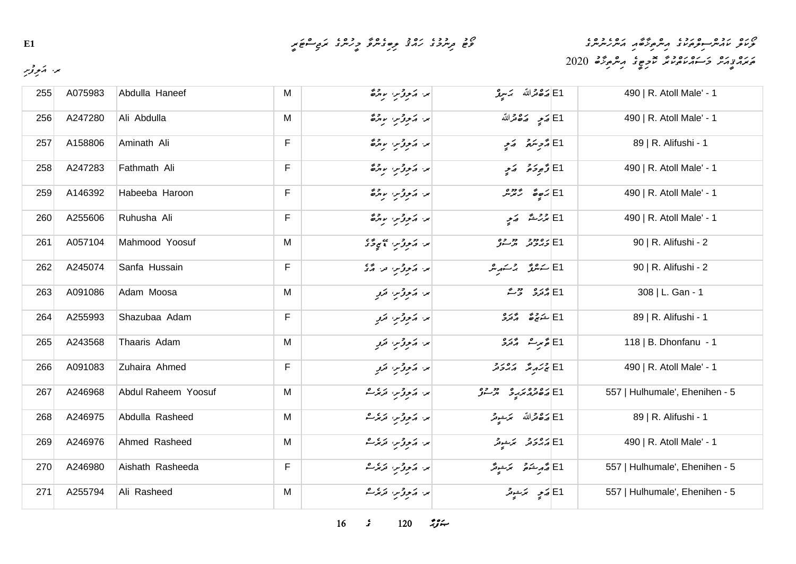*sCw7q7s5w7m< o<n9nOoAw7o< sCq;mAwBoEw7q<m; wBm;vB* م من المرة المرة المرة المرجع المرجع في المركبة 2020<br>مجم*د المريض المربوط المربع المرجع في المراجع المركبة* 

| 255 | A075983 | Abdulla Haneef      | M           | بر. مُعِرْضٍ بِالْمُرَةُ  | E1 مَەھىراللە بەس <i>ى</i> ر     | 490   R. Atoll Male' - 1       |
|-----|---------|---------------------|-------------|---------------------------|----------------------------------|--------------------------------|
| 256 | A247280 | Ali Abdulla         | M           | برا مرور الأراه           | E1 <i>مَجِ مَ§مَّ</i> دَاللَّه   | 490   R. Atoll Male' - 1       |
| 257 | A158806 | Aminath Ali         | F           | برا مرور الأراه           | E1 مُجرِسَمُ مَعِ                | 89   R. Alifushi - 1           |
| 258 | A247283 | Fathmath Ali        | $\mathsf F$ | بر رکور باره              | E1 <i>وُّجِوحَةْ مَيْ</i>        | 490   R. Atoll Male' - 1       |
| 259 | A146392 | Habeeba Haroon      | $\mathsf F$ | برا مرور الأمراه          | E1 يَرْجِعُ مُسْتَمَرْ مَرْ بَرْ | 490   R. Atoll Male' - 1       |
| 260 | A255606 | Ruhusha Ali         | $\mathsf F$ | ىن مەجرىق بورگە           | E1 بُرْرْڪُ کَرَمِ               | 490   R. Atoll Male' - 1       |
| 261 | A057104 | Mahmood Yoosuf      | M           | أين الكروفرس الأمج ومحاكى | E1 <i>525 بين في</i>             | 90   R. Alifushi - 2           |
| 262 | A245074 | Sanfa Hussain       | F           | أما أتروقس فرا أزكى       | E1 سَتَمَدَّرُ بِرَسَهَ مِرْسَر  | 90   R. Alifushi - 2           |
| 263 | A091086 | Adam Moosa          | M           | برا مکووکوا فرو           | $23$ $22$ $5$ $\approx$ $51$     | 308   L. Gan - 1               |
| 264 | A255993 | Shazubaa Adam       | $\mathsf F$ | بر «کووکن فرو             | E1 شەچھ گەنىر <i>ى</i>           | 89   R. Alifushi - 1           |
| 265 | A243568 | Thaaris Adam        | M           | بر په دوس ترو             | E1 تجرب تجدد                     | 118   B. Dhonfanu - 1          |
| 266 | A091083 | Zuhaira Ahmed       | F           | أما الكووهن الكو          | E1 ىن <i>كەبىر مەدە</i> م        | 490   R. Atoll Male' - 1       |
| 267 | A246968 | Abdul Raheem Yoosuf | M           | بر. مَعِرْشٍ مَهْرَتْ     | E1 בסינג הגיב היינית             | 557   Hulhumale', Ehenihen - 5 |
| 268 | A246975 | Abdulla Rasheed     | M           | أيرا الكرورقراء الكريمات  | E1 مَەھْمَراللە مَرْسُومَر       | 89   R. Alifushi - 1           |
| 269 | A246976 | Ahmed Rasheed       | M           | برا مأفروهن مكرهم المنا   | E1 <i>ړې چې</i> ترجينې           | 490   R. Atoll Male' - 1       |
| 270 | A246980 | Aishath Rasheeda    | F           | أيرا الكروفرا الكرعرك     | E1 م <i>ەم ھەم مەھبەت</i> ر      | 557   Hulhumale', Ehenihen - 5 |
| 271 | A255794 | Ali Rasheed         | M           | پر انگروژس افریز ک        | E1 <i>ھَ جِ</i> - مَرْشِيقَر     | 557   Hulhumale', Ehenihen - 5 |

 $16$  *s*  $120$  *z***<sub>3</sub>**  $\frac{2}{3}$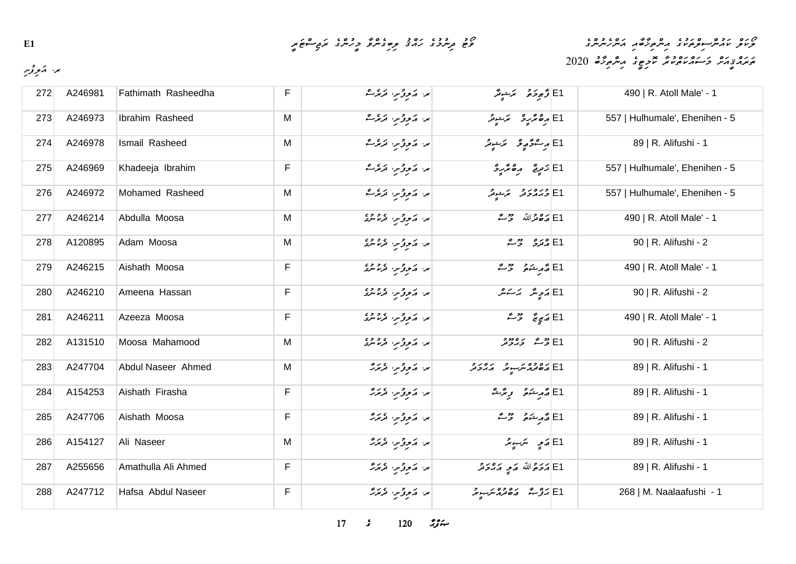*sCw7q7s5w7m< o<n9nOoAw7o< sCq;mAwBoEw7q<m; wBm;vB* م من المرة المرة المرة المرجع المرجع في المركبة 2020<br>مجم*د المريض المربوط المربع المرجع في المراجع المركبة* 

| ,<br>╭<br>بر. معروبر |  |
|----------------------|--|
|----------------------|--|

| 272 | A246981 | Fathimath Rasheedha   | F           | پر انگروژس انگرنگ        | E1 <i>وُّهِ وَهُ</i> مَمْ سُمِعٌ ا          | 490   R. Atoll Male' - 1       |
|-----|---------|-----------------------|-------------|--------------------------|---------------------------------------------|--------------------------------|
| 273 | A246973 | Ibrahim Rasheed       | M           | برا اړکونژ کورنگر شو     | E1 م <i>وڭ ئۇرۇ مۇ</i> ش <sub>و</sub> تر    | 557   Hulhumale', Ehenihen - 5 |
| 274 | A246978 | <b>Ismail Rasheed</b> | M           | ما أيجوفرس فرغرك         | E1 مرڪو <i>گھر</i> ي - مَرَڪ <i>ومَر</i> ُ- | 89   R. Alifushi - 1           |
| 275 | A246969 | Khadeeja Ibrahim      | F           | برا المتوازين المرتمات   | E1 كَتَوِيعٌ - مِنْ مُحْرِرْ \$             | 557   Hulhumale', Ehenihen - 5 |
| 276 | A246972 | Mohamed Rasheed       | M           | برا الأبوقر من الأثر مشر | E1 <i>وُبَرُوُوَ</i> مَوْ مَرْشِيْتِر       | 557   Hulhumale', Ehenihen - 5 |
| 277 | A246214 | Abdulla Moosa         | M           | ىر. مەجەۋىر، ئەرمىتىگە   | E1 مَرْجُ مِّرَاللَّهُ حَرْبُّهُ            | 490   R. Atoll Male' - 1       |
| 278 | A120895 | Adam Moosa            | M           | ىن مەجەۋىر، ئەرەپرى      | $23$ $22$ $5$ $5$ $-1$                      | 90   R. Alifushi - 2           |
| 279 | A246215 | Aishath Moosa         | F           | ىن مەجەۋىر، ئەرەپىرى     | E1 <sub>م</sub> َّم مِشمَّ حَمَّ حَمَّ      | 490   R. Atoll Male' - 1       |
| 280 | A246210 | Ameena Hassan         | F           | بر مورمن مرسمة           | E1 كەچ ئىكە بەسكەنلىر                       | 90   R. Alifushi - 2           |
| 281 | A246211 | Azeeza Moosa          | F           | ىن مەجەۋىر، ئەرەپىرى     |                                             | 490   R. Atoll Male' - 1       |
| 282 | A131510 | Moosa Mahamood        | M           | ىر. مەجەۋىر، ئەرمىتىگە   | E1 تۇشقە ئۇچۇتقر                            | 90   R. Alifushi - 2           |
| 283 | A247704 | Abdul Naseer Ahmed    | M           | برا الأبواري، الأبرارٌ   | E1 <i>مەھەرمىكىسى مەدە</i> م                | 89   R. Alifushi - 1           |
| 284 | A154253 | Aishath Firasha       | F           | بر الأفروس المريمان      | E1 مَّ مِشَمَّ وِتَمَتَّ                    | 89   R. Alifushi - 1           |
| 285 | A247706 | Aishath Moosa         | F           | برا أتروس فريزة          | $23 - 24 - 5 = 1$                           | 89   R. Alifushi - 1           |
| 286 | A154127 | Ali Naseer            | M           | برا الكروحي، فريرَتْ     | E1 <i>ھَ جِ</i> سَرَجِيمَ                   | 89   R. Alifushi - 1           |
| 287 | A255656 | Amathulla Ali Ahmed   | $\mathsf F$ | برا اړکورکورا او ډکرگ    | E1 كەڭگەاللە كەمچە كەبردىتر                 | 89   R. Alifushi - 1           |
| 288 | A247712 | Hafsa Abdul Naseer    | F           | بر رکور گریز             | E1 ئۇيگە مەھ <i>ەمەسى</i> بوم               | 268   M. Naalaafushi - 1       |

 $17$  *s*  $120$  *i*<sub>s</sub>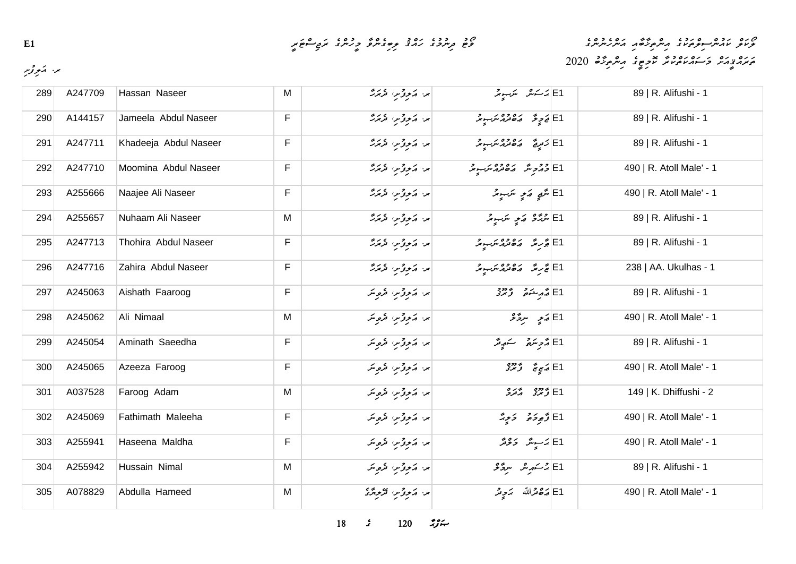*sCw7q7s5w7m< o<n9nOoAw7o< sCq;mAwBoEw7q<m; wBm;vB* م من المرة المرة المرة المرجع المرجع في المركبة 2020<br>مجم*د المريض المربوط المربع المرجع في المراجع المركبة* 

| 289 | A247709 | Hassan Naseer         | M           | ىن ئەبرۇس ئەيزۇ       | E1   پرستربر   سرسید پر                     | 89   R. Alifushi - 1     |
|-----|---------|-----------------------|-------------|-----------------------|---------------------------------------------|--------------------------|
| 290 | A144157 | Jameela Abdul Naseer  | F           | برا م تووژس فریزر     | E1 فَيَ حِرِ مُحَمَّدٍ مِنْ مَسْبِرِ مِنْ ا | 89   R. Alifushi - 1     |
| 291 | A247711 | Khadeeja Abdul Naseer | F           | أبرأ أتروش المريزر    | E1 كَتْعِيضُ مَدَّة مَعْرَمْ مَعْرَبِ مِنْ  | 89   R. Alifushi - 1     |
| 292 | A247710 | Moomina Abdul Naseer  | F           | أبرأ أتروش المريزر    | E1 در دیگر بره ده تربیت                     | 490   R. Atoll Male' - 1 |
| 293 | A255666 | Naajee Ali Naseer     | F           | أمرا الكروفس المرمرك  | E1 سَمْعِ   مَرْمٍ   سَرَسِوِيْرُ           | 490   R. Atoll Male' - 1 |
| 294 | A255657 | Nuhaam Ali Naseer     | M           | برا الأبوقرس الأبور   | E1 مَهْدًى كَمَعٍ مَرَسِيمٌ                 | 89   R. Alifushi - 1     |
| 295 | A247713 | Thohira Abdul Naseer  | F           | يرا مكوفر عن المريحات |                                             | 89   R. Alifushi - 1     |
| 296 | A247716 | Zahira Abdul Naseer   | F           | أمرا الكروفس المرمرك  | E1 تج بەنتى ئەھ <i>قو</i> ر مىز بىرىتى      | 238   AA. Ukulhas - 1    |
| 297 | A245063 | Aishath Faaroog       | $\mathsf F$ | بر موری ترویز         | E1 مەم ئىسىم ئىرىمىتى                       | 89   R. Alifushi - 1     |
| 298 | A245062 | Ali Nimaal            | M           | بر أيجوش الموالد      | E1 <i>ڇُجِ بروڱ</i> و                       | 490   R. Atoll Male' - 1 |
| 299 | A245054 | Aminath Saeedha       | F           | بر الأوقرس الأوائل    | E1 مُرْحِ سَوَ سَمَدٍ مُّثَّرِ              | 89   R. Alifushi - 1     |
| 300 | A245065 | Azeeza Faroog         | F           | برا مجروحن فرويتر     | E1 <i>ھَيِي گُرُنُوْنُ</i>                  | 490   R. Atoll Male' - 1 |
| 301 | A037528 | Faroog Adam           | M           | بر موروش ترویتر       | E1 وُتِرَةً مُعَرَّدً                       | 149   K. Dhiffushi - 2   |
| 302 | A245069 | Fathimath Maleeha     | F           | برا مجروش ترویتر      | E1 <i>وَّجِ دَمَّةَ</i> وَمِيَّةَ           | 490   R. Atoll Male' - 1 |
| 303 | A255941 | Haseena Maldha        | F           | برا مجروش ترویتر      | E1 رَسِيْرٌ وَوُثَّرُ                       | 490   R. Atoll Male' - 1 |
| 304 | A255942 | Hussain Nimal         | M           | بر اړوژنو، ترویتر     | E1  پر سکر سر سر پر تو تر                   | 89   R. Alifushi - 1     |
| 305 | A078829 | Abdulla Hameed        | M           | ىر. مەجەۋىر، ئۇجەددى  | E1 رَحْمَدْاللّه بَرَحِيمْ                  | 490   R. Atoll Male' - 1 |

 $18$  *s*  $120$  *n***<sub>s</sub>**  $\frac{2}{3}$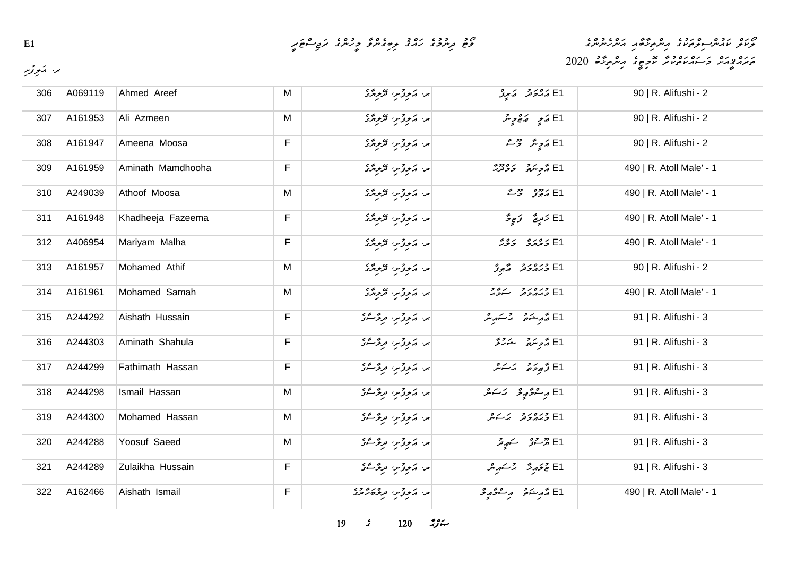*sCw7q7s5w7m< o<n9nOoAw7o< sCq;mAwBoEw7q<m; wBm;vB* م من المرة المرة المرة المرجع المرجع في المركبة 2020<br>مجم*د المريض المربوط المربع المرجع في المراجع المركبة* 

| 306 | A069119 | Ahmed Areef       | M            | ما الأحوقر عن محرَّم والله عن السَّرَة والله عنه | E1 كەندى كەر كەر بىر ئىل              | 90   R. Alifushi - 2     |
|-----|---------|-------------------|--------------|--------------------------------------------------|---------------------------------------|--------------------------|
| 307 | A161953 | Ali Azmeen        | M            | برا مأفروش تكرفرهمى                              | E1 <i>ھَي ھَيُّجِي</i> مُر            | 90   R. Alifushi - 2     |
| 308 | A161947 | Ameena Moosa      | F            | برا م تورش ترویز ؟                               | E1 أ <i>وَجِيمٌ حَيْ</i> سُةً         | 90   R. Alifushi - 2     |
| 309 | A161959 | Aminath Mamdhooha | F            | برا الأبوقرس تكرم يركز                           | E1 گەجەنىھە مەمەدە بىر                | 490   R. Atoll Male' - 1 |
| 310 | A249039 | Athoof Moosa      | M            | بر مورثين فرجدتمى                                | $23$ $32/51$                          | 490   R. Atoll Male' - 1 |
| 311 | A161948 | Khadheeja Fazeema | $\mathsf{F}$ | أمرا مكروفر والمرمر ومرتج                        | E1 كَتْمِيعٌ - وَيُجِرًّ              | 490   R. Atoll Male' - 1 |
| 312 | A406954 | Mariyam Malha     | F            | برا مركز ويرد محركز ويرد كا                      | E1 كانترنزي كالمحافظة المحمدة المحددة | 490   R. Atoll Male' - 1 |
| 313 | A161957 | Mohamed Athif     | M            | أمرا مكروفر لترومركا                             | E1 <i>جەممى ھەبى</i> ئ                | 90   R. Alifushi - 2     |
| 314 | A161961 | Mohamed Samah     | M            | برا الأبوقرس تكرم يركز                           | E1 3222 مئون                          | 490   R. Atoll Male' - 1 |
| 315 | A244292 | Aishath Hussain   | $\mathsf F$  | پر ټربولومو اور څرگومو کا                        | E1 مۇم شۇمۇ سىمىتىرى <i>ش</i>         | 91   R. Alifushi - 3     |
| 316 | A244303 | Aminath Shahula   | F            | پر اړیوژین او د کند کا                           | E1 أَدَّحِ سَمَعٌ مَسْرَعٌ مَ         | 91   R. Alifushi - 3     |
| 317 | A244299 | Fathimath Hassan  | F            | برا اړکوروس اوروگسترنی                           | E1 ۇ <sub>ج</sub> وڭ ئەسىر            | 91   R. Alifushi - 3     |
| 318 | A244298 | Ismail Hassan     | M            | برا اړوژنوا او د کار                             | E1 م <i>ېرىشۇمى</i> تۇرىكىش           | 91   R. Alifushi - 3     |
| 319 | A244300 | Mohamed Hassan    | M            | پر ټربوترين مرگز کړي                             | E1 32823 كەسكەنلە                     | 91   R. Alifushi - 3     |
| 320 | A244288 | Yoosuf Saeed      | M            | پر انگروژس مروٌسترُ                              | E1 پر سوم محمد شهر ته                 | 91   R. Alifushi - 3     |
| 321 | A244289 | Zulaikha Hussain  | F            | برا الكروفين الروحية و                           | E1 ىج تخ <i>مې</i> ڭ – چرىئىمبەنتىر   | 91   R. Alifushi - 3     |
| 322 | A162466 | Aishath Ismail    | F            | بر הوویر مرده شده                                | E1 مۇم شكۇم بور شۇم يوقى              | 490   R. Atoll Male' - 1 |

*19 s 120 <i>n*<sub>s</sub>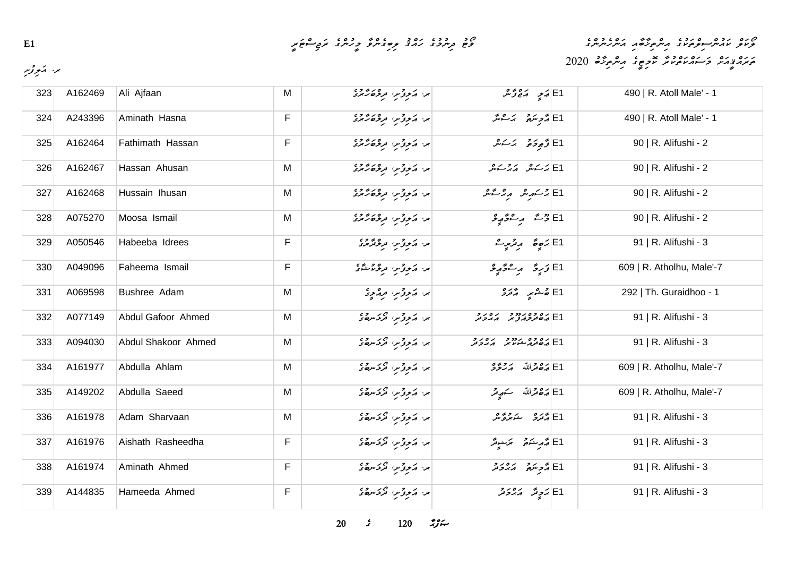*sCw7q7s5w7m< o<n9nOoAw7o< sCq;mAwBoEw7q<m; wBm;vB* م من المرة المرة المرة المرجع المرجع في المركبة 2020<br>مجم*د المريض المربوط المربع المرجع في المراجع المركبة* 

| 323 | A162469 | Ali Ajfaan          | M | بر ، كمروح را مركزه من دا       | E1  <i>ړَې دَوْژَنْد</i>          | 490   R. Atoll Male' - 1  |
|-----|---------|---------------------|---|---------------------------------|-----------------------------------|---------------------------|
| 324 | A243396 | Aminath Hasna       | F | بر ، مَوِوْسِ مِرْحَقَدَ مِرَّة | E1 أَمَّ حِسَمَةً مَ سَـَّسَّر    | 490   R. Atoll Male' - 1  |
| 325 | A162464 | Fathimath Hassan    | F | پر ټروژین مرده ژوه              | E1 ژ <sub>ېچ خ</sub> رې برخش      | 90   R. Alifushi - 2      |
| 326 | A162467 | Hassan Ahusan       | M | بر رکور مرده کرده               | E1   ئەس <i>تەنلەر كەنگەنل</i> ەر | 90   R. Alifushi - 2      |
| 327 | A162468 | Hussain Ihusan      | M | پر ټروژس مرموځ ده               | E1 پرستمبر میں میر مشک            | 90   R. Alifushi - 2      |
| 328 | A075270 | Moosa Ismail        | M | أبرا مكروكس فرقوه شرده          | E1 تۇنئە ب <sub>ە</sub> ستۇرىجە   | 90   R. Alifushi - 2      |
| 329 | A050546 | Habeeba Idrees      | F | بر הوژیر، وژندند                | E1 بَرَصِرَةُ مِتَّدِينِهِ مِنْ   | 91   R. Alifushi - 3      |
| 330 | A049096 | Faheema Ismail      | F | پر مرکز و ترور شده              | E1 تَرَبِعٌ - مِبْ مُعَهُّدٍ وَ   | 609   R. Atholhu, Male'-7 |
| 331 | A069598 | Bushree Adam        | M | برا اړکوري او دره کوری          | E1 ھڪيمبر م <i>م</i> ترو          | 292   Th. Guraidhoo - 1   |
| 332 | A077149 | Abdul Gafoor Ahmed  | M | برا أمروكس الركز مردع           | E1 ره ده د دو د بره د د           | 91   R. Alifushi - 3      |
| 333 | A094030 | Abdul Shakoor Ahmed | M | بر مُعِرْسٍ مُرْمَسِ فَيْ       | E1 גەכە بەددە بەرەپە              | 91   R. Alifushi - 3      |
| 334 | A161977 | Abdulla Ahlam       | M | أين الكرموقرس فركم سيفاتى       | E1 مَەمْراللە مَرْتَوْتْر         | 609   R. Atholhu, Male'-7 |
| 335 | A149202 | Abdulla Saeed       | M | أمرا الكروفرس فكركم سيقاتحا     | E1 مَەھْتَراللە سَىمپىتر          | 609   R. Atholhu, Male'-7 |
| 336 | A161978 | Adam Sharvaan       | M | أين الكرموقرس فركم سيفاتى       | E1 <i>جُمُودُ خُمَوَّسُ</i>       | 91   R. Alifushi - 3      |
| 337 | A161976 | Aishath Rasheedha   | F | برا أن تركز المركز المرجع       | E1 مُ مِسْدَمْ - مَرْسِوِمَّر     | 91   R. Alifushi - 3      |
| 338 | A161974 | Aminath Ahmed       | F | أمرا الكروفرس فكركم سيقاتحا     | E1 مَّ حِسَمَعُ مَهْ حَمَّد       | 91   R. Alifushi - 3      |
| 339 | A144835 | Hameeda Ahmed       | F | أمرا أكر وقرس فرع سرة في        | E1 ټوپو ټرونو                     | 91   R. Alifushi - 3      |

 $20$  *s*  $120$  *z***<sub>3</sub>**  $\frac{2}{3}$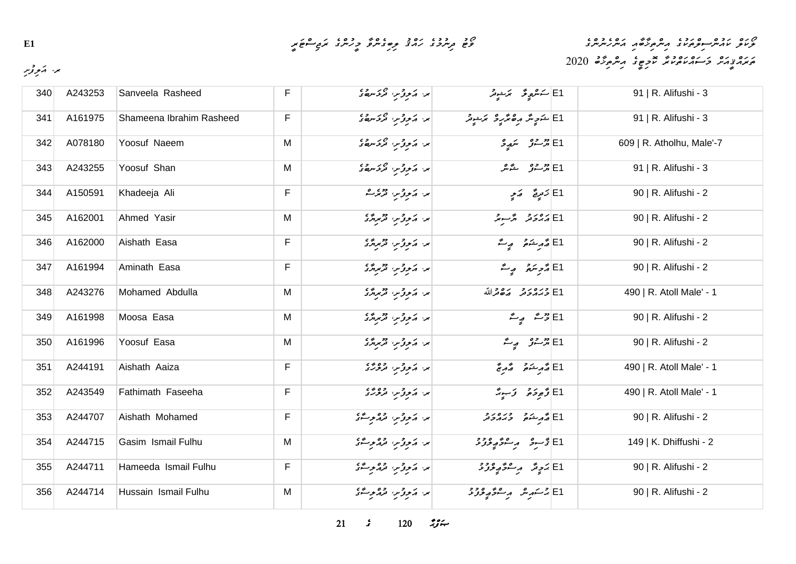*sCw7q7s5w7m< o<n9nOoAw7o< sCq;mAwBoEw7q<m; wBm;vB* م من المرة المرة المرة المرجع المرجع في المركبة 2020<br>مجم*د المريض المربوط المربع المرجع في المراجع المركبة* 

| 340 | A243253 | Sanveela Rasheed         | F            | من الأحوالي عن المحدة العراقية كانت | E1 س <i>ندہو پڈ</i> بمر <sub>شو</sub> یز                                                                                                                                                                                         | 91   R. Alifushi - 3      |
|-----|---------|--------------------------|--------------|-------------------------------------|----------------------------------------------------------------------------------------------------------------------------------------------------------------------------------------------------------------------------------|---------------------------|
| 341 | A161975 | Shameena Ibrahim Rasheed | F            | برا الكروحي، فركز سهاد ع            | E1 خَوِيثَرَ مِرْهُ مَرْرِدْ كَرَسْوِيْرَ                                                                                                                                                                                        | 91   R. Alifushi - 3      |
| 342 | A078180 | Yoosuf Naeem             | M            | أين الكرموقرس فركم سيفاتى           | E1 پر کشمی شمیر محمد از این محمد از این محمد از این محمد از این محمد استاده کار استاده کار استاده کار محمد است<br>منابه این محمد استاده استاده استاده استاده برگزار میکنیم برگزار میباشد که برگزار میباشد که برگزار میباشد که می | 609   R. Atholhu, Male'-7 |
| 343 | A243255 | Yoosuf Shan              | M            | ما الموثر المروسين المروج           | E1 پُرکر مُنگر                                                                                                                                                                                                                   | 91   R. Alifushi - 3      |
| 344 | A150591 | Khadeeja Ali             | F            | برا مجروحن فرغرك                    | E1  زَمرِيحٌ     رَمٍ ٍ                                                                                                                                                                                                          | 90   R. Alifushi - 2      |
| 345 | A162001 | Ahmed Yasir              | M            | أمرا مكروفس فرمرمرد                 | E1 <i>مەندى مۇسى</i> تر                                                                                                                                                                                                          | 90   R. Alifushi - 2      |
| 346 | A162000 | Aishath Easa             | F            | ما أمروز من قرم الديم               | E1 مەم شىم گە بەت                                                                                                                                                                                                                | 90   R. Alifushi - 2      |
| 347 | A161994 | Aminath Easa             | F            | أمرا مأفروش فترمر مركزة             | E1 مُرْمِتْهُمْ بِهِ شَّ                                                                                                                                                                                                         | 90   R. Alifushi - 2      |
| 348 | A243276 | Mohamed Abdulla          | M            | أمرا مكروفرس فرمرمرد                | E1 3223 مَرْهُور اللّه                                                                                                                                                                                                           | 490   R. Atoll Male' - 1  |
| 349 | A161998 | Moosa Easa               | M            | أما الكروفس فرمراكز                 | E1 في شهر ميرسة.                                                                                                                                                                                                                 | 90   R. Alifushi - 2      |
| 350 | A161996 | Yoosuf Easa              | M            | أما أروقرا فرمرارة                  | E1 پر کشور پہ شہ                                                                                                                                                                                                                 | 90   R. Alifushi - 2      |
| 351 | A244191 | Aishath Aaiza            | $\mathsf{F}$ | پر مربور پر فرقرند                  | E1 مُرمِشَعْ مُرمَّ                                                                                                                                                                                                              | 490   R. Atoll Male' - 1  |
| 352 | A243549 | Fathimath Faseeha        | F            | بر· مَرْحِوْسِ مَرْحَرْ بِمُ        | E1 وَجِودَةٌ وَسِيدٌ                                                                                                                                                                                                             | 490   R. Atoll Male' - 1  |
| 353 | A244707 | Aishath Mohamed          | F            | پر مرکز وقته وقته و گرمی            | E1 مُصِحْمَى وَيَرْمُرْوَتْر                                                                                                                                                                                                     | 90   R. Alifushi - 2      |
| 354 | A244715 | Gasim Ismail Fulhu       | M            | پر مرکوری فرمرموستری                | E1 تۇسىۋە مەش <i>ۇم ۋۇ</i> تۇ                                                                                                                                                                                                    | 149   K. Dhiffushi - 2    |
| 355 | A244711 | Hameeda Ismail Fulhu     | F            | پر ټربور تر پر برگور کلی            | E1 ئەرپۇر ب <sub>ە</sub> رشۇپرىۋىز                                                                                                                                                                                               | 90   R. Alifushi - 2      |
| 356 | A244714 | Hussain Ismail Fulhu     | M            | پر مرکز ویکی ترور شور               | E1 پرېشمېر مرگو <i>تو</i> رو د                                                                                                                                                                                                   | 90   R. Alifushi - 2      |

 $21$  *s*  $120$  *n***<sub>s</sub>**  $\frac{2}{3}$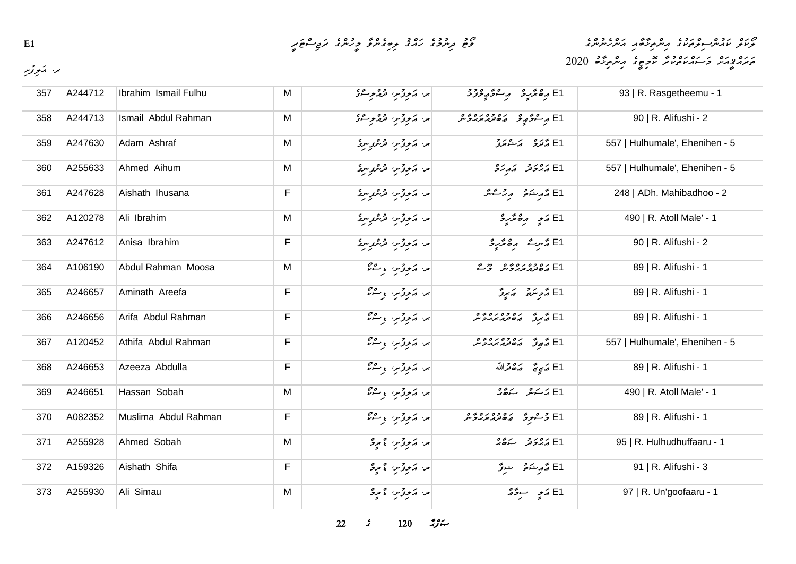*sCw7q7s5w7m< o<n9nOoAw7o< sCq;mAwBoEw7q<m; wBm;vB* م من المرة المرة المرة المرجع المرجع في المركبة 2020<br>مجم*د المريض المربوط المربع المرجع في المراجع المركبة* 

| 357 | A244712 | Ibrahim Ismail Fulhu | M            | بر· مَرْدِرْ بنِ مْهْرُدِ سُمْرُ | E1 رەنزىرو ب <sub>ە</sub> سۇر دور   | 93   R. Rasgetheemu - 1        |
|-----|---------|----------------------|--------------|----------------------------------|-------------------------------------|--------------------------------|
| 358 | A244713 | Ismail Abdul Rahman  | M            | برا م توفرس فرمرموستر            | E1 رەم ۋە ئەھەرمەم دەھ م            | 90   R. Alifushi - 2           |
| 359 | A247630 | Adam Ashraf          | M            | أمرا مكرورهموا مرتكز سرتكا       | E1 أَرْمَرْدْ    أَرْشَىمْرُ لِ     | 557   Hulhumale', Ehenihen - 5 |
| 360 | A255633 | Ahmed Aihum          | M            | أمرا مكروفرا وتكرير للرنك        | $5.222$ $-2.222$ $-5.222$           | 557   Hulhumale', Ehenihen - 5 |
| 361 | A247628 | Aishath Ihusana      | $\mathsf{F}$ | برا محوفرس فرهوسيد               | E1 مۇمەيئەتى مەيرىشىتىر             | 248   ADh. Mahibadhoo - 2      |
| 362 | A120278 | Ali Ibrahim          | M            | ىر. مەردۇس مەھرىدىگ              | E1 <i>مَعٍ م</i> ُصَمَّرِ وَ        | 490   R. Atoll Male' - 1       |
| 363 | A247612 | Anisa Ibrahim        | F            | أمرا مكروحين المرتكو للركا       | E1 ۾ُسِٽُ په صُمَّرِ و              | 90   R. Alifushi - 2           |
| 364 | A106190 | Abdul Rahman Moosa   | M            | بر مورش ویک                      | E1 رەمەرەپەر «ئ                     | 89   R. Alifushi - 1           |
| 365 | A246657 | Aminath Areefa       | F            | برا مکروکرا و کے ما              | E1 مَّ حِسَمَةً مَسِرَّ             | 89   R. Alifushi - 1           |
| 366 | A246656 | Arifa Abdul Rahman   | F            | برا م تروس ، سرا                 | E1 <i>جُبرڈ م</i> ے <i>دہ دہ دی</i> | 89   R. Alifushi - 1           |
| 367 | A120452 | Athifa Abdul Rahman  | $\mathsf F$  | بر مورمن وکھا                    | E1 <i>مُبوز م</i> ەمەرەبەر          | 557   Hulhumale', Ehenihen - 5 |
| 368 | A246653 | Azeeza Abdulla       | $\mathsf F$  | برا مُتَوَوَّين وَسَنْ           | E1 <i>مَتِيحٌ مَنْ صَدَ</i> اللّه   | 89   R. Alifushi - 1           |
| 369 | A246651 | Hassan Sobah         | M            | برا مُتَوَوَّينِ المُشَارِع      | E1 يَرْسَعْرُ سِكَرْهُ مِ           | 490   R. Atoll Male' - 1       |
| 370 | A082352 | Muslima Abdul Rahman | F            | بر موزیر، ویکنا                  | E1 3 مشورة مەھەرە بولىقىس           | 89   R. Alifushi - 1           |
| 371 | A255928 | Ahmed Sobah          | $\mathsf{M}$ | برا متعرفر المجميرة              | E1 كەبروتر بەش <i>گ</i> ە           | 95   R. Hulhudhuffaaru - 1     |
| 372 | A159326 | Aishath Shifa        | F            | برا م تروژیرا ، تاریخ            | E1 مُرْمِشَمُ سُورٌ                 | 91   R. Alifushi - 3           |
| 373 | A255930 | Ali Simau            | M            | برا م تروس ؟ برد                 | E1 <i>مَيْ</i> سِنَّةٍ              | 97   R. Un'goofaaru - 1        |

 $22$  *s*  $120$  *z***<sub>3</sub>**  $\frac{2}{3}$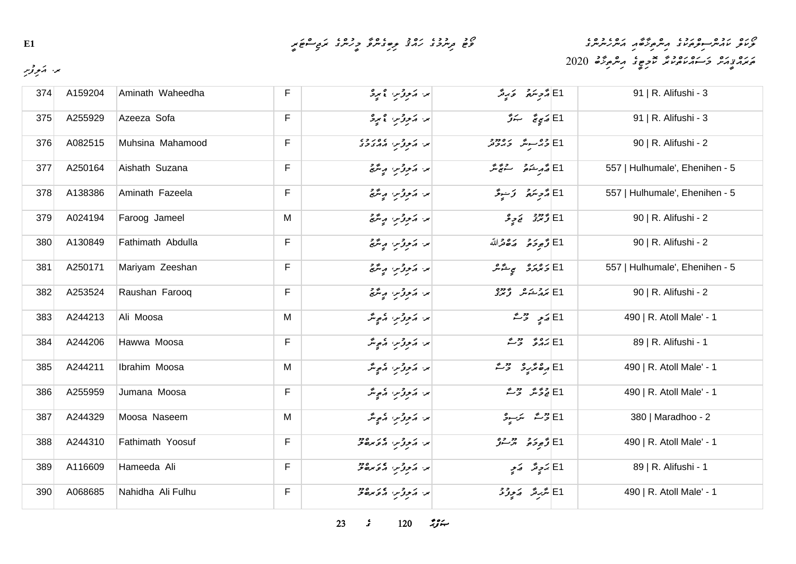*sCw7q7s5w7m< o<n9nOoAw7o< sCq;mAwBoEw7q<m; wBm;vB* م من المرة المرة المرة المرجع المرجع في المركبة 2020<br>مجم*د المريض المربوط المربع المرجع في المراجع المركبة* 

| 374 | A159204 | Aminath Waheedha  | F            | برا م تروس ؟ برد       | E1  <i>مزَّحِ سَعْهُ - حَبي</i> قَر        | 91   R. Alifushi - 3           |
|-----|---------|-------------------|--------------|------------------------|--------------------------------------------|--------------------------------|
| 375 | A255929 | Azeeza Sofa       | $\mathsf F$  | برا م تروس الم برد     | E1 أ <i>ەيبى</i> جۇ                        | 91   R. Alifushi - 3           |
| 376 | A082515 | Muhsina Mahamood  | $\mathsf F$  | أبر أكروس المالادة     | E1 320 كەردىر                              | 90   R. Alifushi - 2           |
| 377 | A250164 | Aishath Suzana    | $\mathsf F$  | برا م تروس ماینده      | E1 مۇم شۇمۇس سى <i>نى تى</i> گە            | 557   Hulhumale', Ehenihen - 5 |
| 378 | A138386 | Aminath Fazeela   | $\mathsf{F}$ | ىر. مەجەۋىر، مەنىچ     | E1 مَّ حِسَمَۃٌ وَسِعَّ                    | 557   Hulhumale', Ehenihen - 5 |
| 379 | A024194 | Faroog Jameel     | M            | أمرا مكروفرس مياشي     | E1 <i>وُتَرُدُ</i> ت <sub>َح</sub> وِثَرُ  | 90   R. Alifushi - 2           |
| 380 | A130849 | Fathimath Abdulla | F            | ىن مەجرىش مەنىڭ        | E1 وَجِرِحَة صَنْ صَدَاللّه                | 90   R. Alifushi - 2           |
| 381 | A250171 | Mariyam Zeeshan   | F            | برا م تورش ماینج       | E1  <i>د بر مر</i> م پر م <sup>ی</sup> مبر | 557   Hulhumale', Ehenihen - 5 |
| 382 | A253524 | Raushan Farooq    | $\mathsf{F}$ | ىر. مەجەۋىر، مەنىچ     | E1 بَرَ پر شَدَسَ گَرْمَرُدُ               | 90   R. Alifushi - 2           |
| 383 | A244213 | Ali Moosa         | M            | بر. مَعِرْسِ مَهِنَّر  | E1 <sub>م</sub> حر حي حي                   | 490   R. Atoll Male' - 1       |
| 384 | A244206 | Hawwa Moosa       | $\mathsf{F}$ | ىن ئەنزۇس ئەمپەش       | $23$ $52$ $E1$                             | 89   R. Alifushi - 1           |
| 385 | A244211 | Ibrahim Moosa     | M            | ىن مەجەۋىر، مەھمىگ     | E1 رەئزىر ئ <sup>ەستە</sup>                | 490   R. Atoll Male' - 1       |
| 386 | A255959 | Jumana Moosa      | $\mathsf F$  | بر. مَعِرْشٍ مَعِيشَ   | $23$ $25$ $E1$                             | 490   R. Atoll Male' - 1       |
| 387 | A244329 | Moosa Naseem      | M            | ىن مەجزۇس مەمچىگ       | E1 جُرْسُہُ سَرَسِرُوْ                     | 380   Maradhoo - 2             |
| 388 | A244310 | Fathimath Yoosuf  | $\mathsf F$  | بر رکور در ده ده د     | E1 ژ <sub>موخ</sub> و مرحو                 | 490   R. Atoll Male' - 1       |
| 389 | A116609 | Hameeda Ali       | $\mathsf F$  | זי הצירתי הפינסיב      | E1   يَر <sub>وِ</sub> مَّزُ مَنْ مِ       | 89   R. Alifushi - 1           |
| 390 | A068685 | Nahidha Ali Fulhu | F            | بر· ה و ژبر ، م ه ده د | E1 بَرْرِيْز - <sub>مَجِ</sub> وْرْ        | 490   R. Atoll Male' - 1       |

 $23$  *s*  $120$  *n***<sub>s</sub>**  $25$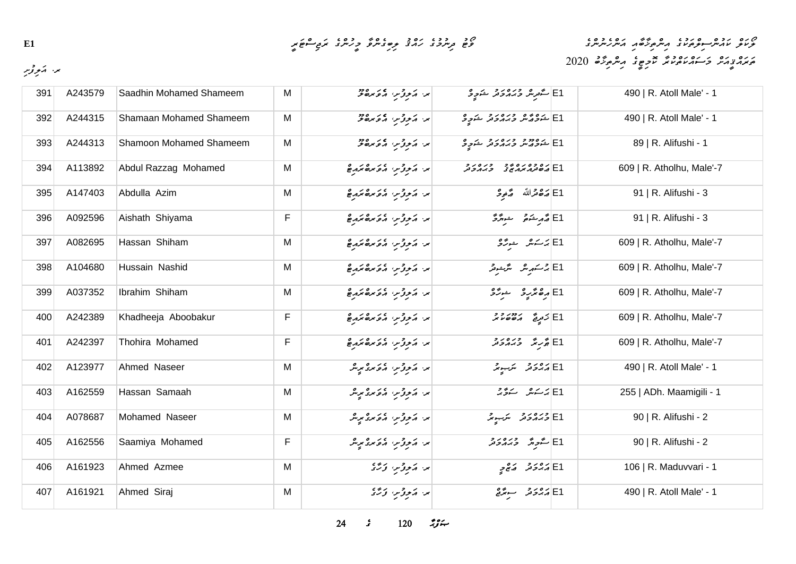*sCw7q7s5w7m< o<n9nOoAw7o< sCq;mAwBoEw7q<m; wBm;vB* م من المرة المرة المرة المرجع المرجع في المركبة 2020<br>مجم*د المريض المربوط المربع المرجع في المراجع المركبة* 

| 391 | A243579 | Saadhin Mohamed Shameem | M           | پر مرکز وقتر مرکز وجود                | E1 س <i>تمبر بر وبرودو</i> حکولی                                                     | 490   R. Atoll Male' - 1  |
|-----|---------|-------------------------|-------------|---------------------------------------|--------------------------------------------------------------------------------------|---------------------------|
| 392 | A244315 | Shamaan Mohamed Shameem | M           | بر مورقر مؤمنة                        | E1 شوه په وره دو شوږو                                                                | 490   R. Atoll Male' - 1  |
| 393 | A244313 | Shamoon Mohamed Shameem | M           | أأرا أأتوفى المتحد المتحده فخر        | /E1 شوح حدر مدرد مدرد                                                                | 89   R. Alifushi - 1      |
| 394 | A113892 | Abdul Razzag Mohamed    | M           | أمن مكوفر مراكبه مره مكرم             | E1 ره ده ره د د د دره رو                                                             | 609   R. Atholhu, Male'-7 |
| 395 | A147403 | Abdulla Azim            | M           | بر موزير مومده مده                    | E1 مَەھىراللە مەموگ                                                                  | 91   R. Alifushi - 3      |
| 396 | A092596 | Aishath Shiyama         | $\mathsf F$ | من مورق مؤمن مدين                     | E1 مُجْمِيشَمُو سُبِمَّرْتُرُ                                                        | 91   R. Alifushi - 3      |
| 397 | A082695 | Hassan Shiham           | M           | أمرا مكروح مراكز مره مكرم             | E1  زےنگر اے پیمرنگ                                                                  | 609   R. Atholhu, Male'-7 |
| 398 | A104680 | Hussain Nashid          | M           | بر موزير مؤمن مده                     | E1 پُرڪمرِ بُھُن سُرُجُومِرُ –                                                       | 609   R. Atholhu, Male'-7 |
| 399 | A037352 | Ibrahim Shiham          | M           | من مورقين مؤمن مرمدة                  | E1 مەھەر بەر ئىسىدى E1                                                               | 609   R. Atholhu, Male'-7 |
| 400 | A242389 | Khadheeja Aboobakur     | $\mathsf F$ | من مورقين مؤمرة مكدع                  | E1 زَمَرِيحَ بِرَصْحَابِرَ                                                           | 609   R. Atholhu, Male'-7 |
| 401 | A242397 | Thohira Mohamed         | $\mathsf F$ | من مورق مؤمن مدين                     | E1 پۇرىگە ئ <i>ەندە دى</i> ر                                                         | 609   R. Atholhu, Male'-7 |
| 402 | A123977 | Ahmed Naseer            | M           | برا أروقرا الأوبرة برناله             | E1 <i>مَہُدُوَنِہٗ</i> سَرَجِہُ E1                                                   | 490   R. Atoll Male' - 1  |
| 403 | A162559 | Hassan Samaah           | M           | برا مُتَوَرِّسْ مُتَوَبِّرَةٌ بِرِيْش | E1 پرسش سنڌ جي                                                                       | 255   ADh. Maamigili - 1  |
| 404 | A078687 | Mohamed Naseer          | M           | برا مُتَوَفِّرًا مُتَوَبِّرَةً مِيسْ  | E1 <i>\$222 مگرسوم</i> گر                                                            | 90   R. Alifushi - 2      |
| 405 | A162556 | Saamiya Mohamed         | $\mathsf F$ | برا أروقرا الأوبرة برناله             | E1 سُمْعِ مَدْ وَبَرْ وَبَرْ وَبَرْ وَبَرْ وَبَرْ وَبَرْ وَبَرْ وَبِرْ وَبِرْ وَبِرْ | 90   R. Alifushi - 2      |
| 406 | A161923 | Ahmed Azmee             | M           | بر مُعِوْسٍ وَرُّئ                    | E1 <i>ב بروتى ھ</i> ېچ پر                                                            | 106   R. Maduvvari - 1    |
| 407 | A161921 | Ahmed Siraj             | M           | أمرا أزموقرس أورقتم                   | E1 <i>مەندى قىرىنى</i> بىر                                                           | 490   R. Atoll Male' - 1  |

 $24$  *s*  $120$  *z***<sub>3</sub>**  $\frac{2}{3}$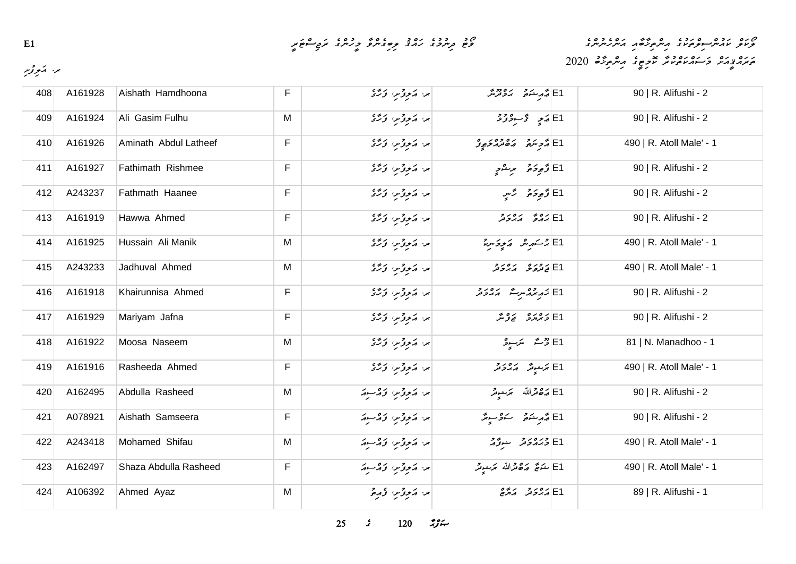*sCw7q7s5w7m< o<n9nOoAw7o< sCq;mAwBoEw7q<m; wBm;vB* م من المرة المرة المرة المرجع المرجع في المركبة 2020<br>مجم*د المريض المربوط المربع المرجع في المراجع المركبة* 

| 408 | A161928 | Aishath Hamdhoona     | F            | بر مُعِرْسٍ وَرَّةٍ     | E1 <i>مُقدِسْدُهُ بَ</i> وْتَرْسُ           | 90   R. Alifushi - 2     |
|-----|---------|-----------------------|--------------|-------------------------|---------------------------------------------|--------------------------|
| 409 | A161924 | Ali Gasim Fulhu       | M            | پر اړموژمر، ورژه        | E1 <i>ھَيِ ڏُٻوڏڏ</i>                       | 90   R. Alifushi - 2     |
| 410 | A161926 | Aminath Abdul Latheef | F            | بر رکودکور، ورق         | E1 جُعِ سَعِ صَدَّ جَمَعِ مِنْ حَجَّةٍ مِنْ | 490   R. Atoll Male' - 1 |
| 411 | A161927 | Fathimath Rishmee     | $\mathsf F$  | بر مُعِوْسٍ وَرُّئ      | E1 وَّجِرَةَ مِ مِشْهِرٍ                    | 90   R. Alifushi - 2     |
| 412 | A243237 | Fathmath Haanee       | $\mathsf{F}$ | بر مُعِوْسٍ وَرُّئ      | E1 <i>وُجوحَة</i> رَّسٍ                     | 90   R. Alifushi - 2     |
| 413 | A161919 | Hawwa Ahmed           | $\mathsf F$  | بر په دوس وره           | E1 يَهُمُّ مَدَّدَمُّ                       | 90   R. Alifushi - 2     |
| 414 | A161925 | Hussain Ali Manik     | M            | بر رکودکور، ورق         | E1 پر شهر شه که پروگریز تهریز E1            | 490   R. Atoll Male' - 1 |
| 415 | A243233 | Jadhuval Ahmed        | M            | بر مُعِوْمٍ وَرُّهُ     | E1 فے ترویج کے پروٹر                        | 490   R. Atoll Male' - 1 |
| 416 | A161918 | Khairunnisa Ahmed     | F            | أمرا مكوفرس وترد        | E1 ئەمەتەرىبە مەردىر                        | 90   R. Alifushi - 2     |
| 417 | A161929 | Mariyam Jafna         | F            | بر رکوری ورق            | E1 كەنگەر ئىگەنگە                           | 90   R. Alifushi - 2     |
| 418 | A161922 | Moosa Naseem          | M            | بر په دوس وره و         | E1 جي مگرسويو                               | 81   N. Manadhoo - 1     |
| 419 | A161916 | Rasheeda Ahmed        | F            | برا مأفروش ورميمي       | E1 بَرَسْوِتَرٌ     دَرُوتَرٌ     [1]       | 490   R. Atoll Male' - 1 |
| 420 | A162495 | Abdulla Rasheed       | M            | أيرا مكروفرس وكالسوم    | E1 مَەھمَّراللە مَرْسُومَّر                 | 90   R. Alifushi - 2     |
| 421 | A078921 | Aishath Samseera      | $\mathsf{F}$ | ما الكروحين الأوصبية    | E1 مۇمەشقى سىۋىسو <i>ن</i> گە               | 90   R. Alifushi - 2     |
| 422 | A243418 | Mohamed Shifau        | M            | بر مَعِرْشٍ وَمْرَ سِهَ | E1 دُبَرْدْدَتْرَ شِوَّرْتُهُ               | 490   R. Atoll Male' - 1 |
| 423 | A162497 | Shaza Abdulla Rasheed | F            | بر رووس ورئيس           | E1 خَمَعٌ صَرْهُ مَرْاللَّهُ عَرَىْشِوْمَرْ | 490   R. Atoll Male' - 1 |
| 424 | A106392 | Ahmed Ayaz            | M            | برا أزود المرورة        | E1 גְלָב <i>בֹּ</i> ת ה                     | 89   R. Alifushi - 1     |

 $25$  *s*  $\cancel{120}$  *z*  $\cancel{25}$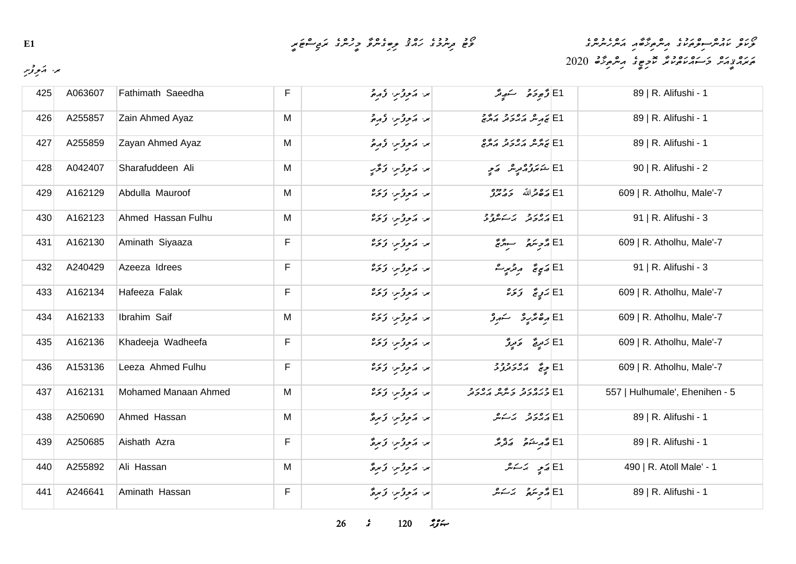*sCw7q7s5w7m< o<n9nOoAw7o< sCq;mAwBoEw7q<m; wBm;vB* م من المسجد المسجد المسجد المسجد المسجد العام 2020<br>مجم*د المسجد المسجد المستجد المسجد المسجد المسجد المسجد المسجد المسجد المسجد المسجد المسجد المسجد المسجد المسجد* 

| 425 | A063607 | Fathimath Saeedha    | F           | برا مأفرقرس كرمرة    | E1 <i>ؤج</i> ورَة مُصَرِّقَر | 89   R. Alifushi - 1           |
|-----|---------|----------------------|-------------|----------------------|------------------------------|--------------------------------|
| 426 | A255857 | Zain Ahmed Ayaz      | M           | أيرا أيجوفرس وكرمو   | E1 يَرم شهر مركز مركز E1     | 89   R. Alifushi - 1           |
| 427 | A255859 | Zayan Ahmed Ayaz     | M           | أيرا أتروقرا وكرارة  | E1 بروی بروبر و بروه         | 89   R. Alifushi - 1           |
| 428 | A042407 | Sharafuddeen Ali     | M           | بر په دوس وور        | E1 ڪم <i>نزو هوينگھ ڪ</i> و  | 90   R. Alifushi - 2           |
| 429 | A162129 | Abdulla Mauroof      | M           | بر خود در وی         | E1 مَصْعَرْاللّه وَصَعَرَ    | 609   R. Atholhu, Male'-7      |
| 430 | A162123 | Ahmed Hassan Fulhu   | M           | برا مأفروش وكافره    | E1 , ژوئر , ژے مرور E        | 91   R. Alifushi - 3           |
| 431 | A162130 | Aminath Siyaaza      | F           | بر رکودگرا وکره      | E1 أُمُّ حِبْرَةٌ مَسَرَّجٌ  | 609   R. Atholhu, Male'-7      |
| 432 | A240429 | Azeeza Idrees        | $\mathsf F$ | بر خود در وی         | E1 ڪپيءَ پيرميٽو             | 91   R. Alifushi - 3           |
| 433 | A162134 | Hafeeza Falak        | $\mathsf F$ | برا مكوفرسا وكمره    | E1 يَروِجٌ    وَتَحَدُّ      | 609   R. Atholhu, Male'-7      |
| 434 | A162133 | Ibrahim Saif         | M           | بر خورتن وَوَه       | E1 رەئۇر ئەرۇ                | 609   R. Atholhu, Male'-7      |
| 435 | A162136 | Khadeeja Wadheefa    | $\mathsf F$ | بر رکوری وکره        | E1 زَمرِيَّ   وَمَرِوَّ      | 609   R. Atholhu, Male'-7      |
| 436 | A153136 | Leeza Ahmed Fulhu    | F           | برا الكوثوب أذكره    | E1 وِچَّ     رُرُوَمَرُوْمُ  | 609   R. Atholhu, Male'-7      |
| 437 | A162131 | Mohamed Manaan Ahmed | M           | بر مُعِوْسٍ وَلَحَظ  | E1 <i>ورەرو رېمپر م</i> روبر | 557   Hulhumale', Ehenihen - 5 |
| 438 | A250690 | Ahmed Hassan         | M           | أيرا الكوفرس الكابوة | E1 كەبرى كەسكەنلەر P1        | 89   R. Alifushi - 1           |
| 439 | A250685 | Aishath Azra         | $\mathsf F$ | أيرا الكوفرس الكابوة | E1 مَگْرِسْدَة كَمُقْرِئْمُ  | 89   R. Alifushi - 1           |
| 440 | A255892 | Ali Hassan           | M           | أيرا الكووهن أوتبره  | E1 <i>ڇَجِ پَسَنگ</i> ر      | 490   R. Atoll Male' - 1       |
| 441 | A246641 | Aminath Hassan       | $\mathsf F$ | أما الكووس وتبرة     | E1 مَّ حِسَمَ مَسَسَر        | 89   R. Alifushi - 1           |

 $26$  *s*  $120$  *z*  $25$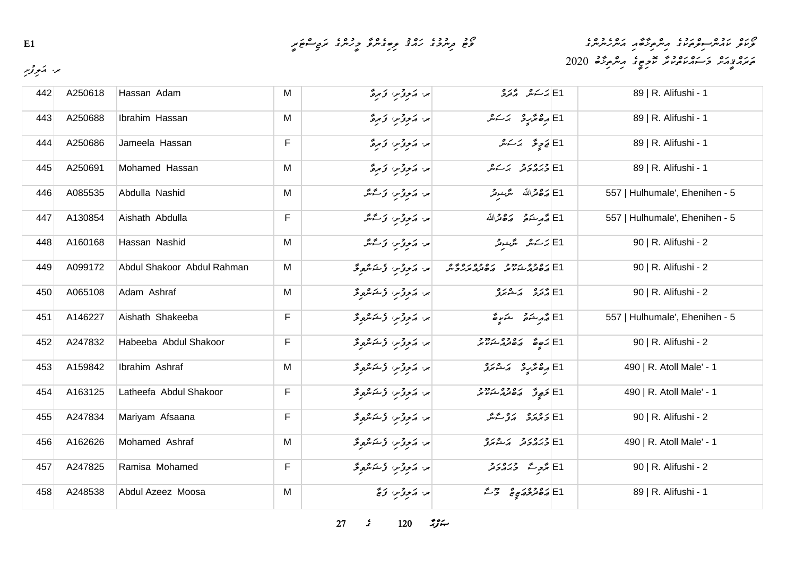*sCw7q7s5w7m< o<n9nOoAw7o< sCq;mAwBoEw7q<m; wBm;vB* م من المرة المرة المرة المرجع المرجع في المركبة 2020<br>مجم*د المريض المربوط المربع المرجع في المراجع المركبة* 

| 442 | A250618 | Hassan Adam                | M | أيرا الكوفرس كالمرقح               | E1   پرسٹر پڑوڑ                                                      | 89   R. Alifushi - 1           |
|-----|---------|----------------------------|---|------------------------------------|----------------------------------------------------------------------|--------------------------------|
| 443 | A250688 | Ibrahim Hassan             | M | أيرا الكوفرس أقابرهما              | E1 مەھەر بەر ئەسكەر                                                  | 89   R. Alifushi - 1           |
| 444 | A250686 | Jameela Hassan             | F | أيرا الكووهن أوتبره                | E1] ت <sub>ھ جو</sub> نژ – پرسٹر س                                   | 89   R. Alifushi - 1           |
| 445 | A250691 | Mohamed Hassan             | M | أمرا الكووش أوالمراكم              | E1 <i>32023</i> كەسكەنلەر                                            | 89   R. Alifushi - 1           |
| 446 | A085535 | Abdulla Nashid             | M | پر انگووین کاسٹانگر                | E1 مَرْهُ مِّرْاللَّهُ مُتَرْسُومَرُ                                 | 557   Hulhumale', Ehenihen - 5 |
| 447 | A130854 | Aishath Abdulla            | F | برا مکروکرا وکشگ                   | E1 مُجْمِسْتَمْ مَدَّة مِّرَاللَّهُ                                  | 557   Hulhumale', Ehenihen - 5 |
| 448 | A160168 | Hassan Nashid              | M | برا «کووکولا وکسکانگ               | E1 كەسكەش مىگەنىسەتىر                                                | 90   R. Alifushi - 2           |
| 449 | A099172 | Abdul Shakoor Abdul Rahman | M | برا الكوثر المن كالسكر و تحرير بحر | E1 ړه ده بردد د پره ده پره ده ده<br>E1 ډه ترو شونو پر ډه ترو بربرخ س | 90   R. Alifushi - 2           |
| 450 | A065108 | Adam Ashraf                | M | أبرا مكروراس والمشاهوق             | E1 أَرْمَرْدَ     أَسْتَمَرُّرْ                                      | 90   R. Alifushi - 2           |
| 451 | A146227 | Aishath Shakeeba           | F | أمرا الكواؤس كالشكرهونج            | E1 مَجْمِيشَمْ شَمْرِةً                                              | 557   Hulhumale', Ehenihen - 5 |
| 452 | A247832 | Habeeba Abdul Shakoor      | F | أبرا الكواؤس كالشكرهوقل            | /E1 يَرْجِعُ مُ مُحْمَّدِ مِنْ مِنْ دِينِ                            | 90   R. Alifushi - 2           |
| 453 | A159842 | Ibrahim Ashraf             | M | أبرا الكواؤس كالشكرهوقل            | E1 مەھمگرى كەنتىمىز                                                  | 490   R. Atoll Male' - 1       |
| 454 | A163125 | Latheefa Abdul Shakoor     | F | أبرا مكروراس والمشاهوق             | E1 ځور په ده ده د دو                                                 | 490   R. Atoll Male' - 1       |
| 455 | A247834 | Mariyam Afsaana            | F | أبرا الكواؤس كالشكرهوقل            | E1 كەنگەر ئەرگە ئەنگەر                                               | 90   R. Alifushi - 2           |
| 456 | A162626 | Mohamed Ashraf             | M | أمرا مكروحوس وكالشكرونج            | E1 32023 كەشىرى                                                      | 490   R. Atoll Male' - 1       |
| 457 | A247825 | Ramisa Mohamed             | F | أبرا مكروراس والمشاهوق             | E1 ټر <sub>م</sub> شه د پره د تر                                     | 90   R. Alifushi - 2           |
| 458 | A248538 | Abdul Azeez Moosa          | M | ىر. مۇقرىر، ئ                      | E1   مەھەر جەم يەم 2°سىگە                                            | 89   R. Alifushi - 1           |

 $27$  *s*  $120$  *i*<sub>s</sub>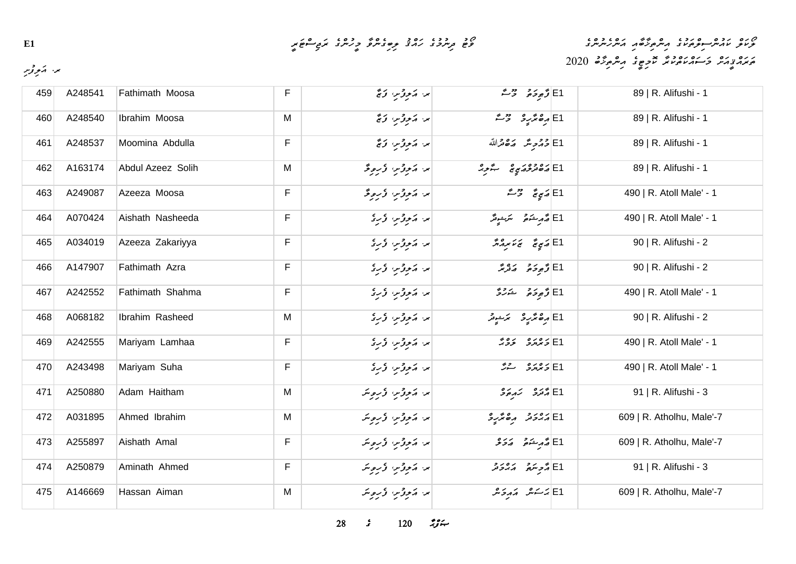*sCw7q7s5w7m< o<n9nOoAw7o< sCq;mAwBoEw7q<m; wBm;vB* م من المرة المرة المرة المرجع المرجع في المركبة 2020<br>مجم*د المريض المربوط المربع المرجع في المراجع المركبة* 

| 459 | A248541 | Fathimath Moosa   | F           | ىر. مۇقرىر، ئ              | E1 ژ <sub>نجو</sub> ځ ته ژنگ                       | 89   R. Alifushi - 1      |
|-----|---------|-------------------|-------------|----------------------------|----------------------------------------------------|---------------------------|
| 460 | A248540 | Ibrahim Moosa     | M           | بر رکوویں وَجَ             | E1 رەئزىر ئ <sup>ە</sup> ش                         | 89   R. Alifushi - 1      |
| 461 | A248537 | Moomina Abdulla   | F           | بر رکوویں وَجَ             | E1 قەقرىرىتقى ئەھقراللە                            | 89   R. Alifushi - 1      |
| 462 | A163174 | Abdul Azeez Solih | M           | برا أيجوش كربوك            | E1 مَەھىر <i>ئىرمى جۇ بەيدۇ.</i>                   | 89   R. Alifushi - 1      |
| 463 | A249087 | Azeeza Moosa      | $\mathsf F$ | برا مُتَوَوَّينِ وَرِهِ وَ | $23$ $\frac{2}{3}$ $\frac{2}{3}$ E1                | 490   R. Atoll Male' - 1  |
| 464 | A070424 | Aishath Nasheeda  | F           | ىن مەمرۇس ۋىرە             | E1 <i>مُذَہرِ حَدَّةً مَرَ</i> حْبِي <i>دُ</i> ّرَ | 490   R. Atoll Male' - 1  |
| 465 | A034019 | Azeeza Zakariyya  | F           | برا أيجوش وتردد            | E1 <i>ھَي تَعَ مَمَ مِهُ مَ</i>                    | 90   R. Alifushi - 2      |
| 466 | A147907 | Fathimath Azra    | F           | برا أتروس ورد              | E1 تَ <i>وْجِوَجْهِ صَفَرْ مَدَّ</i>               | 90   R. Alifushi - 2      |
| 467 | A242552 | Fathimath Shahma  | $\mathsf F$ | برا أيجوش وتردد            | E1 وَّجِوَدَةُ شَرَرْدً                            | 490   R. Atoll Male' - 1  |
| 468 | A068182 | Ibrahim Rasheed   | M           | برا أتروحن وكرتى           | E1 مەھەر ئەر مىز مۇمۇم                             | 90   R. Alifushi - 2      |
| 469 | A242555 | Mariyam Lamhaa    | F           | برا أتروحوا وكرانى         | E1 كەنگەر ئەرەبىيە                                 | 490   R. Atoll Male' - 1  |
| 470 | A243498 | Mariyam Suha      | F           | برا أيجوش وتردد            | E1 <i>وَبُرْدُوْ</i> سُنْرٌ                        | 490   R. Atoll Male' - 1  |
| 471 | A250880 | Adam Haitham      | M           | برا مكروفرا وكرويتر        | E1 جُمْعَرڤ سَم <i>ِ</i> مُوصُ                     | 91   R. Alifushi - 3      |
| 472 | A031895 | Ahmed Ibrahim     | M           | برا أرودين كربوش           | E1 <i>גיי</i> כנ <i>ג הליקי</i> ב                  | 609   R. Atholhu, Male'-7 |
| 473 | A255897 | Aishath Amal      | F           | برا أيجوفر والمروش         | E1 مەم ھەرىم                                       | 609   R. Atholhu, Male'-7 |
| 474 | A250879 | Aminath Ahmed     | F           | برا أروقريا كربرويتر       | E1 مُ <i>جِسَعِ مُ</i> بِرِومِر                    | 91   R. Alifushi - 3      |
| 475 | A146669 | Hassan Aiman      | M           | برا أروقريرا كربرويتر      | E1   يَرْسَسْ كَمَ يَرْكُمْ كَمْ                   | 609   R. Atholhu, Male'-7 |

 $28$  *s*  $120$  *z*  $25$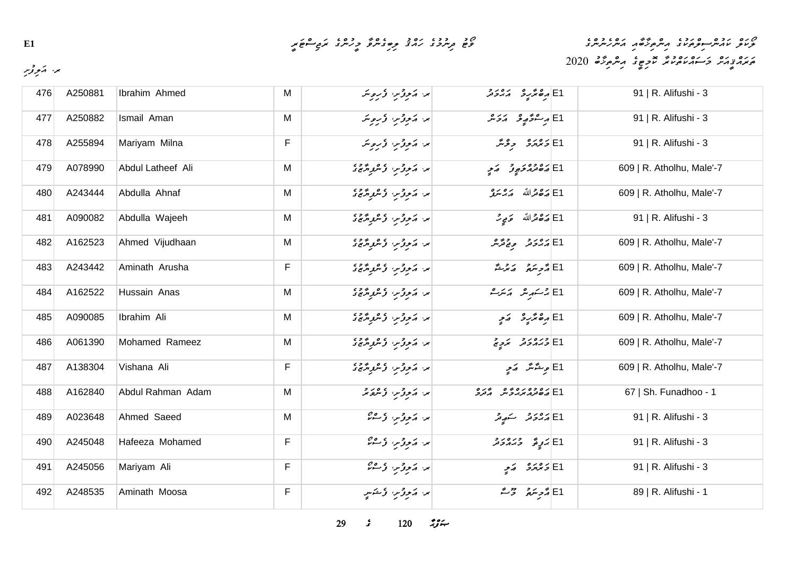*sCw7q7s5w7m< o<n9nOoAw7o< sCq;mAwBoEw7q<m; wBm;vB* م من المرة المرة المرة المرجع المرجع في المركبة 2020<br>مجم*د المريض المربوط المربع المرجع في المراجع المركبة* 

| 476 | A250881 | Ibrahim Ahmed     | M            | برا م بحرقرس کی بره مگر  | E1 مەھمەر 2 مەددىر                       | 91   R. Alifushi - 3      |
|-----|---------|-------------------|--------------|--------------------------|------------------------------------------|---------------------------|
| 477 | A250882 | Ismail Aman       | M            | ما أيوونس ورويتر         | E1 <sub>م</sub> رےدمچھ کے محام           | 91   R. Alifushi - 3      |
| 478 | A255894 | Mariyam Milna     | F            | برا الكودحوار وكربونتر   | E1 <i>وَبُرْدَةَ</i> وِنُزَنَّزَ         | 91   R. Alifushi - 3      |
| 479 | A078990 | Abdul Latheef Ali | M            | ما مكروش وتكوير من       | E1   رە دەمۇمۇ ئەڭ ئەس                   | 609   R. Atholhu, Male'-7 |
| 480 | A243444 | Abdulla Ahnaf     | M            | أبرا مكوري وتكوريون      | E1 مَرْهُ قَرْاللّه مَرْسُعَةِ           | 609   R. Atholhu, Male'-7 |
| 481 | A090082 | Abdulla Wajeeh    | M            | بر مورقر وعربر           | E1 رَحْمَة لِلَّهُ     وَمِحْ            | 91   R. Alifushi - 3      |
| 482 | A162523 | Ahmed Vijudhaan   | M            | پر مکروکرما و شورههای    | E1 كەبرى قىرىمى ھەر بىر بىر بىر ئىس      | 609   R. Atholhu, Male'-7 |
| 483 | A243442 | Aminath Arusha    | $\mathsf F$  | أبرا مكروثرا وكالعراميني | E1 أَمُّ <i>وِسَعْهُ أَمَّتْرَ</i> شَدَّ | 609   R. Atholhu, Male'-7 |
| 484 | A162522 | Hussain Anas      | M            | ما مكروكر، وكلورمي       | E1 پرستہریش کا پر برگ                    | 609   R. Atholhu, Male'-7 |
| 485 | A090085 | Ibrahim Ali       | M            | پر محوفرس و عروضی        | E1 <sub>م</sub> ەنگەر قىمىيە             | 609   R. Atholhu, Male'-7 |
| 486 | A061390 | Mohamed Rameez    | M            | برا م وولرا و عرومي      | E1 دېرورو کرد تح                         | 609   R. Atholhu, Male'-7 |
| 487 | A138304 | Vishana Ali       | F            | پر محوفرس و عروضی        | E1 مِشَعَّر صَعِ                         | 609   R. Atholhu, Male'-7 |
| 488 | A162840 | Abdul Rahman Adam | M            | أأرا أأروقوس وكلفائه     | E1 גפכם גם בים הנם                       | 67   Sh. Funadhoo - 1     |
| 489 | A023648 | Ahmed Saeed       | M            | بر. مَعِوْسٍ وَسَنَّ     | E1 <i>גېرى تەپەن</i> ت                   | 91   R. Alifushi - 3      |
| 490 | A245048 | Hafeeza Mohamed   | $\mathsf{F}$ | بر مورمن وک              | E1 يَرُوٍ جُهُ وَيَرْمُرُونَرُ           | 91   R. Alifushi - 3      |
| 491 | A245056 | Mariyam Ali       | F            | بر. مَعِوْسٍ وَقَسْرٌ    | E1 <i>5نگەنى ھې</i>                      | 91   R. Alifushi - 3      |
| 492 | A248535 | Aminath Moosa     | $\mathsf F$  | أيرا الكروري وكالمتهر    | E1 أَدُو بَرْبُوْ مَنْ تَحْتُ            | 89   R. Alifushi - 1      |

 $29$  *s*  $120$  *z*  $29$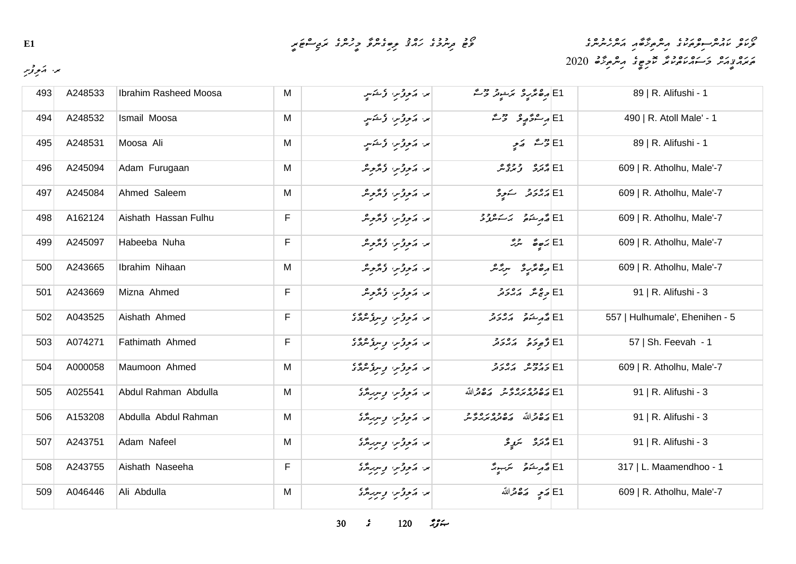*sCw7q7s5w7m< o<n9nOoAw7o< sCq;mAwBoEw7q<m; wBm;vB 2020<sup>, م</sup>وسود المستحقيق وسرم المستحقيق والمجمعة العام 2020*<br>موسم*دة مركز حسوم مؤسسر المستحق* 

| 493 | A248533 | Ibrahim Rasheed Moosa | M | برا الأبوقرس كركتهم      | E1 رەڭرىرى كەشپەر ۋە E1                            | 89   R. Alifushi - 1           |
|-----|---------|-----------------------|---|--------------------------|----------------------------------------------------|--------------------------------|
| 494 | A248532 | Ismail Moosa          | M | أأبرأ أتروس وكشرس        | E1 <sub>م</sub> رشۇ <sub>م</sub> ۇ مىستىم          | 490   R. Atoll Male' - 1       |
| 495 | A248531 | Moosa Ali             | M | برا الإفرازين كركتهن     | E1 صحيح محمد ج                                     | 89   R. Alifushi - 1           |
| 496 | A245094 | Adam Furugaan         | M | أبرا مكروفرسا وكالرويش   | E1 جۇنىرى تىمىتى ئىش                               | 609   R. Atholhu, Male'-7      |
| 497 | A245084 | Ahmed Saleem          | M | برا مكروثين والرويثر     | E1 <i>252, سکوی</i>                                | 609   R. Atholhu, Male'-7      |
| 498 | A162124 | Aishath Hassan Fulhu  | F | أأرا مكروحين والرويل     | E1 مەم ئىشقى بىر ئىستىرىمىتى ئىستىر                | 609   R. Atholhu, Male'-7      |
| 499 | A245097 | Habeeba Nuha          | F | أبرا متورش وتروير        | $\mathscr{L}$ $\mathscr{L}$ $\approx$ $\approx$ E1 | 609   R. Atholhu, Male'-7      |
| 500 | A243665 | Ibrahim Nihaan        | M | أيرا مكروفرسا كالرويثر   | E1 مەھمىرى ھەرىمىتى E1                             | 609   R. Atholhu, Male'-7      |
| 501 | A243669 | Mizna Ahmed           | F | برا مكروفرسا وكروبر      | E1 <i>و چينگ پر دي و</i> ر                         | 91   R. Alifushi - 3           |
| 502 | A043525 | Aishath Ahmed         | F | أيرا مكروحين وسركا مردعي | E1 مەم ھەر مەمەدىر                                 | 557   Hulhumale', Ehenihen - 5 |
| 503 | A074271 | Fathimath Ahmed       | F | أبرا مكروفرا وسوعيونى    | E1 تَ <i>مِوحَمْ مَدْحَدْ</i>                      | 57   Sh. Feevah - 1            |
| 504 | A000058 | Maumoon Ahmed         | M | بر خورش وبرومده          | E1 <i>خەددە مەدد</i> ە                             | 609   R. Atholhu, Male'-7      |
| 505 | A025541 | Abdul Rahman Abdulla  | M | أيرا مكوفرس وسرمامي      | E1 يَهْ وَمُحْرَمَ مِنْ حَمْدَ مِنْ هُمْ اللَّهُ   | 91   R. Alifushi - 3           |
| 506 | A153208 | Abdulla Abdul Rahman  | M | أبرا مكوفرس وسرمدهما     | E1 2202020 كەھ <i>ەمەمەر 23</i>                    | 91   R. Alifushi - 3           |
| 507 | A243751 | Adam Nafeel           | M | ما الأحوق و الإيرانيمي   | E1 , گەترى سىر ئىچە ئىل                            | 91   R. Alifushi - 3           |
| 508 | A243755 | Aishath Naseeha       | F | أأمرا الكوفر والمرامرون  | E1 مَ <i>ذہب مَن مَن بِن مِنْ</i>                  | 317   L. Maamendhoo - 1        |
| 509 | A046446 | Ali Abdulla           | M | بر مورش وبربر            | E1 <i>ھَجِ مَ</i> ھُمَّراللَّه                     | 609   R. Atholhu, Male'-7      |

*30 sC 120 nNw?mS*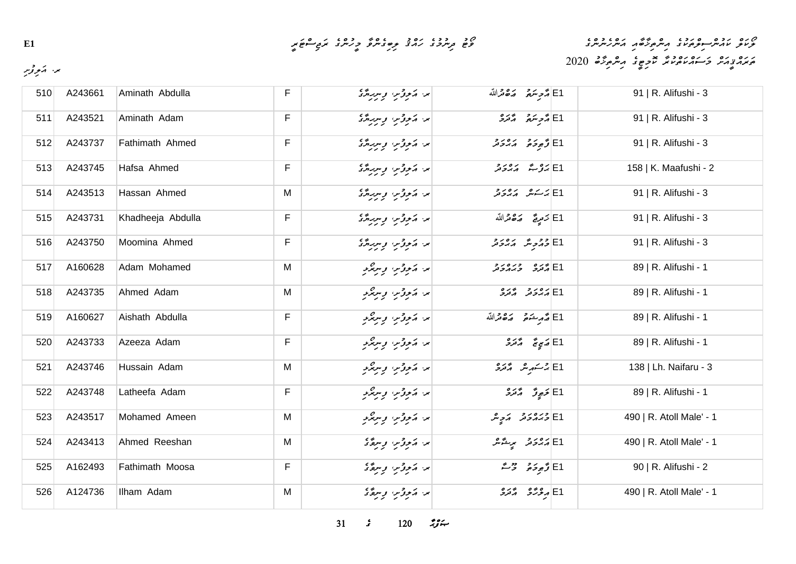*sCw7q7s5w7m< o<n9nOoAw7o< sCq;mAwBoEw7q<m; wBm;vB* م من المرة المرة المرة المرجع المرجع في المركبة 2020<br>مجم*د المريض المربوط المربع المرجع في المراجع المركبة* 

| 510 | A243661 | Aminath Abdulla   | F            | پر مرکوری و سربرمرد و    | E1 أَمَّ حِ سَرَةٌ لَمَ هُ مَدَّاللَّهُ       | 91   R. Alifushi - 3     |
|-----|---------|-------------------|--------------|--------------------------|-----------------------------------------------|--------------------------|
| 511 | A243521 | Aminath Adam      | F            | برا م توفر الوسر مرد مرد | E1 مُجْرِسُهُ مُعَرَّدٌ                       | 91   R. Alifushi - 3     |
| 512 | A243737 | Fathimath Ahmed   | F            | برا م توفر الوسر مرد مرد | E1 تُرجوح م يرور و                            | 91   R. Alifushi - 3     |
| 513 | A243745 | Hafsa Ahmed       | $\mathsf F$  | بر مورس وسده،            | E1 بَرُوْبُہٗ بِرَمِرُونَر                    | 158   K. Maafushi - 2    |
| 514 | A243513 | Hassan Ahmed      | M            | ما الكونون وسرمانده      | E1   پرسترس   پروژنو                          | 91   R. Alifushi - 3     |
| 515 | A243731 | Khadheeja Abdulla | $\mathsf{F}$ | بر مورس وسدره            | E1 تزميعً كَمَدَّة كَمَدَاللَّه               | 91   R. Alifushi - 3     |
| 516 | A243750 | Moomina Ahmed     | F            | برا م بورقس وسرمردمی     | E1 دَيْرَ مِيدًا مَدَوَمَدُ ا                 | 91   R. Alifushi - 3     |
| 517 | A160628 | Adam Mohamed      | M            | أبرا لأتوقرا وليرتكوا    | E1 كەنىر <i>ە</i> بەر دەر د                   | 89   R. Alifushi - 1     |
| 518 | A243735 | Ahmed Adam        | M            | بر خورش وسعو             | E1 <i>ג 25 25 و و</i>                         | 89   R. Alifushi - 1     |
| 519 | A160627 | Aishath Abdulla   | F            | إبرا محوقون وللرهو       | E1 مَ <i>ذِرِحْدَة مَ</i> صْعَرْاللَّه        | 89   R. Alifushi - 1     |
| 520 | A243733 | Azeeza Adam       | $\mathsf F$  | برا متعرفين وللرهو       | E1 <sub>ھ</sub> ُنمٍ مَحْمَدَة مُحَمَّدة اللہ | 89   R. Alifushi - 1     |
| 521 | A243746 | Hussain Adam      | M            | را م مروش وسرچمو         | E1 پر کے پر پر مرکزی ک                        | 138   Lh. Naifaru - 3    |
| 522 | A243748 | Latheefa Adam     | F            | أبرا متوقرا وللرهو       | E1 تز <i>ېږو گ<sup>ې</sup>دو</i>              | 89   R. Alifushi - 1     |
| 523 | A243517 | Mohamed Ameen     | M            | با أنزوقرا ويرمحوا       | E1 <i>دېمم</i> وتر کمړي <i>ن</i> د            | 490   R. Atoll Male' - 1 |
| 524 | A243413 | Ahmed Reeshan     | M            | برا مكوفرس وسرة كا       | E1 <i>ג جو تر پرچنگر</i>                      | 490   R. Atoll Male' - 1 |
| 525 | A162493 | Fathimath Moosa   | $\mathsf F$  | بر مووس وسرة كا          | E1 وَجِودَة وَ حَبَّ                          | 90   R. Alifushi - 2     |
| 526 | A124736 | Ilham Adam        | M            | برا مُتووِّين وسرهامي    | E1 <sub>م</sub> ورو ممرد                      | 490   R. Atoll Male' - 1 |

 $31$  *s*  $120$  *n***<sub>s</sub>**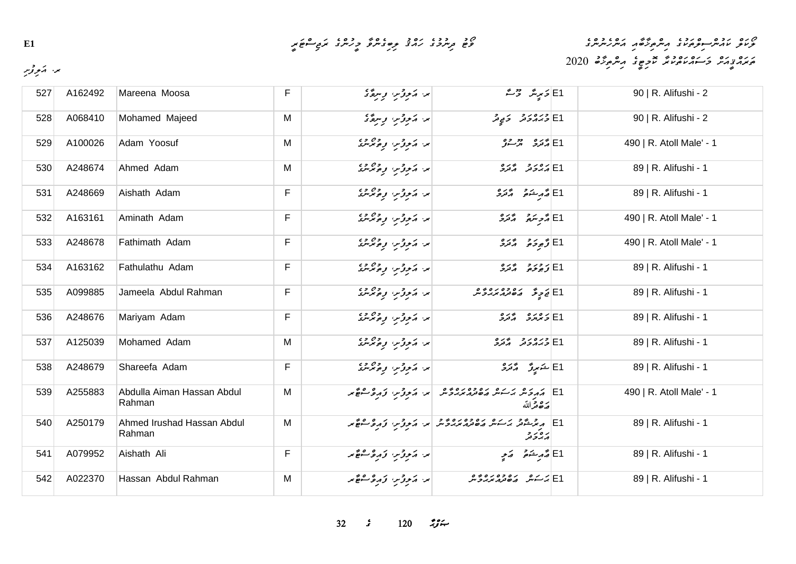*sCw7q7s5w7m< o<n9nOoAw7o< sCq;mAwBoEw7q<m; wBm;vB* م من المرة المرة المرة المرجع المرجع في المركبة 2020<br>مجم*د المريض المربوط المربع المرجع في المراجع المركبة* 

| 527 | A162492 | Mareena Moosa                        | F            | بر مَعِرْسِ وِسِعَّةَ         | E1   دَ بِرِ بَمْ   وَ حَـُّـَـ                                                                                               | 90   R. Alifushi - 2     |
|-----|---------|--------------------------------------|--------------|-------------------------------|-------------------------------------------------------------------------------------------------------------------------------|--------------------------|
| 528 | A068410 | Mohamed Majeed                       | M            | بر خودش وسره د                | E1 <i>\$22.25 دَي قر</i>                                                                                                      | 90   R. Alifushi - 2     |
| 529 | A100026 | Adam Yoosuf                          | M            | بر مکونځیں وہ برخو            | E1 أَرْمَرْدَ بِرْبِّ وَهِ                                                                                                    | 490   R. Atoll Male' - 1 |
| 530 | A248674 | Ahmed Adam                           | M            | أما أرموره وموسط              | E1 كەبرى بىر گەندى                                                                                                            | 89   R. Alifushi - 1     |
| 531 | A248669 | Aishath Adam                         | $\mathsf{F}$ | بر موزير وهمن                 | E1 مُجم <i>مِ شَهُمْ مُجمَّ</i> د                                                                                             | 89   R. Alifushi - 1     |
| 532 | A163161 | Aminath Adam                         | F            | بر مکونځیں وہ برخو            | E1 أَدُّجِ سَمَعٌ أَدْتَرَجَّهُ ا                                                                                             | 490   R. Atoll Male' - 1 |
| 533 | A248678 | Fathimath Adam                       | F            | بر مورمن وه ده                | E1 تُرجوحو مُحرِد و                                                                                                           | 490   R. Atoll Male' - 1 |
| 534 | A163162 | Fathulathu Adam                      | $\mathsf{F}$ | بر مورمن وه ده ده             | E1 توجوجو محمده                                                                                                               | 89   R. Alifushi - 1     |
| 535 | A099885 | Jameela Abdul Rahman                 | $\mathsf{F}$ | پر مرکز کرده ده ده            | E1 <i>ف<sub>َ</sub>حِرْقُ مَ</i> ەممەر <i>مەن قىل</i>                                                                         | 89   R. Alifushi - 1     |
| 536 | A248676 | Mariyam Adam                         | $\mathsf{F}$ | بر مورمن وه ده ده             | E1 كەمەر 2 مەمەر 2                                                                                                            | 89   R. Alifushi - 1     |
| 537 | A125039 | Mohamed Adam                         | M            | بر הوژیر، و موسط              | E1 ة برە دىر ھەرە                                                                                                             | 89   R. Alifushi - 1     |
| 538 | A248679 | Shareefa Adam                        | F            | بر مورمن و وه ده              | E1 ڪمبرڙ گ <sup>ر</sup> نگر                                                                                                   | 89   R. Alifushi - 1     |
| 539 | A255883 | Abdulla Aiman Hassan Abdul<br>Rahman | M            |                               | E1 <i>أَمَهَ وَعَنْ مَسَوَّةً مِنْ مِعَادِمِ مِنْ وَعَنْ مِنْ مَعِنْ مِنْ مِنْ وَمِنْ مِنْ مِنْ مِنْ مِنْ</i><br>مَصْغَراللّه | 490   R. Atoll Male' - 1 |
| 540 | A250179 | Ahmed Irushad Hassan Abdul<br>Rahman | M            |                               | E1 مەرشۇر بەسەس مەمەمەم بورى ئەرەب كەرەبىي ھەم<br>بر ەر د<br>م <i>ە</i> ر دىر                                                 | 89   R. Alifushi - 1     |
| 541 | A079952 | Aishath Ali                          | $\mathsf F$  | بر مُرورٌ بن وَمِرةَ مُشَعَّد | E1 مُرمِشَمُ     مَعِ                                                                                                         | 89   R. Alifushi - 1     |
| 542 | A022370 | Hassan Abdul Rahman                  | M            | أيرا مكووش ومروحية كالبر      | E1 ئەسەس مەمەم مەمەم بىر                                                                                                      | 89   R. Alifushi - 1     |

*32 sC 120 nNw?mS*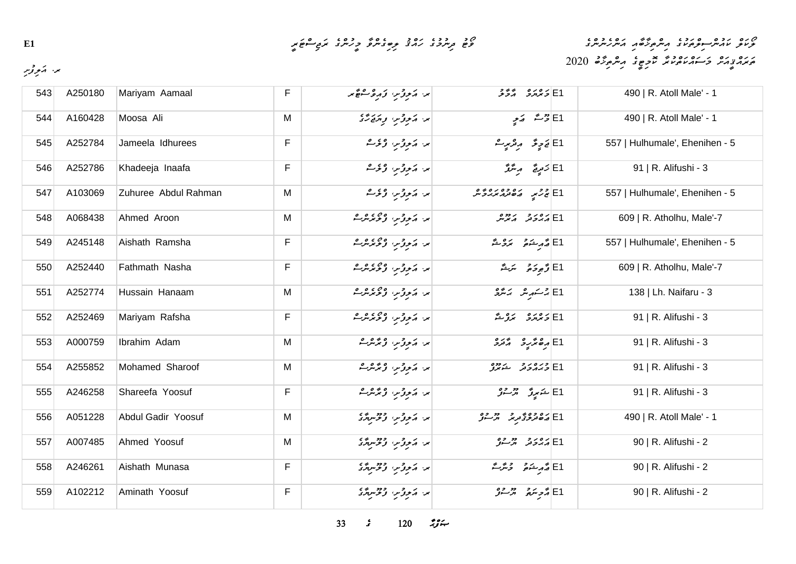*sCw7q7s5w7m< o<n9nOoAw7o< sCq;mAwBoEw7q<m; wBm;vB* م من المرة المرة المرة المرجع المرجع في المركبة 2020<br>مجم*د المريض المربوط المربع المرجع في المراجع المركبة* 

| 543 | A250180 | Mariyam Aamaal       | F           | برا مأورقس وكروعشقيم               | $33.3$ $32.3$ $E1$                           | 490   R. Atoll Male' - 1       |
|-----|---------|----------------------|-------------|------------------------------------|----------------------------------------------|--------------------------------|
| 544 | A160428 | Moosa Ali            | M           | برا أركوفرس والرواء                | E1 صحيح محموم بح                             | 490   R. Atoll Male' - 1       |
| 545 | A252784 | Jameela Idhurees     | F           | پر ټربویور، وی د                   | E1 ق <sub>َ</sub> حِرِ قَرَّ مِرْمَرِ مِشْ   | 557   Hulhumale', Ehenihen - 5 |
| 546 | A252786 | Khadeeja Inaafa      | F           | برا م بورس و و ک                   | E1 كَرْمِيعٌ مِسَمَّدٌ                       | 91   R. Alifushi - 3           |
| 547 | A103069 | Zuhuree Abdul Rahman | M           | أيرا مكروحوس وعجاها                | E1 يې ته په موه موړه لره وه د                | 557   Hulhumale', Ehenihen - 5 |
| 548 | A068438 | Ahmed Aroon          | M           | بر أبروس ومءه م                    | E1 كەبرو بىر كەنتىر بىر                      | 609   R. Atholhu, Male'-7      |
| 549 | A245148 | Aishath Ramsha       | F           | برا مأبورقرا وتحتر عراقه           | E1 م <i>ەمبىتىمى ترو</i> ىئە                 | 557   Hulhumale', Ehenihen - 5 |
| 550 | A252440 | Fathmath Nasha       | F           | ىر. مُتَوَوَّينَ وْتَوَيَّرْشْرْتْ | E1 تَ <i>وْجِ حَقَّ</i> سَرَحَّةَ            | 609   R. Atholhu, Male'-7      |
| 551 | A252774 | Hussain Hanaam       | M           | بر موزير، وميمره                   | E1 پر کے پر پر پر پر پر پر پر پر پر پر پر پر | 138   Lh. Naifaru - 3          |
| 552 | A252469 | Mariyam Rafsha       | $\mathsf F$ | بر رکوری وی م                      | E1 كەندىرى كەرمىگە                           | 91   R. Alifushi - 3           |
| 553 | A000759 | Ibrahim Adam         | M           | ىر. مەجوۋىر، ۋىگەنگرىشە            | E1 مەھەر بەر مەمرى                           | 91   R. Alifushi - 3           |
| 554 | A255852 | Mohamed Sharoof      | M           | برا موريرا وبرمرت                  | E1 322.2 متعرفر                              | 91   R. Alifushi - 3           |
| 555 | A246258 | Shareefa Yoosuf      | F           | برا مأمروس وترتكب                  | E1 ڪمپرڙ پڙيو                                | 91   R. Alifushi - 3           |
| 556 | A051228 | Abdul Gadir Yoosuf   | M           | بر مرور و وحسر محمد                | E1 <sub>م</sub> ەھەر <i>جۇمەت بىر سى</i> ر   | 490   R. Atoll Male' - 1       |
| 557 | A007485 | Ahmed Yoosuf         | M           | أمرا مكرور والمتحصر ومحتجم         | E1 كەبرى تەرىپى تۈرگىنى ئى                   | 90   R. Alifushi - 2           |
| 558 | A246261 | Aishath Munasa       | F           | أما أروقوس وفرسور                  | E1 <sub>م</sub> ُم <i>ْ مِشَمْ وَسُرْتُ</i>  | 90   R. Alifushi - 2           |
| 559 | A102212 | Aminath Yoosuf       | F           | برا مُتَوَرِّينَ وَتَحْسِنُكُمْ    | E1 مُجْرِسَمُ مَرْتَسُوْ                     | 90   R. Alifushi - 2           |

**33** *s* **120** *z***<sub>***s***</sub>**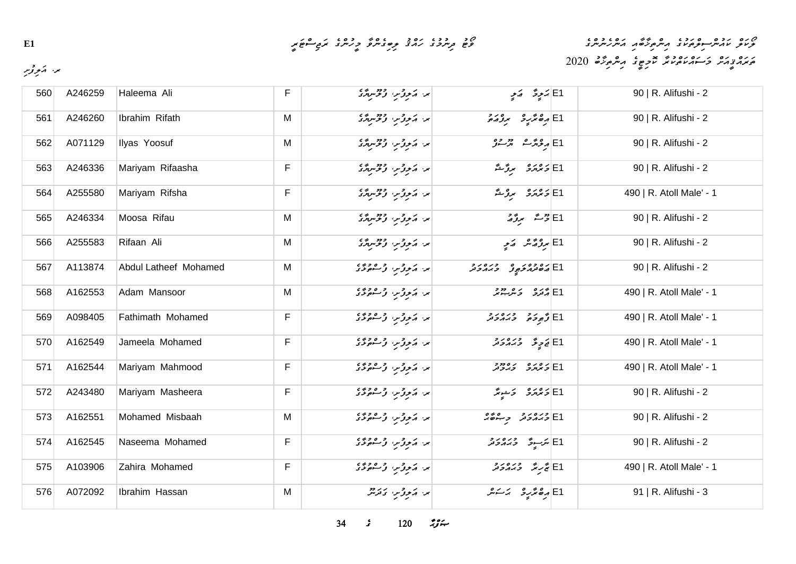*sCw7q7s5w7m< o<n9nOoAw7o< sCq;mAwBoEw7q<m; wBm;vB* م من المرة المرة المرة المرجع المرجع في المركبة 2020<br>مجم*د المريض المربوط المربع المرجع في المراجع المركبة* 

| 560 | A246259 | Haleema Ali           | F           | بر. مَعِرْسُ وَحَرْسِرْهُ    | E1 ټوپو <i>گە پ</i> و                          | 90   R. Alifushi - 2     |
|-----|---------|-----------------------|-------------|------------------------------|------------------------------------------------|--------------------------|
| 561 | A246260 | Ibrahim Rifath        | M           | بر مرور و وفرسرد و           | E1 مەھمىر بولىدە بولغان E1                     | 90   R. Alifushi - 2     |
| 562 | A071129 | Ilyas Yoosuf          | M           | برا أبروزيرا وتؤييدة         | E1 مرمح پڻن په چينو پيونو<br>ا                 | 90   R. Alifushi - 2     |
| 563 | A246336 | Mariyam Rifaasha      | $\mathsf F$ | بر مورمن رحمن من             | E1 وَيُرْتَزَرُ مِرَزَّسَةً                    | 90   R. Alifushi - 2     |
| 564 | A255580 | Mariyam Rifsha        | $\mathsf F$ | بر مرور و وحو مرکز کا        | E1 5 يوپرى بروت                                | 490   R. Atoll Male' - 1 |
| 565 | A246334 | Moosa Rifau           | M           | أمرا مكرور والمتحسنة         | E1 پروگھ                                       | 90   R. Alifushi - 2     |
| 566 | A255583 | Rifaan Ali            | M           | بر مرور والمتحسن المعمدة     | E1 بروګر <sub>مک</sub> ر                       | 90   R. Alifushi - 2     |
| 567 | A113874 | Abdul Latheef Mohamed | M           | بر مورمن ومعون               | E1 גەدەر ە درەرد                               | 90   R. Alifushi - 2     |
| 568 | A162553 | Adam Mansoor          | M           | بر رکورکس و شوده             | E1 گەنىرى كەنگەيلىرىنى E1                      | 490   R. Atoll Male' - 1 |
| 569 | A098405 | Fathimath Mohamed     | $\mathsf F$ | بر مورمن ومعوده              | E1 تُهوِرَه حيد المعامر                        | 490   R. Atoll Male' - 1 |
| 570 | A162549 | Jameela Mohamed       | F           | بر رکورکر و معمولای          | E1 <i>ف<sub>َ</sub> وِحَدَّ دَيَرْدُونَر</i> ُ | 490   R. Atoll Male' - 1 |
| 571 | A162544 | Mariyam Mahmood       | F           | بر رکورمن و معمومی           | E1 كەندى كەندە د                               | 490   R. Atoll Male' - 1 |
| 572 | A243480 | Mariyam Masheera      | F           | بر رکورمن و معمولای          | E1 وَيَرْتَزُوْ - وَشَبِيَّزُ                  | 90   R. Alifushi - 2     |
| 573 | A162551 | Mohamed Misbaah       | M           | پر ډېروتر، وقسمونور          | E1 32023 وبد <i>ھب</i>                         | 90   R. Alifushi - 2     |
| 574 | A162545 | Naseema Mohamed       | $\mathsf F$ | بر ، مَعِرْضٍ وْسَعْوَى وَ ﴾ | E1 يترسون وبرورور                              | 90   R. Alifushi - 2     |
| 575 | A103906 | Zahira Mohamed        | $\mathsf F$ | بر رکورمن و معمولای          | E1 تج بەنتى ئ <i>ونەدە دى</i> ر                | 490   R. Atoll Male' - 1 |
| 576 | A072092 | Ibrahim Hassan        | M           | أما المولوس كالمرجز          | E1 مەھم <i>گەر ئىمى</i> 15                     | 91   R. Alifushi - 3     |

*34 sC 120 nNw?mS*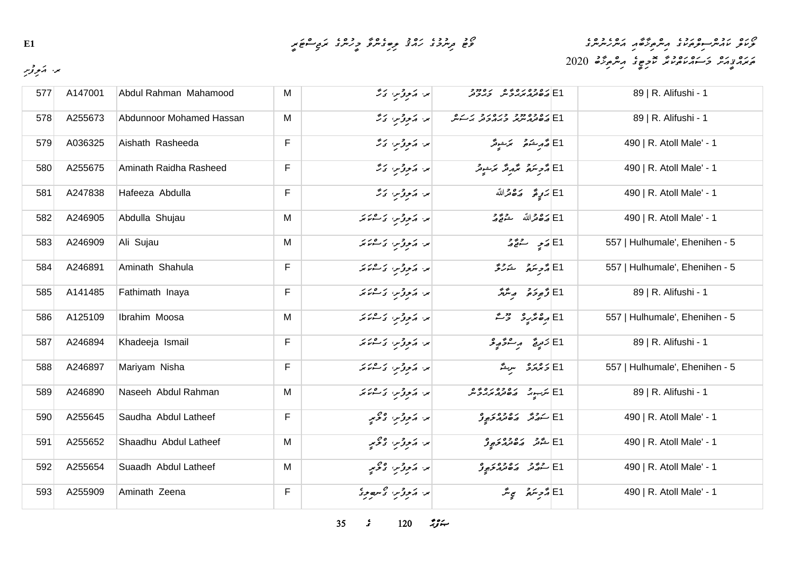*sCw7q7s5w7m< o<n9nOoAw7o< sCq;mAwBoEw7q<m; wBm;vB* م من المرة المرة المرة المرجع المراجع المراجع المراجع المراجع المراجع المراجع المراجع المراجع المراجع المراجع<br>مرين المراجع المراجع المرجع المراجع المراجع المراجع المراجع المراجع المراجع المراجع المراجع المراجع المراجع ال

| 577 | A147001 | Abdul Rahman Mahamood    | M           | پر انگروژین دیگ         | E1 <i>ړه ده ده ده ده ده د</i> و          | 89   R. Alifushi - 1           |
|-----|---------|--------------------------|-------------|-------------------------|------------------------------------------|--------------------------------|
| 578 | A255673 | Abdunnoor Mohamed Hassan | M           | أمرا الكووحين الحاكم    | E1 גם כפר כנסיף הבית                     | 89   R. Alifushi - 1           |
| 579 | A036325 | Aishath Rasheeda         | F           | ىر، مۇقرىر، ئ           | E1 م <i>ەم ھەم مەسوم</i> گە              | 490   R. Atoll Male' - 1       |
| 580 | A255675 | Aminath Raidha Rasheed   | $\mathsf F$ | ىر. مەجەۋىر، ئەڭ        | E1 مُجِسَمَ مُمَهِمٌّ مَنْ يَوْمِرُ      | 490   R. Atoll Male' - 1       |
| 581 | A247838 | Hafeeza Abdulla          | F           | ىر. مەجەۋىر، ئەڭ        | E1 بَرَموِيَّة     بَرْهُ قَرْاللَّه     | 490   R. Atoll Male' - 1       |
| 582 | A246905 | Abdulla Shujau           | M           | برا الكروفرس كالسلائك   | E1 مَەشراللە خەقەم                       | 490   R. Atoll Male' - 1       |
| 583 | A246909 | Ali Sujau                | M           | برا مكروفرس كالسلائك    | E1 <i>ج</i> و گھڻھ                       | 557   Hulhumale', Ehenihen - 5 |
| 584 | A246891 | Aminath Shahula          | F           | برا م بروس كالمستملكر   | E1 أَمُّ حِسَنَةً مُسَرِّدً              | 557   Hulhumale', Ehenihen - 5 |
| 585 | A141485 | Fathimath Inaya          | F           | أين الكروفوس كالسلائك   | E1 زَّجِرْحَمْ مِسَّمَّرٌ                | 89   R. Alifushi - 1           |
| 586 | A125109 | Ibrahim Moosa            | M           | أيرا مكروفون كالشكلانكر | E1 <sub>ا</sub> رەتمەر 3-2 تە            | 557   Hulhumale', Ehenihen - 5 |
| 587 | A246894 | Khadeeja Ismail          | F           | برا الكروفوس كالسلائك   | E1 زَمِرِيَّ <sub>م</sub> ِ سُوَّمِرِ وُ | 89   R. Alifushi - 1           |
| 588 | A246897 | Mariyam Nisha            | F           | برا مكروفرس كالسلائك    | E1 وَيُرْتَزَرُ مِنْ سَمْ                | 557   Hulhumale', Ehenihen - 5 |
| 589 | A246890 | Naseeh Abdul Rahman      | M           | أيرا الكروفس المحاسكين  | E1 س <i>رجيد م</i> ص <i>م محمد و</i> هو  | 89   R. Alifushi - 1           |
| 590 | A255645 | Saudha Abdul Latheef     | F           | برا أيروس وتحبر         | E1 شەھىر رەم دەر ي                       | 490   R. Atoll Male' - 1       |
| 591 | A255652 | Shaadhu Abdul Latheef    | M           | برا أيجوش وحجيج         | E1 څنر مقصر <i>مڅې</i> ونو               | 490   R. Atoll Male' - 1       |
| 592 | A255654 | Suaadh Abdul Latheef     | M           | برا أيجوش وحجبي         | E1 شەم مەمەم <i>ۋە ئى</i> ر              | 490   R. Atoll Male' - 1       |
| 593 | A255909 | Aminath Zeena            | F           | זי ה'קריקי ליינסקיל     | E1 <i>مُؤمِنَّة ي</i> مِنَّر             | 490   R. Atoll Male' - 1       |

 $35$  *s*  $\cancel{120}$  *z*  $\cancel{25}$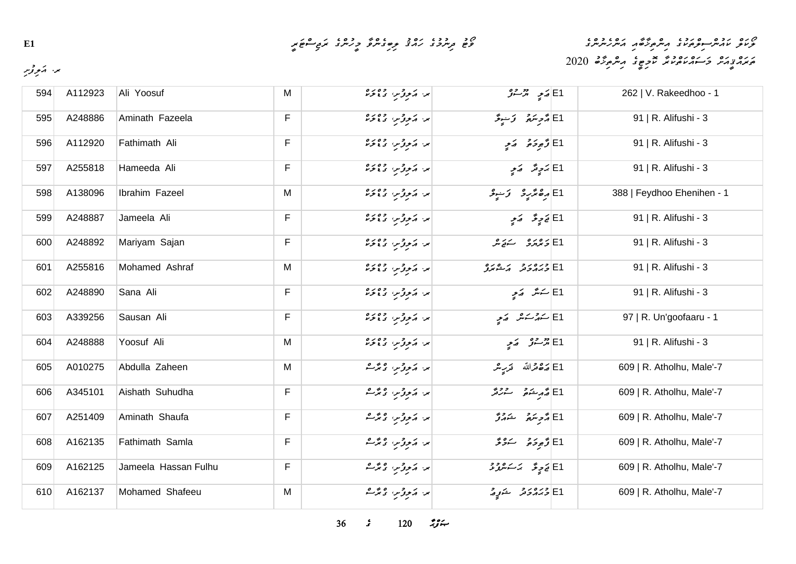*sCw7q7s5w7m< o<n9nOoAw7o< sCq;mAwBoEw7q<m; wBm;vB* م من المرة المرة المرة المرجع المراجع المراجع المراجع المراجع المراجع المراجع المراجع المراجع المراجع المراجع<br>مرين المراجع المراجع المرجع المراجع المراجع المراجع المراجع المراجع المراجع المراجع المراجع المراجع المراجع ال

| 594 | A112923 | Ali Yoosuf           | M | بر. مَعِرْفَسِ وَوَلَوْعَ  | E1 <i>جُمْعِيہ مُرْسُوقُ</i>              | 262   V. Rakeedhoo - 1     |
|-----|---------|----------------------|---|----------------------------|-------------------------------------------|----------------------------|
| 595 | A248886 | Aminath Fazeela      | F | برا أيجوش وه وه            | E1 مٌ <i>وِسَمَعْ - وَحِيومٌ</i>          | 91   R. Alifushi - 3       |
| 596 | A112920 | Fathimath Ali        | F | برا مُتَوَوَّين وَوَرُهُ   | E1 وَج <i>وحَة مَ</i> حٍ                  | 91   R. Alifushi - 3       |
| 597 | A255818 | Hameeda Ali          | F | بر مُعِرْضٍ وَلَاعُوا      | E1   يَرْمِعٌ = مَرْمٍ =                  | 91   R. Alifushi - 3       |
| 598 | A138096 | Ibrahim Fazeel       | M | بر موزیر، دوره             | E1 پ <i>ر&amp;ټرپری وَجو</i> گر           | 388   Feydhoo Ehenihen - 1 |
| 599 | A248887 | Jameela Ali          | F | برا أيجوش والمحفظ          | E1 کے <sub>جو</sub> گر کے مح              | 91   R. Alifushi - 3       |
| 600 | A248892 | Mariyam Sajan        | F | برا أتروش المعجم           | E1 كەندىرى سى <i>مىقى</i> ر               | 91   R. Alifushi - 3       |
| 601 | A255816 | Mohamed Ashraf       | M | برا مُتَوَوَّين وَوَرُهُ   | E1 32023 كەشلىرو                          | 91   R. Alifushi - 3       |
| 602 | A248890 | Sana Ali             | F | أأرا الكروحي والمحافظ      | E1 ستر قەم <u>و</u>                       | 91   R. Alifushi - 3       |
| 603 | A339256 | Sausan Ali           | F | برا أيجوش والمحفظ          | E1 سَتَمَ <i>رْسَسْ مَ</i> مِ             | 97   R. Un'goofaaru - 1    |
| 604 | A248888 | Yoosuf Ali           | M | برا أتروش المعجم           | E1 پر قسمبر که پر                         | 91   R. Alifushi - 3       |
| 605 | A010275 | Abdulla Zaheen       | M | أيرا الكروفرس وتركت        | E1 كەھەراللە   تىرىپ                      | 609   R. Atholhu, Male'-7  |
| 606 | A345101 | Aishath Suhudha      | F | برا مُتَوَوَّين وَيُرْتُ   | E1 مەم ئىشقى مەسىر ئىتىر                  | 609   R. Atholhu, Male'-7  |
| 607 | A251409 | Aminath Shaufa       | F | برا مُتَوَوَّيْنِ وَيُرْتَ | E1 مُجِسَمَة شَمَرُتَرُ                   | 609   R. Atholhu, Male'-7  |
| 608 | A162135 | Fathimath Samla      | F | برا مُتَوَوَّيْنِ وَيُرْتَ | E1 وَجِعَة صَوْفَر                        | 609   R. Atholhu, Male'-7  |
| 609 | A162125 | Jameela Hassan Fulhu | F | برا م بروترا او برگ        | E1 <sub>تح</sub> وِرَ - پرس <i>ترنگ</i> ر | 609   R. Atholhu, Male'-7  |
| 610 | A162137 | Mohamed Shafeeu      | M | ىر. مەجەۋىر، ئۇنگەش        | E1 <i>وټرونو خوړ چ</i>                    | 609   R. Atholhu, Male'-7  |

 $36$  *s*  $120$  *z*  $29$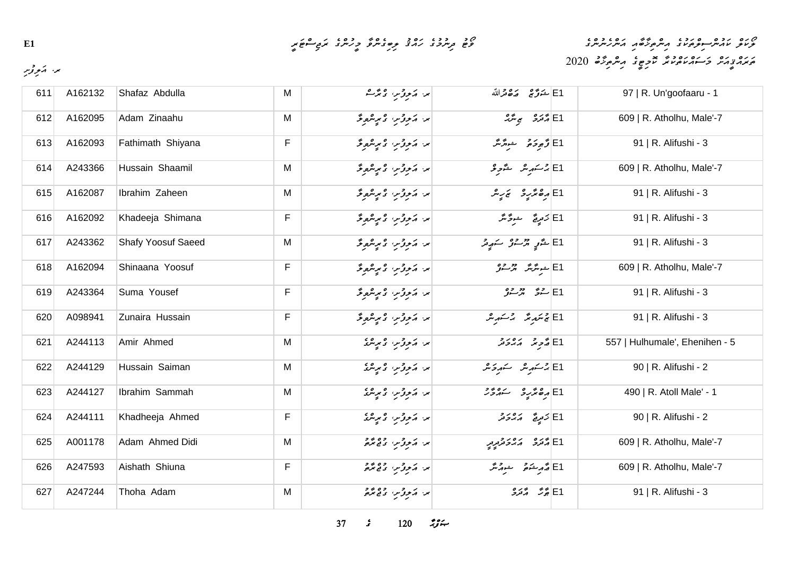*sCw7q7s5w7m< o<n9nOoAw7o< sCq;mAwBoEw7q<m; wBm;vB* م من المرة المرة المرة المرجع المرجع في المركبة 2020<br>مجم*د المريض المربوط المربع المرجع في المراجع المركبة* 

| 611 | A162132 | Shafaz Abdulla            | M           | بر. مَعِرْفُرٍ، وْعَمْتْ         | E1 خَوَرَّج صَرْهُ مَدَاللَّه          | 97   R. Un'goofaaru - 1        |
|-----|---------|---------------------------|-------------|----------------------------------|----------------------------------------|--------------------------------|
| 612 | A162095 | Adam Zinaahu              | M           | برا مُتوفر المحموم والمحمد       | E1 أَمَّ تَرَكَّرُ مَّ بِمَّ مَّدَّ    | 609   R. Atholhu, Male'-7      |
| 613 | A162093 | Fathimath Shiyana         | $\mathsf F$ | برا مكروحين الحاميلكونج          | E1 ژَّجِرْدَةُ شِبْرَتَّرَ             | 91   R. Alifushi - 3           |
| 614 | A243366 | Hussain Shaamil           | M           | برا مُتوفر و مُتوفر محمد الله من | E1 پُرڪمبريش ڪ <sub>ھو</sub> ي         | 609   R. Atholhu, Male'-7      |
| 615 | A162087 | Ibrahim Zaheen            | M           | ىن مەردۇس كەيرىكروگ              | E1 م <i>وھنگر و</i> تم پ               | 91   R. Alifushi - 3           |
| 616 | A162092 | Khadeeja Shimana          | $\mathsf F$ | برا مُتَوَرِّس وَبِرِسْمَوَرَّ   | E1 كَتْرِيعٌ - شِركَتْرٌ -             | 91   R. Alifushi - 3           |
| 617 | A243362 | <b>Shafy Yoosuf Saeed</b> | M           | برا مُتوفر و مُتصرفة             | E1 ڪُرو پڙڪو ڪردير                     | 91   R. Alifushi - 3           |
| 618 | A162094 | Shinaana Yoosuf           | $\mathsf F$ | برا م ورحمن الم بر شهو د         | E1 سوپئر پر پر پر و                    | 609   R. Atholhu, Male'-7      |
| 619 | A243364 | Suma Yousef               | $\mathsf F$ | برا مكروحوا الأمر يكرونج         | E1 گُمَرٌ بِرْكَبُرُ                   | 91   R. Alifushi - 3           |
| 620 | A098941 | Zunaira Hussain           | $\mathsf F$ | برا مُتَوَرِّين ويرتقونَ         | E1 ىن ئىرىدىگە كەسكەر بىر              | 91   R. Alifushi - 3           |
| 621 | A244113 | Amir Ahmed                | M           | برا متروش ويرهمة                 | E1 م <i>جُوبِرْ مَدْدَوْر</i>          | 557   Hulhumale', Ehenihen - 5 |
| 622 | A244129 | Hussain Saiman            | M           | بر مورمن وبرهو                   | E1 پرستہر پھر ستہری مگر                | 90   R. Alifushi - 2           |
| 623 | A244127 | Ibrahim Sammah            | M           | برا مُتَوَوَّين وَبِرِسْ         | E1 رەئزىرو سى <i>دە</i> بەر            | 490   R. Atoll Male' - 1       |
| 624 | A244111 | Khadheeja Ahmed           | F           | برا مُتَوَرِّينِ وَبِرِسْمَا     | E1 كَرْمَرِيحٌ - مَ <i>مْرُوَمْرُ</i>  | 90   R. Alifushi - 2           |
| 625 | A001178 | Adam Ahmed Didi           | M           | برا مکروکرا دہ مگرمی             | E1 جُترى – ج <i>ە</i> د <i>قەبەب</i> ر | 609   R. Atholhu, Male'-7      |
| 626 | A247593 | Aishath Shiuna            | F           | بر. مَعِرْتُو، وَفَاعْرُو        | E1 مُرمِسَمُ سِرْمُدٌ                  | 609   R. Atholhu, Male'-7      |
| 627 | A247244 | Thoha Adam                | M           | بر وترور والمحفظ                 | E1 پڑتہ گ <sup>ی</sup> ترن             | 91   R. Alifushi - 3           |

*37 sC 120 nNw?mS*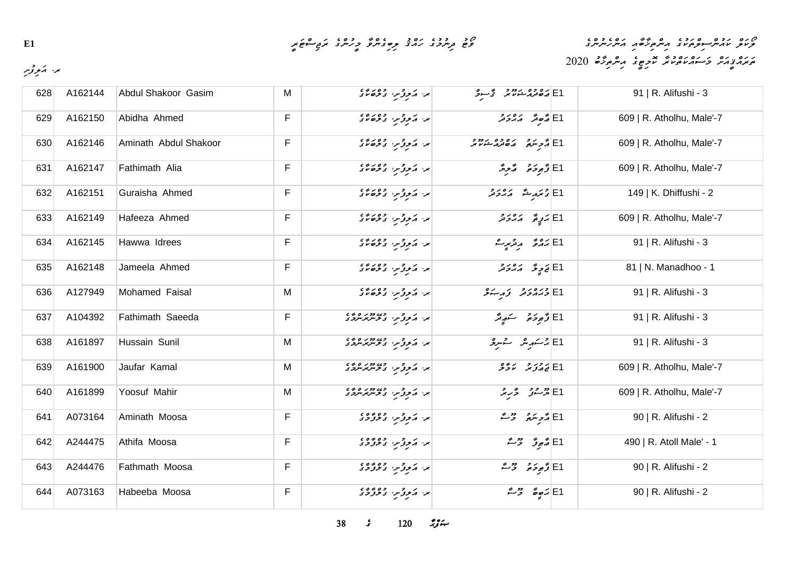*sCw7q7s5w7m< o<n9nOoAw7o< sCq;mAwBoEw7q<m; wBm;vB 2020*<br>*په ټومن د سوم پوره پورې سرح مرسره ناح* 

| 628 | A162144 | Abdul Shakoor Gasim   | M           | بر موزير، وورو،         | E1 رەم دەر بەدە ئ <sup>ە</sup> سەۋ                                                                   | 91   R. Alifushi - 3      |
|-----|---------|-----------------------|-------------|-------------------------|------------------------------------------------------------------------------------------------------|---------------------------|
| 629 | A162150 | Abidha Ahmed          | $\mathsf F$ | پر مرکز کرده د ده       | E1 مُصِعَرُ مَ <sup>رُو</sup> دَ                                                                     | 609   R. Atholhu, Male'-7 |
| 630 | A162146 | Aminath Abdul Shakoor | $\mathsf F$ | پر مرکز وقت و در ده     |                                                                                                      | 609   R. Atholhu, Male'-7 |
| 631 | A162147 | Fathimath Alia        | $\mathsf F$ | بر موري وورده           | E1 وَجِوَدَةٌ مَدَّمِيَّةٌ                                                                           | 609   R. Atholhu, Male'-7 |
| 632 | A162151 | Guraisha Ahmed        | F           | بر مرکز و دوروه         | E1 كەتتەرىش كەندى قىر                                                                                | 149   K. Dhiffushi - 2    |
| 633 | A162149 | Hafeeza Ahmed         | F           | بر موري وورو،           | E1 بَرَوِيَّ     مَدْوَمَرُ                                                                          | 609   R. Atholhu, Male'-7 |
| 634 | A162145 | Hawwa Idrees          | $\mathsf F$ | بر موري وورده           | E1 بَرْدُوَّ مِقْرَىبِ شَ                                                                            | 91   R. Alifushi - 3      |
| 635 | A162148 | Jameela Ahmed         | $\mathsf F$ | بر موري وورده           |                                                                                                      | 81   N. Manadhoo - 1      |
| 636 | A127949 | Mohamed Faisal        | M           | بر موري وورو،           | E1 <i>ۋىزەدە ت</i> ېرىكى                                                                             | 91   R. Alifushi - 3      |
| 637 | A104392 | Fathimath Saeeda      | F           | در ډکروس د د ده ده ده   | E1 وَّجِرَدَةٌ صَمِرِةٌ ۖ                                                                            | 91   R. Alifushi - 3      |
| 638 | A161897 | Hussain Sunil         | M           | ז' ה' תרייט ובשיחות ביש | E1 بُرْسَهُ بِلَا سُمْ سِرْبَرْ وَ الْمُسْتَقِيرِ الْمُسْتَقِيرِ الْمُسْتَقِيرِ الْمُسْتَقِيرِ الْمُ | 91   R. Alifushi - 3      |
| 639 | A161900 | Jaufar Kamal          | M           | بر گورمن دوسره ده       | E1 كۆرگە ئەڭ ئىس                                                                                     | 609   R. Atholhu, Male'-7 |
| 640 | A161899 | Yoosuf Mahir          | M           | بر كروژس و در ۱۶۵ و د   | E1 پر سر و محر پر                                                                                    | 609   R. Atholhu, Male'-7 |
| 641 | A073164 | Aminath Moosa         | F           | برا مكروحين وفوقروه     | E1 أَمُّ <i>وِسَمَّةُ</i> فَرَّسُمُ                                                                  | 90   R. Alifushi - 2      |
| 642 | A244475 | Athifa Moosa          | F           | بر رکودکر وووه د        | $23$ مَجوزٌ $5$ $\approx$                                                                            | 490   R. Atoll Male' - 1  |
| 643 | A244476 | Fathmath Moosa        | $\mathsf F$ | بر مورمن وووه           | E1 تَ <i>وجو حيث</i>                                                                                 | 90   R. Alifushi - 2      |
| 644 | A073163 | Habeeba Moosa         | F           | بر ړیول وووه            | $23$ $5\frac{1}{2}$ $\approx$ $51$                                                                   | 90   R. Alifushi - 2      |

**38** *s* **120** *z***<sub>3</sub><del>°</del>**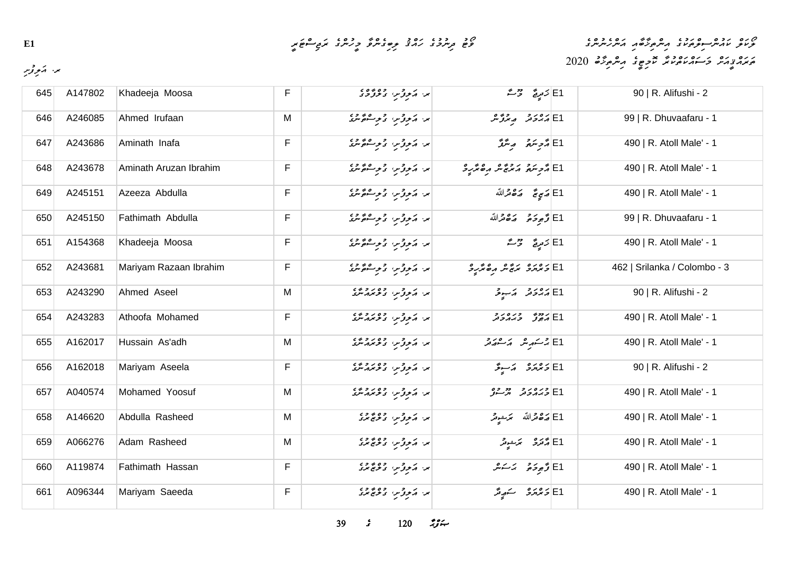*sCw7q7s5w7m< o<n9nOoAw7o< sCq;mAwBoEw7q<m; wBm;vB* م من المرة المرة المرة المرجع المرجع في المركبة 2020<br>مجم*د المريض المربوط المربع المرجع في المراجع المركبة* 

| 645 | A147802 | Khadeeja Moosa         | $\mathsf F$ | بر رکوژیر، دوووه           | E1] تزم <sub>ی</sub> عً حی شده                                                                                 | 90   R. Alifushi - 2         |
|-----|---------|------------------------|-------------|----------------------------|----------------------------------------------------------------------------------------------------------------|------------------------------|
| 646 | A246085 | Ahmed Irufaan          | M           | بر ، مُتوفر ، و وسفوش      | E1 <i>ב</i> بروتر م <i>مبرو</i> تر                                                                             | 99   R. Dhuvaafaru - 1       |
| 647 | A243686 | Aminath Inafa          | F           | بر ، مُتوفر ، و وسعوس      | E1 مُجِسَعَةٍ مِسَّنَّدَ                                                                                       | 490   R. Atoll Male' - 1     |
| 648 | A243678 | Aminath Aruzan Ibrahim | $\mathsf F$ | أين أركوفرس وتحويد والمحمد | E1 أثو ينهج أيروم من المقابل و المحمد المحمد المحمد المحمد المحمد المحمد المحمد المحمد المحمد المحمد المحمد ال | 490   R. Atoll Male' - 1     |
| 649 | A245151 | Azeeza Abdulla         | $\mathsf F$ | بر رکور و و موسفه ده       | E1 كەيىچ كە كەھەرللە                                                                                           | 490   R. Atoll Male' - 1     |
| 650 | A245150 | Fathimath Abdulla      | $\mathsf F$ | بر رکور در در ۱۶۵۵         | E1 تَرْجِرَة صَدَّة مَدَاللَّه                                                                                 | 99   R. Dhuvaafaru - 1       |
| 651 | A154368 | Khadeeja Moosa         | F           | بر ، مُتوفر ، و وسفوس      | E1 زَمِرِجٌ حٌ تُمْ                                                                                            | 490   R. Atoll Male' - 1     |
| 652 | A243681 | Mariyam Razaan Ibrahim | $\mathsf F$ | بر مورمن ووسفوس            | E1 زەرە بەرە مەرەبرە                                                                                           | 462   Srilanka / Colombo - 3 |
| 653 | A243290 | Ahmed Aseel            | M           | بر رکور دورد ده            | E1 كەندى كەسىرى E1                                                                                             | 90   R. Alifushi - 2         |
| 654 | A243283 | Athoofa Mohamed        | F           | بر موري ووردوه             | E1 גמר 2019 ביו                                                                                                | 490   R. Atoll Male' - 1     |
| 655 | A162017 | Hussain As'adh         | M           | أين أركوفرس وورودة         | E1 پر سکه میں محمد کر میں تھا۔<br>ا                                                                            | 490   R. Atoll Male' - 1     |
| 656 | A162018 | Mariyam Aseela         | F           | بر ، مَعِوْسٍ ، وورد و »   | E1  <i>وَيُرْوَرُّ • مَ</i> سِيَوَّ                                                                            | 90   R. Alifushi - 2         |
| 657 | A040574 | Mohamed Yoosuf         | M           | بر رکوری ووروده            | E1 32323 مركز                                                                                                  | 490   R. Atoll Male' - 1     |
| 658 | A146620 | Abdulla Rasheed        | M           | بر مورځ پر ووځ بره         | E1 مَەھمَراللە مَرَىش <sub>و</sub> مَر                                                                         | 490   R. Atoll Male' - 1     |
| 659 | A066276 | Adam Rasheed           | M           | بر مرورمن ووه ده           | E1 مُحَمَّدٌ مَرْسُومُرٌ                                                                                       | 490   R. Atoll Male' - 1     |
| 660 | A119874 | Fathimath Hassan       | F           | بر مرور وودوه              | E1 <i>وُجِعَة بَرَسَ</i> سَ                                                                                    | 490   R. Atoll Male' - 1     |
| 661 | A096344 | Mariyam Saeeda         | F           | بر رکور دو دو ده           | E1 <i>وَبُرْدَةْ</i> سَمَ <i>دِيَّزٌ</i>                                                                       | 490   R. Atoll Male' - 1     |

*39 sC 120 nNw?mS*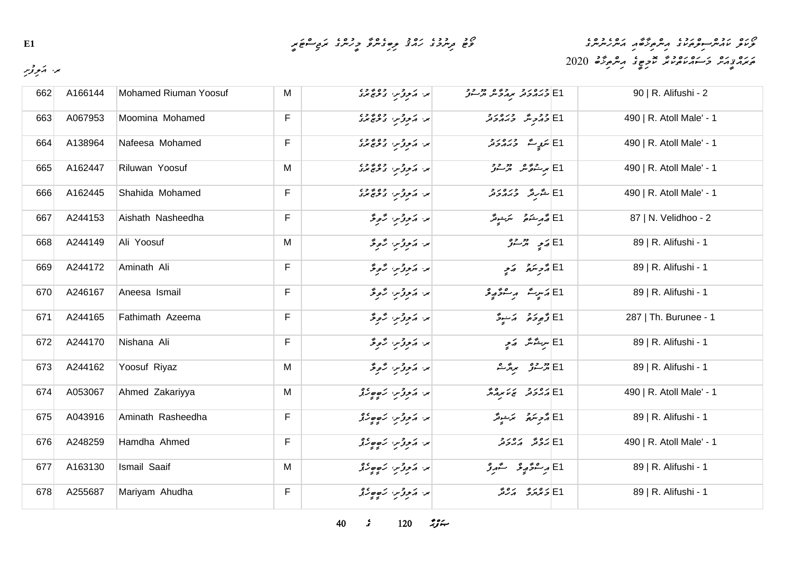*sCw7q7s5w7m< o<n9nOoAw7o< sCq;mAwBoEw7q<m; wBm;vB* م من المرة المرة المرة المرجع المرجع في المركبة 2020<br>مجم*د المريض المربوط المربع المرجع في المراجع المركبة* 

| 662 | A166144 | Mohamed Riuman Yoosuf | M | پر ټربورمبر، جموع پره       | E1 <i>دره د د پرو</i> ژند برخبو | 90   R. Alifushi - 2     |
|-----|---------|-----------------------|---|-----------------------------|---------------------------------|--------------------------|
| 663 | A067953 | Moomina Mohamed       | F | پر مرکز وقتی کردی           | E1 دُرُو شَر دَبَرْ دَور        | 490   R. Atoll Male' - 1 |
| 664 | A138964 | Nafeesa Mohamed       | F | بر رکور دو دو ده            | E1 <i>سَرِے حُمَدُونڈ</i>       | 490   R. Atoll Male' - 1 |
| 665 | A162447 | Riluwan Yoosuf        | M | بر رکور ده ده ده            | E1 مرشو <i>ة شهر المراجيو</i>   | 490   R. Atoll Male' - 1 |
| 666 | A162445 | Shahida Mohamed       | F | بر مورمن دورده              | E1 ڪريگر ت <i>وندو</i> تر       | 490   R. Atoll Male' - 1 |
| 667 | A244153 | Aishath Nasheedha     | F | ىر. مۇرۇپ رەي               | E1 مُ مِسْدَمُ - سَرَسْوِسٌ     | 87   N. Velidhoo - 2     |
| 668 | A244149 | Ali Yoosuf            | M | پر انگروژس شوی              | E1 <i>۾ ج پير شو</i> ع          | 89   R. Alifushi - 1     |
| 669 | A244172 | Aminath Ali           | F | برا مکروکرا رکوتی           | E1 أَدُّحِ سَمَّةً أَرْمَجٍ     | 89   R. Alifushi - 1     |
| 670 | A246167 | Aneesa Ismail         | F | ىر. مۇرۇش رەپ               | E1 كەسرىگە ب <i>وسىۋە</i> يىۋ   | 89   R. Alifushi - 1     |
| 671 | A244165 | Fathimath Azeema      | F | ىر. مۇرۇپ رەي ئ             | E1 وَجِعَة مَ سَعِرَّ           | 287   Th. Burunee - 1    |
| 672 | A244170 | Nishana Ali           | F | أيرا مكروحوا التحوفى        | E1 سرشة <i>متّر مرّمو</i>       | 89   R. Alifushi - 1     |
| 673 | A244162 | Yoosuf Riyaz          | M | ىر. مۇرۇش شوق               | E1 افریسو پروگر                 | 89   R. Alifushi - 1     |
| 674 | A053067 | Ahmed Zakariyya       | M | بر مُعِرْ مِنْ مُحَصِّرٌ وَ | E1 222 كارور و محمد مركز        | 490   R. Atoll Male' - 1 |
| 675 | A043916 | Aminath Rasheedha     | F | بر. م وو د. زه ه د و        | E1 مَّ حِسَمَ مَنْ مِنْ مِنْ    | 89   R. Alifushi - 1     |
| 676 | A248259 | Hamdha Ahmed          | F | بر. הُتووُّير، شَرْهِ جَبْو | E1 پَرونَزَ کَرَبُرُونَز        | 490   R. Atoll Male' - 1 |
| 677 | A163130 | Ismail Saaif          | M | بر موزير، رَهِ مِرْدْ       | E1 <sub>م</sub> رےدو پو گورو    | 89   R. Alifushi - 1     |
| 678 | A255687 | Mariyam Ahudha        | F | بر ، كمرور ، كموه كرو       | E1 كەبىر بەر بەر ئىر            | 89   R. Alifushi - 1     |

*40 sC 120 nNw?mS*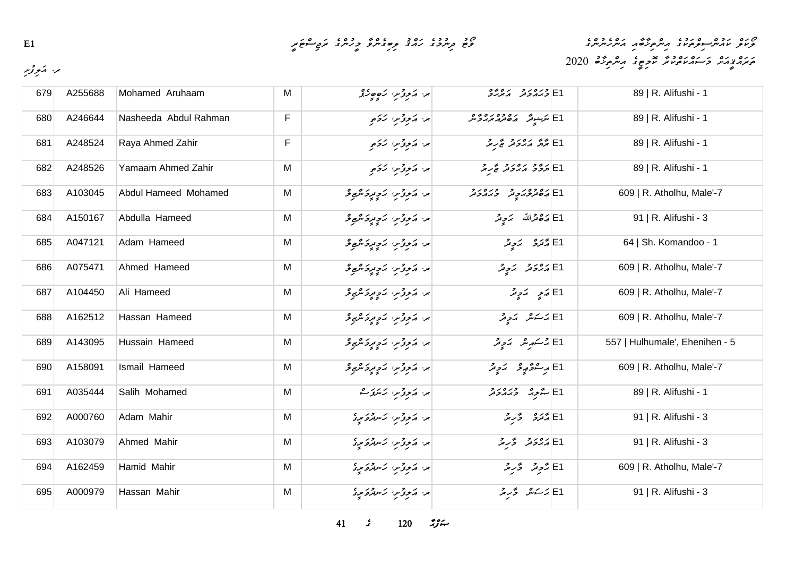*sCw7q7s5w7m< o<n9nOoAw7o< sCq;mAwBoEw7q<m; wBm;vB* م من المرة المرة المرة المرجع المرجع في المركبة 2020<br>مجم*د المريض المربوط المربع المرجع في المراجع المركبة* 

| 679 | A255688 | Mohamed Aruhaam       | M           | بر رکور کھیے گی                    | $5.222$ $-2.225$ $-2.25$                   | 89   R. Alifushi - 1           |
|-----|---------|-----------------------|-------------|------------------------------------|--------------------------------------------|--------------------------------|
| 680 | A246644 | Nasheeda Abdul Rahman | F           | برا مُتَوَوَّينِ رُوَّمِ           | E1 سَرَڪِيمُ ۾ ص <i>حرم م</i> حدو س        | 89   R. Alifushi - 1           |
| 681 | A248524 | Raya Ahmed Zahir      | $\mathsf F$ | برا مُتَوَرُّسِ رُوَمِ             | E1 تُرَسَّ بَرَرْدَتْرَ تَجْرِيْرَ         | 89   R. Alifushi - 1           |
| 682 | A248526 | Yamaam Ahmed Zahir    | M           | برا مُتَوَوَّينَ رَوَّي            | E1 <i>הככ הגבע</i> تجربر                   | 89   R. Alifushi - 1           |
| 683 | A103045 | Abdul Hameed Mohamed  | M           | أماء الكروفراء الكرد ويركز للرجافة | E1 رەدەر دەردەرد                           | 609   R. Atholhu, Male'-7      |
| 684 | A150167 | Abdulla Hameed        | M           | ىر. مۇرۇس مۇپروگرىمۇ               | E1 مَەھىراللە   ئەرىتر                     | 91   R. Alifushi - 3           |
| 685 | A047121 | Adam Hameed           | M           | ىر. مۇرۇش مۇرىرى شىرق              | E1 مُمَرَدٌ   مَرِيْرٌ                     | 64   Sh. Komandoo - 1          |
| 686 | A075471 | Ahmed Hameed          | M           | ىر. مۇرۇش مۇرىرى شىرق              | E1 <i>גَ بْدُوَنْڌَ</i> بَرَمٍ <i>نْدَ</i> | 609   R. Atholhu, Male'-7      |
| 687 | A104450 | Ali Hameed            | M           | ىر. مۇرۇس مۇپرىر ئىر ئى            | E1 <i>ھَيِ۔ پُچ</i> ھُ                     | 609   R. Atholhu, Male'-7      |
| 688 | A162512 | Hassan Hameed         | M           | ىر. مۇرۇس مۇپروگرىمۇ               | E1 زىكى ئ <sub>ەچ</sub> ىر                 | 609   R. Atholhu, Male'-7      |
| 689 | A143095 | Hussain Hameed        | M           | ىر. مەجەۋىر، مەچ پرەكرى چ          | E1 بُرْسَمبر بْرَ بِرَوِيْر                | 557   Hulhumale', Ehenihen - 5 |
| 690 | A158091 | Ismail Hameed         | M           | ىر. مۇرۇس مۇپرىر ئىر ئى            | E1 <sub>م</sub> رےد <i>ۇر</i> ئەرەتە       | 609   R. Atholhu, Male'-7      |
| 691 | A035444 | Salih Mohamed         | M           | ىر. ئەبرۇس، ئەنتەك                 | E1 جۇمۇر ئ <i>ۇنى ھەرى</i> ر               | 89   R. Alifushi - 1           |
| 692 | A000760 | Adam Mahir            | M           | ما أولوس كالعروبرة                 | E1 يُرْتَرُدُ - دُرِيْرُ                   | 91   R. Alifushi - 3           |
| 693 | A103079 | Ahmed Mahir           | M           | ىر. مەردۇس ئاسلاھ برق              | E1 <i>222 وُرِيم</i> ً                     | 91   R. Alifushi - 3           |
| 694 | A162459 | Hamid Mahir           | M           | ىر. مەردىن ئاسلامى                 | E1 مَّرْحِدْ - دَّرِيْرُ -                 | 609   R. Atholhu, Male'-7      |
| 695 | A000979 | Hassan Mahir          | M           | ما أبروترا المستركوبر              | E1   پرسترس تخریز                          | 91   R. Alifushi - 3           |

*41 sC 120 nNw?mS*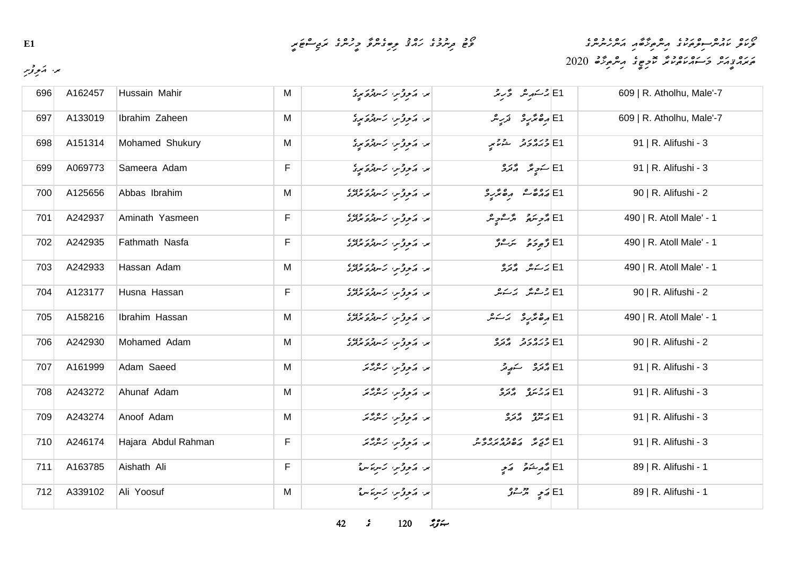*sCw7q7s5w7m< o<n9nOoAw7o< sCq;mAwBoEw7q<m; wBm;vB* م من المرة المرة المرة المرجع المرجع في المركبة 2020<br>مجم*د المريض المربوط المربع المرجع في المراجع المركبة* 

| 696 | A162457 | Hussain Mahir       | M           | ىر. مۇرۇس ئاسرەق برق            | E1 پرڪيريش ٿي پٽر                       | 609   R. Atholhu, Male'-7 |
|-----|---------|---------------------|-------------|---------------------------------|-----------------------------------------|---------------------------|
| 697 | A133019 | Ibrahim Zaheen      | M           | برا م ووقرا الكرام و مردمي      | E1 مەھمگىيى قىرىپىش                     | 609   R. Atholhu, Male'-7 |
| 698 | A151314 | Mohamed Shukury     | M           | ما الأبوالي، كالعالمولا مردي    | E1 <i>وُبَرُوْدَوْ</i> شَرْمِرِ         | 91   R. Alifushi - 3      |
| 699 | A069773 | Sameera Adam        | F           | ما الأبوالي، كالمولد كالمولد كا | E1 سَوِيْر مُقَرَّدُ                    | 91   R. Alifushi - 3      |
| 700 | A125656 | Abbas Ibrahim       | M           | بر رکور رکبرد ون                |                                         | 90   R. Alifushi - 2      |
| 701 | A242937 | Aminath Yasmeen     | $\mathsf F$ | بر موثر تسهم مدر                | E1 مَّ حِ سَمَّة مَّ مَّرْ سْعِرِ سَّرَ | 490   R. Atoll Male' - 1  |
| 702 | A242935 | Fathmath Nasfa      | $\mathsf F$ | أمرا أكر وقرس الكرامور وعام     | E1 وَّجِوحَمْ سَرَسْوَتَرَ              | 490   R. Atoll Male' - 1  |
| 703 | A242933 | Hassan Adam         | M           | من م <i>موو</i> ثين كالعرة معدد | E1 پرستر مرمر <i>ہ</i>                  | 490   R. Atoll Male' - 1  |
| 704 | A123177 | Husna Hassan        | F           | بر موري رسيره مديره             | E1 پژھنڑ - پر <i>سکن</i> گر             | 90   R. Alifushi - 2      |
| 705 | A158216 | Ibrahim Hassan      | M           | پر انگروگران کرسرفره برفرد      | E1 <sub>م</sub> ەھم <i>ردى بن</i> ئىكە  | 490   R. Atoll Male' - 1  |
| 706 | A242930 | Mohamed Adam        | M           | بر ، مکوویر، کاستره برانره      | E1 تزیره ژبره<br>E1 تزیر ژبر ژبرو       | 90   R. Alifushi - 2      |
| 707 | A161999 | Adam Saeed          | M           | ىن مەنزۇش ئامەر بىر             | E1 ۾ <i>تري ڪوين</i> گ                  | 91   R. Alifushi - 3      |
| 708 | A243272 | Ahunaf Adam         | M           | ىن مەنزۇش ئەندىمە               | E1 كەبرىتى گەنىدى                       | 91   R. Alifushi - 3      |
| 709 | A243274 | Anoof Adam          | M           | پر مُتَعِودٌ مِنْ رَسْرَ يَرُ   | E1 كەنتىر مەمر <i>ە</i>                 | 91   R. Alifushi - 3      |
| 710 | A246174 | Hajara Abdul Rahman | $\mathsf F$ | برا الكروحي، كالدهم كا          | E1 ژبخ پر محصو <i>م م</i> روم د         | 91   R. Alifushi - 3      |
| 711 | A163785 | Aishath Ali         | $\mathsf F$ | برا المركوري الكرمانية العملية  | E1 م <i>ەم شىم قىم</i> چ                | 89   R. Alifushi - 1      |
| 712 | A339102 | Ali Yoosuf          | M           | لمزا الكروفر والمستندم متعالي   | E1 <sub>هُ</sub> م په پژگستر            | 89   R. Alifushi - 1      |

*42 sC 120 nNw?mS*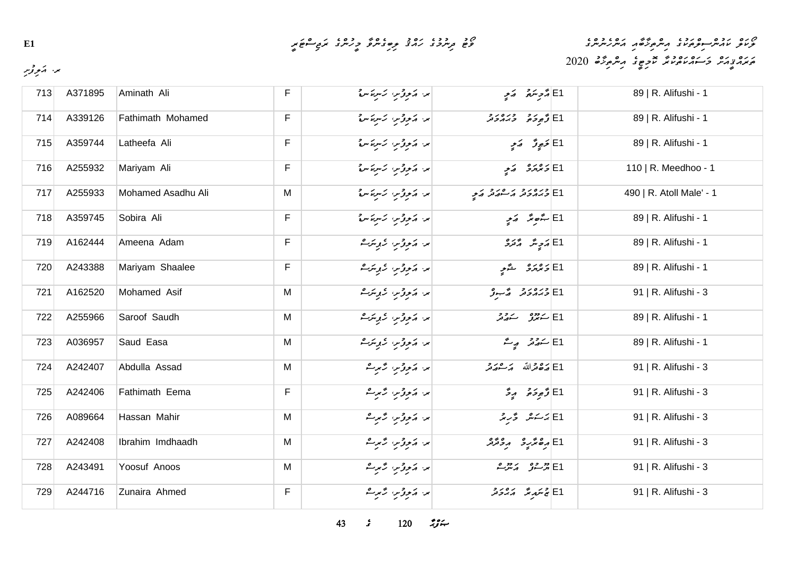*sCw7q7s5w7m< o<n9nOoAw7o< sCq;mAwBoEw7q<m; wBm;vB* م من المرة المرة المرة المرجع المرجع في المركبة 2020<br>مجم*د المريض المربوط المربع المرجع في المراجع المركبة* 

| 713 | A371895 | Aminath Ali        | F           | برا مجموعی سر کسریم سدفی   | E1 أَمُّ <i>جِسَعْهُ أَمَيْ</i>            | 89   R. Alifushi - 1     |
|-----|---------|--------------------|-------------|----------------------------|--------------------------------------------|--------------------------|
| 714 | A339126 | Fathimath Mohamed  | $\mathsf F$ | برا اړنوونس، رئيزماندنج    | E1 وُجِعَة وَيَرْمُعَ مَنْ                 | 89   R. Alifushi - 1     |
| 715 | A359744 | Latheefa Ali       | $\mathsf F$ | برا اړنوروس کېږيمنده       | E1 كَبِرِزٌ   دَمِرٍ                       | 89   R. Alifushi - 1     |
| 716 | A255932 | Mariyam Ali        | F           | برا المروحين التاريكاسية   | E1 <i>5نگەنز</i> ھ                         | 110   R. Meedhoo - 1     |
| 717 | A255933 | Mohamed Asadhu Ali | M           | برا اړنوروس کېږيمنده       | E1 <i>ويرودو برحيزة مك</i> و               | 490   R. Atoll Male' - 1 |
| 718 | A359745 | Sobira Ali         | $\mathsf F$ | برا مرَّمُورْس سُرْمَاسْهُ | E1 جُم <i>ومُہ مَ</i> یرِ                  | 89   R. Alifushi - 1     |
| 719 | A162444 | Ameena Adam        | F           | پر انگروگرا کرونکر         | E1 أ <i>وَجِسٌ مُ</i> قَرَّدُ              | 89   R. Alifushi - 1     |
| 720 | A243388 | Mariyam Shaalee    | $\mathsf F$ | پر انگروگرا کرونکر         | E1 <i>وَبُرْدُوْ</i> حَمَّوِ               | 89   R. Alifushi - 1     |
| 721 | A162520 | Mohamed Asif       | M           | برا م تورش کویترے          | E1 <i>3222 مُبدو</i>                       | 91   R. Alifushi - 3     |
| 722 | A255966 | Saroof Saudh       | M           | ر.   پروژس ژویترے          | E1 سن پر دیگر                              | 89   R. Alifushi - 1     |
| 723 | A036957 | Saud Easa          | M           | برا م توویرا از ویترب      | E1 ڪرچر <sub>۾ س</sub> مبر                 | 89   R. Alifushi - 1     |
| 724 | A242407 | Abdulla Assad      | M           | پر مربورین رمحبرے          | E1 مَرْهُ مِّرْاللَّهُ مَرْ سُعْمَةٌ مِّرْ | 91   R. Alifushi - 3     |
| 725 | A242406 | Fathimath Eema     | $\mathsf F$ | پر مربورمور رمحبور ه       | E1 <i>وُجوحَمَ و</i> ِحَ                   | 91   R. Alifushi - 3     |
| 726 | A089664 | Hassan Mahir       | M           | بر. مَعِرْسِ رَّبَرِتْ     | E1   پرسترس تخ ریز                         | 91   R. Alifushi - 3     |
| 727 | A242408 | Ibrahim Imdhaadh   | M           | پر مربورمور شهرت           | E1 رەئزىر ئەرەتەر                          | 91   R. Alifushi - 3     |
| 728 | A243491 | Yoosuf Anoos       | M           | پر مربورین رمبرے           | E1 پژينز کې پر ترکيب                       | 91   R. Alifushi - 3     |
| 729 | A244716 | Zunaira Ahmed      | F           | برا م تورقن رحمون          | E1 ىن ئىرى <i>گە ئەبدە تە</i>              | 91   R. Alifushi - 3     |

*43 s* 120 *i*<sub>s</sub> $\approx$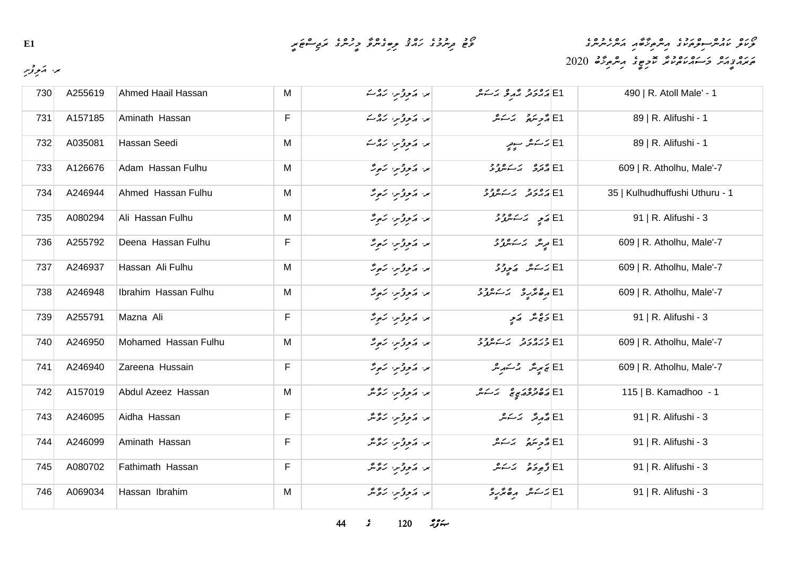*sCw7q7s5w7m< o<n9nOoAw7o< sCq;mAwBoEw7q<m; wBm;vB* م من المرة المرة المرة المرجع المرجع في المركبة 2020<br>مجم*د المريض المربوط المربع المرجع في المراجع المركبة* 

| 730 | A255619 | Ahmed Haail Hassan   | M           | بر. مَعِوْمِنِ رَمْهُ سَهُ | E1 <i>בَ.2ُ</i> خَة جُمْرِ حَرْ سَنَاسٌ | 490   R. Atoll Male' - 1       |
|-----|---------|----------------------|-------------|----------------------------|-----------------------------------------|--------------------------------|
| 731 | A157185 | Aminath Hassan       | F           | بر. مَعِوْمِنِ، رَمْرُتَ   | E1 مُجَرِسَمَةُ سَيَسَسْر               | 89   R. Alifushi - 1           |
| 732 | A035081 | Hassan Seedi         | M           | بر، مَعِوْثِرِ، رَمْرُتَهُ | E1   ئەسەمىر سەمىر                      | 89   R. Alifushi - 1           |
| 733 | A126676 | Adam Hassan Fulhu    | M           | ىر، مەجەۋىر، سەھەش         | E1 جەنزى ئەستەملەر ئى                   | 609   R. Atholhu, Male'-7      |
| 734 | A246944 | Ahmed Hassan Fulhu   | M           | برا مأفروش التابر          | E1 كەبەد كەسىرىدىن ئە                   | 35   Kulhudhuffushi Uthuru - 1 |
| 735 | A080294 | Ali Hassan Fulhu     | M           | ىر: م <i>ەبتەق ئەب</i>     | E1 <sub>ه</sub> َ مٍ برَسَسْ پِرْ دَ    | 91   R. Alifushi - 3           |
| 736 | A255792 | Deena Hassan Fulhu   | $\mathsf F$ | ىن مەجەۋىن ئەھەر           | E1 مِرِسَّر بَرَسَة مَرْتَزَ            | 609   R. Atholhu, Male'-7      |
| 737 | A246937 | Hassan Ali Fulhu     | M           | بر، مکروکرد، کامون         | E1 ټر <i>ټرون</i> و                     | 609   R. Atholhu, Male'-7      |
| 738 | A246948 | Ibrahim Hassan Fulhu | M           | بر رکوری کارگ              | E1 مەھمىر 2 مەسىر كى                    | 609   R. Atholhu, Male'-7      |
| 739 | A255791 | Mazna Ali            | F           | ىر. مۇرۇش ئەرق             | E1 كَرْجْ مَدَّ مَرْكَبِي               | 91   R. Alifushi - 3           |
| 740 | A246950 | Mohamed Hassan Fulhu | M           | ىر، مەجەۋىر، شەرق          | E1 320 كروبرو بر كروبرو 23              | 609   R. Atholhu, Male'-7      |
| 741 | A246940 | Zareena Hussain      | F           | بر رکوری رکور              | E1 نج مریٹر کے شہر بٹر                  | 609   R. Atholhu, Male'-7      |
| 742 | A157019 | Abdul Azeez Hassan   | M           | ىر: «كَوَوْسْ رَوْمَرْ     | E1 مەھىر <i>جەم يىغ مەسكى</i> ر         | 115   B. Kamadhoo - 1          |
| 743 | A246095 | Aidha Hassan         | $\mathsf F$ | ىر. مەجەۋىر، ئەۋىتر        | E1 صَّمِيعٌ سَرَسَرٌ مِنْ               | 91   R. Alifushi - 3           |
| 744 | A246099 | Aminath Hassan       | $\mathsf F$ | ىر. مەجەۋىر، ئەھەش         | E1 مَّ حِسَمَةٌ مَرَسَسْ                | 91   R. Alifushi - 3           |
| 745 | A080702 | Fathimath Hassan     | F           | بر مُعِرْسٍ رَوَّيْرَ      | E1 ۇ <sub>جو</sub> رَى ئەسەمىر          | 91   R. Alifushi - 3           |
| 746 | A069034 | Hassan Ibrahim       | M           | ىر. مەجەۋىر، شۇنىگە        | E1 بَرَسَى مَرە مَرَىدِ 3               | 91   R. Alifushi - 3           |

*44 sC 120 nNw?mS*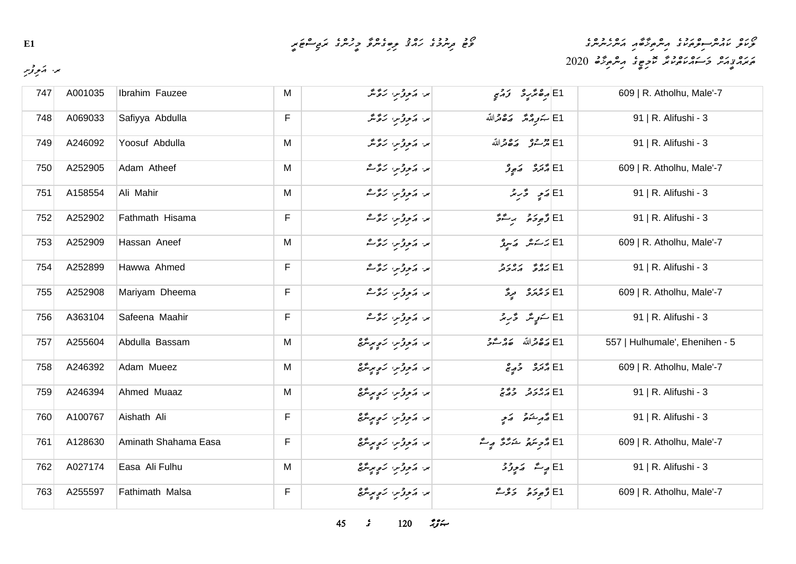*sCw7q7s5w7m< o<n9nOoAw7o< sCq;mAwBoEw7q<m; wBm;vB* م من المرة المرة المرة المرجع المرجع في المركبة 2020<br>مجم*د المريض المربوط المربع المرجع في المراجع المركبة* 

| 747 | A001035 | Ibrahim Fauzee       | M            | برا مَرْمُورْ مِنْ مَدَّنْدُ | E1 <sub>مر</sub> ھ تژر بو تو ژمي           | 609   R. Atholhu, Male'-7      |
|-----|---------|----------------------|--------------|------------------------------|--------------------------------------------|--------------------------------|
| 748 | A069033 | Safiyya Abdulla      | $\mathsf{F}$ | بر. مُعِرْشٍ رَوَّيْرُ       | E1 ج <i>وړنگ خ</i> صصرالله                 | 91   R. Alifushi - 3           |
| 749 | A246092 | Yoosuf Abdulla       | M            | ىن مەنزۇش ئەھە               | E1 ترتو رَصْوَرْ لَلَّهُ                   | 91   R. Alifushi - 3           |
| 750 | A252905 | Adam Atheef          | M            | ىر. مەجوۋىر، ئەرمى           | E1 ح. تريجو ترجي و                         | 609   R. Atholhu, Male'-7      |
| 751 | A158554 | Ali Mahir            | M            | بر. مَعِرْضٍ رَوْمٌ          | E1 <i>ړې د څر</i> يز                       | 91   R. Alifushi - 3           |
| 752 | A252902 | Fathmath Hisama      | $\mathsf F$  | بر خود پر زوگ                | E1 <i>وُّهِ وَمُوْ</i> بِرِسُمُوَّ         | 91   R. Alifushi - 3           |
| 753 | A252909 | Hassan Aneef         | M            | ىر، ئەبرۇس، ئەۋىشە           | E1 پرستر پر پہلی ک                         | 609   R. Atholhu, Male'-7      |
| 754 | A252899 | Hawwa Ahmed          | F            | ىر. مەجوۋىر، ئەھەس           | E1 يَهُمَّ مَيْحَمَّد                      | 91   R. Alifushi - 3           |
| 755 | A252908 | Mariyam Dheema       | $\mathsf F$  | ىر. مەجوۋىر، ئەنجەت          | E1 كَرْيَرْدُ مِرِدًّ                      | 609   R. Atholhu, Male'-7      |
| 756 | A363104 | Safeena Maahir       | F            | بر. مَعِرْسِ رَوْمٌ          | E1 سَرِیٹر ٹ <sup>ی</sup> ریٹر             | 91   R. Alifushi - 3           |
| 757 | A255604 | Abdulla Bassam       | M            | ىر. مەرۋىر، سەم بىر ئىگا     | $3.236$ مَدَّاللَّهُ $6.25$                | 557   Hulhumale', Ehenihen - 5 |
| 758 | A246392 | Adam Mueez           | M            | ىن مەردۇس سەم بېرىندى        | E1 مُحَمَّدٌ حَمِيعٌ                       | 609   R. Atholhu, Male'-7      |
| 759 | A246394 | Ahmed Muaaz          | M            | ىر. مەجەۋىر، سەھ بىرىندى     | $5.55$ $2.22$ $\le$ 1                      | 91   R. Alifushi - 3           |
| 760 | A100767 | Aishath Ali          | $\mathsf{F}$ | أمرا مكرور وكالمحامر مرتدعي  | E1 م <i>ەم شىمى</i> مەم                    | 91   R. Alifushi - 3           |
| 761 | A128630 | Aminath Shahama Easa | $\mathsf{F}$ | پر انگروژس کروپرینگا         | E1 مُ <i>جِسَمُ</i> شَرَّدَّ مِ <b>سَّ</b> | 609   R. Atholhu, Male'-7      |
| 762 | A027174 | Easa Ali Fulhu       | M            | ىر. مەجەۋىر، سەھ بىر ئىگى    | E1 <sub>جو</sub> رم کی تروژ تر             | 91   R. Alifushi - 3           |
| 763 | A255597 | Fathimath Malsa      | $\mathsf F$  | ىن مەردۇر، ئۇپرىدى           | E1 وَّجِوَدَةَ وَوْسَةَ ۖ                  | 609   R. Atholhu, Male'-7      |

*45 sC 120 nNw?mS*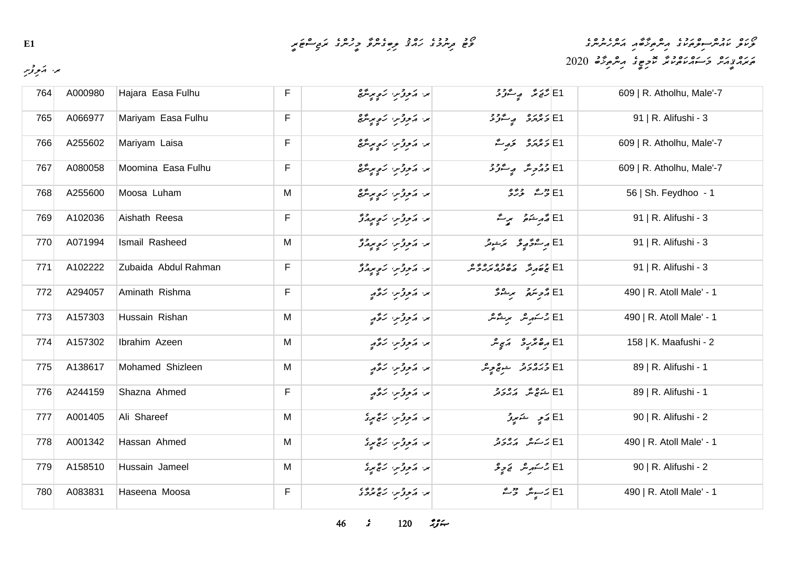*sCw7q7s5w7m< o<n9nOoAw7o< sCq;mAwBoEw7q<m; wBm;vB* م من المرة المرة المرة المرجع المرجع في المركبة 2020<br>مجم*د المريض المربوط المربع المرجع في المراجع المركبة* 

| 764 | A000980 | Hajara Easa Fulhu    | F           | ىر. ئەنزۇس كۆپچىگە         | E1 رَّيَ پُر پِر پُرُوَ پُر                | 609   R. Atholhu, Male'-7 |
|-----|---------|----------------------|-------------|----------------------------|--------------------------------------------|---------------------------|
| 765 | A066977 | Mariyam Easa Fulhu   | $\mathsf F$ | پر انگروژس کوپرېنځ         | E1 <i>5 بحمدة به شوف</i>                   | 91   R. Alifushi - 3      |
| 766 | A255602 | Mariyam Laisa        | $\mathsf F$ | پر اړکوروس کرو پر بندنج    | E1 وَيُرْتَزَرْ وَرِيْدً                   | 609   R. Atholhu, Male'-7 |
| 767 | A080058 | Moomina Easa Fulhu   | F           | پر اړکورمن کوپرېنځ         | E1 دُورو شریع میکند و د                    | 609   R. Atholhu, Male'-7 |
| 768 | A255600 | Moosa Luham          | M           | ىن مەرۇس ئېرىشى            | $333$ $23$ E1                              | 56   Sh. Feydhoo - 1      |
| 769 | A102036 | Aishath Reesa        | $\mathsf F$ | أما الكروفين الكمج مجالاتي | E1 مۇرىشمۇ بېرىشە                          | 91   R. Alifushi - 3      |
| 770 | A071994 | Ismail Rasheed       | M           | پر اړکوروس کوپروژ          | E1 <sub>م</sub> رىئى <i>ۋە پۇ بىرىنى</i> ر | 91   R. Alifushi - 3      |
| 771 | A102222 | Zubaida Abdul Rahman | $\mathsf F$ | پر اړیووس کوپیدو           | E1 تحقه قر محصوم مره می                    | 91   R. Alifushi - 3      |
| 772 | A294057 | Aminath Rishma       | F           | بر معروش رقد               | E1 مُّحِسَمُ مِشْرَ                        | 490   R. Atoll Male' - 1  |
| 773 | A157303 | Hussain Rishan       | M           | بر رکوری رکور              | E1 پرڪيريش مرڪش                            | 490   R. Atoll Male' - 1  |
| 774 | A157302 | Ibrahim Azeen        | M           | بر رکوری رکور              | E1 مەھمگىر قەم كەنبە ئىر                   | 158   K. Maafushi - 2     |
| 775 | A138617 | Mohamed Shizleen     | M           | برا متعاوين التقارير       | E1 <i>57876 شوچ پی</i> ر                   | 89   R. Alifushi - 1      |
| 776 | A244159 | Shazna Ahmed         | F           | ىن مەجەۋىن ئەھەر           | E1 ڪن پڻ <i>مرد و</i> ر                    | 89   R. Alifushi - 1      |
| 777 | A001405 | Ali Shareef          | M           | ما الأفروجين المنظم مردع   | E1 کی پر شکیوٹر                            | 90   R. Alifushi - 2      |
| 778 | A001342 | Hassan Ahmed         | M           | ىن مەجەۋىن كەنجىمەتكە      | E1 ئەسەبىر مەئەدىر                         | 490   R. Atoll Male' - 1  |
| 779 | A158510 | Hussain Jameel       | M           | ىن مەجەۋىن كەنجىمەتكە      | E1   پرسک <i>مبرنگ ن</i> ے <i>پے ب</i> ح   | 90   R. Alifushi - 2      |
| 780 | A083831 | Haseena Moosa        | F           | بر روور رووده              | E1   پرسپر وقت                             | 490   R. Atoll Male' - 1  |

*46 sC 120 nNw?mS*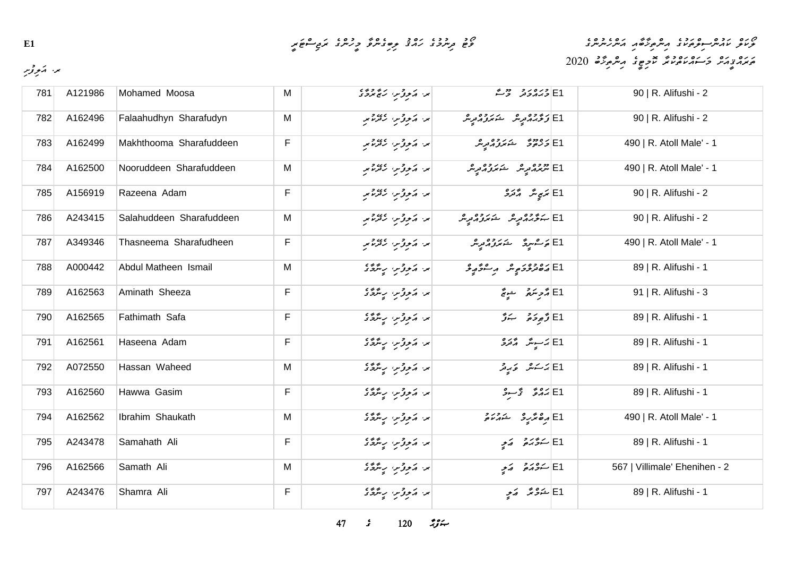*sCw7q7s5w7m< o<n9nOoAw7o< sCq;mAwBoEw7q<m; wBm;vB* م من المرة المرة المرة المرجع المرجع في المركبة 2020<br>مجم*د المريض المربوط المربع المرجع في المراجع المركبة* 

| 781 | A121986 | Mohamed Moosa            | M           | پر مرکز قرق رسم مرکزی           | $23.225$ E1                                                                                                    | 90   R. Alifushi - 2          |
|-----|---------|--------------------------|-------------|---------------------------------|----------------------------------------------------------------------------------------------------------------|-------------------------------|
| 782 | A162496 | Falaahudhyn Sharafudyn   | M           | برا مرکزوین رنگزمانیر           | E1 ترڅه <i>مربره څخه ترو</i> مربر                                                                              | 90   R. Alifushi - 2          |
| 783 | A162499 | Makhthooma Sharafuddeen  | $\mathsf F$ | بر. مَعِرْفُرٍ، رَفَرْمَا بِرِ. | E1 كەم ئەم ئەم <i>ئەم ۋە ئويى</i> گە                                                                           | 490   R. Atoll Male' - 1      |
| 784 | A162500 | Nooruddeen Sharafuddeen  | M           | برا م تحرقر من مرکز مر          | E1 مربر مربع مصر و مربع المسلم المسلم المسلم المسلم المسلم المسلم المسلم المسلم المسلم المسلم المسلم المسلم ال | 490   R. Atoll Male' - 1      |
| 785 | A156919 | Razeena Adam             | $\mathsf F$ | برا م تحرقر من رسمي محركة مر    | E1 بَرَى مَدَّ مَرْحَرَّدُ                                                                                     | 90   R. Alifushi - 2          |
| 786 | A243415 | Salahuddeen Sharafuddeen | M           | بر روور مقدم                    | E1 جۇيروپوس ش <i>ىروۋەپ</i> وس                                                                                 | 90   R. Alifushi - 2          |
| 787 | A349346 | Thasneema Sharafudheen   | F           | ما المروري رفقها مر             | E1 <sub>ھُ</sub> ٽسرِ گھُن شوبرو <i>م</i> ريشر                                                                 | 490   R. Atoll Male' - 1      |
| 788 | A000442 | Abdul Matheen Ismail     | M           | بر روور ریزده                   | E1 مەمرىرى مەشرىرى<br>E1 مەمرىرى مەسرىرى                                                                       | 89   R. Alifushi - 1          |
| 789 | A162563 | Aminath Sheeza           | $\mathsf F$ | پر مرمورمن پر مرموند            | E1 مُجرِسَمَ شِيعٌ                                                                                             | 91   R. Alifushi - 3          |
| 790 | A162565 | Fathimath Safa           | $\mathsf F$ | ىن مەجەۋىر، رىشۇق               | E1 <i>وَّەودە جۇ</i>                                                                                           | 89   R. Alifushi - 1          |
| 791 | A162561 | Haseena Adam             | $\mathsf F$ | ىر. مەجەۋىر، رىنىڭ ئ            | E1   يَرْسِعَدُ مَرْتَدَدْ                                                                                     | 89   R. Alifushi - 1          |
| 792 | A072550 | Hassan Waheed            | M           | پر مُتَعِوْمِنْ رِ مُتَعَدَّ    | E1   پرستريس ک <i>و پ</i> وټر                                                                                  | 89   R. Alifushi - 1          |
| 793 | A162560 | Hawwa Gasim              | $\mathsf F$ | بر مورمن رشده                   | $3 - 3$ $3 - 2$ $1$                                                                                            | 89   R. Alifushi - 1          |
| 794 | A162562 | Ibrahim Shaukath         | M           | بر مورمن ریزده                  | E1 مەھمگىر ئىسىم ئىستىم                                                                                        | 490   R. Atoll Male' - 1      |
| 795 | A243478 | Samahath Ali             | F           | ىر. مەجەۋىر، رىنىڭ ئ            | E1 سَتَرَكْبَتْهُمْ - رَمَوِ                                                                                   | 89   R. Alifushi - 1          |
| 796 | A162566 | Samath Ali               | M           | برا م تروش ریگردی               | E1 ڪوپري <sub>ھ</sub> و                                                                                        | 567   Villimale' Ehenihen - 2 |
| 797 | A243476 | Shamra Ali               | F           | برا مُتَوَرِّينِ رِيْرُدُّي     | E1 ڪر <i>ونژ چ</i> ې                                                                                           | 89   R. Alifushi - 1          |

*47 sC 120 nNw?mS*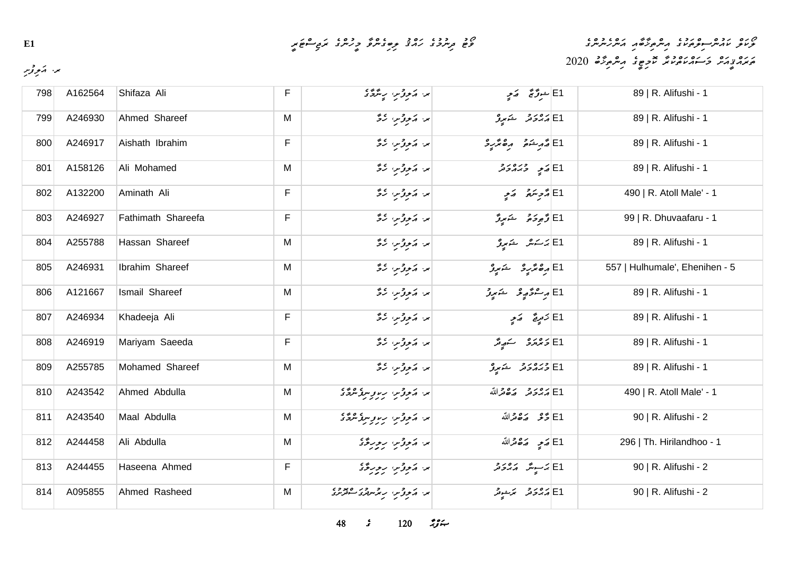*sCw7q7s5w7m< o<n9nOoAw7o< sCq;mAwBoEw7q<m; wBm;vB* م من المرة المرة المرة المرجع المرجع في المركبة 2020<br>مجم*د المريض المربوط المربع المرجع في المراجع المركبة* 

| 798 | A162564 | Shifaza Ali        | F | پر مجموعه په مشرقه د         | E1 حو <i>رٌجَ مَ</i> حٍ                                                                                         | 89   R. Alifushi - 1           |  |
|-----|---------|--------------------|---|------------------------------|-----------------------------------------------------------------------------------------------------------------|--------------------------------|--|
| 799 | A246930 | Ahmed Shareef      | M | برا مُتَوَوِّينَ رَبَّحَ     | E1 كەندى كىم ئىقدىن ئىقتىن ئىقتار ئىقتار ئىقتار ئىقتار ئىقتار ئىقتار ئىقتار كىلگا ئىقتار ئىقتار ئىقتار ئىقتار ك | 89   R. Alifushi - 1           |  |
| 800 | A246917 | Aishath Ibrahim    | F | برا مُتَوَوِّينَ رَبَّحَ     | E1 مُ مِشَمَّ مِصْرَبِّرٍ                                                                                       | 89   R. Alifushi - 1           |  |
| 801 | A158126 | Ali Mohamed        | M | بر رکوژیں گے                 | E1 <i>مَرْمِي حَدُمْ</i> حَ <sup>و</sup>                                                                        | 89   R. Alifushi - 1           |  |
| 802 | A132200 | Aminath Ali        | F | پر مکونگور محکم              | E1 مُرْحِسَمُ مَعْ                                                                                              | 490   R. Atoll Male' - 1       |  |
| 803 | A246927 | Fathimath Shareefa | F | ىر. مۇقرىر، ئەڭ              | E1 وَجِوَدَةٌ شَمَيرَدَّ                                                                                        | 99   R. Dhuvaafaru - 1         |  |
| 804 | A255788 | Hassan Shareef     | M | بر رکوویں لکی                | E1 پرستمبر ش <i>مبرو</i>                                                                                        | 89   R. Alifushi - 1           |  |
| 805 | A246931 | Ibrahim Shareef    | M | برا مُعِوْسٍ رَبُّ           | E1 مەھمگەر ئىس ئىستىر قىلىپ ئىستان ئىستان ئىستان ئىستان ئىستان ئىستان ئىستان ئىستان ئىستان ئىستان ئىستان ئىستا  | 557   Hulhumale', Ehenihen - 5 |  |
| 806 | A121667 | Ismail Shareef     | M | بر رکوویں لکی                | E1 <sub>م</sub> رےد <sub>گھی</sub> و خوبرو                                                                      | 89   R. Alifushi - 1           |  |
| 807 | A246934 | Khadeeja Ali       | F | ىر. مۇقرىر، ئەڭ              | E1  زَمرِيحٌ     رَمٍ ٍ                                                                                         | 89   R. Alifushi - 1           |  |
| 808 | A246919 | Mariyam Saeeda     | F | أماء الكووحياء المركي        | E1 كەنگەر ئىستەر ئىگە                                                                                           | 89   R. Alifushi - 1           |  |
| 809 | A255785 | Mohamed Shareef    | M | بر رکوژیں گے                 | E1 <i>\$222 متمبرق</i>                                                                                          | 89   R. Alifushi - 1           |  |
| 810 | A243542 | Ahmed Abdulla      | M | ىن مۇقرىس سەرسۇمبۇر          | E1 مَ <i>جُومِّة مَ</i> هْمَراللَّه                                                                             | 490   R. Atoll Male' - 1       |  |
| 811 | A243540 | Maal Abdulla       | M | ىن مۇقرىس سەرسۇمبۇر          | E1 جَوْ صَرَّة مَرَاللَّه                                                                                       | 90   R. Alifushi - 2           |  |
| 812 | A244458 | Ali Abdulla        | M | ىن مەمرۇس رىزردۇ كە          | E1 <i>مَتْحٍ مَنْ هُ</i> تْرَاللَّهُ                                                                            | 296   Th. Hirilandhoo - 1      |  |
| 813 | A244455 | Haseena Ahmed      | F | ىن مەمرۇس رەردۇق             | E1 برَسومبر مرَمَّ دومر                                                                                         | 90   R. Alifushi - 2           |  |
| 814 | A095855 | Ahmed Rasheed      | M | ىر. ئەبەر كەن بەر سەر مەن دە | E1 كەبرى كى سىر ئىرىدىگر                                                                                        | 90   R. Alifushi - 2           |  |

*48 sC 120 nNw?mS*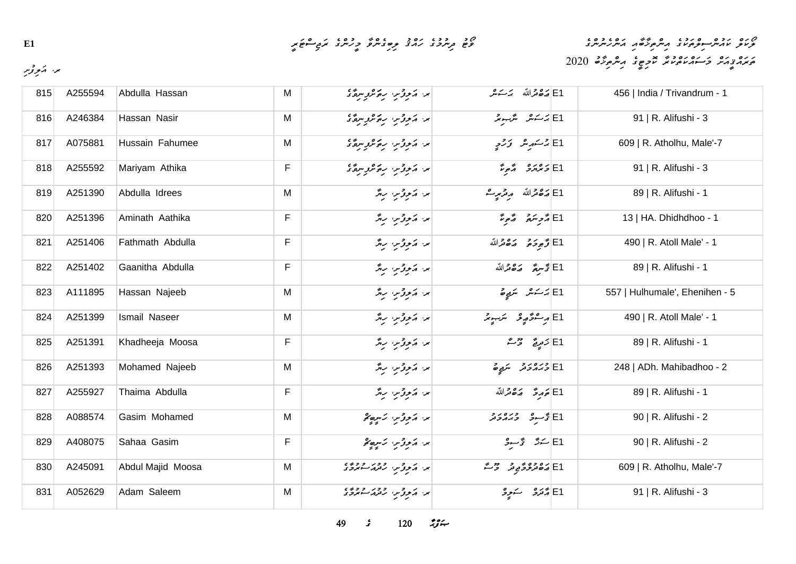*sCw7q7s5w7m< o<n9nOoAw7o< sCq;mAwBoEw7q<m; wBm;vB* م من المرة المرة المرة المرجع المرجع في المركبة 2020<br>مجم*د المريض المربوط المربع المرجع في المراجع المركبة* 

| 815 | A255594 | Abdulla Hassan    | M           | ىر مەر ئور بەر ئۇر بىر ئەنج    | E1 مَەڤْرَاللە بَرْسَة مَد                                    | 456   India / Trivandrum - 1   |
|-----|---------|-------------------|-------------|--------------------------------|---------------------------------------------------------------|--------------------------------|
| 816 | A246384 | Hassan Nasir      | M           | ىر. مەجوڭرىن رىمەنگرىز سرەتمى  | E1   يَرْسَدُ مَدَّرْ بِدِيْرَ                                | 91   R. Alifushi - 3           |
| 817 | A075881 | Hussain Fahumee   | M           | ىر. مۇقرىر، سەھرىرىدە ئ        | E1 پژڪرير تر <i>گ</i> ر <sub>مي</sub>                         | 609   R. Atholhu, Male'-7      |
| 818 | A255592 | Mariyam Athika    | $\mathsf F$ | أمرا مكوفرس بالمحرمو ببرهى     | E1 <i>جُهْرَدُ گُهْوِنَا</i> ً                                | 91   R. Alifushi - 3           |
| 819 | A251390 | Abdulla Idrees    | M           | پر انگروژنوا ایرانگ            | E1 كەھەراللە مەمرىمىي <sup>م</sup>                            | 89   R. Alifushi - 1           |
| 820 | A251396 | Aminath Aathika   | $\mathsf F$ | ىن مەمرۇس رىم                  | E1 مُجرِسَع <sub>ة</sub> مُجموعة                              | 13   HA. Dhidhdhoo - 1         |
| 821 | A251406 | Fathmath Abdulla  | $\mathsf F$ | برا مکروکردا رنگ               | E1 وَجِرَة صَرَّة مَرْاللَّه                                  | 490   R. Atoll Male' - 1       |
| 822 | A251402 | Gaanitha Abdulla  | $\mathsf F$ | بر، مکروکرد، رنگ               | E1 تُرْسِعٌ صَصْرَاللَّهُ                                     | 89   R. Alifushi - 1           |
| 823 | A111895 | Hassan Najeeb     | M           | ىن مەمرۇس رىگ                  | E1   يَرْسَسْ مَرَب <sub>ّعٍ</sub> صَ                         | 557   Hulhumale', Ehenihen - 5 |
| 824 | A251399 | Ismail Naseer     | M           | ىن مەمرۇس رىم                  | E1 <sub>م</sub> رےد <i>ۇ <sub>م</sub>و</i> تر س <i>رس</i> ونر | 490   R. Atoll Male' - 1       |
| 825 | A251391 | Khadheeja Moosa   | $\mathsf F$ | برا مکروکردا رنگ               | E1] زَمرِيحٌ     وَ"سُرٌ                                      | 89   R. Alifushi - 1           |
| 826 | A251393 | Mohamed Najeeb    | M           | بر، مُعِوْسٍ رِمُّ             | E1 <i>وبروبر و</i> سر <sub>كيم</sub> ص                        | 248   ADh. Mahibadhoo - 2      |
| 827 | A255927 | Thaima Abdulla    | $\mathsf F$ | برا مکووٹرا رنگ                | E1 <sub>ح</sub> َم <i>ِد حَمَّة حَمَّ</i> دَاللَّه            | 89   R. Alifushi - 1           |
| 828 | A088574 | Gasim Mohamed     | M           | بر. ה' בְּצְיַטִי ה' יִתְסֵי ז | E1 تۇسىۋە مە <i>مەدىر</i>                                     | 90   R. Alifushi - 2           |
| 829 | A408075 | Sahaa Gasim       | $\mathsf F$ | بر. ה' בְּצְיַטִי ה' יִתְסֵי ז | $3 - 3 = 5 - 1$                                               | 90   R. Alifushi - 2           |
| 830 | A245091 | Abdul Majid Moosa | M           | بر رووس رور دوده               | E1   رَەترىگە قىر قىلىشى قىلىنىڭ كەنت                         | 609   R. Atholhu, Male'-7      |
| 831 | A052629 | Adam Saleem       | M           | بر گروگس روز دوده              | E1 جُمْرَوْ سَمِرِوْ                                          | 91   R. Alifushi - 3           |

*49 sC 120 nNw?mS*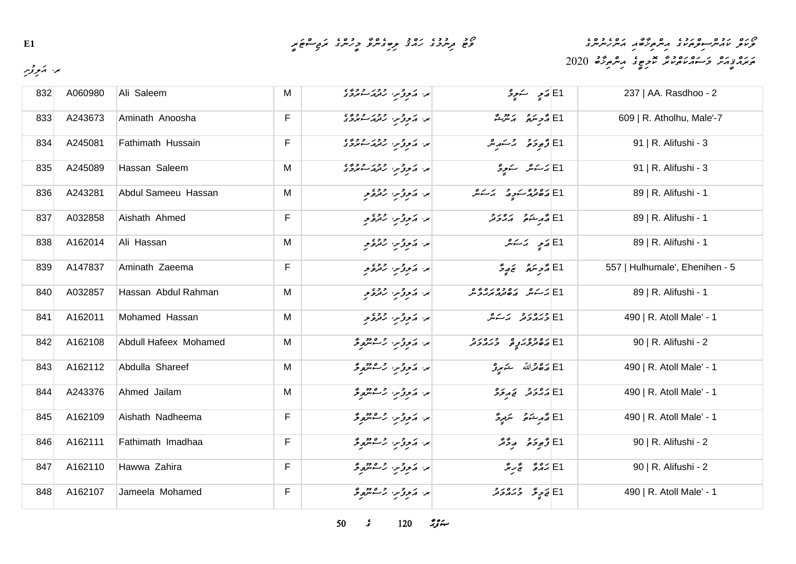*sCw7q7s5w7m< o<n9nOoAw7o< sCq;mAwBoEw7q<m; wBm;vB* م من المرة المرة المرة المرجع المرجع في المركبة 2020<br>مجم*د المريض المربوط المربع المرجع في المراجع المركبة* 

| 832 | A060980 | Ali Saleem            | M           | بر گروژن روز دوده                  | E1  ریم سے میرڈ                            | 237   AA. Rasdhoo - 2          |
|-----|---------|-----------------------|-------------|------------------------------------|--------------------------------------------|--------------------------------|
| 833 | A243673 | Aminath Anoosha       | F           | بر رکوری رفته متعددی               | E1 أَمَّ حِسَمَةٍ مَسْرَسَّةٌ              | 609   R. Atholhu, Male'-7      |
| 834 | A245081 | Fathimath Hussain     | F           | بر رکوری رفته سیروی                | E1 ۇ <sub>جو</sub> خ <sub>ە</sub> ئەسكەپىر | 91   R. Alifushi - 3           |
| 835 | A245089 | Hassan Saleem         | M           | بر رکوری رفته سیروی                | E1 پزشکل سکولی                             | 91   R. Alifushi - 3           |
| 836 | A243281 | Abdul Sameeu Hassan   | M           | برا م تروس ر فروغ پر               | E1 مەھەرمە سىرمە بەسىر                     | 89   R. Alifushi - 1           |
| 837 | A032858 | Aishath Ahmed         | $\mathsf F$ | برا أرجوقرا التفرغرمي              | E1 مەم شەھ مەردىر                          | 89   R. Alifushi - 1           |
| 838 | A162014 | Ali Hassan            | M           | برا أرجوقرا التفرغرمي              | E1 <i>ڇَجِ پُرڪيل</i>                      | 89   R. Alifushi - 1           |
| 839 | A147837 | Aminath Zaeema        | F           | برا م تروش رقمده تر                | E1 مُتَّحِسَّعَ بِمَهْرَ                   | 557   Hulhumale', Ehenihen - 5 |
| 840 | A032857 | Hassan Abdul Rahman   | M           | برا مأثروثين رفترة وا              | E1 ئەسەش مەھەرمەمدىرىس                     | 89   R. Alifushi - 1           |
| 841 | A162011 | Mohamed Hassan        | M           | برا م تورش رقته قره م              | E1 32858 كەسكەنلە                          | 490   R. Atoll Male' - 1       |
| 842 | A162108 | Abdull Hafeex Mohamed | M           | أيرا المتوفر من المستقر من المعروف | E1 رەدور ەمدەرە                            | 90   R. Alifushi - 2           |
| 843 | A162112 | Abdulla Shareef       | M           | أيرا المتوفر من المستقر من المعروف | E1 مَەھْتَراللە شەمب <i>وت</i>             | 490   R. Atoll Male' - 1       |
| 844 | A243376 | Ahmed Jailam          | M           | ىر. مۇرۇس رىشقرونۇ                 | E1 <i>גُرُوَتْرَ</i> يَمْ <i>بِ</i> وَرَّ  | 490   R. Atoll Male' - 1       |
| 845 | A162109 | Aishath Nadheema      | F           | ىر. مۇرۇس رىسىتروگە                | E1 مَگْرِسْتَمْ مِنْ سَرْمِرِدَّ           | 490   R. Atoll Male' - 1       |
| 846 | A162111 | Fathimath Imadhaa     | F           | ىر. مۇرۇس ئەسترەپمۇ                | E1 <i>وُّجِودَة</i> مِرَّتَرُ              | 90   R. Alifushi - 2           |
| 847 | A162110 | Hawwa Zahira          | F           | ىر. مەردىن رىسىتروگ                | E1 بَرْدْعٌ تَجْرِبَّرٌ                    | 90   R. Alifushi - 2           |
| 848 | A162107 | Jameela Mohamed       | F           | ىر. مۇقرىر، رقىشقوق                | E1 كَامِرٍ مَحْرٍ مَدَّرٍ حَمْدَ مَدَّ     | 490   R. Atoll Male' - 1       |

 $50$  *s*  $120$  *z*  $\frac{2}{3}$  *x*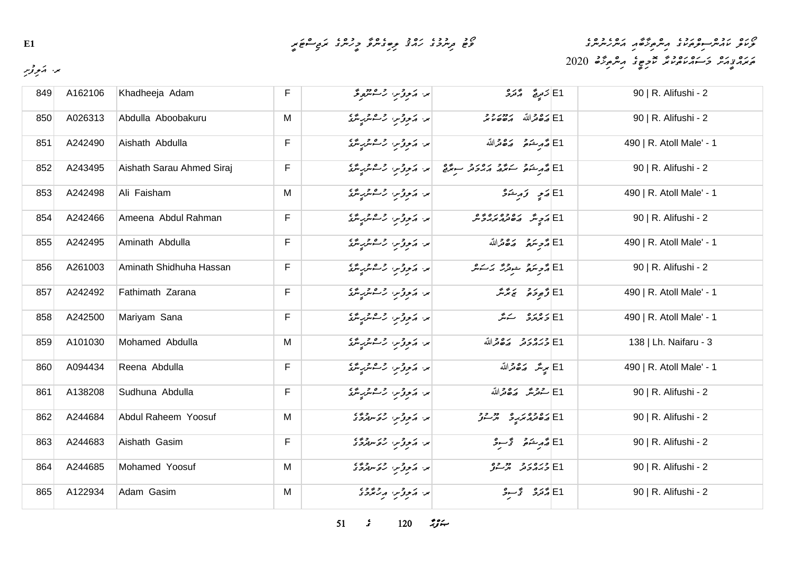*sCw7q7s5w7m< o<n9nOoAw7o< sCq;mAwBoEw7q<m; wBm;vB* م من المرة المرة المرة المرجع المرجع في المركبة 2020<br>مجم*د المريض المربوط المربع المرجع في المراجع المركبة* 

| 849 | A162106 | Khadheeja Adam            | $\mathsf F$ | پر مَعِرْوَينِ رَحْسَنْهُو مَ  | E1 زَمِرِجٌ      دُمَرَدُ                                                                                      | 90   R. Alifushi - 2     |
|-----|---------|---------------------------|-------------|--------------------------------|----------------------------------------------------------------------------------------------------------------|--------------------------|
| 850 | A026313 | Abdulla Aboobakuru        | M           | بر. مَعِوْسٍ رَّڪسِ مُنَّعَ    | E1 مَصْعَرِ اللَّهُ مُصْحَمَّعَ                                                                                | 90   R. Alifushi - 2     |
| 851 | A242490 | Aishath Abdulla           | F           | پر مرکوری رفت مرکز مرکز        | E1 مُذْمَرِ مُشْمَعْ مُدَّمَّة مُسْتَدَاللَّهُ                                                                 | 490   R. Atoll Male' - 1 |
| 852 | A243495 | Aishath Sarau Ahmed Siraj | F           |                                | E1 محمد مشمر المستعمد المحمد المستعمر المحمد المحمد المحمد المحمد المحمد المحمد المحمد المحمد المحمد المحمد ال | 90   R. Alifushi - 2     |
| 853 | A242498 | Ali Faisham               | M           | بر. مُعِوْسٍ رَفْسُتْرِيثَةٌ   | E1 كەير   تەرىشى                                                                                               | 490   R. Atoll Male' - 1 |
| 854 | A242466 | Ameena Abdul Rahman       | $\mathsf F$ | بر. مَعِوْسٍ رَّڪسِ مُنَّعَ    | E1 <i>הُحِسَّر مُ مُعترم بربروس</i>                                                                            | 90   R. Alifushi - 2     |
| 855 | A242495 | Aminath Abdulla           | F           | بر. مَعِوْسٍ رَفْسِهْرِ مِنْدَ | E1 مُجِسَعَة مَصْغَراللّه                                                                                      | 490   R. Atoll Male' - 1 |
| 856 | A261003 | Aminath Shidhuha Hassan   | F           | بر. مُعِوْسُ رُڪسِ سُنَّةُ     | E1 مُرْحِسَةٌ سُعِفَرْتُ بَرَسَسْ                                                                              | 90   R. Alifushi - 2     |
| 857 | A242492 | Fathimath Zarana          | F           | ىر. مۇرۇس رقىقلىرىنىڭ          | E1 ژَّجِ دَمَ مَ مَمَّدَّرَ                                                                                    | 490   R. Atoll Male' - 1 |
| 858 | A242500 | Mariyam Sana              | F           | ىر. مەجەۋىر، رقىشقىرىشق        | E1 ئ <i>ۈچرى ئەن</i> گە                                                                                        | 490   R. Atoll Male' - 1 |
| 859 | A101030 | Mohamed Abdulla           | M           | ىر. مۇرۇش رقىقلارلىرىگە        | E1 32025 مَرْدَة اللَّه                                                                                        | 138   Lh. Naifaru - 3    |
| 860 | A094434 | Reena Abdulla             | F           | ىر. مەمرۇس رىسىمىرىكى          | E1 مِرِىتَر كَمَكْ قَدَاللَّه                                                                                  | 490   R. Atoll Male' - 1 |
| 861 | A138208 | Sudhuna Abdulla           | F           | ىر. مەجەۋىر، رقىشقىرىشق        | E1 كوتر <i>ىتر مەھەر</i> اللە                                                                                  | 90   R. Alifushi - 2     |
| 862 | A244684 | Abdul Raheem Yoosuf       | M           | أمرا مكروثين المكم سيروى       | E1 בסינג <sub>אנש</sub> כי ידי י                                                                               | 90   R. Alifushi - 2     |
| 863 | A244683 | Aishath Gasim             | $\mathsf F$ | أمرا أكروفرس التوكس والمحالج   | E1 مَّ مِشَعْرِ گَے ۔وُ                                                                                        | 90   R. Alifushi - 2     |
| 864 | A244685 | Mohamed Yoosuf            | M           | أما أكموفرس كالمستروي          | E1 32,323 مرتبو                                                                                                | 90   R. Alifushi - 2     |
| 865 | A122934 | Adam Gasim                | M           | برا مُتَوَرُّينَ مِرْجُمْدَةً  | E1 ا <i>نگ<sup>و</sup>د</i> گرسو                                                                               | 90   R. Alifushi - 2     |

 $51$  *s*  $120$  *z***<sub>3</sub>**  $\frac{2}{3}$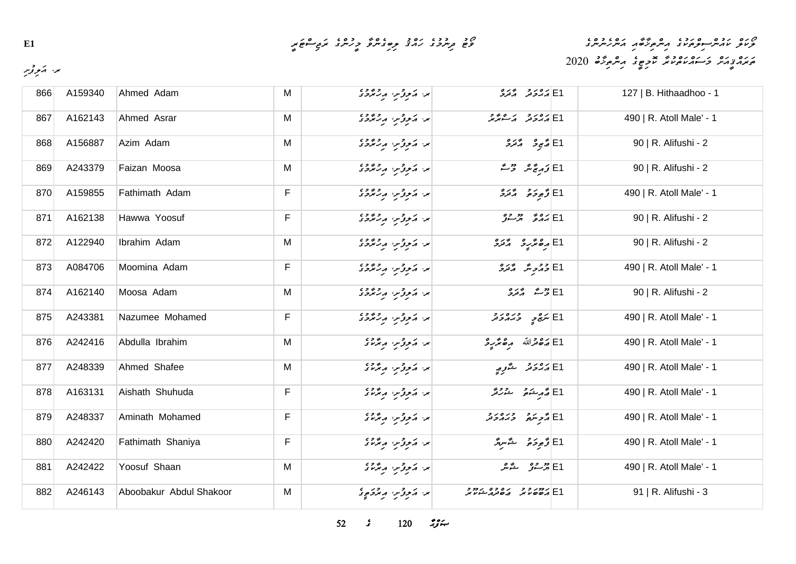*sCw7q7s5w7m< o<n9nOoAw7o< sCq;mAwBoEw7q<m; wBm;vB* م من المرة المرة المرة المرجع المرجع في المركبة 2020<br>مجم*د المريض المربوط المربع المرجع في المراجع المركبة* 

| 866 | A159340 | Ahmed Adam              | M | بر. مَعِرْفُرٍ، مِرْمَعْرَفْ | E1 كەبرى قىر كەنگەنى ئى                    | 127   B. Hithaadhoo - 1  |
|-----|---------|-------------------------|---|------------------------------|--------------------------------------------|--------------------------|
| 867 | A162143 | Ahmed Asrar             | M | بر مورځ رمه ده               |                                            | 490   R. Atoll Male' - 1 |
| 868 | A156887 | Azim Adam               | M | بر مورمن مرمود               |                                            | 90   R. Alifushi - 2     |
| 869 | A243379 | Faizan Moosa            | M | بر مُعِرْس مِرْمُرَدٌ        | $23$ $25$ $5$ $5$ $21$                     | 90   R. Alifushi - 2     |
| 870 | A159855 | Fathimath Adam          | F | بر مُعِرْس مِرْمُرَدٌ        | E1 تُرجوح مُسَرِد                          | 490   R. Atoll Male' - 1 |
| 871 | A162138 | Hawwa Yoosuf            | F | بر مُتوفر مرموده             | E1 بَرْدِعٌ بِرْبِرْدِ وَ                  | 90   R. Alifushi - 2     |
| 872 | A122940 | Ibrahim Adam            | M | بر رکوری رگردد               | E1 م <i>وڭ ئۇرۇ مەتر</i> ۋ                 | 90   R. Alifushi - 2     |
| 873 | A084706 | Moomina Adam            | F | بر مورمن مرمزده              | E1 ج <sup>2</sup> ج محمد محمد المحمدة الس  | 490   R. Atoll Male' - 1 |
| 874 | A162140 | Moosa Adam              | M | بر مورقر مرتزود              | E1 تۇشە ئەتىرى                             | 90   R. Alifushi - 2     |
| 875 | A243381 | Nazumee Mohamed         | F | بر مورمن مرموده              | E1 سَ&جٍ وَبَرُودَتَر                      | 490   R. Atoll Male' - 1 |
| 876 | A242416 | Abdulla Ibrahim         | M | برا متعرفرس متعرض            | E1 مَەمْراللە م <i>ەھتىر ۋ</i>             | 490   R. Atoll Male' - 1 |
| 877 | A248339 | Ahmed Shafee            | M | بر مورمن معتاد               | E1 <i>252, حُوْوِرٍ</i>                    | 490   R. Atoll Male' - 1 |
| 878 | A163131 | Aishath Shuhuda         | F | بر متروش متر                 | E1 مُذْمِرِ حَدَّمَتْهُ مُسْتَخْرَمَتْهُ ا | 490   R. Atoll Male' - 1 |
| 879 | A248337 | Aminath Mohamed         | F | بر مورمن معتاد               | E1 مُتَّحِسَمَةُ فَ <i>حْدَهْ</i> دَمَّرَ  | 490   R. Atoll Male' - 1 |
| 880 | A242420 | Fathimath Shaniya       | F | پر مرکز دیگر مرکز دی         | E1 ژَّجِرْدَةُ شَمَّسِةً                   | 490   R. Atoll Male' - 1 |
| 881 | A242422 | Yoosuf Shaan            | M | برا م بروس مرتزره            | E1 پژيز شگر                                | 490   R. Atoll Male' - 1 |
| 882 | A246143 | Aboobakur Abdul Shakoor | M | برا مكروفر المرامرونجوة      | E1 געם פיט פיט המרי                        | 91   R. Alifushi - 3     |

 $52$  *s*  $120$  *z***<sub>3</sub>**  $\frac{2}{3}$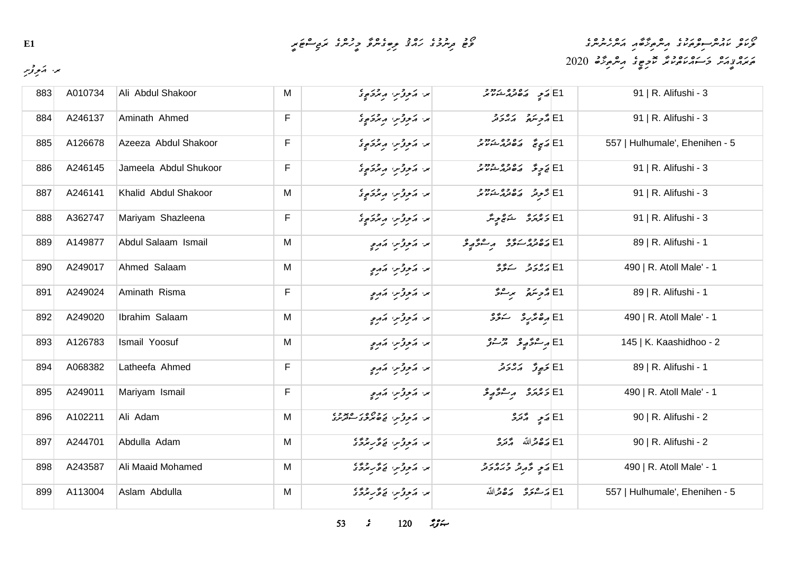*sCw7q7s5w7m< o<n9nOoAw7o< sCq;mAwBoEw7q<m; wBm;vB* م من المرة المرة المرة المرجع المرجع في المركبة 2020<br>مجم*د المريض المربوط المربع المرجع في المراجع المركبة* 

| 883 | A010734 | Ali Abdul Shakoor     | M           | بر ، كمرور ، كريموري                                                                               | E1 בَوِ دَەمْدەشمىر                                  | 91   R. Alifushi - 3           |
|-----|---------|-----------------------|-------------|----------------------------------------------------------------------------------------------------|------------------------------------------------------|--------------------------------|
| 884 | A246137 | Aminath Ahmed         | F           | پر مرکز کرد مرکز کوید                                                                              | E1 مُجَرِسَمَ مَدَوَنَرُ                             | 91   R. Alifushi - 3           |
| 885 | A126678 | Azeeza Abdul Shakoor  | F           | بر مورمن مركز و ع                                                                                  | E1 בسي متحصد معامد دومبر<br>E1 בسي متحصد مشرح مس     | 557   Hulhumale', Ehenihen - 5 |
| 886 | A246145 | Jameela Abdul Shukoor | F           | برا مكروفرس مرتزكموت                                                                               | E1 نے پر ٹھی شہر شور ہے ۔<br>E1 نے پر ٹھی شہر شور ہے | 91   R. Alifushi - 3           |
| 887 | A246141 | Khalid Abdul Shakoor  | M           | برا مكروفرس مرتزكموتى                                                                              | E1 ژٌوِنْر مَصْرَمْ شَرَ دِ                          | 91   R. Alifushi - 3           |
| 888 | A362747 | Mariyam Shazleena     | $\mathsf F$ | پر اړمروحين اړمر ټرکولو چ                                                                          | E1 <i>ۈندۈڭ شۇچ م</i> ېگر                            | 91   R. Alifushi - 3           |
| 889 | A149877 | Abdul Salaam Ismail   | M           | أبرا أتروقس أتاره                                                                                  | E1 رەدە روە مەدەپى                                   | 89   R. Alifushi - 1           |
| 890 | A249017 | Ahmed Salaam          | M           | برا متوفر ماميو                                                                                    | E1 كەبروتى سىۋۇ                                      | 490   R. Atoll Male' - 1       |
| 891 | A249024 | Aminath Risma         | F           | برا متووش مكدي                                                                                     |                                                      | 89   R. Alifushi - 1           |
| 892 | A249020 | Ibrahim Salaam        | M           | أيرا الكوفر الأالهمي                                                                               | E1 مەھمەر ئەسىر ئىنى كىلەر ئىنى ئا                   | 490   R. Atoll Male' - 1       |
| 893 | A126783 | Ismail Yoosuf         | M           | برا متووين مكدي                                                                                    | E1 <sub>م</sub> رشۇ <sub>م</sub> و ھرسىز             | 145   K. Kaashidhoo - 2        |
| 894 | A068382 | Latheefa Ahmed        | F           | أيرا مكروفس مكدي                                                                                   | E1 خ <sub>جو</sub> رٌ <i>م</i> کومرٌ                 | 89   R. Alifushi - 1           |
| 895 | A249011 | Mariyam Ismail        | $\mathsf F$ | برا متووش مكدي                                                                                     | E1 <i>وَبُرْمَرْ وَبِسْرَّوْرِ وَ</i>                | 490   R. Atoll Male' - 1       |
| 896 | A102211 | Ali Adam              | M           | س پروژس نے کامروی سور دی                                                                           | E1 <i>ڇُجِ چُهُوَ</i>                                | 90   R. Alifushi - 2           |
| 897 | A244701 | Abdulla Adam          | M           | برا مُتَوَرِّسِ فَالْمُرْتَزَى                                                                     | E1 رَصْحَرْاللَّهُ مَعْرَضٍ                          | 90   R. Alifushi - 2           |
| 898 | A243587 | Ali Maaid Mohamed     | M           | ما الأحوالي المع كالمحر مركز و المحمد و المحمد و المحمد و المحمد المحمد و المحمد المحمد و المحمد و | E1 كەبى گەرىر <i>دېم</i> ەرد                         | 490   R. Atoll Male' - 1       |
| 899 | A113004 | Aslam Abdulla         | M           | أمرا مأموقرس فأقرب مرداة                                                                           | E1 كەشقۇق كەھ قىراللە                                | 557   Hulhumale', Ehenihen - 5 |

 $53$   $\cancel{5}$   $120$   $\cancel{5}$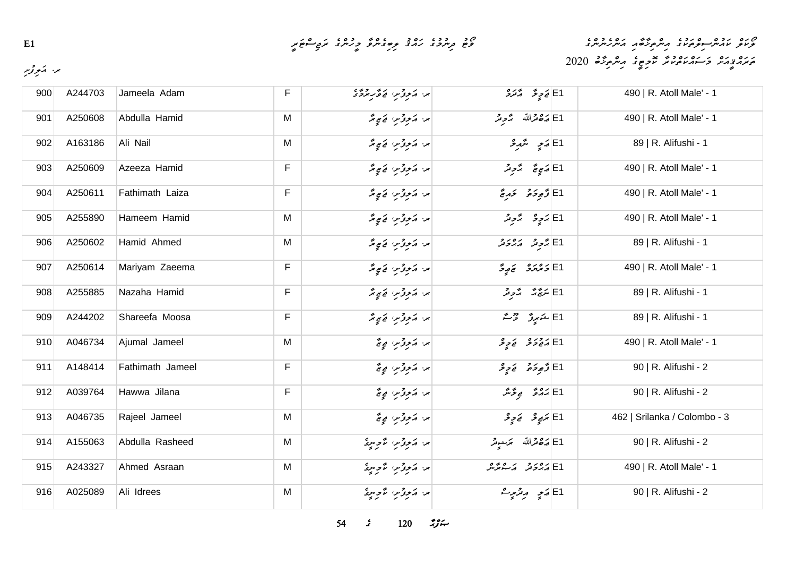*sCw7q7s5w7m< o<n9nOoAw7o< sCq;mAwBoEw7q<m; wBm;vB* م من المرة المرة المرة المرجع المرجع في المركبة 2020<br>مجم*د المريض المربوط المربع المرجع في المراجع المركبة* 

| 900 | A244703 | Jameela Adam     | $\mathsf F$ | بر مُعِرْثِ فَاحْرِ بِرَدْهُ | E1 تے <sub>ج</sub> و تھی گھری کی تھی                                | 490   R. Atoll Male' - 1     |
|-----|---------|------------------|-------------|------------------------------|---------------------------------------------------------------------|------------------------------|
| 901 | A250608 | Abdulla Hamid    | M           | برا مکووکرا کالمجانگ         | E1 مَصْعَرْاللَّهُ مُحْرِمَّر                                       | 490   R. Atoll Male' - 1     |
| 902 | A163186 | Ali Nail         | M           | برا الأفروس الكامي بم        | E1 کرم شہو                                                          | 89   R. Alifushi - 1         |
| 903 | A250609 | Azeeza Hamid     | $\mathsf F$ | بن الأفراز الله المحالي بن   | E1 مَيِّ مَّ مَّوِمَّ                                               | 490   R. Atoll Male' - 1     |
| 904 | A250611 | Fathimath Laiza  | $\mathsf F$ | برا مُتَوَرِّسٍ فَيَ يُدُّ   | E1 تَ <i>مُجوحَمْ خَمِيعٌ</i>                                       | 490   R. Atoll Male' - 1     |
| 905 | A255890 | Hameem Hamid     | M           | برا الأفراز الأمي بم         | E1   يَرجِ \$ مَرْجِعْرُ                                            | 490   R. Atoll Male' - 1     |
| 906 | A250602 | Hamid Ahmed      | M           | بن الأفراز الله المحالي بن   | E1 بَرْحِ مَدْ 195 مَدْ 195 مِرْ                                    | 89   R. Alifushi - 1         |
| 907 | A250614 | Mariyam Zaeema   | $\mathsf F$ | بن الأفراقين الكامي من       | E1 <i>وَجُهْدُوْ</i> يَهُ مِرَّدُّ                                  | 490   R. Atoll Male' - 1     |
| 908 | A255885 | Nazaha Hamid     | F           | بن الأفراز الله المحالي من   | E1 يَرَجُّ بُنَّ بِرُوتِرُ ا                                        | 89   R. Alifushi - 1         |
| 909 | A244202 | Shareefa Moosa   | $\mathsf F$ | برا الأفراز الأمي يم         | E1 شهروً وَ"ـدً                                                     | 89   R. Alifushi - 1         |
| 910 | A046734 | Ajumal Jameel    | M           | بر، مکووکو، جيءَ             | E1 <i>جَ جَ جَ جَ ج</i>                                             | 490   R. Atoll Male' - 1     |
| 911 | A148414 | Fathimath Jameel | $\mathsf F$ | بر: مَعِوْسٍ مِيَّ           | E1 وَّجِوَدَةٌ فَيَ جِرْدُ                                          | 90   R. Alifushi - 2         |
| 912 | A039764 | Hawwa Jilana     | $\mathsf F$ | بن الكوولين المجانج          | E1 بَرُدُوَّ بِوَتَرَّ                                              | 90   R. Alifushi - 2         |
| 913 | A046735 | Rajeel Jameel    | M           | بن الأفرقرس المحيانج         | E1 بَرَمٍ قَمَ قَمَحٍ تَحْرِ مِنْ الْمَدِينِ مِنْ الْمَدِينِ مِنْ ا | 462   Srilanka / Colombo - 3 |
| 914 | A155063 | Abdulla Rasheed  | M           | ىن مەجەۋىر، ئاجامىي          | E1 رَحْمَرْاللَّهُ كَرَسُومَرْ                                      | 90   R. Alifushi - 2         |
| 915 | A243327 | Ahmed Asraan     | M           | ىن مەجەۋىر، ئاجامىي          | E1 كەبروتر كەسبەتكەنلە                                              | 490   R. Atoll Male' - 1     |
| 916 | A025089 | Ali Idrees       | M           | ىر. ئەبرۇس ئابرىدىگە         | E1 <i>ھَ جِهِ مِعْرَمَيْتُ</i>                                      | 90   R. Alifushi - 2         |

 $54$  *s*  $120$  *z*  $29$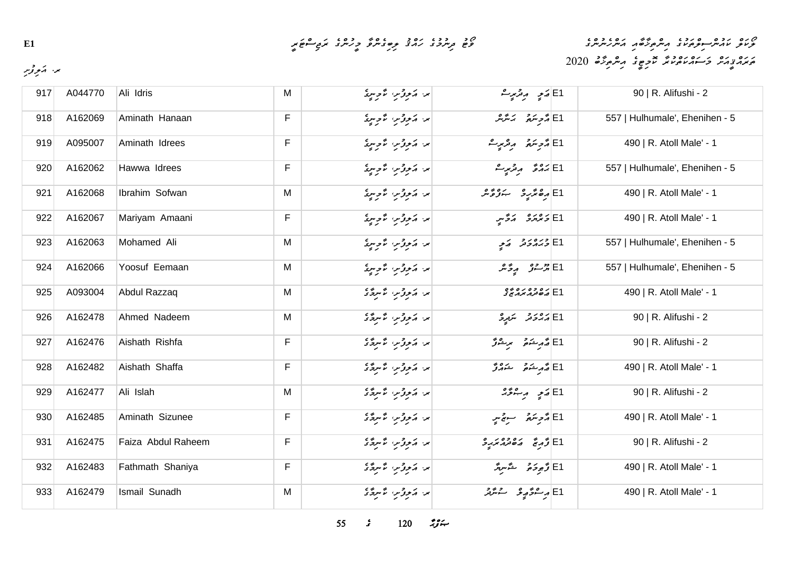*sCw7q7s5w7m< o<n9nOoAw7o< sCq;mAwBoEw7q<m; wBm;vB* م من المرة المرة المرة المرجع المرجع في المركبة 2020<br>مجم*د المريض المربوط المربع المرجع في المراجع المركبة* 

| 917 | A044770 | Ali Idris          | M           | ىر. مۇرۇس ئاھ بىرگە             | E1 رَمِ رِزْمِرِ مُ                          | 90   R. Alifushi - 2           |
|-----|---------|--------------------|-------------|---------------------------------|----------------------------------------------|--------------------------------|
| 918 | A162069 | Aminath Hanaan     | F           | أيرا مكروفرا الأوسيكي           | E1 مَّ حِسَمَةٌ سَمَّتَ مَسَّر               | 557   Hulhumale', Ehenihen - 5 |
| 919 | A095007 | Aminath Idrees     | $\mathsf F$ | أيرا مكروفرا الأوسيكي           | E1 مُرْحِ سَمْعُ مِقْرَمِرِ مُشْ             | 490   R. Atoll Male' - 1       |
| 920 | A162062 | Hawwa Idrees       | $\mathsf F$ | أما أكروفرا الأوسية             | E1   يَرْدُوَّ   مِرْمَرِتْ                  | 557   Hulhumale', Ehenihen - 5 |
| 921 | A162068 | Ibrahim Sofwan     | M           | ىن مەجەۋىر، ئايرىنىڭ            | E1 <sub>م</sub> ەمگرى <sub>د</sub> ۇ سۆۋىتر  | 490   R. Atoll Male' - 1       |
| 922 | A162067 | Mariyam Amaani     | $\mathsf F$ | ىن مەمرۇس ئامرىيەتكە            | E1 <i>وَبُرْدَة دَوَّ</i> سٍ                 | 490   R. Atoll Male' - 1       |
| 923 | A162063 | Mohamed Ali        | M           | ىن مەجەۋىر، ئايرىنىڭ            | E1 <i>5525 مَوِ</i>                          | 557   Hulhumale', Ehenihen - 5 |
| 924 | A162066 | Yoosuf Eemaan      | M           | برا مُتَوَرِّس الأَواسِيُّ      | E1 تر کشور مرمح میں                          | 557   Hulhumale', Ehenihen - 5 |
| 925 | A093004 | Abdul Razzaq       | M           | ىن مەجەۋىر، ئاسرىگى             | E1 ב-2000 200 E1                             | 490   R. Atoll Male' - 1       |
| 926 | A162478 | Ahmed Nadeem       | M           | ىر. ئەبرۇس ئاسردى               | E1 <i>גُرُدُوَ تَرْ سَرْمِي</i> رُوُ         | 90   R. Alifushi - 2           |
| 927 | A162476 | Aishath Rishfa     | $\mathsf F$ | ىن مەجەۋىر، ئاسرىگى             | E1 مَیْرِ مِنْہُ مِنْ مِنْ تَوَرُّ           | 90   R. Alifushi - 2           |
| 928 | A162482 | Aishath Shaffa     | F           | برا مُتَوَرِّينِ الْمُسْرَدُّةُ | E1 مەم ئىشقى ھەرىخى كەندىكى كەندىكە ئىستەرگە | 490   R. Atoll Male' - 1       |
| 929 | A162477 | Ali Islah          | M           | لدا مُتَوَرُّسُ الأسرَدُّةُ     | E1 <i>جَعِ مِ</i> جَعَّدُ                    | 90   R. Alifushi - 2           |
| 930 | A162485 | Aminath Sizunee    | F           | ىر. ئەبرۇس ئاسردى               | E1 مُرْحِ سَرَمُ مَ سَرْمَ سِرِ              | 490   R. Atoll Male' - 1       |
| 931 | A162475 | Faiza Abdul Raheem | F           | ما ما مروز من ما مرد د کا       | E1 ۇرىئ مەھىرمىدۇ                            | 90   R. Alifushi - 2           |
| 932 | A162483 | Fathmath Shaniya   | $\mathsf F$ | أيرا مكروش الأسروع              | E1 ژَّجِرْدَةُ شَمَّسِيَّر                   | 490   R. Atoll Male' - 1       |
| 933 | A162479 | Ismail Sunadh      | M           | ىر. مۇرۇپ ئاسرۇقى               | E1 <sub>م</sub> رےد <i>ۇ پىۋى</i> تىلىر      | 490   R. Atoll Male' - 1       |

 $55$   $\cancel{5}$   $120$   $\cancel{5}$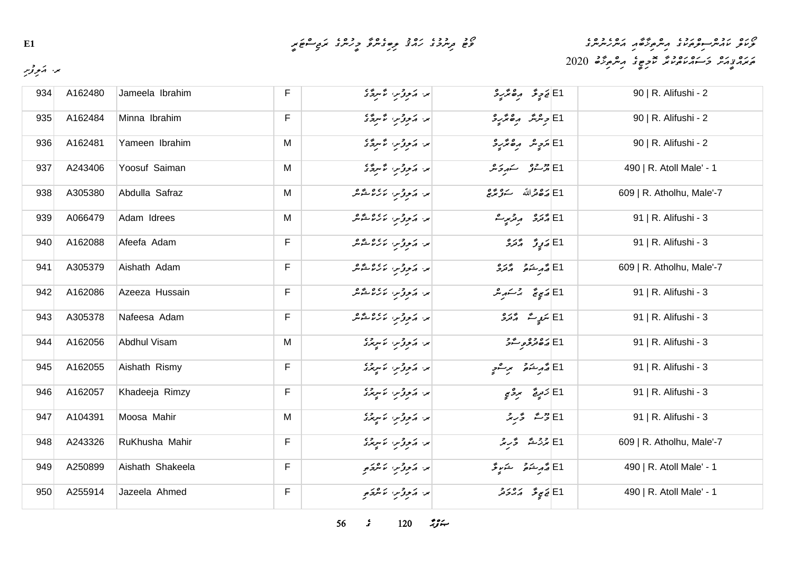*sCw7q7s5w7m< o<n9nOoAw7o< sCq;mAwBoEw7q<m; wBm;vB* م من المرة المرة المرة المرجع المرجع في المركبة 2020<br>مجم*د المريض المربوط المربع المرجع في المراجع المركبة* 

| 934 | A162480 | Jameela Ibrahim  | F | أبرا أيحوقرس الأسرقرة        |                                            | 90   R. Alifushi - 2      |
|-----|---------|------------------|---|------------------------------|--------------------------------------------|---------------------------|
| 935 | A162484 | Minna Ibrahim    | F | برا الأفروجين الأسروحي       | E1 <sub>ح</sub> بشرنگر ب <i>رھنگرچ</i>     | 90   R. Alifushi - 2      |
| 936 | A162481 | Yameen Ibrahim   | M | أمرا م مروش الأسروجي         | E1 اَرَحٍ شَرِ مِرْهُ مَرْرِ دُ            | 90   R. Alifushi - 2      |
| 937 | A243406 | Yoosuf Saiman    | M | أمرا مأفرقرس الأسردقاني      | E1 پر مشترک سکھ پر تر پھر                  | 490   R. Atoll Male' - 1  |
| 938 | A305380 | Abdulla Safraz   | M | برا مَعِوْسٍ مَرْمَمْ يَمْسُ | E1 مَەشْرَاللە س <i>ەۋىترى</i>             | 609   R. Atholhu, Male'-7 |
| 939 | A066479 | Adam Idrees      | M | ىن مەمرۇس ئارماشقىل          | E1 ۾ ترو پر مريد م                         | 91   R. Alifushi - 3      |
| 940 | A162088 | Afeefa Adam      | F | ىن مەردۇس ئارماشقىل          | E1 <i>ړَږِوْ گ</i> نرو                     | 91   R. Alifushi - 3      |
| 941 | A305379 | Aishath Adam     | F | ىر. مەردىن ئازراھقىر         | E1 مُجمِّدَة مُحَمَّدة                     | 609   R. Atholhu, Male'-7 |
| 942 | A162086 | Azeeza Hussain   | F | پر محوفرس عائده که م         | E1 ەيىم ئەسىمبەشر                          | 91   R. Alifushi - 3      |
| 943 | A305378 | Nafeesa Adam     | F | ىن مەمرۇس ئارماشقىل          | E1 سَموِے محمد محمد                        | 91   R. Alifushi - 3      |
| 944 | A162056 | Abdhul Visam     | M | ىن مەجەۋىر، ئاسىرىمەتچ       | E1 رَەترى <i>ۋە سە</i> مى                  | 91   R. Alifushi - 3      |
| 945 | A162055 | Aishath Rismy    | F | برا أودر أنا المبرجرة        | E1 م <i>ەمرىشى مەسىم</i> چ                 | 91   R. Alifushi - 3      |
| 946 | A162057 | Khadeeja Rimzy   | F | برا مركزيرا الأمريرة         | E1 كَرْمِيعٌ مَ مِرْدُمٍ مِ                | 91   R. Alifushi - 3      |
| 947 | A104391 | Moosa Mahir      | M | برا أيروقرا الأمريرة         | $2.3$ $2.3$ E1                             | 91   R. Alifushi - 3      |
| 948 | A243326 | RuKhusha Mahir   | F | برا م تروحوا الأمبرندگی      | E1 يُرْرُحُهُ وُرِيْرُ                     | 609   R. Atholhu, Male'-7 |
| 949 | A250899 | Aishath Shakeela | F | برا الأحرافي الأمراكيزي      | E1 مَەرشەم شەرىخ                           | 490   R. Atoll Male' - 1  |
| 950 | A255914 | Jazeela Ahmed    | F | ىر. ئەببۇس ئانلەق بو         | E1 <sub>تح</sub> مي تحرير حركة حركة تحركتر | 490   R. Atoll Male' - 1  |

 $56$  *s*  $120$  *z*  $29$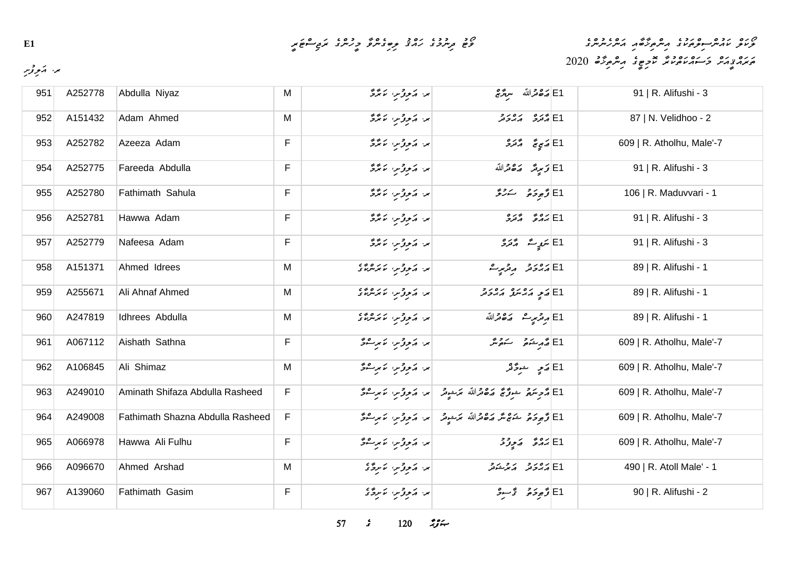*sCw7q7s5w7m< o<n9nOoAw7o< sCq;mAwBoEw7q<m; wBm;vB* م من المرة المرة المرة المرجع المرجع في المركبة 2020<br>مجم*د المريض المربوط المربع المرجع في المراجع المركبة* 

| 951 | A252778 | Abdulla Niyaz                    | M            | ىر. مۇرۇپ ئاندۇ                          | E1 مَەھمَّدَاللە سِرْمَىھ                                                               | 91   R. Alifushi - 3      |
|-----|---------|----------------------------------|--------------|------------------------------------------|-----------------------------------------------------------------------------------------|---------------------------|
| 952 | A151432 | Adam Ahmed                       | M            | ىن مەجەۋىپ ئاتۇۋ                         | E1 پژیزه پژیزند                                                                         | 87   N. Velidhoo - 2      |
| 953 | A252782 | Azeeza Adam                      | F            | ىن مەجزىرىن ئاتىرى                       | E1 كەيپى مەترى                                                                          | 609   R. Atholhu, Male'-7 |
| 954 | A252775 | Fareeda Abdulla                  | $\mathsf F$  | ىن مەجەۋىپ ئاتىرى                        | E1 ترمينگر     تەھىراللە                                                                | 91   R. Alifushi - 3      |
| 955 | A252780 | Fathimath Sahula                 | $\mathsf{F}$ | ىن مەجزىرىن ئاتىرى                       | E1 تَ <i>وْجِ</i> وَجْ سَكَرْتَرَ                                                       | 106   R. Maduvvari - 1    |
| 956 | A252781 | Hawwa Adam                       | $\mathsf F$  | ىر. مەجەۋىر، ئانترى                      | E1 يَرْدُوَّ مُحَمَّرَ                                                                  | 91   R. Alifushi - 3      |
| 957 | A252779 | Nafeesa Adam                     | F            | ىن مەجزىرىن ئاتىرى                       | E1 سَمِرٍ شَمَّ مَحْمَدَةَ ا                                                            | 91   R. Alifushi - 3      |
| 958 | A151371 | Ahmed Idrees                     | M            | أين المتحوفر منا المستر من المحمد المحمد | E1 <i>ה</i> ככנ <i>י ה</i> ל <sub>יז</sub> ים                                           | 89   R. Alifushi - 1      |
| 959 | A255671 | Ali Ahnaf Ahmed                  | M            | بر مورمن متمامه                          | E1 كەبىر كەشىرى كەردى ئى                                                                | 89   R. Alifushi - 1      |
| 960 | A247819 | Idhrees Abdulla                  | M            | بر مورمن متر مها                         | E1 م <i>ومرموث مەھەر</i> اللە                                                           | 89   R. Alifushi - 1      |
| 961 | A067112 | Aishath Sathna                   | F            | پر انگروگرا انگریشی                      | E1 مۇم شۇمۇسى سىمب <i>و</i> تىر                                                         | 609   R. Atholhu, Male'-7 |
| 962 | A106845 | Ali Shimaz                       | M            | برا الكووي الكموسكر                      | E1 كەمچە سىرگەر<br>==                                                                   | 609   R. Atholhu, Male'-7 |
| 963 | A249010 | Aminath Shifaza Abdulla Rasheed  | $\mathsf F$  |                                          | E1 مُرْحِسَمَ شِوَرٌجٌ مَــُوْمُرَاللّه مَرْشِيمٌ   مِنْ مَعِرْقِسِ مَعِرْشَوٌ          | 609   R. Atholhu, Male'-7 |
| 964 | A249008 | Fathimath Shazna Abdulla Rasheed | $\mathsf F$  |                                          | E1 تَرْجِعَةً شَهَرَةً مُدَّةً مِنْ اللّه مَرْشِينَرَ   مِنْ مَرْجَوْسٍ مَعْرِسْتَمَرَّ | 609   R. Atholhu, Male'-7 |
| 965 | A066978 | Hawwa Ali Fulhu                  | $\mathsf F$  | ىن ئەبوقۇس ئايرىشى                       |                                                                                         | 609   R. Atholhu, Male'-7 |
| 966 | A096670 | Ahmed Arshad                     | M            | بر روومن مرومی                           | E1 كەبرو كەرگە ئەركىيە ئىر                                                              | 490   R. Atoll Male' - 1  |
| 967 | A139060 | Fathimath Gasim                  | F            | ىن مەجەۋىر، ئايرۇقى                      | E1 زَّەپرىزە ئ <sup>ې</sup> رىر                                                         | 90   R. Alifushi - 2      |

 $57$  *s*  $120$  *n***<sub>s</sub>** $\frac{2}{5}$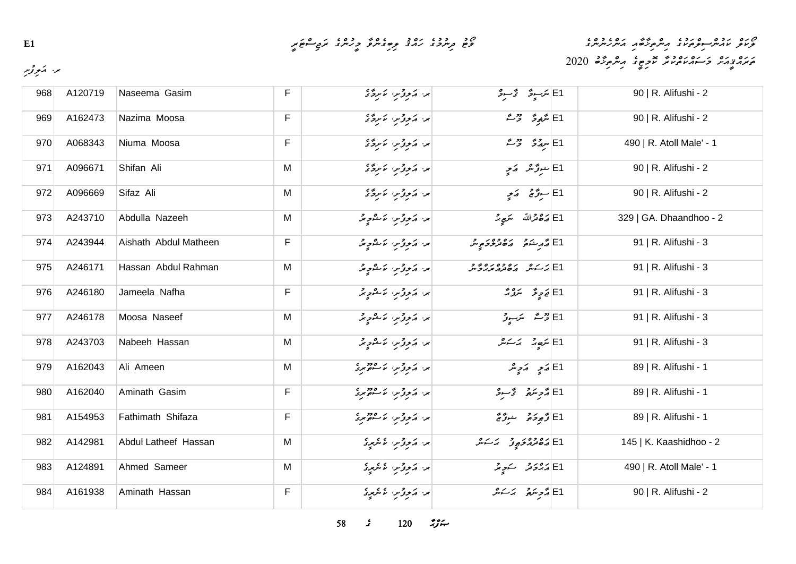*sCw7q7s5w7m< o<n9nOoAw7o< sCq;mAwBoEw7q<m; wBm;vB* م من المرة المرة المرة المرجع المرجع في المركبة 2020<br>مجم*د المريض المربوط المربع المرجع في المراجع المركبة* 

| 968 | A120719 | Naseema Gasim         | F            | ىن مەجەۋىر، ئايرۇقى                 | E1 سَرَسِودٌ تَحْسِودُ                                                                               | 90   R. Alifushi - 2     |
|-----|---------|-----------------------|--------------|-------------------------------------|------------------------------------------------------------------------------------------------------|--------------------------|
| 969 | A162473 | Nazima Moosa          | F            | ىن ئەنزۇس ئابرۇقى                   | E1 شَهْرِ حَمْ حَمْدَ مُحْمَدًا عَمَدَ الْمُتَعَمَّدِ مِنْ حَمْدِ مِنْ الْمُتَعَمَّدِ مِنْ مِنْ حَمْ | 90   R. Alifushi - 2     |
| 970 | A068343 | Niuma Moosa           | F            | پر مرکزویں ماہردمی                  | $23$ $32$ $\mu$ E1                                                                                   | 490   R. Atoll Male' - 1 |
| 971 | A096671 | Shifan Ali            | M            | بر موديرا مردد                      | E1 جوڙند <sub>مک</sub> رِ                                                                            | 90   R. Alifushi - 2     |
| 972 | A096669 | Sifaz Ali             | M            | أيرا مكروفس لأبردهمي                | E1 سِوَّج <sub>م</sub> َعٍ                                                                           | 90   R. Alifushi - 2     |
| 973 | A243710 | Abdulla Nazeeh        | M            | ىن مەجەۋىر، ئاھەچەر                 | E1 مَەھىراللە سَرىي تە                                                                               | 329   GA. Dhaandhoo - 2  |
| 974 | A243944 | Aishath Abdul Matheen | F            | پر انگروژس انگشویز                  | E1 <i>مەم شىم ھەمرود م</i> ومتر                                                                      | 91   R. Alifushi - 3     |
| 975 | A246171 | Hassan Abdul Rahman   | M            | پر انگروژس، انگلوچر                 | E1 ئەسەس مەمەمەمەدە د                                                                                | 91   R. Alifushi - 3     |
| 976 | A246180 | Jameela Nafha         | $\mathsf{F}$ | بر رکوری مکھویں                     | E1 نے پر تھ سکو تھ                                                                                   | 91   R. Alifushi - 3     |
| 977 | A246178 | Moosa Naseef          | M            | أيرا مكروفس الكشوير                 | E1 پڑے س <i>زب</i> وڑ                                                                                | 91   R. Alifushi - 3     |
| 978 | A243703 | Nabeeh Hassan         | M            | أيرا الكروفرس الأحكاج فر            | E1 يت <sub>ھ</sub> ي پر مشر                                                                          | 91   R. Alifushi - 3     |
| 979 | A162043 | Ali Ameen             | M            | بر ، مَعِوْمِن عَاشْقَ بِرَة        | E1 <i>ھَي مَ</i> حِيثَر                                                                              | 89   R. Alifushi - 1     |
| 980 | A162040 | Aminath Gasim         | $\mathsf F$  | بر ، مَعِوْثِ ، مَا مَسْتَقْوَمِرَى | E1 مَّحْمِسَمَّةَ تَحْسِنَّةُ                                                                        | 89   R. Alifushi - 1     |
| 981 | A154953 | Fathimath Shifaza     | $\mathsf F$  | بر مورمن برمانه برد                 | E1 زَّجِرِدَةُ شِرَرَّةُ                                                                             | 89   R. Alifushi - 1     |
| 982 | A142981 | Abdul Latheef Hassan  | M            | برا م تحرقر الأعرابية كالتعريبي     | E1 <sub>م</sub> ُەھىرمە <i>جو</i> رى بەسەش                                                           | 145   K. Kaashidhoo - 2  |
| 983 | A124891 | Ahmed Sameer          | M            | برا أنجوفر الأعرابية كالمحر         | E1 <i>ړې دي سکوين</i>                                                                                | 490   R. Atoll Male' - 1 |
| 984 | A161938 | Aminath Hassan        | F            | ىر. ئەبرۇس كەنگىرىگە                | E1 مُجرِسَعُ بَرَسَسْ                                                                                | 90   R. Alifushi - 2     |

 $58$  *s*  $\cancel{120}$  *z*  $\cancel{25}$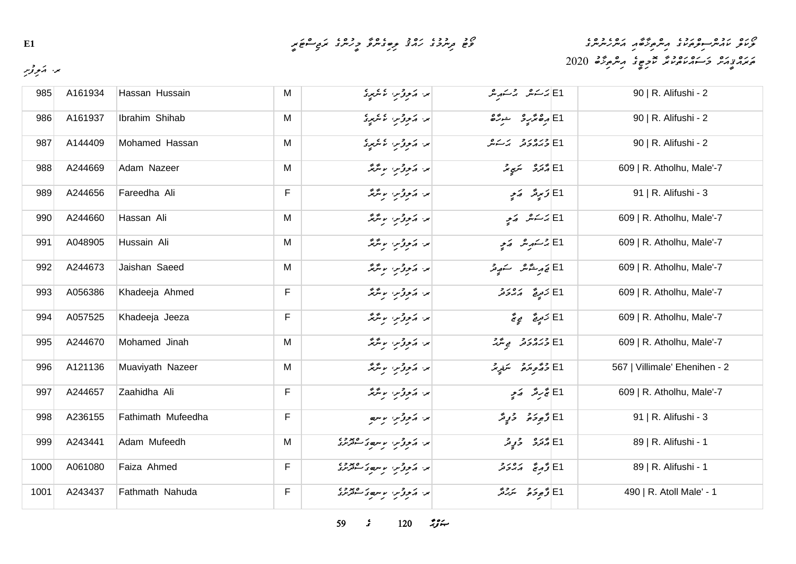*sCw7q7s5w7m< o<n9nOoAw7o< sCq;mAwBoEw7q<m; wBm;vB* م من المرة المرة المرة المرجع المرجع في المركبة 2020<br>مجم*د المريض المربوط المربع المرجع في المراجع المركبة* 

| 985  | A161934 | Hassan Hussain     | M           | أبرا الكروفرا الأمكريزة         | E1   پرستمبر محر جر شعر بھر                        | 90   R. Alifushi - 2          |
|------|---------|--------------------|-------------|---------------------------------|----------------------------------------------------|-------------------------------|
| 986  | A161937 | Ibrahim Shihab     | M           | ما أكروفرا الأمريكي             | E1 رەئزىر ئىدگە                                    | 90   R. Alifushi - 2          |
| 987  | A144409 | Mohamed Hassan     | M           | برا الأجواز من الأمريكي         | E1 32828 كەسكەنلە                                  | 90   R. Alifushi - 2          |
| 988  | A244669 | Adam Nazeer        | M           | برا مُعِرْشٍ لإِنتَهَدُّ        | E1 ۾ُمَرَدُ - سَ <sub>بِح</sub> ِ يَر              | 609   R. Atholhu, Male'-7     |
| 989  | A244656 | Fareedha Ali       | $\mathsf F$ | برا مزور الإنتهة                | E1 تزمیٹر کرم                                      | 91   R. Alifushi - 3          |
| 990  | A244660 | Hassan Ali         | M           | برا م تروس بالترنم              | E1 ټرسکر ک <i>ړې</i>                               | 609   R. Atholhu, Male'-7     |
| 991  | A048905 | Hussain Ali        | M           | برا اړنوژین الاینگ              | E1 برڪيريش ڪچي                                     | 609   R. Atholhu, Male'-7     |
| 992  | A244673 | Jaishan Saeed      | M           | ما المروش الإنترنتر             | E1 <sub>ت</sub> ح م <sup>ر</sup> محمد مسکور تحریفہ | 609   R. Atholhu, Male'-7     |
| 993  | A056386 | Khadeeja Ahmed     | F           | برا اړنوولوما الاسرنگ           | E1 زَمِرِجٌ <i>دَرُدُوَ</i> تَرُ                   | 609   R. Atholhu, Male'-7     |
| 994  | A057525 | Khadeeja Jeeza     | F           | برا م تروس بالدهم               | E1 زَمرِيحٌ      يوچٌ                              | 609   R. Atholhu, Male'-7     |
| 995  | A244670 | Mohamed Jinah      | M           | ىر. مۇرۇس بەشق                  | E1 <i>وبروبر و برنگ</i>                            | 609   R. Atholhu, Male'-7     |
| 996  | A121136 | Muaviyath Nazeer   | M           | برا مُعِرْضٍ بِاللَّهُ          | E1 <i>وَهُومَهُو</i> سَنَږِيْر                     | 567   Villimale' Ehenihen - 2 |
| 997  | A244657 | Zaahidha Ali       | $\mathsf F$ | برا متعادمين لإنترنته           | E1 تج بەنتى <i>ر مەمچ</i>                          | 609   R. Atholhu, Male'-7     |
| 998  | A236155 | Fathimath Mufeedha | F           | أين الكروفس الإسها              | E1 <i>وَّجِ حَمَّ</i> حَم <i>ْرٍ مَّرَّ</i>        | 91   R. Alifushi - 3          |
| 999  | A243441 | Adam Mufeedh       | M           | پر پر تروژ پر سرچار کرده داده   | E1  ا <i>ړ ترې</i> د تړين                          | 89   R. Alifushi - 1          |
| 1000 | A061080 | Faiza Ahmed        | F           | بر הפציקי ויושפ בשנקים          | E1 وَّرِيحَ     رَبَّاحِ وَرَ                      | 89   R. Alifushi - 1          |
| 1001 | A243437 | Fathmath Nahuda    | F           | بر. ה' بوقر من موسع من موجه و م | E1 <i>وُّهِ دَمَّة</i> مَ <i>رَسَّةً</i>           | 490   R. Atoll Male' - 1      |

 $59$  *s*  $120$  *z*  $29$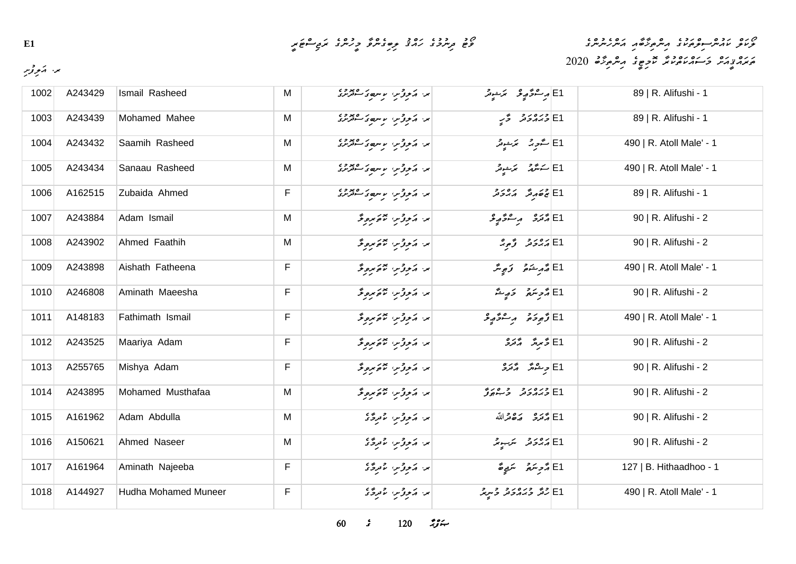*sCw7q7s5w7m< o<n9nOoAw7o< sCq;mAwBoEw7q<m; wBm;vB* م من المرة المرة المرة المرجع المرجع في المركبة 2020<br>مجم*د المريض المربوط المربع المرجع في المراجع المركبة* 

| 1002 | A243429 | Ismail Rasheed              | M | بر הפציקי וניוקס ביכור בי           | E1 مرڪو <i>گھي</i> و - مَرَش <sub>و</sub> مُر | 89   R. Alifushi - 1     |
|------|---------|-----------------------------|---|-------------------------------------|-----------------------------------------------|--------------------------|
| 1003 | A243439 | Mohamed Mahee               | M | بر مرور با سهاد متعدده              | E1 <i>وَبَرُوْدَوْ</i> وَبِ                   | 89   R. Alifushi - 1     |
| 1004 | A243432 | Saamih Rasheed              | M | بر مود سر سر است استفرار            | E1 سگوپ <sup>2</sup> - مَرْشِوِتْرُ           | 490   R. Atoll Male' - 1 |
| 1005 | A243434 | Sanaau Rasheed              | M | أندا أترود والإسهاد سافرس           | E1 سَتَمَّدُ بَرَسُومُرُ                      | 490   R. Atoll Male' - 1 |
| 1006 | A162515 | Zubaida Ahmed               | F | پر پر ترور به سره و سور ده          | E1 تح <i>قه قر مح</i> مد در                   | 89   R. Alifushi - 1     |
| 1007 | A243884 | Adam Ismail                 | M | ىن مەجەۋىر، ئاھ بىرە بۇ             | E1 جۇيرى بەستۇم <i>بى</i> ئى                  | 90   R. Alifushi - 2     |
| 1008 | A243902 | Ahmed Faathih               | M | ىن مەجەۋىر، ئەھ بىرە بۇ             | E1 <i>ټرې تو و</i> گوند                       | 90   R. Alifushi - 2     |
| 1009 | A243898 | Aishath Fatheena            | F | ىن مەردۇس ئاھ برەڭ                  | E1 مَگرِمِسْتَعْمَر وَجِرِمَّر                | 490   R. Atoll Male' - 1 |
| 1010 | A246808 | Aminath Maeesha             | F | برا مُتَوَوَّين مُتَمَمَّدِهِ فُ    | E1 أَمُّ <i>وسَعْهُ وَم</i> ِيشَّة            | 90   R. Alifushi - 2     |
| 1011 | A148183 | Fathimath Ismail            | F | بر مزدر تم مرود                     | E1 <i>وَّجِوَدَةُ بِرِسْدُّهِ وُ</i>          | 490   R. Atoll Male' - 1 |
| 1012 | A243525 | Maariya Adam                | F | برا مُعِرْثُوا لِلْمُحَمِّدِهِ مُحَ | E1 دُبرتُر گ <sup>و</sup> رُد                 | 90   R. Alifushi - 2     |
| 1013 | A255765 | Mishya Adam                 | F | أمرا مأفروش اللمحامرة فخر           | E1 <sub>ج</sub> یشمہ محمدہ                    | 90   R. Alifushi - 2     |
| 1014 | A243895 | Mohamed Musthafaa           | M | برا مُعِرْثُوا لِلْمُحَمِّدِهِ فَ   | E1 در در د د ورو                              | 90   R. Alifushi - 2     |
| 1015 | A161962 | Adam Abdulla                | M | ىن مەجەۋىر، ئاتېرۇقى                | E1 مُقرِّح مَرْهُ قَرَاللَّه                  | 90   R. Alifushi - 2     |
| 1016 | A150621 | Ahmed Naseer                | M | بر مورش مورد و                      | E1 <i>גَ پُرُوتَرُ</i> - سَ <i>زَجِرٌ</i>     | 90   R. Alifushi - 2     |
| 1017 | A161964 | Aminath Najeeba             | F | پر مرمورمن مهرده د                  | E1 أَمُّ حِ سَمَّةٍ مَّ سَمَّةٍ صَّ           | 127   B. Hithaadhoo - 1  |
| 1018 | A144927 | <b>Hudha Mohamed Muneer</b> | F | ىر. مەجەۋىر، مەمرۇق                 | E1 رُتَرٌ وَرَدُودَرٌ وَسِرِيْرٌ              | 490   R. Atoll Male' - 1 |

 $60$  *s*  $120$  *z***<sub>3</sub>**  $\frac{2}{3}$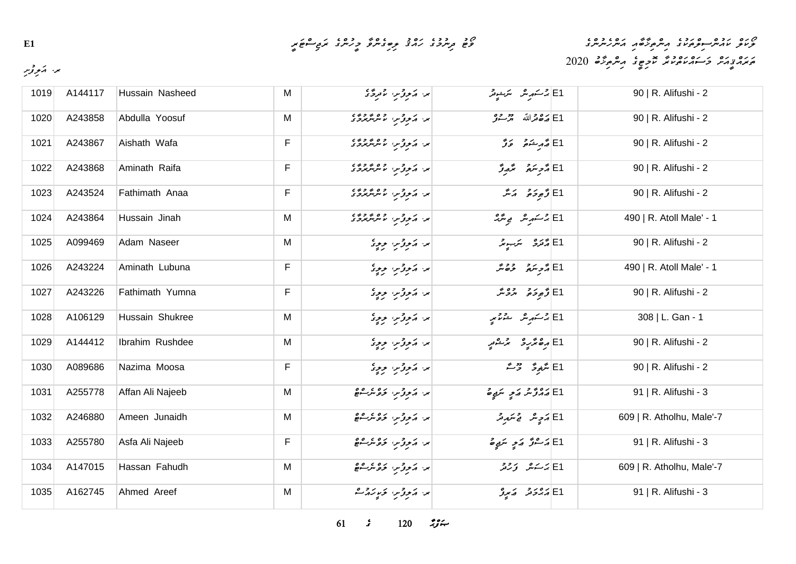*sCw7q7s5w7m< o<n9nOoAw7o< sCq;mAwBoEw7q<m; wBm;vB* م من المرة المرة المرة المرجع المرجع في المركبة 2020<br>مجم*د المريض المربوط المربع المرجع في المراجع المركبة* 

| 1019 | A144117 | Hussain Nasheed  | M           | ير. مَعِوفرس عُفرِ فحمدُ     | E1 پُرکرم بگر سکرشونگر                       | 90   R. Alifushi - 2      |
|------|---------|------------------|-------------|------------------------------|----------------------------------------------|---------------------------|
| 1020 | A243858 | Abdulla Yoosuf   | M           | بر مورمن مشر مدده            | E1 مَەھتراللە مەرجو                          | 90   R. Alifushi - 2      |
| 1021 | A243867 | Aishath Wafa     | F           | بر مرور ومردود               | E1 مُرمِشَعْ وَزَّ                           | 90   R. Alifushi - 2      |
| 1022 | A243868 | Aminath Raifa    | $\mathsf F$ | أمن أكموفرس لانترنترون       | E1 مُتَّحِسَمُ مُتَّمَّدٍ وَ                 | 90   R. Alifushi - 2      |
| 1023 | A243524 | Fathimath Anaa   | F           | بر مورمن مشر مدده            | E1 <i>وَّجِ دَمَعْ</i> مَسَّرَ               | 90   R. Alifushi - 2      |
| 1024 | A243864 | Hussain Jinah    | M           | پر محوفرس عشر مدرد و         | E1 بُرْسَهرِ مَرْ مِی مَرْبُرُ               | 490   R. Atoll Male' - 1  |
| 1025 | A099469 | Adam Naseer      | M           | بر رکور و دیگر               | E1 <i>مُقرَى مَدَبِيومُ</i>                  | 90   R. Alifushi - 2      |
| 1026 | A243224 | Aminath Lubuna   | $\mathsf F$ | بر رکور و دور                | E1 أَدُّحِ مَرَةً مَنْ قَرْحَةً مَدَّ        | 490   R. Atoll Male' - 1  |
| 1027 | A243226 | Fathimath Yumna  | F           | پر اړکونوس کولونځ            | E1 تُرجوحه مرحمدٌ                            | 90   R. Alifushi - 2      |
| 1028 | A106129 | Hussain Shukree  | M           | ر. مَعِوْسِ عِعِدَ           | E1 پرڪرپر شمير پر                            | 308   L. Gan - 1          |
| 1029 | A144412 | Ibrahim Rushdee  | M           | بر رکور و وی                 | E1 رەئزىر ئىم ئىشمىر                         | 90   R. Alifushi - 2      |
| 1030 | A089686 | Nazima Moosa     | F           | بر رکور و دود؟               | E1 سَّمَهِ حَ حَمَّــَ مَ                    | 90   R. Alifushi - 2      |
| 1031 | A255778 | Affan Ali Najeeb | M           | بر. مَعِرْضٍ مَرْهِ عَرْضَهِ | E1 <i>جَہُوُتُر جَ</i> حٍ سَمَ <i>ج</i> ٍ صَ | 91   R. Alifushi - 3      |
| 1032 | A246880 | Ameen Junaidh    | M           | پر مرکز کرو میں موضوع کا م   | E1 أَرَوٍ مَنْ سَمَدِ قَرْ                   | 609   R. Atholhu, Male'-7 |
| 1033 | A255780 | Asfa Ali Najeeb  | F           | برا الأبواؤس كوكونترنت ع     | E1 كەشۇ كەي سەھ 6                            | 91   R. Alifushi - 3      |
| 1034 | A147015 | Hassan Fahudh    | M           | أين الكروفس كرونكرسوم        | E1 پزشکر ک <sup>3</sup> رقر                  | 609   R. Atholhu, Male'-7 |
| 1035 | A162745 | Ahmed Areef      | M           | بر مُعِرْضٍ لِمَ يُدَمْ فَ   | E1 <i>ټرې تر چې</i> رو                       | 91   R. Alifushi - 3      |

 $61$  *s*  $120$  *n***<sub>s</sub>**  $\frac{2}{3}$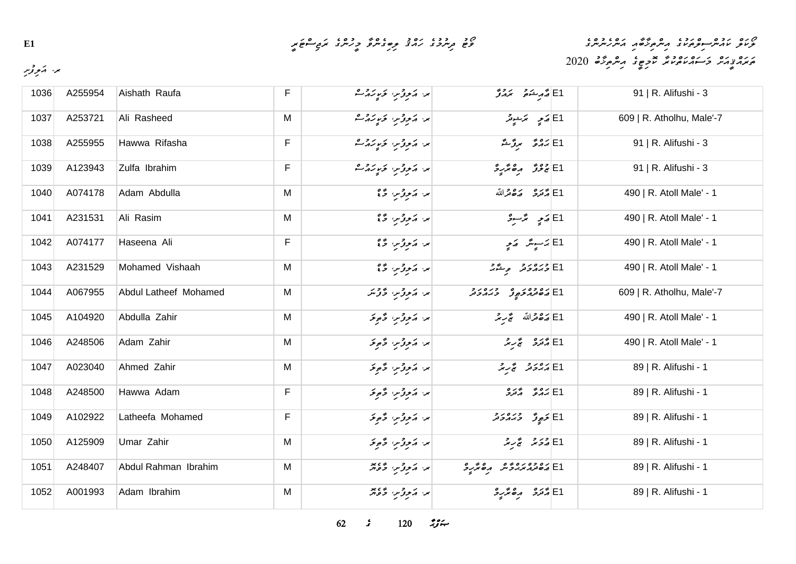*sCw7q7s5w7m< o<n9nOoAw7o< sCq;mAwBoEw7q<m; wBm;vB* م من المرة المرة المرة المرجع المرجع في المركبة 2020<br>مجم*د المريض المربوط المربع المرجع في المراجع المركبة* 

| 1036 | A255954 | Aishath Raufa         | F | پر مربورفرین ځې پرمړ ه   | E1 م <i>ۇم ھۇم مۇمۇقى</i>              | 91   R. Alifushi - 3      |
|------|---------|-----------------------|---|--------------------------|----------------------------------------|---------------------------|
| 1037 | A253721 | Ali Rasheed           | M | بر. مَعِوْسِ وَرِيمِهِ م | E1 <i>ھَيِ</i> مَنْشِيقَر              | 609   R. Atholhu, Male'-7 |
| 1038 | A255955 | Hawwa Rifasha         | F | بر. مَعِوْسُ حَرِيدَمْتْ | E1 <i>بَدْهُمَّ بِرِدُّ</i> تُ         | 91   R. Alifushi - 3      |
| 1039 | A123943 | Zulfa Ibrahim         | F | بر رکورش کارگرفت         |                                        | 91   R. Alifushi - 3      |
| 1040 | A074178 | Adam Abdulla          | M | برا مُتَوَوَّينَ وَمَعْ  | E1 مُقرَّد مَصْحَراللَّه               | 490   R. Atoll Male' - 1  |
| 1041 | A231531 | Ali Rasim             | M | ما المتوفر من محمة       | E1 <i>ھو</i> مگسونز                    | 490   R. Atoll Male' - 1  |
| 1042 | A074177 | Haseena Ali           | F | برا مُتَوَوَّينَ وَمَعْ  | E1   پرسیڈ کی می                       | 490   R. Atoll Male' - 1  |
| 1043 | A231529 | Mohamed Vishaah       | M | پر انگروشن ونا           | E1 <i>وُبَرُوونو وِحَدَّثَ</i>         | 490   R. Atoll Male' - 1  |
| 1044 | A067955 | Abdul Latheef Mohamed | M | برا الأبورقرما الحاويس   | E1 גەدەر ۋە دىرەرد                     | 609   R. Atholhu, Male'-7 |
| 1045 | A104920 | Abdulla Zahir         | M | أيرا مكروحوا المحافيك    | E1 مَەھىراللە گەرىمە                   | 490   R. Atoll Male' - 1  |
| 1046 | A248506 | Adam Zahir            | M | أيرا مكروحوا المحافيك    | E1 جُمْعَرْ حَمْ يَحْرِ بِمُرْ         | 490   R. Atoll Male' - 1  |
| 1047 | A023040 | Ahmed Zahir           | M | أيرا مكروحوا المحافوى    | E1 <i>مَدْدُوَنْتْ</i> مِحْرِيْرُ      | 89   R. Alifushi - 1      |
| 1048 | A248500 | Hawwa Adam            | F | ىن مەجەۋىر، ئەھ بۇ       | E1 بَرْدِعٌ مُرْمَرِد <i>ُ</i>         | 89   R. Alifushi - 1      |
| 1049 | A102922 | Latheefa Mohamed      | F | پر اړکوروس ځوک           | E1 ك <i>ۆپ<sub>و</sub>ۇ دېم</i> ەد تەر | 89   R. Alifushi - 1      |
| 1050 | A125909 | Umar Zahir            | M | پر انگروژس وحوځه         | E1 252 محرمة.                          | 89   R. Alifushi - 1      |
| 1051 | A248407 | Abdul Rahman Ibrahim  | M | بر رنورتر، وتوم          | E1 رەدەرە بوھ مەرد                     | 89   R. Alifushi - 1      |
| 1052 | A001993 | Adam Ibrahim          | M | پر مرمورمن محمود         | E1 أَدَّتَرَدُ فَرَصَّرَ سِنَّةٍ وَ    | 89   R. Alifushi - 1      |

 $62$  *s*  $120$  *z***<sub>3</sub>**  $\frac{2}{3}$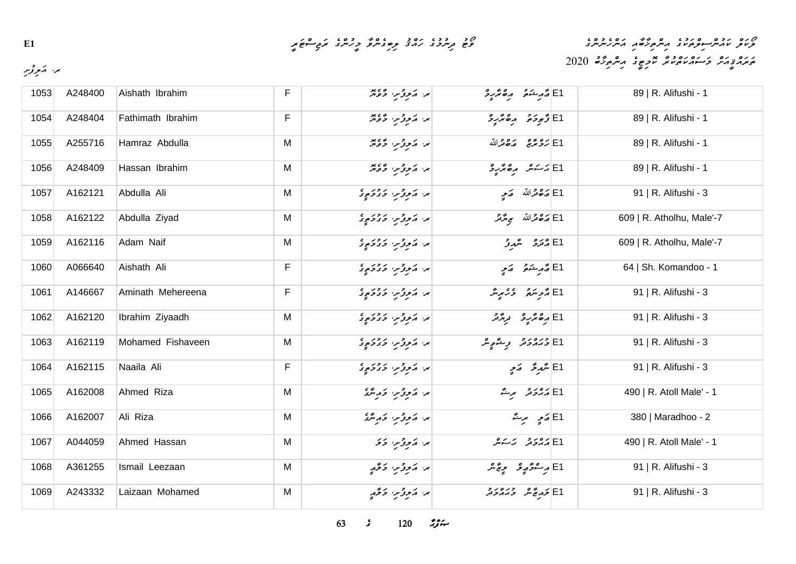*sCw7q7s5w7m< o<n9nOoAw7o< sCq;mAwBoEw7q<m; wBm;vB* م من المرة المرة المرة المرجع المرجع في المركبة 2020<br>مجم*د المريض المربوط المربع المرجع في المراجع المركبة* 

| 1053 | A248400 | Aishath Ibrahim   | F            | بر مرور و می                           | E1 مُرسُوَّم مِرْهُ مُردِّ               | 89   R. Alifushi - 1      |
|------|---------|-------------------|--------------|----------------------------------------|------------------------------------------|---------------------------|
| 1054 | A248404 | Fathimath Ibrahim | $\mathsf F$  | بر رکور وی                             | E1 زُّەپرە ئەھەر يەھەر بۇ                | 89   R. Alifushi - 1      |
| 1055 | A255716 | Hamraz Abdulla    | M            | برا أتروس وملا                         | E1 كروم محدد مركز و تحدالله              | 89   R. Alifushi - 1      |
| 1056 | A248409 | Hassan Ibrahim    | M            | برا أيجوش ومحافظ                       | E1 بَرَسَى مَرە مَحْرِ بِرَّةِ           | 89   R. Alifushi - 1      |
| 1057 | A162121 | Abdulla Ali       | M            | أأرا أأوقرس أوادونجوا                  | E1 كەڭ قىراللە كەم                       | 91   R. Alifushi - 3      |
| 1058 | A162122 | Abdulla Ziyad     | M            | أمرا مكروفرس وكالحامج كا               | E1 كەھەراللە   سى ئارىتىر                | 609   R. Atholhu, Male'-7 |
| 1059 | A162116 | Adam Naif         | M            | أأرا أألموقرس أواد والمحافج والمحمد    | E1 أَمُرْتَزَّدُ سُمْدِرٌ                | 609   R. Atholhu, Male'-7 |
| 1060 | A066640 | Aishath Ali       | $\mathsf F$  | أأرا مكروفرس والمحافاة والمحج          | E1 مُرمِشَمُ   مَعٍ                      | 64   Sh. Komandoo - 1     |
| 1061 | A146667 | Aminath Mehereena | $\mathsf F$  | برا مُتَوَرِّسُ وَلَا وَلِي لَا        | E1 أَدَّحِ سَمَّةً فَتَحْرَ سِنَّرَ      | 91   R. Alifushi - 3      |
| 1062 | A162120 | Ibrahim Ziyaadh   | M            | أيرا مكروح والالحاد وكالمحامج وكالمحمد | E1 مەھمگەر ئىقىدىمىتىسى <mark>E</mark> 1 | 91   R. Alifushi - 3      |
| 1063 | A162119 | Mohamed Fishaveen | M            | أأرا أألموقرس أواد والمحافج والمحمد    | E1 32025 ويتمويثر                        | 91   R. Alifushi - 3      |
| 1064 | A162115 | Naaila Ali        | $\mathsf{F}$ | أأرا أألموقرس أواد والمحافج والمحمد    | E1 سَمَدِ مَتَّة مِيَّة بِيَّة – E1      | 91   R. Alifushi - 3      |
| 1065 | A162008 | Ahmed Riza        | M            | برا مُتَوَرِّين حَمَدِ شَمَّدَ         | E1 <i>ړې چې</i> مرت                      | 490   R. Atoll Male' - 1  |
| 1066 | A162007 | Ali Riza          | M            | ىن مەجەۋىر، خەرىشى                     | E1 کرم ہوگ                               | 380   Maradhoo - 2        |
| 1067 | A044059 | Ahmed Hassan      | M            | أبرا أتروقون أذكر                      | E1 كەبرى كە ئەسكەنلە                     | 490   R. Atoll Male' - 1  |
| 1068 | A361255 | Ismail Leezaan    | M            | أيرا مكووهن وكافير                     | E1 <sub>م</sub> رشۇرچۇ پەتچ ش            | 91   R. Alifushi - 3      |
| 1069 | A243332 | Laizaan Mohamed   | M            | ىن مەمرۇس كەنگە                        | E1 خَيرِيَّ شَرِ حَيْدَ مِعْرَ مَنْ      | 91   R. Alifushi - 3      |

 $63$  *s*  $120$  *z*  $29$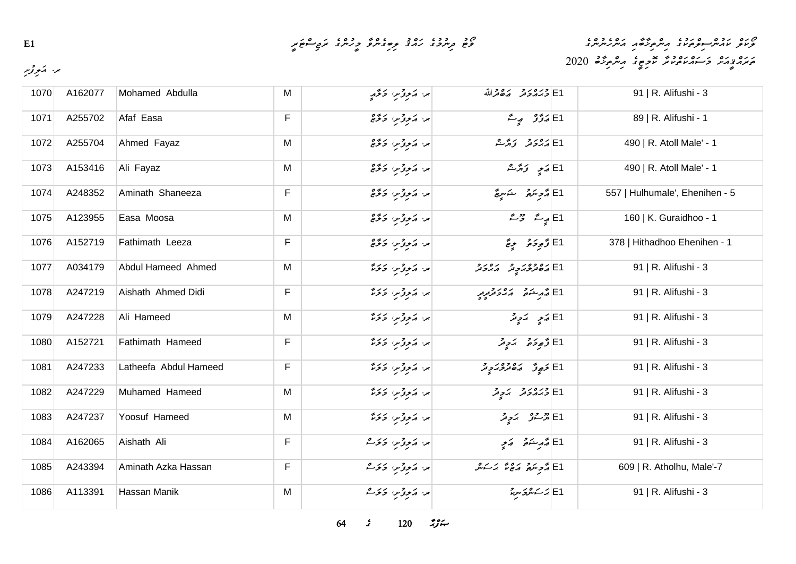*sCw7q7s5w7m< o<n9nOoAw7o< sCq;mAwBoEw7q<m; wBm;vB* م من المرة المرة المرة المرجع المرجع في المركبة 2020<br>مجم*د المريض المربوط المربع المرجع في المراجع المركبة* 

| 1070 | A162077 | Mohamed Abdulla       | M           | أيرا الكروفران الحاقراريا | E1 32025 مَ <i>ـ2025</i> اللّه          | 91   R. Alifushi - 3           |  |
|------|---------|-----------------------|-------------|---------------------------|-----------------------------------------|--------------------------------|--|
| 1071 | A255702 | Afaf Easa             | F           | برا مُتَوَوَّينَ وَوََّيْ | E1 پرُرُو پِرَ م                        | 89   R. Alifushi - 1           |  |
| 1072 | A255704 | Ahmed Fayaz           | M           | أأرا أتروس وكرمي          | E1 كەبرى ئەگەشە                         | 490   R. Atoll Male' - 1       |  |
| 1073 | A153416 | Ali Fayaz             | M           | برا أتروس وكرمي           | E1 كەمچە    ترەڭ ئە                     | 490   R. Atoll Male' - 1       |  |
| 1074 | A248352 | Aminath Shaneeza      | F           | ىن مەجەۋىر، ئەنگەنچ       | E1 مُرْحِسَةٌ شَمَسِيَّةٌ               | 557   Hulhumale', Ehenihen - 5 |  |
| 1075 | A123955 | Easa Moosa            | M           | ىن مەجەۋىر، ئەنگەنج       | $\mathcal{L}$ پر تھ $\mathcal{L}$ E1    | 160   K. Guraidhoo - 1         |  |
| 1076 | A152719 | Fathimath Leeza       | F           | أأرا أتروس وكرمي          | E1 <i>وُّجِودَهُ</i> مِعِيَّ            | 378   Hithadhoo Ehenihen - 1   |  |
| 1077 | A034179 | Abdul Hameed Ahmed    | M           | أما أرووس ووتا            | E1 בטיבלביקייה ביפית                    | 91   R. Alifushi - 3           |  |
| 1078 | A247219 | Aishath Ahmed Didi    | $\mathsf F$ | بر رکوویں کرکا            | E1 مەم شەھ ھەرى قرىرىر                  | 91   R. Alifushi - 3           |  |
| 1079 | A247228 | Ali Hameed            | M           | برا أتروس أذكره           | E1 <i>ھَي پُچون</i> گر                  | 91   R. Alifushi - 3           |  |
| 1080 | A152721 | Fathimath Hameed      | $\mathsf F$ | برا أتروش ووثا            | E1 زَّجِرَة حَرَّمَ بَرَجِيْرَ          | 91   R. Alifushi - 3           |  |
| 1081 | A247233 | Latheefa Abdul Hameed | F           | أبرا أزووهن أذاذة         | E1 كَرَب <i>وِرٌ مُ</i> 25ْرُكْرَدِيْرُ | 91   R. Alifushi - 3           |  |
| 1082 | A247229 | Muhamed Hameed        | M           | بر رکوری دورهٔ            | E1 <i>332,3 مُومِرٌ</i>                 | 91   R. Alifushi - 3           |  |
| 1083 | A247237 | Yoosuf Hameed         | M           | أيرا مكروش وكافرة         | E1 پر کشور کے پر تھا                    | 91   R. Alifushi - 3           |  |
| 1084 | A162065 | Aishath Ali           | $\mathsf F$ | أيرا أزوقرس أذاذك         | E1 م <i>ەمبەق مۇم</i>                   | 91   R. Alifushi - 3           |  |
| 1085 | A243394 | Aminath Azka Hassan   | F           | پر انگروژس، انگروش        | E1 مُجرِسَعِ مَتَى مُسَتَشَرِ           | 609   R. Atholhu, Male'-7      |  |
| 1086 | A113391 | Hassan Manik          | M           | برا أيوويرا أذكرها        | E1   ئەسەھەمبەر                         | 91   R. Alifushi - 3           |  |

 $64$  *s*  $120$  *z*  $29$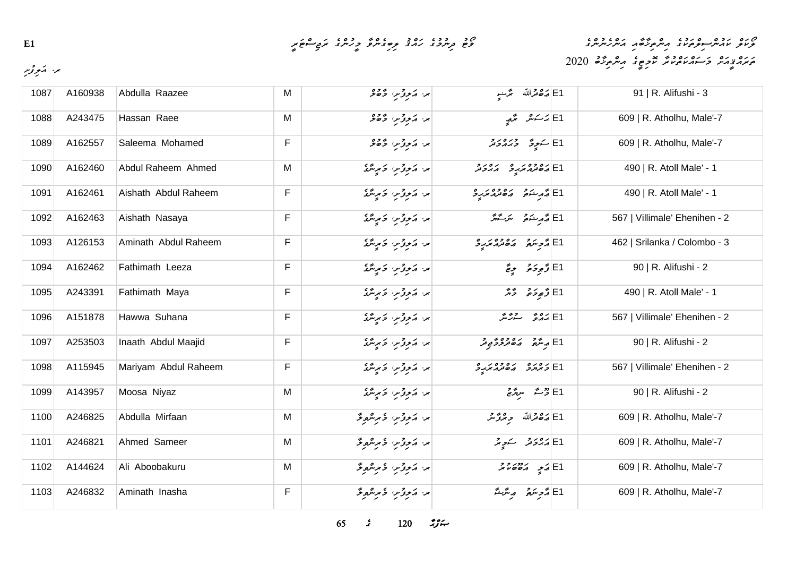*sCw7q7s5w7m< o<n9nOoAw7o< sCq;mAwBoEw7q<m; wBm;vB* م من المرة المرة المرة المرجع المراجع المراجع المراجع المراجع المراجع المراجع المراجع المراجع المراجع المراجع<br>مرين المراجع المراجع المرجع المراجع المراجع المراجع المراجع المراجع المراجع المراجع المراجع المراجع المراجع ال

| 1087 | A160938 | Abdulla Raazee       | M            | بر. הُتورُّسْ وُهُوْ           | E1 كَەڭقىراللە گەنبو                        | 91   R. Alifushi - 3          |
|------|---------|----------------------|--------------|--------------------------------|---------------------------------------------|-------------------------------|
| 1088 | A243475 | Hassan Raee          | M            | بر. مُتوفر المُحوفر            | E1   پرسکس مگ <sub>ھی</sub>                 | 609   R. Atholhu, Male'-7     |
| 1089 | A162557 | Saleema Mohamed      | F            | بر. مُتورُّس وُهو              | E1] سَمِودٌ وَبَرْدُونَر                    | 609   R. Atholhu, Male'-7     |
| 1090 | A162460 | Abdul Raheem Ahmed   | M            | ىن مەجەۋىر، كەيدىگە            | E1 גەدە <i>برەرە بەد</i> ىر                 | 490   R. Atoll Male' - 1      |
| 1091 | A162461 | Aishath Abdul Raheem | $\mathsf{F}$ | ىن مەردۇر، كەيدىگە             | E1 مەرشىم مەھىرمىمبىر                       | 490   R. Atoll Male' - 1      |
| 1092 | A162463 | Aishath Nasaya       | $\mathsf F$  | ىر. ئەبوۋىر، كەيپەشكە          | E1 <sub>م</sub> ُم ِسْدَمْ مِنْ مَرْسُمْرٌ  | 567   Villimale' Ehenihen - 2 |
| 1093 | A126153 | Aminath Abdul Raheem | $\mathsf{F}$ | ىن مەردۇر، كەيدىگە             | E1 גٌ <i>و سُه مُ</i> مُعتبر <i>جُدِ</i> وَ | 462   Srilanka / Colombo - 3  |
| 1094 | A162462 | Fathimath Leeza      | F            | ىن مەردۇر، كەيدىگە             | E1 <i>وُجوحو جِ</i> يح                      | 90   R. Alifushi - 2          |
| 1095 | A243391 | Fathimath Maya       | F            | ىن مەردۇر، كەيدىگە             | E1 تُجوحَمُ حُمَّ                           | 490   R. Atoll Male' - 1      |
| 1096 | A151878 | Hawwa Suhana         | F            | ىن مەردۇر، كەيدىگە             | E1 يَهُمُّ سُمَّتَيْرَ                      | 567   Villimale' Ehenihen - 2 |
| 1097 | A253503 | Inaath Abdul Maajid  | $\mathsf F$  | ىن مەردۇر، كەيدىگە             | E1 ۾ سگھ ڪھەمرمرگرو پور                     | 90   R. Alifushi - 2          |
| 1098 | A115945 | Mariyam Abdul Raheem | F            | ىن مەردۇر، كەيدىگە             | E1 כיתת הסינגיה כ                           | 567   Villimale' Ehenihen - 2 |
| 1099 | A143957 | Moosa Niyaz          | M            | ىرا مُتَوَرِّسُ كَامِيسَةً     | E1 تخریج میں پر تع                          | 90   R. Alifushi - 2          |
| 1100 | A246825 | Abdulla Mirfaan      | M            | برا أتروس كالرسموق             | E1 أەھىراللە م <i>ومۇقى</i> ر               | 609   R. Atholhu, Male'-7     |
| 1101 | A246821 | Ahmed Sameer         | M            | ىر. ئەبورۇس كەيرىكروگ          | E1 كەبرى بىر سىمبرىتى بىر                   | 609   R. Atholhu, Male'-7     |
| 1102 | A144624 | Ali Aboobakuru       | M            | برا مُتَوَرِّين كَابِر سُمْوَى | $2222$ $\sqrt{5}$ $\approx$ F1              | 609   R. Atholhu, Male'-7     |
| 1103 | A246832 | Aminath Inasha       | F            | ىر مەردىن كېرىكروگە            | E1 مُتَّحِسَمُ مِسَّنَةٌ                    | 609   R. Atholhu, Male'-7     |

 $65$  *s*  $120$  *z***<sub>3</sub>**  $\frac{2}{3}$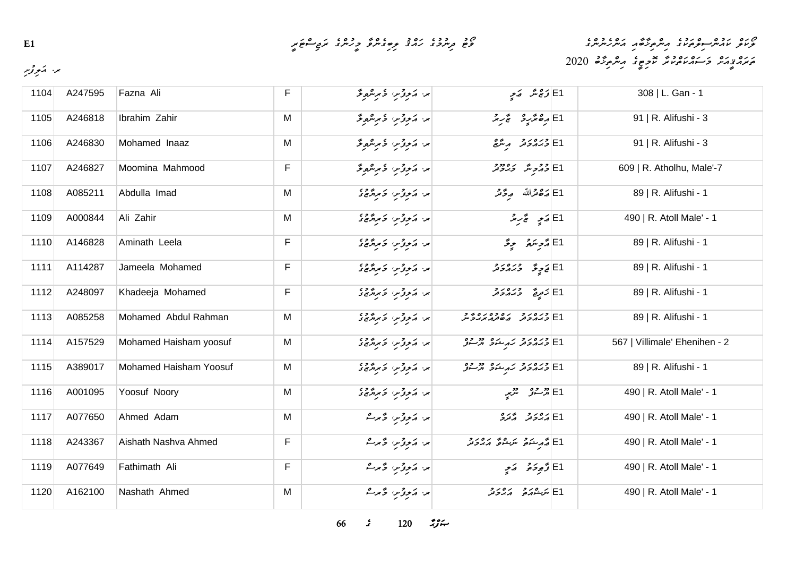*sCw7q7s5w7m< o<n9nOoAw7o< sCq;mAwBoEw7q<m; wBm;vB* م من المرة المرة المرة المرجع المراجع المراجع المراجع المراجع المراجع المراجع المراجع المراجع المراجع المراجع<br>مرين المراجع المراجع المرجع المراجع المراجع المراجع المراجع المراجع المراجع المراجع المراجع المراجع المراجع ال

| 1104 | A247595 | Fazna Ali              | F           | ىر. ئەبورۇس كەبرىكروگە      | E1 تونج نګر ټرمو                           | 308   L. Gan - 1              |
|------|---------|------------------------|-------------|-----------------------------|--------------------------------------------|-------------------------------|
| 1105 | A246818 | Ibrahim Zahir          | M           | ين أيحوق والمحالج والمحدوث  | E1 مەھەرىپە تەرىر                          | 91   R. Alifushi - 3          |
| 1106 | A246830 | Mohamed Inaaz          | M           | أيرا مكروفرا والمرتكوف      |                                            | 91   R. Alifushi - 3          |
| 1107 | A246827 | Moomina Mahmood        | $\mathsf F$ | أأر مكروحين كالرسموكي       | E1 دُيرو شهر در در د                       | 609   R. Atholhu, Male'-7     |
| 1108 | A085211 | Abdulla Imad           | M           | أأرا مكروح من والمراجع والم | E1 رَصْحْراللّه مِرْحَمْد                  | 89   R. Alifushi - 1          |
| 1109 | A000844 | Ali Zahir              | M           | برا مكروحوا كالرموج         | E1 <i>ھَ جِ</i> گُرِ پُر                   | 490   R. Atoll Male' - 1      |
| 1110 | A146828 | Aminath Leela          | F           | برا مكروح المحافر والمحافي  | E1 مُوسَعْ مِعْ                            | 89   R. Alifushi - 1          |
| 1111 | A114287 | Jameela Mohamed        | F           | برا مكروح المحافر والمحافي  | E1 فَيَ حِرِ مُحَدَّدَ مَرَّ دَمَّرَ مَرَّ | 89   R. Alifushi - 1          |
| 1112 | A248097 | Khadeeja Mohamed       | F           | پر ټروژس کریروئ             | E1 كَتَوِيعٌ - وَيَرْدُونَرُ -             | 89   R. Alifushi - 1          |
| 1113 | A085258 | Mohamed Abdul Rahman   | M           | بر הوؤس وبروده              | E1 دره در دره دره در در                    | 89   R. Alifushi - 1          |
| 1114 | A157529 | Mohamed Haisham yoosuf | M           | بر הوؤس وبرمنى              | E1 <i>בהחבת ה</i> קביב וקיים               | 567   Villimale' Ehenihen - 2 |
| 1115 | A389017 | Mohamed Haisham Yoosuf | M           | بر مور در و برمود           | E1 כממכת מקשיב מייני                       | 89   R. Alifushi - 1          |
| 1116 | A001095 | Yoosuf Noory           | M           | برا مكروح المحافر والمحافي  | E1 پرڪري شر <sub>مبر</sub>                 | 490   R. Atoll Male' - 1      |
| 1117 | A077650 | Ahmed Adam             | M           | أيرا مكروحوا ومحايرها       | E1 كەبرى قرىم كەندى                        | 490   R. Atoll Male' - 1      |
| 1118 | A243367 | Aishath Nashva Ahmed   | F           | أيرا مأثولوس كالرب          | E1 مەم شەھ سىشىھ مەدومە                    | 490   R. Atoll Male' - 1      |
| 1119 | A077649 | Fathimath Ali          | F           | أيرا أيجوفرس كريرك          | E1 <i>وُّجِودَة مَ</i> َمٍّ                | 490   R. Atoll Male' - 1      |
| 1120 | A162100 | Nashath Ahmed          | M           | ىن مەنزۇس ۋىرگ              | E1 يترشم مقرق مركز و در حر                 | 490   R. Atoll Male' - 1      |

 $66$  *s*  $120$  *z*  $29$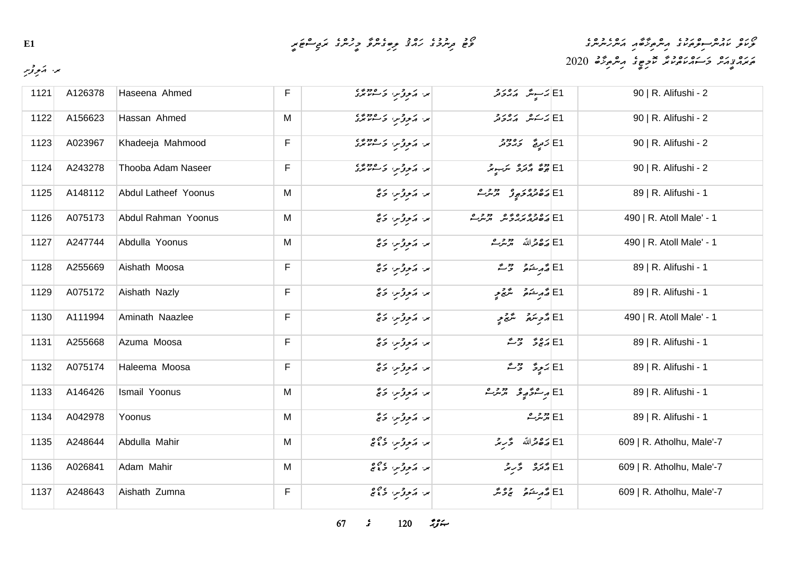*sCw7q7s5w7m< o<n9nOoAw7o< sCq;mAwBoEw7q<m; wBm;vB* م من المرة المرة المرة المرجع المراجع المراجع المراجع المراجع المراجع المراجع المراجع المراجع المراجع المراجع<br>مرين المراجع المراجع المرجع المراجع المراجع المراجع المراجع المراجع المراجع المراجع المراجع المراجع المراجع ال

| 1121 | A126378 | Haseena Ahmed        | F            | بر. ړو ژیر، ځستمندنی        | E1    پرسپر    پروژگر                      | 90   R. Alifushi - 2      |
|------|---------|----------------------|--------------|-----------------------------|--------------------------------------------|---------------------------|
| 1122 | A156623 | Hassan Ahmed         | M            | بر رکوری کامنده             | E1 ئەسىمىش مەيرى قىر                       | 90   R. Alifushi - 2      |
| 1123 | A023967 | Khadeeja Mahmood     | F            | بر. م <i>زو</i> ر و کشور در | E1 كَرْمَرِيحٌ - كَ <sup>رُو</sup> دُ مَرْ | 90   R. Alifushi - 2      |
| 1124 | A243278 | Thooba Adam Naseer   | F            | بر. م <i>زو</i> ر و کشور در | E1 ۾ پُهُ گُرُو سَرَجِي گ                  | 90   R. Alifushi - 2      |
| 1125 | A148112 | Abdul Latheef Yoonus | M            | پر اړکووکس دنج              | E1 גەدە دەر ۋە مەر دە                      | 89   R. Alifushi - 1      |
| 1126 | A075173 | Abdul Rahman Yoonus  | M            | پر انگروژس دنج              | E1 رە دە رەپ ھە دە دە                      | 490   R. Atoll Male' - 1  |
| 1127 | A247744 | Abdulla Yoonus       | M            | بر، مکووکو، وَجَ            | E1 مَەمْعَراللە مَ <i>مْ مَرْمَّ</i>       | 490   R. Atoll Male' - 1  |
| 1128 | A255669 | Aishath Moosa        | $\mathsf F$  | بر، مُتووِّسِ، وَيَج        | E1 مَجْمَدِ شَمَعَ وَ سَمَّ                | 89   R. Alifushi - 1      |
| 1129 | A075172 | Aishath Nazly        | $\mathsf{F}$ | بر ، مَعِوْسٍ حَجَّ         | E1 مۇم يىسىم ئىس ئىس بىر                   | 89   R. Alifushi - 1      |
| 1130 | A111994 | Aminath Naazlee      | $\mathsf F$  | بر، مکووکو، وَجَ            | E1 مُجِسَعَة مُسَمَّعِ                     | 490   R. Atoll Male' - 1  |
| 1131 | A255668 | Azuma Moosa          | $\mathsf F$  | ىن مەنزۇس كەنچ              | $23$ $52/51$                               | 89   R. Alifushi - 1      |
| 1132 | A075174 | Haleema Moosa        | F            | ىن مەنزۇس كەنچ              | E1] پَرچِوَ " وَ"سُدَّ                     | 89   R. Alifushi - 1      |
| 1133 | A146426 | Ismail Yoonus        | M            | ىن مەمرۇس كەنچ              | E1 مەشقۇم قىر تەرىپىتى بىر                 | 89   R. Alifushi - 1      |
| 1134 | A042978 | Yoonus               | M            | برا مُتوفِّسا وَجَ          | E1 انژیٹرنٹ                                | 89   R. Alifushi - 1      |
| 1135 | A248644 | Abdulla Mahir        | M            | أمرا وكموثوث ونامج          | E1 مَەھىراللە ئ <i>ۇرى</i> ر               | 609   R. Atholhu, Male'-7 |
| 1136 | A026841 | Adam Mahir           | M            | پر رنجوژیں کردہ ہ           | E1 مُحَمَّدً وَّرِيْرَ                     | 609   R. Atholhu, Male'-7 |
| 1137 | A248643 | Aishath Zumna        | F            | أبرا وتحوقر والحمامي        | E1 مۇم شىم ئىم ئىمىتىر                     | 609   R. Atholhu, Male'-7 |

 $67$  *s*  $120$  *i*<sub>s</sub>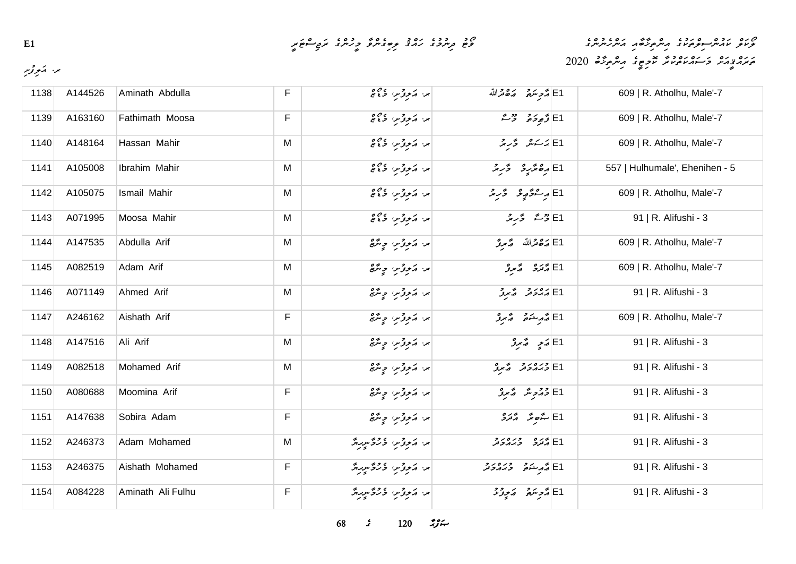*sCw7q7s5w7m< o<n9nOoAw7o< sCq;mAwBoEw7q<m; wBm;vB* م من المرة المرة المرة المرجع المراجع المراجع المراجع المراجع المراجع المراجع المراجع المراجع المراجع المراجع<br>مرين المراجع المراجع المرجع المراجع المراجع المراجع المراجع المراجع المراجع المراجع المراجع المراجع المراجع ال

| 1138 | A144526 | Aminath Abdulla     | F           | پر اړمونوس د چې           | E1 أَمَّ <i>حِيسَمَة أَ</i> مَّاهُ مِنْ اللَّهُ                                                      | 609   R. Atholhu, Male'-7      |
|------|---------|---------------------|-------------|---------------------------|------------------------------------------------------------------------------------------------------|--------------------------------|
| 1139 | A163160 | Fathimath Moosa     | F           | پر مرکز ویکی در دی        | E1 تَ <i>وْجِوْءُ</i> حَرَّسَةُ                                                                      | 609   R. Atholhu, Male'-7      |
| 1140 | A148164 | Hassan Mahir        | M           | پر مرکز کرده و ده م       | E1   پرسترس تخ ریز                                                                                   | 609   R. Atholhu, Male'-7      |
| 1141 | A105008 | Ibrahim Mahir       | M           | بر رکوری وره              | E1 مەھەر بولى ئەرىر                                                                                  | 557   Hulhumale', Ehenihen - 5 |
| 1142 | A105075 | <b>Ismail Mahir</b> | M           | بر رکوری وی               | E1 <sub>م</sub> رشۇ <sub>م</sub> و ئ <sup>ې</sup> رىز                                                | 609   R. Atholhu, Male'-7      |
| 1143 | A071995 | Moosa Mahir         | M           | بر وتووس وءه              | $2,3$ $2,3$ E1                                                                                       | 91   R. Alifushi - 3           |
| 1144 | A147535 | Abdulla Arif        | M           | أيرا م تروش و بدهج        | E1 رَصْحَرْاللّه مَرْمِر <i>وْ</i>                                                                   | 609   R. Atholhu, Male'-7      |
| 1145 | A082519 | Adam Arif           | M           | برا م تروس و برمی         | E1 أَرْتَرَدْ أَرْسِرْ لَ                                                                            | 609   R. Atholhu, Male'-7      |
| 1146 | A071149 | Ahmed Arif          | M           | برا متعادين ويترجى        | E1 <i>ټرې تر په پېر</i> ژ                                                                            | 91   R. Alifushi - 3           |
| 1147 | A246162 | Aishath Arif        | F           | أيرا مأفروش ويترجى        | E1 مُرْمِسْنَمْ مُرْمِرْزُ                                                                           | 609   R. Atholhu, Male'-7      |
| 1148 | A147516 | Ali Arif            | M           | برا م کروگرا او مگرمی     | E1 کی په گیمونو                                                                                      | 91   R. Alifushi - 3           |
| 1149 | A082518 | Mohamed Arif        | M           | برا م دوس و برمی          | E1 <i>3222 مگیرو</i>                                                                                 | 91   R. Alifushi - 3           |
| 1150 | A080688 | Moomina Arif        | $\mathsf F$ | برا م کرومن دیگری         | E1 دُمُ دِيمٌ مُدَّبورٌ                                                                              | 91   R. Alifushi - 3           |
| 1151 | A147638 | Sobira Adam         | F           | ما المرمورين ويتنفى       | E1 بثوم محمد محمد الحرار المحمد السياسية السياسية التي تحريد السياسية التي تجار السياسية السياسية ال | 91   R. Alifushi - 3           |
| 1152 | A246373 | Adam Mohamed        | M           | برا مأورقن وروسرمر        | E1 جُمْرَوْ وَبَرْدُونْر                                                                             | 91   R. Alifushi - 3           |
| 1153 | A246375 | Aishath Mohamed     | F           | بر مُعِوْس دُرْدُ سِرِ مُ | E1 مُصِحْمَى وَيَدْوَمَرْ                                                                            | 91   R. Alifushi - 3           |
| 1154 | A084228 | Aminath Ali Fulhu   | F           | أما أرووس ورؤسرا          | E1 مُتَّحِسَمَةُ مَعِرْزَةٌ                                                                          | 91   R. Alifushi - 3           |

 $68$  *s*  $120$  *z*  $29$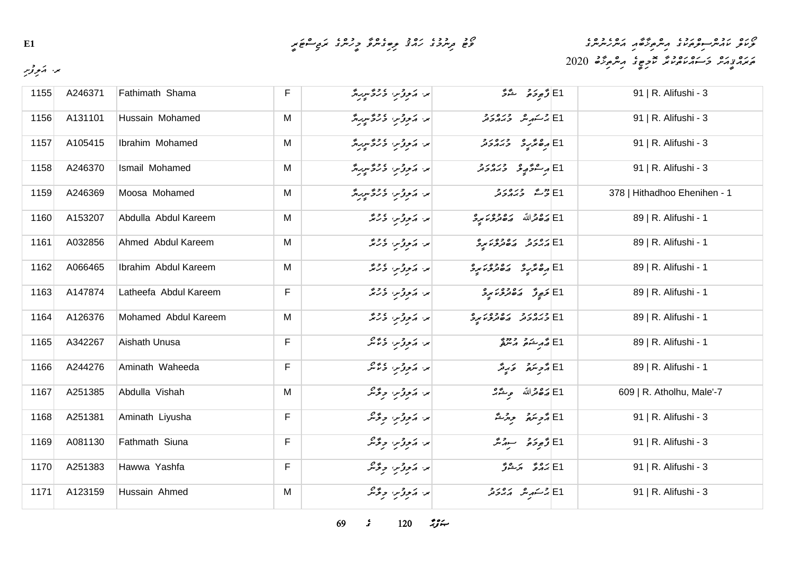*sCw7q7s5w7m< o<n9nOoAw7o< sCq;mAwBoEw7q<m; wBm;vB* م من المرة المرة المرة المرجع المراجع المراجع المراجع المراجع المراجع المراجع المراجع المراجع المراجع المراجع<br>مرين المراجع المراجع المرجع المراجع المراجع المراجع المراجع المراجع المراجع المراجع المراجع المراجع المراجع ال

| 1155 | A246371 | Fathimath Shama       | $\mathsf{F}$ | پر مرکورفرین ڈرگر میرینگر    | E1 <i>وَّجِ حَمَّ</i> شَرَّحَ           | 91   R. Alifushi - 3         |
|------|---------|-----------------------|--------------|------------------------------|-----------------------------------------|------------------------------|
| 1156 | A131101 | Hussain Mohamed       | M            | برا م تورقس كارو مريد الر    | E1 يُرْسَمُ بِيْنَ وَيَرْدُونَدْ        | 91   R. Alifushi - 3         |
| 1157 | A105415 | Ibrahim Mohamed       | M            | ما أكتوفر المورد و كتور الله | E1 مەھمگىرى ئەممەدىر                    | 91   R. Alifushi - 3         |
| 1158 | A246370 | Ismail Mohamed        | M            | ما أمولوس وروسرمار           | E1, مشر <i>قم وبرودي</i> ر              | 91   R. Alifushi - 3         |
| 1159 | A246369 | Moosa Mohamed         | M            | أأرا أركوفر والمحافظ والرامر | E1 تۇنتە ئەيرە <i>دى</i> ر              | 378   Hithadhoo Ehenihen - 1 |
| 1160 | A153207 | Abdulla Abdul Kareem  | M            | برا مُعِرْضٍ وَرْبَرُ        | E1 رَصْحْراللَّهُ مَصْعَرْحَرْمَ مَرِجْ | 89   R. Alifushi - 1         |
| 1161 | A032856 | Ahmed Abdul Kareem    | М            | أبرا مكروش ورقدهم            | E1 גژکو ده مورد کارو                    | 89   R. Alifushi - 1         |
| 1162 | A066465 | Ibrahim Abdul Kareem  | M            | أبرا مكروش ورقدهما           | E1 رەئزېرى ھەمزىر <i>مى</i> رى          | 89   R. Alifushi - 1         |
| 1163 | A147874 | Latheefa Abdul Kareem | F            | برا مُتَوَوَّينِ وَرْبَقَ    | E1 خَيْرٍ وَصَفَّرْ مَمْ مِرْدَّ        | 89   R. Alifushi - 1         |
| 1164 | A126376 | Mohamed Abdul Kareem  | M            | برا م تحرقر عن الحرار محر    | E1 دره دو بره دور بود                   | 89   R. Alifushi - 1         |
| 1165 | A342267 | Aishath Unusa         | $\mathsf F$  | بر. مَعِرْسِ وَلَا شَرْ      | E1 مەم شىم مەمىر                        | 89   R. Alifushi - 1         |
| 1166 | A244276 | Aminath Waheeda       | F            | بر. مُتورُّسِ، وَلاَنْثَر    | E1 مَّ <i>حِ سَمَّةً وَ بِ</i> مَّد     | 89   R. Alifushi - 1         |
| 1167 | A251385 | Abdulla Vishah        | M            | بر ړوونو، وژنگر              | E1 مَەھْتَراللە م <i>وشۇر</i>           | 609   R. Atholhu, Male'-7    |
| 1168 | A251381 | Aminath Liyusha       | F            | برا م تروس دی ش              | E1 مُرْحِسَمَ مِعْرِمْتُهُ              | 91   R. Alifushi - 3         |
| 1169 | A081130 | Fathmath Siuna        | $\mathsf{F}$ | ر. مَعِدْسِ وِقْسْ           | E1 وَجوحَعْ سِيرْتَرْ                   | 91   R. Alifushi - 3         |
| 1170 | A251383 | Hawwa Yashfa          | F            | بر خورش ودهر                 | E1 بَرْدُوَّ بَرَحْتَوَّرَّ             | 91   R. Alifushi - 3         |
| 1171 | A123159 | Hussain Ahmed         | M            | بر مورمن وؤثر                | E1  يُرْسَمَّ مِيْنَ مَدَوَمَّدُ        | 91   R. Alifushi - 3         |

*69 sC 120 nNw?mS*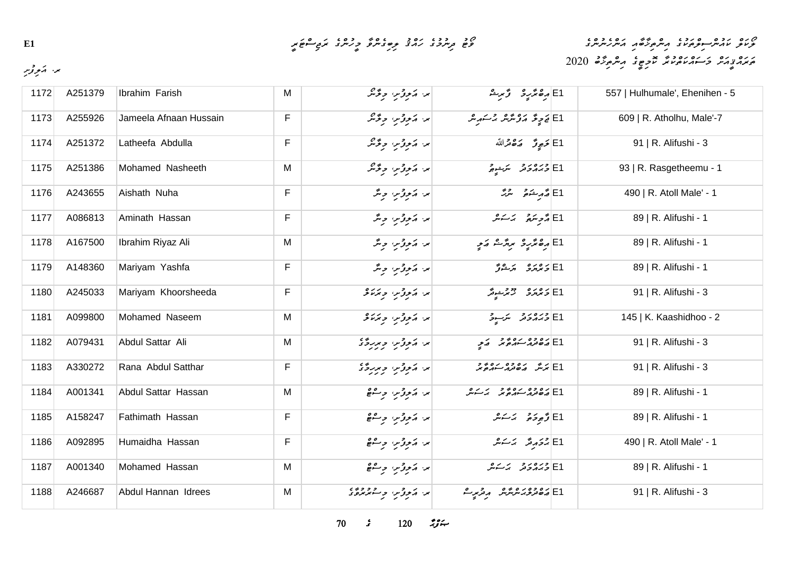*sCw7q7s5w7m< o<n9nOoAw7o< sCq;mAwBoEw7q<m; wBm;vB* م من المرة المرة المرة المرجع المراجع المراجع المراجع المراجع المراجع المراجع المراجع المراجع المراجع المراجع<br>مرين المراجع المراجع المرجع المراجع المراجع المراجع المراجع المراجع المراجع المراجع المراجع المراجع المراجع ال

| 1172 | A251379 | Ibrahim Farish         | M | ىر. ئەبرۇس برۇنگە     | E1 مِ@مَّرِدِدْ - وَّمِرْكْ            | 557   Hulhumale', Ehenihen - 5 |
|------|---------|------------------------|---|-----------------------|----------------------------------------|--------------------------------|
| 1173 | A255926 | Jameela Afnaan Hussain | F | پر مکروکرما و ونگر    | E1 ئ <sub>ے جو</sub> بۇ مۇشرىر برگىرىد | 609   R. Atholhu, Male'-7      |
| 1174 | A251372 | Latheefa Abdulla       | F | پر مرکزی وڈیگ         | E1 تح <i>جي قل مذه قر</i> الله         | 91   R. Alifushi - 3           |
| 1175 | A251386 | Mohamed Nasheeth       | M | بر ټروين ولاش         | E1 <i>وُبَرُوْدُو مَرْجُومُ</i>        | 93   R. Rasgetheemu - 1        |
| 1176 | A243655 | Aishath Nuha           | F | برا مکروکرا ویڈ       | E1 مەم شىر مىرگە                       | 490   R. Atoll Male' - 1       |
| 1177 | A086813 | Aminath Hassan         | F | پر مرکورفرما ترنگ     | E1 مَّ حِسَمَعُ سَرَسْرٌ               | 89   R. Alifushi - 1           |
| 1178 | A167500 | Ibrahim Riyaz Ali      | M | پر انگوروس جنگ        | E1 مەھەرىپ ئىرە ئىچە ئەرىپە            | 89   R. Alifushi - 1           |
| 1179 | A148360 | Mariyam Yashfa         | F | برا مکورش ویڈ         | E1 كەنگەر كەرگە بىر                    | 89   R. Alifushi - 1           |
| 1180 | A245033 | Mariyam Khoorsheeda    | F | برا أيجوش وبمكافحه    | E1 5 <i>مەيرى تىمىغ</i> وت <i>گ</i>    | 91   R. Alifushi - 3           |
| 1181 | A099800 | Mohamed Naseem         | M | ما المروحين المرتماني | E1 <i>وُبَرُوو وَ</i> مَرَسِوڤ         | 145   K. Kaashidhoo - 2        |
| 1182 | A079431 | Abdul Sattar Ali       | M | أأرا أركوفوس والررومى | E1 كەھىر مەمەم كەم                     | 91   R. Alifushi - 3           |
| 1183 | A330272 | Rana Abdul Satthar     | F | پر ټروژین ویرزونځ     | E1 بزش مەھىرمەسىر <i>ە ب</i> و         | 91   R. Alifushi - 3           |
| 1184 | A001341 | Abdul Sattar Hassan    | M | بر رووژس وگو          | E1 پەھ <i>تەرەك خەرج بىر ئەسە</i> ش    | 89   R. Alifushi - 1           |
| 1185 | A158247 | Fathimath Hassan       | F | بر رووین ویگاه        | E1 <i>وُهِ دَهُ برَسَ</i> سٌ           | 89   R. Alifushi - 1           |
| 1186 | A092895 | Humaidha Hassan        | F | بر رکوری وگ           | E1 يُرْدَرِيْرُ - بَرْسَرْرُ           | 490   R. Atoll Male' - 1       |
| 1187 | A001340 | Mohamed Hassan         | M | بر مورير، وڪھ         | E1 32858 كەشكەر                        | 89   R. Alifushi - 1           |
| 1188 | A246687 | Abdul Hannan Idrees    | M | بر مرکزور دیکربروی    | E1 مەھ <i>ىر ۋىر مەرگەر بەرگەر</i> مى  | 91   R. Alifushi - 3           |

 $70$  *s*  $120$   $29$   $\div$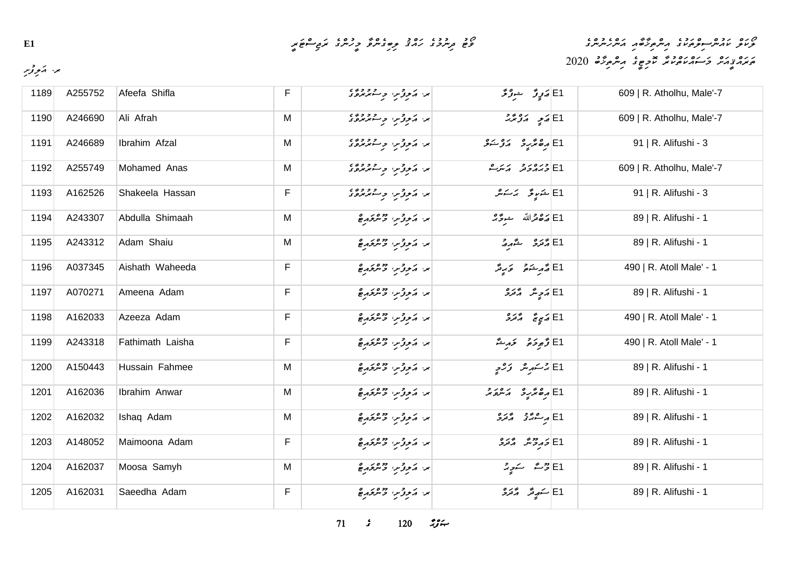*sCw7q7s5w7m< o<n9nOoAw7o< sCq;mAwBoEw7q<m; wBm;vB* م من المرة المرة المرة المرجع المراجع المراجع المراجع المراجع المراجع المراجع المراجع المراجع المراجع المراجع<br>مرين المراجع المراجع المرجع المراجع المراجع المراجع المراجع المراجع المراجع المراجع المراجع المراجع المراجع ال

| 1189 | A255752 | Afeefa Shifla    | $\mathsf{F}$ | بر رکوری و مشر دور                    | E1 <i>ړَږِ ژَ</i> حوژ دَ                             | 609   R. Atholhu, Male'-7 |
|------|---------|------------------|--------------|---------------------------------------|------------------------------------------------------|---------------------------|
| 1190 | A246690 | Ali Afrah        | M            | أأرا أركوفر والمستور والمحمد والمحامى | E1 <i>جَرِي پُوُنُرُبُّ</i>                          | 609   R. Atholhu, Male'-7 |
| 1191 | A246689 | Ibrahim Afzal    | M            | أأترا أكروفر والمتور والأدا           | E1 رەئزىر ئىسى ئىلىمىتى كىلىمىتى بىر                 | 91   R. Alifushi - 3      |
| 1192 | A255749 | Mohamed Anas     | M            | بر رکور و سرگروه                      | E1 <i>ۋېزودنى كەنت</i> رىشە                          | 609   R. Atholhu, Male'-7 |
| 1193 | A162526 | Shakeela Hassan  | $\mathsf F$  | بر رکور و سربروی                      | E1 ڪمبر تي پرڪش                                      | 91   R. Alifushi - 3      |
| 1194 | A243307 | Abdulla Shimaah  | M            | برا مأجر في المحترمة المحمد           | E1 مَەمْراللە ھەدَّبْر                               | 89   R. Alifushi - 1      |
| 1195 | A243312 | Adam Shaiu       | M            | برا مكروحين وحمر ومقرم                | E1 أَرْتَعَرَّرَ حَسَّمَ <i>رِ فَ</i>                | 89   R. Alifushi - 1      |
| 1196 | A037345 | Aishath Waheeda  | $\mathsf F$  | برا مُتَوَرِّين وَسَرْحَهُ عَ         | E1 م <i>ەُم</i> ەشكى ق <sup>ى</sup> مەمە             | 490   R. Atoll Male' - 1  |
| 1197 | A070271 | Ameena Adam      | F            | برا مكروحين وحمر ومقرم                | E1 أ <i>مَّجٍ مَدَّ مُقرَّد</i> ً                    | 89   R. Alifushi - 1      |
| 1198 | A162033 | Azeeza Adam      | F            | أمرا مكرور وحمد والمحدود              | E1 كەيىچ گەنىرى                                      | 490   R. Atoll Male' - 1  |
| 1199 | A243318 | Fathimath Laisha | F            | أيرا مكروحين وحمر خرمره               | E1 وَجِوَدَةٌ وَمِثَّةٌ                              | 490   R. Atoll Male' - 1  |
| 1200 | A150443 | Hussain Fahmee   | M            | برا مكروحين وحمر ومقرم                | E1 پرڪيريش ت <i>و</i> ري <sub>جي</sub>               | 89   R. Alifushi - 1      |
| 1201 | A162036 | Ibrahim Anwar    | M            | ألمن مكروحين وحمر مركز مردع           | E1 مەھمەر مەمدىم E1                                  | 89   R. Alifushi - 1      |
| 1202 | A162032 | Ishaq Adam       | M            | أمرا مكرور والمتحدق                   | E1 م <i>ې شرگی تخ</i> صو                             | 89   R. Alifushi - 1      |
| 1203 | A148052 | Maimoona Adam    | F            | أمرا مأجرقر المتحر والمراجر والمحر    | E1 <i>جَ ۾ ڏُنگھ جُنگ</i> و                          | 89   R. Alifushi - 1      |
| 1204 | A162037 | Moosa Samyh      | M            | برا مُتَوَرِّين وَمَرْدَمُ عَ         | E1 حي مستر مير شرح به شرح به الله السياسي<br>السياسي | 89   R. Alifushi - 1      |
| 1205 | A162031 | Saeedha Adam     | F            | بر مورمر ومرغدة                       | E1 سَم <i>وِنڈ مُ</i> تردُ                           | 89   R. Alifushi - 1      |

 $71$  *s*  $120$  *z***<sub>3</sub>**  $\frac{2}{3}$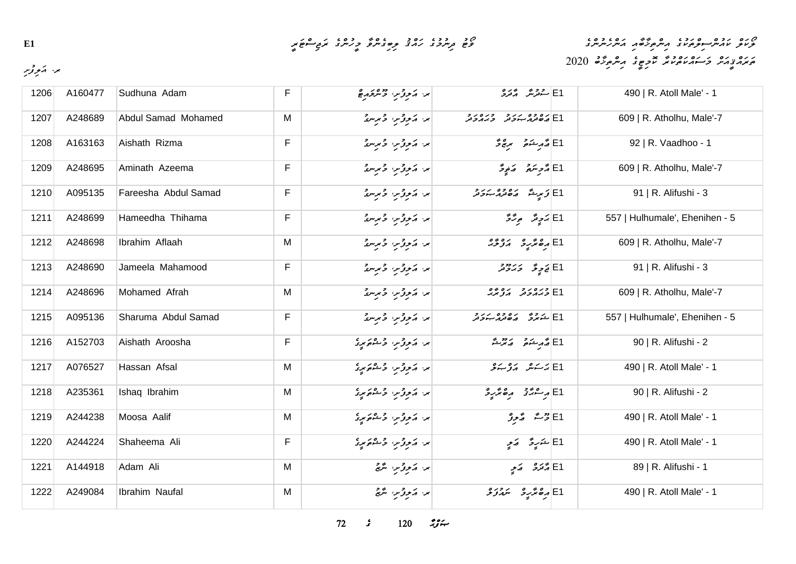*sCw7q7s5w7m< o<n9nOoAw7o< sCq;mAwBoEw7q<m; wBm;vB* م من المرة المرة المرة المرجع المراجع المراجع المراجع المراجع المراجع المراجع المراجع المراجع المراجع المراجع<br>مرين المراجع المراجع المرجع المراجع المراجع المراجع المراجع المراجع المراجع المراجع المراجع المراجع المراجع ال

| 1206 | A160477 | Sudhuna Adam         | F | بر. مَعِرْسٍ وَمَرْحَمِهِ    | E1 شۇرىگە گەنزى                       | 490   R. Atoll Male' - 1       |
|------|---------|----------------------|---|------------------------------|---------------------------------------|--------------------------------|
| 1207 | A248689 | Abdul Samad Mohamed  | M | أأرا الكروفين الحامر سما     | / E1 رەم دىر دىرە دىر دىر             | 609   R. Atholhu, Male'-7      |
| 1208 | A163163 | Aishath Rizma        | F | أأرا أأتروس ومرسد            | E1 مەم شىم مىسى ق                     | 92   R. Vaadhoo - 1            |
| 1209 | A248695 | Aminath Azeema       | F | أبرأ أتروقس ومرسد            | E1 مُتصِبَعْهِ مَفْرِقَهِ             | 609   R. Atholhu, Male'-7      |
| 1210 | A095135 | Fareesha Abdul Samad | F | أأرا الكروفين الحامر سوفح    | E1 كۆموشىگە كەنھە <i>تەر دەر</i>      | 91   R. Alifushi - 3           |
| 1211 | A248699 | Hameedha Thihama     | F | أيرا أكروفريرا الحبرسوفي     | E1 كَمَرٍ مَّرْ مَرْدًّدً             | 557   Hulhumale', Ehenihen - 5 |
| 1212 | A248698 | Ibrahim Aflaah       | M | أأرا أأتروس ومرسور           | E1 مەھەر بەر مەزىرى<br>E1             | 609   R. Atholhu, Male'-7      |
| 1213 | A248690 | Jameela Mahamood     | F | أأرا أأتروس ومرسد            | E1 ق و تن تر تروتر<br>E1              | 91   R. Alifushi - 3           |
| 1214 | A248696 | Mohamed Afrah        | M | أيرا مكروحوس ومرسد           | E1 32023 كروموه                       | 609   R. Atholhu, Male'-7      |
| 1215 | A095136 | Sharuma Abdul Samad  | F | أما الكروحي ومجرسة           | E1 شەترى ھەقىرە سىردىر                | 557   Hulhumale', Ehenihen - 5 |
| 1216 | A152703 | Aishath Aroosha      | F | أمرا مكوفر المراكب والمحامرة | E1 مەم ھەرگىشە كەنتىر ئىش             | 90   R. Alifushi - 2           |
| 1217 | A076527 | Hassan Afsal         | M | بر. مَعِرْضٍ وَحَقَّ مِرَةٍ  | E1 ئەسىرىشە ئەرىب ئىقى                | 490   R. Atoll Male' - 1       |
| 1218 | A235361 | Ishaq Ibrahim        | M | برا مكووهرا ومشكوبره         | E1 م <i>وسر قتى مەھەتگەر ۋ</i>        | 90   R. Alifushi - 2           |
| 1219 | A244238 | Moosa Aalif          | M | أما أكرور والمشحورة          | E1 حَمْدِرْ                           | 490   R. Atoll Male' - 1       |
| 1220 | A244224 | Shaheema Ali         | F | برا م ووثرا و مشتوره         | E1 ڪ <sub>يو</sub> ڙ <sub>مک</sub> رِ | 490   R. Atoll Male' - 1       |
| 1221 | A144918 | Adam Ali             | M | ىن مەمرۇس ئىگى               | E1  پژ <i>نرڈ پر پ</i>                | 89   R. Alifushi - 1           |
| 1222 | A249084 | Ibrahim Naufal       | M | أما أرووس اللهج              | E1 مەھەر ئەرەر ئىمەتەتى               | 490   R. Atoll Male' - 1       |

 $72$  *s*  $120$   $23$   $\div$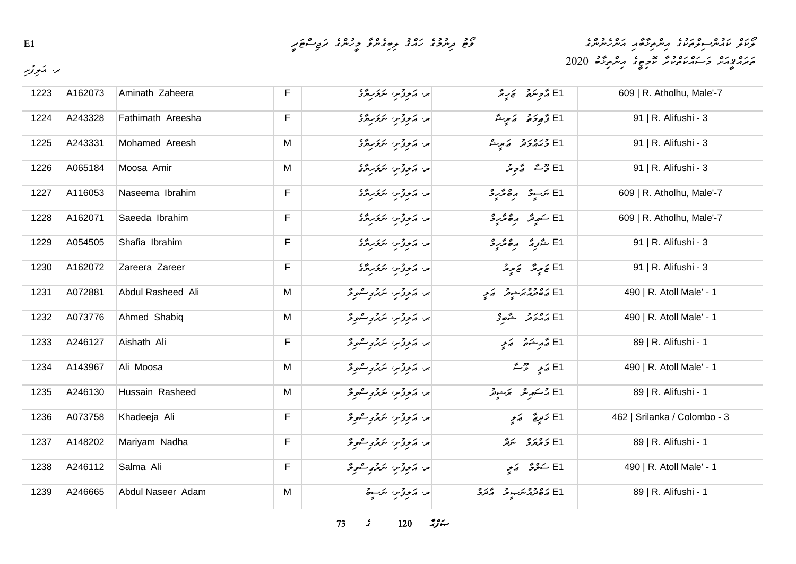*sCw7q7s5w7m< o<n9nOoAw7o< sCq;mAwBoEw7q<m; wBm;vB* م من المرة المرة المرة المرجع المرجع في المركبة 2020<br>مجم*د المريض المربوط المربع المرجع في المراجع المركبة* 

| 1223 | A162073 | Aminath Zaheera   | F           | بر. مَعِرْفُرِيهِ سَعَرَبِينَّةً | E1 مُتَّحِبَّتَهُمْ تَجَرِبَّتُهُ         | 609   R. Atholhu, Male'-7    |
|------|---------|-------------------|-------------|----------------------------------|-------------------------------------------|------------------------------|
| 1224 | A243328 | Fathimath Areesha | F           | أيرا مكروفوس مكرفر مرقمة         | E1 وَجِوَدَةٌ صَمِيشٌ                     | 91   R. Alifushi - 3         |
| 1225 | A243331 | Mohamed Areesh    | M           | أيرا مأثور ومحمد مكركز مردوع     | E1 <i>وُبَرُوونَ <sub>م</sub>ُبِرِ</i> ّے | 91   R. Alifushi - 3         |
| 1226 | A065184 | Moosa Amir        | M           | برا مكروحوا الكركر الردعي        | E1 حُرِمَة مُسَرِمَة ا                    | 91   R. Alifushi - 3         |
| 1227 | A116053 | Naseema Ibrahim   | F           | ما الأحوالي، الكرام الأولى       | E1 مَرَسِوتٌ مِنْ صَحَّرِيْتُ             | 609   R. Atholhu, Male'-7    |
| 1228 | A162071 | Saeeda Ibrahim    | F           | أمرا مأفروش الكرقر ورمحمى        | E1 سَمپِعَرَ مِنْ مُرْسِرْدُ              | 609   R. Atholhu, Male'-7    |
| 1229 | A054505 | Shafia Ibrahim    | F           | أيرا مأثور ومحمد مكركز مردوع     | E1 څوړ مه پره ټر <sub>ي</sub> و           | 91   R. Alifushi - 3         |
| 1230 | A162072 | Zareera Zareer    | F           | أيرا مكروفورا الكرقر مردعي       | E1 کی مریمًا سی مریمًا                    | 91   R. Alifushi - 3         |
| 1231 | A072881 | Abdul Rasheed Ali | M           | أمرا مكرور ومحركة والمحرور       | E1 كەھەركە <i>بىرىشوەڭ كەي</i> ر          | 490   R. Atoll Male' - 1     |
| 1232 | A073776 | Ahmed Shabiq      | M           | أمرا الكروفرس الكريمي والمحوافى  | E1 كەبرى كەن ئىس ئىس ئى                   | 490   R. Atoll Male' - 1     |
| 1233 | A246127 | Aishath Ali       | $\mathsf F$ | ىر. مۇرۇش ئىرچى سىمونۇ           | E1 م <i>ەم ھەم</i> ھەم                    | 89   R. Alifushi - 1         |
| 1234 | A143967 | Ali Moosa         | M           | ىر. مۇرۇش ئىرچى سىمونۇ           | E1 کی تح <sup>می</sup> ش                  | 490   R. Atoll Male' - 1     |
| 1235 | A246130 | Hussain Rasheed   | M           | ىر. مۇرۇش ئىرىمى سىموگە          | E1 بر سکوپٹر گرھوٹر                       | 89   R. Alifushi - 1         |
| 1236 | A073758 | Khadeeja Ali      | F           | أيرا الكووثين الكريمي والقوافخر  | E1  تزمرِجٌ – مَرَمٍ                      | 462   Srilanka / Colombo - 3 |
| 1237 | A148202 | Mariyam Nadha     | F           | برا الموفرس الكرجمي مصحوفة       | E1 كەبەر ئەرىگە                           | 89   R. Alifushi - 1         |
| 1238 | A246112 | Salma Ali         | F           | ىر. مۇرۇس ئىرچى سوڭ              | E1 شۇق <sub>ھ</sub> و                     | 490   R. Atoll Male' - 1     |
| 1239 | A246665 | Abdul Naseer Adam | M           | ىن مەجەۋىر، ئىرسىم               | E1 בטיברית הייתי הביבר                    | 89   R. Alifushi - 1         |

 $73$  *s*  $\qquad$  120  $29$   $\qquad$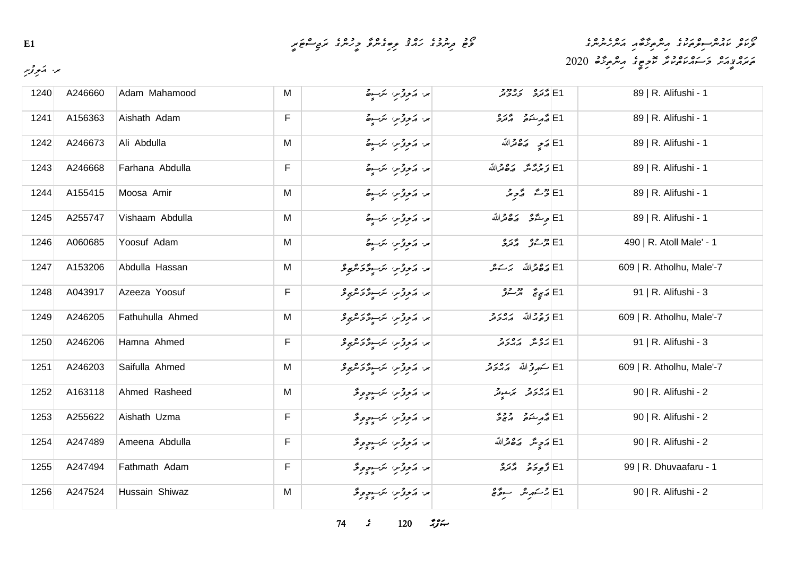*sCw7q7s5w7m< o<n9nOoAw7o< sCq;mAwBoEw7q<m; wBm;vB* م من المرة المرة المرة المرجع المرجع في المركبة 2020<br>مجم*د المريض المربوط المربع المرجع في المراجع المركبة* 

| 1240 | A246660 | Adam Mahamood    | M           | ىر. مەجەۋىر، ئىزىسوڭ              | E1 كەتىر <i>ە بەدە د</i> ەر                                                                                                                                                                                                                                                                                                                                                                                                                                       | 89   R. Alifushi - 1      |
|------|---------|------------------|-------------|-----------------------------------|-------------------------------------------------------------------------------------------------------------------------------------------------------------------------------------------------------------------------------------------------------------------------------------------------------------------------------------------------------------------------------------------------------------------------------------------------------------------|---------------------------|
| 1241 | A156363 | Aishath Adam     | $\mathsf F$ | برا مكروكيرا الكرسية              | E1 مُجمِّدِ مُجمَّدٍ مُحَمَّدٍ                                                                                                                                                                                                                                                                                                                                                                                                                                    | 89   R. Alifushi - 1      |
| 1242 | A246673 | Ali Abdulla      | M           | بر مورمن مرجع                     | E1 <i>مَتْحِ مَنْ قَمَّ</i> اللَّهُ                                                                                                                                                                                                                                                                                                                                                                                                                               | 89   R. Alifushi - 1      |
| 1243 | A246668 | Farhana Abdulla  | F           | برا مكروكيرا الكرسية              | E1 وَتَرَبَّدَتَرَ بَرَهُ قَرَاللَّه                                                                                                                                                                                                                                                                                                                                                                                                                              | 89   R. Alifushi - 1      |
| 1244 | A155415 | Moosa Amir       | M           | پر اړکوروس امراسیږي               | $\mathcal{Z}_{\geq 0} \mathcal{Z}_{\geq 0} \subset \mathcal{Z}_{\geq 0} \subset \mathcal{Z}_{\geq 0} \subset \mathcal{Z}_{\geq 0} \subset \mathcal{Z}_{\geq 0} \subset \mathcal{Z}_{\geq 0} \subset \mathcal{Z}_{\geq 0} \subset \mathcal{Z}_{\geq 0} \subset \mathcal{Z}_{\geq 0} \subset \mathcal{Z}_{\geq 0} \subset \mathcal{Z}_{\geq 0} \subset \mathcal{Z}_{\geq 0} \subset \mathcal{Z}_{\geq 0} \subset \mathcal{Z}_{\geq 0} \subset \mathcal{Z}_{\geq 0}$ | 89   R. Alifushi - 1      |
| 1245 | A255747 | Vishaam Abdulla  | M           | برا مكروكيرا الكرسية              | E1 مِشَرْحَ صَرَّحْدَاللَّه                                                                                                                                                                                                                                                                                                                                                                                                                                       | 89   R. Alifushi - 1      |
| 1246 | A060685 | Yoosuf Adam      | M           | أمرا أتروقس الكرسية               | E1 تريشتر محمده                                                                                                                                                                                                                                                                                                                                                                                                                                                   | 490   R. Atoll Male' - 1  |
| 1247 | A153206 | Abdulla Hassan   | M           | ألا أكروس الكرادة والكرانج        | E1 مَەمْمَراللە بەسكەش                                                                                                                                                                                                                                                                                                                                                                                                                                            | 609   R. Atholhu, Male'-7 |
| 1248 | A043917 | Azeeza Yoosuf    | F           | پر انگروژس انگراچوی محمد علی محمد | E1 ڪَيپجُ ترڪو                                                                                                                                                                                                                                                                                                                                                                                                                                                    | 91   R. Alifushi - 3      |
| 1249 | A246205 | Fathuhulla Ahmed | M           | أما أكرور الكرام وكالملج للحر     | E1 وَحَدِّرْ اللّه مَدْرَوْرٌ                                                                                                                                                                                                                                                                                                                                                                                                                                     | 609   R. Atholhu, Male'-7 |
| 1250 | A246206 | Hamna Ahmed      | F           | ىر. مۇرۇپ، سەسپەۋكىرى ئ           | E1 كەۋىگە كەبمۇ <i>ق</i> ر                                                                                                                                                                                                                                                                                                                                                                                                                                        | 91   R. Alifushi - 3      |
| 1251 | A246203 | Saifulla Ahmed   | M           | أمرا أكروفرس الكرسوق كالكرموقى    | E1 كمبرتر الله - مركز قر                                                                                                                                                                                                                                                                                                                                                                                                                                          | 609   R. Atholhu, Male'-7 |
| 1252 | A163118 | Ahmed Rasheed    | M           | أيرا الكووحين الكرسوج وكل         | E1 كەردى كەن كەر                                                                                                                                                                                                                                                                                                                                                                                                                                                  | 90   R. Alifushi - 2      |
| 1253 | A255622 | Aishath Uzma     | F           | ىر. مۇرۇس ئىز سوھ بۇ              | E1 مەم شىم مىمى E1                                                                                                                                                                                                                                                                                                                                                                                                                                                | 90   R. Alifushi - 2      |
| 1254 | A247489 | Ameena Abdulla   | F           | لا مكورة من الكرسوج و مح          | E1 ك <sup>ر</sup> جي <i>مَّر كَمُ قَ</i> رَاللَّهُ                                                                                                                                                                                                                                                                                                                                                                                                                | 90   R. Alifushi - 2      |
| 1255 | A247494 | Fathmath Adam    | F           | أيرا مكووش الكرسولوفى             | E1 وُجِعَة مُقرَّدة                                                                                                                                                                                                                                                                                                                                                                                                                                               | 99   R. Dhuvaafaru - 1    |
| 1256 | A247524 | Hussain Shiwaz   | M           | لا مكورة من مكرسوه و مح           | E1 برسمبر شرع مقبض ب                                                                                                                                                                                                                                                                                                                                                                                                                                              | 90   R. Alifushi - 2      |

 $74$  *s*  $120$  *z***<sub>3</sub>**  $\frac{2}{3}$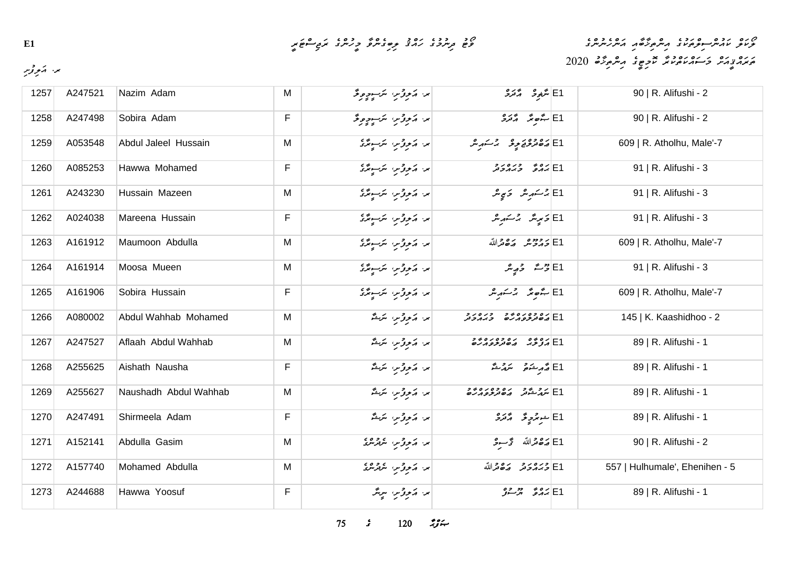*sCw7q7s5w7m< o<n9nOoAw7o< sCq;mAwBoEw7q<m; wBm;vB* م من المرة المرة المرة المرجع المرجع في المركبة 2020<br>مجم*د المريض المربوط المربع المرجع في المراجع المركبة* 

| 1257 | A247521 | Nazim Adam            | M           | پر انگروفرما انگرام دیگر  | E1 سَمْعِ 3 مُتَرَّحَ مَدَّ                | 90   R. Alifushi - 2           |
|------|---------|-----------------------|-------------|---------------------------|--------------------------------------------|--------------------------------|
| 1258 | A247498 | Sobira Adam           | F           | پر انگروژس انگریبوه و د   | E1 يُبْرَحُ بِمَرْ دَرْدَ                  | 90   R. Alifushi - 2           |
| 1259 | A053548 | Abdul Jaleel Hussain  | M           | پر انگروژس، انگریزی       | E1 مەھىر ئۇيج بۇ بەر بىر بىر               | 609   R. Atholhu, Male'-7      |
| 1260 | A085253 | Hawwa Mohamed         | $\mathsf F$ | أين الكولوكس، الكرسونترى  | E1 <i>ټرو وېروب</i> و                      | 91   R. Alifushi - 3           |
| 1261 | A243230 | Hussain Mazeen        | M           | أين الكولوكس، الكرسونترى  | E1 پرښور تاريد                             | 91   R. Alifushi - 3           |
| 1262 | A024038 | Mareena Hussain       | F           | پر انگروژس، انگریزنگرد    | E1 كەيرىگە - جەسكەر بىر                    | 91   R. Alifushi - 3           |
| 1263 | A161912 | Maumoon Abdulla       | M           | پر انگروژس، انگریزی       | E1 555 محمد محدث الله                      | 609   R. Atholhu, Male'-7      |
| 1264 | A161914 | Moosa Mueen           | M           | پر اړکورمن امراکسیوندی    | E1 دخش ڈریٹر                               | 91   R. Alifushi - 3           |
| 1265 | A161906 | Sobira Hussain        | F           | پر اړموژنو، نتر په پرو    | E1 يَدْھ پَرْ بِرْ سَنَ <sub>مَ</sub> بِرْ | 609   R. Atholhu, Male'-7      |
| 1266 | A080002 | Abdul Wahhab Mohamed  | M           | أمرا الكوثوس الكرامية     | / E1 ره ده ده د دره در د                   | 145   K. Kaashidhoo - 2        |
| 1267 | A247527 | Aflaah Abdul Wahhab   | M           | أمرا الكوفر من الكرامنة ا | E1 زوږو د موره د د د                       | 89   R. Alifushi - 1           |
| 1268 | A255625 | Aishath Nausha        | F           | أبرا الكروحي الكرامية     | E1 مُذہبِ شَمَعَ مَسَمَّدَ شَمَّ           | 89   R. Alifushi - 1           |
| 1269 | A255627 | Naushadh Abdul Wahhab | M           | برا الكوثورا الكرينة      | E1 شرح در ده وه ده ده و                    | 89   R. Alifushi - 1           |
| 1270 | A247491 | Shirmeela Adam        | F           | أبرا الكروحي الكرامية     | E1 حو <i>مرٌوٍ قُرْ مُرَّدَوْ</i>          | 89   R. Alifushi - 1           |
| 1271 | A152141 | Abdulla Gasim         | M           | أمرا مكروحوس الكرمري      | E1 مَهْ قَرْاللَّه تَحْ — مَرْ             | 90   R. Alifushi - 2           |
| 1272 | A157740 | Mohamed Abdulla       | M           | بر رکوری، مرکز مرد        | E1 32025 مَرْهُ هَدَاللّه                  | 557   Hulhumale', Ehenihen - 5 |
| 1273 | A244688 | Hawwa Yoosuf          | F           | ىن مەمرۇس سىگ             | E1 پروژ مرتبو                              | 89   R. Alifushi - 1           |

 $75$  *s*  $120$   $29$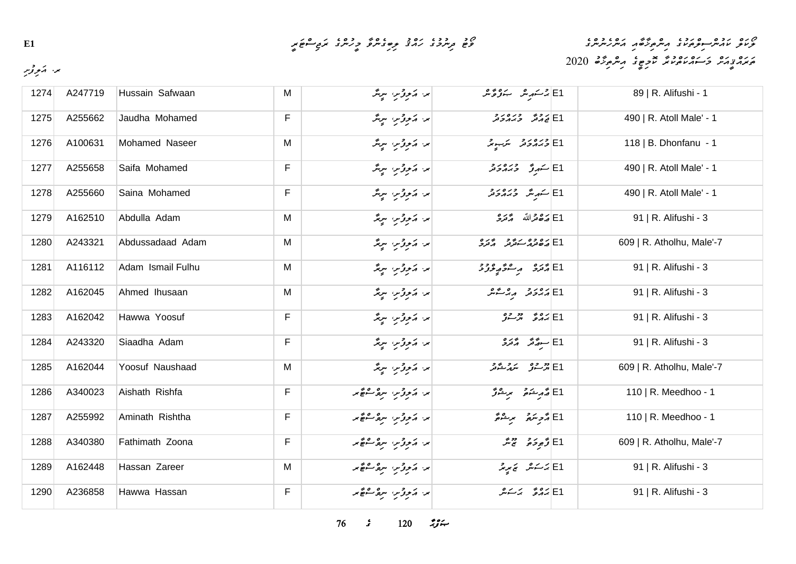*sCw7q7s5w7m< o<n9nOoAw7o< sCq;mAwBoEw7q<m; wBm;vB* م من المرة المرة المرة المرجع المرجع في المركبة 2020<br>مجم*د المريض المربوط المربع المرجع في المراجع المركبة* 

| 1274 | A247719 | Hussain Safwaan   | M           | بر. مَعِرْشٍ سِبْرٌ              | E1 پرسمبر عمر مشروع شر              | 89   R. Alifushi - 1      |
|------|---------|-------------------|-------------|----------------------------------|-------------------------------------|---------------------------|
| 1275 | A255662 | Jaudha Mohamed    | $\mathsf F$ | أبرا الكوولون البرنائل           | E1 يَهْرُشَ حَمْدَ جَمَدَ حَرَ      | 490   R. Atoll Male' - 1  |
| 1276 | A100631 | Mohamed Naseer    | M           | پر انگروژس سرنگر                 | E1 <i>ڈیزو ب</i> وٹر گرسوٹر         | 118   B. Dhonfanu - 1     |
| 1277 | A255658 | Saifa Mohamed     | $\mathsf F$ | پر انگروژس سرنگر                 | E1 سَمبورٌ وَبَرُودَ لَا            | 490   R. Atoll Male' - 1  |
| 1278 | A255660 | Saina Mohamed     | $\mathsf F$ | پر انگروژیو، سرینگ               | E1 سَمبِسٌ وَيَرُودُو               | 490   R. Atoll Male' - 1  |
| 1279 | A162510 | Abdulla Adam      | M           | أماء الكرفرقون البرند            | E1 رَصْحَرْاللَّهُ مَ <i>حْرَجْ</i> | 91   R. Alifushi - 3      |
| 1280 | A243321 | Abdussadaad Adam  | M           | پر انگروژس سرچ                   | E1 ב- 220 - 24 - 250 E1             | 609   R. Atholhu, Male'-7 |
| 1281 | A116112 | Adam Ismail Fulhu | M           | أما الكووس البرند                | E1 مەترى بەر مەئەر <i>1953.</i>     | 91   R. Alifushi - 3      |
| 1282 | A162045 | Ahmed Ihusaan     | M           | بر رکورش سرچ                     | E1 كەبرى ھەر بەر ئەسىر              | 91   R. Alifushi - 3      |
| 1283 | A162042 | Hawwa Yoosuf      | F           | برا مکروکردا امریک               | $3 - 3$ $3 - 2$ $5 - 1$             | 91   R. Alifushi - 3      |
| 1284 | A243320 | Siaadha Adam      | $\mathsf F$ | برا مکووٹرا امریکہ               | E1 بِيهُمَّد مُعَرَّد               | 91   R. Alifushi - 3      |
| 1285 | A162044 | Yoosuf Naushaad   | M           | أما الكوثر البرند                | E1 تر - و مستر مشتر                 | 609   R. Atholhu, Male'-7 |
| 1286 | A340023 | Aishath Rishfa    | F           | برا مَرْدِرْس سِرْهْتْ هُمْ بِر  | E1 مُرمِشَمُ مِنْشَرٌ               | 110   R. Meedhoo - 1      |
| 1287 | A255992 | Aminath Rishtha   | F           | برا مَرْدِوْس سِرْهُ سُرْحَابِهِ | E1 مُرْحِ سَرَةَ مَسِشْرَةً         | 110   R. Meedhoo - 1      |
| 1288 | A340380 | Fathimath Zoona   | $\mathsf F$ | أبرا مكروحس سرة سقطهر            | E1 زُ <sub>جو</sub> حرم مي شر       | 609   R. Atholhu, Male'-7 |
| 1289 | A162448 | Hassan Zareer     | M           | بر رکوری سره کرهای               | E1   پرسترېن   پ <sub>ې مو</sub> يژ | 91   R. Alifushi - 3      |
| 1290 | A236858 | Hawwa Hassan      | F           | بر رووس سره مقيم                 | E1 يَرْدُمُّ بَرَسَرْ مَرْ          | 91   R. Alifushi - 3      |

 $76$  *s*  $120$   $29$   $\div$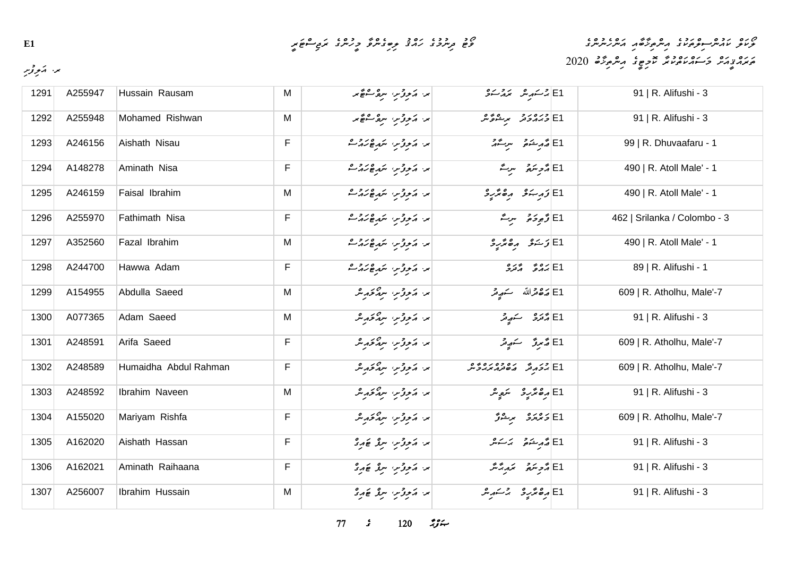*sCw7q7s5w7m< o<n9nOoAw7o< sCq;mAwBoEw7q<m; wBm;vB* م من المرة المرة المرة المرجع المرجع في المركبة 2020<br>مجم*د المريض المربوط المربع المرجع في المراجع المركبة* 

| 1291 | A255947 | Hussain Rausam        | M           | بر مَرْدِرْسِ سِرْهْتْ عَمَد     | E1 پر سَمبر مَد مَر سَنَّرَ          | 91   R. Alifushi - 3         |
|------|---------|-----------------------|-------------|----------------------------------|--------------------------------------|------------------------------|
| 1292 | A255948 | Mohamed Rishwan       | M           | برا م مُرور مراس مراقع ملك من من | E1 32025 مرشو <i>م</i> ش             | 91   R. Alifushi - 3         |
| 1293 | A246156 | Aishath Nisau         | F           | أيرا مأثروترا الكريافيكم متار    | E1 مُدْمِرْ مِنْدَمْ مِنْ مِنْتُمْهُ | 99   R. Dhuvaafaru - 1       |
| 1294 | A148278 | Aminath Nisa          | F           | بر مُوَرُّىر شَهْءٌ مُدَّتْ      | E1 مُرْحِسَمُ مِنْ مِنْ              | 490   R. Atoll Male' - 1     |
| 1295 | A246159 | Faisal Ibrahim        | M           | مز موري سم عنده م                | E1 زَمِهِ بَنَوْ مِهْمَّرِةِ         | 490   R. Atoll Male' - 1     |
| 1296 | A255970 | Fathimath Nisa        | $\mathsf F$ | بر. مَعِرْشٍ سَمْرِ عَرَمْ مَ    | E1 ۇ <sub>ج</sub> وڭ مېرىشە          | 462   Srilanka / Colombo - 3 |
| 1297 | A352560 | Fazal Ibrahim         | M           | أمرا مأفروش الكروهي محارمات      | E1 ۇخۇ مەھرىرى                       | 490   R. Atoll Male' - 1     |
| 1298 | A244700 | Hawwa Adam            | F           | مز مُتَوَرِّين سُمْ عَائِدُ ف    | E1 پَرُوتَر بَرُورَ و                | 89   R. Alifushi - 1         |
| 1299 | A154955 | Abdulla Saeed         | M           | أيرا مأثوقرس سيكفرماها           | E1 كەھەتراللە كىرىتر                 | 609   R. Atholhu, Male'-7    |
| 1300 | A077365 | Adam Saeed            | M           | بر ټروژین سرچرمنگ                | E1 ۾ <i>تري ڪوين</i> ر               | 91   R. Alifushi - 3         |
| 1301 | A248591 | Arifa Saeed           | F           | أيرا مأثوقرس سيكفرمين            | E1 ۾ُمِرڙَ ڪَھرِ قُرُ                | 609   R. Atholhu, Male'-7    |
| 1302 | A248589 | Humaidha Abdul Rahman | $\mathsf F$ | أأرا أتروس البراكرونا            | E1 גۇرۇ مەھىرمىدىمى                  | 609   R. Atholhu, Male'-7    |
| 1303 | A248592 | Ibrahim Naveen        | M           | ىر. مۇرۇس سەئۇمەش                | E1 م <i>ەھترى</i> ئىستقى ئىل         | 91   R. Alifushi - 3         |
| 1304 | A155020 | Mariyam Rishfa        | F           | ىر. مۇرۇس سەئۇمەش                | E1 وَيَرْتَزَرْ مِ مِشْرٌ            | 609   R. Atholhu, Male'-7    |
| 1305 | A162020 | Aishath Hassan        | F           | بر. הבכתי سرقه عدد               | E1 مۇم ھۇم ئەسكەنلە                  | 91   R. Alifushi - 3         |
| 1306 | A162021 | Aminath Raihaana      | F           | برا أكروترس سرقى كارو            | E1 <i>مُجْرِسَعُو مَدِينَ</i> ّ      | 91   R. Alifushi - 3         |
| 1307 | A256007 | Ibrahim Hussain       | M           | من مكونقر من مرقع عرضه ع         | E1 رەئزىر ئىسكەبىر                   | 91   R. Alifushi - 3         |

 $77$  *s*  $120$  *i*<sub>s</sub>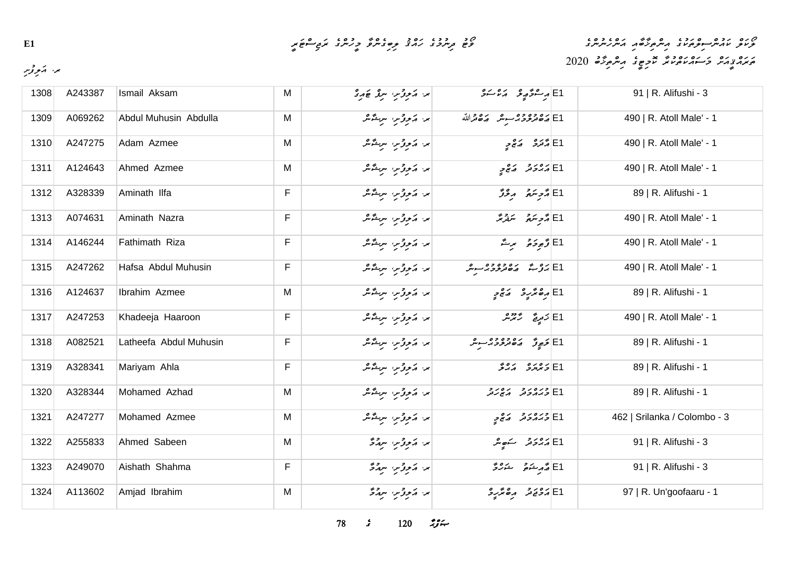*sCw7q7s5w7m< o<n9nOoAw7o< sCq;mAwBoEw7q<m; wBm;vB* م من المرة المرة المرة المرجع المرجع في المركبة 2020<br>مجم*د المريض المربوط المربع المرجع في المراجع المركبة* 

| 1308 | A243387 | Ismail Aksam           | M           | پر ټربوژس سرقی ځېږي     | E1 مەشۇم بۇ مەسىر<br>E1                 | 91   R. Alifushi - 3         |
|------|---------|------------------------|-------------|-------------------------|-----------------------------------------|------------------------------|
| 1309 | A069262 | Abdul Muhusin Abdulla  | M           | برا الكروكرا البرسكانكر | E1 مەمەم <i>دە جەسەھەر مەھ</i> تراللە   | 490   R. Atoll Male' - 1     |
| 1310 | A247275 | Adam Azmee             | M           | برا الكروري الريقين     | E1 مُرترد معجم حياته السياسي            | 490   R. Atoll Male' - 1     |
| 1311 | A124643 | Ahmed Azmee            | M           | برا الكروفرا البرستيكر  | E1 <i>252, 23 و</i>                     | 490   R. Atoll Male' - 1     |
| 1312 | A328339 | Aminath Ilfa           | F           | أيرا الكروفرا الركاش    | E1 مُجرِسَعُ مِعْرَّ                    | 89   R. Alifushi - 1         |
| 1313 | A074631 | Aminath Nazra          | $\mathsf F$ | ىر. ئەبرۇس، سرىقەش      | E1 مُرْحِبَتَهُ مَنْتَرَبَّتُ           | 490   R. Atoll Male' - 1     |
| 1314 | A146244 | Fathimath Riza         | F           | برا الكروفرا البرستيكر  | E1 <i>وَّجودَة</i> مِنَّۃ               | 490   R. Atoll Male' - 1     |
| 1315 | A247262 | Hafsa Abdul Muhusin    | F           | برا الكروفرا البرستمبر  | E1 برو به بره ده ده به م                | 490   R. Atoll Male' - 1     |
| 1316 | A124637 | Ibrahim Azmee          | M           | برا الكروترا الريكانكر  | E1 <sub>م</sub> ەمگرى <sup>2</sup> مەمج | 89   R. Alifushi - 1         |
| 1317 | A247253 | Khadeeja Haaroon       | F           | برا الكروفرا البرستمبر  | E1] زَمِيعٌ     رَّحْرُسٌ               | 490   R. Atoll Male' - 1     |
| 1318 | A082521 | Latheefa Abdul Muhusin | F           | أمرا مكروكين البرستماش  | E1 ئۇبۇ ئەھەر <i>ۋە دە</i> سىر          | 89   R. Alifushi - 1         |
| 1319 | A328341 | Mariyam Ahla           | F           | ىر. ئەنزۇس، سرىقەش      | E1 <i>ويورو ډي</i> رو                   | 89   R. Alifushi - 1         |
| 1320 | A328344 | Mohamed Azhad          | M           | ىر. ئەنزۇس، سرىقەش      | E1 32023 كرة رقم براير                  | 89   R. Alifushi - 1         |
| 1321 | A247277 | Mohamed Azmee          | M           | برا الكروتران الريكانكر | E1 <i>5223 مَحْمَدٍ</i>                 | 462   Srilanka / Colombo - 3 |
| 1322 | A255833 | Ahmed Sabeen           | M           | أيرا مكروفرا البرمدة    | E1 كەبرى قىر سىھەش                      | 91   R. Alifushi - 3         |
| 1323 | A249070 | Aishath Shahma         | F           | بر. ה و ژیر، سرچر       | E1 مَجْمِيشَمْ شَرْرَةً                 | 91   R. Alifushi - 3         |
| 1324 | A113602 | Amjad Ibrahim          | M           | ما أمروس مردوق          | E1   <i>محفظ م</i> ڤتربي                | 97   R. Un'goofaaru - 1      |

 $78$  *s*  $\qquad$  **120** *z*  $\frac{2}{3}$  *k*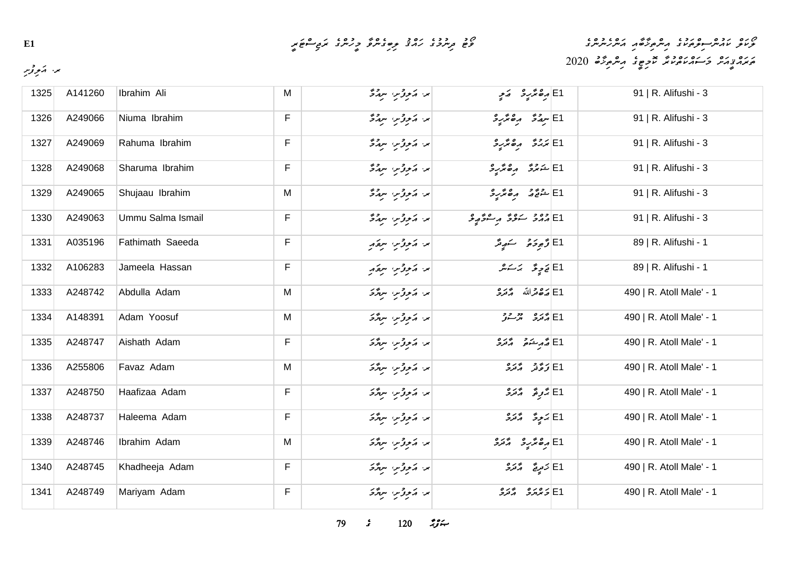*sCw7q7s5w7m< o<n9nOoAw7o< sCq;mAwBoEw7q<m; wBm;vB* م من المسجد المسجد المسجد المسجد المسجد العام 2020<br>مجم*د المسجد المسجد المستجد المسجد المسجد المسجد المسجد المسجد المسجد المسجد المسجد المسجد المسجد المسجد المسجد* 

| 1325 | A141260 | Ibrahim Ali       | M           | بر. مَعِوْسِ سِرْدَةُ   | E1 پر <i>هنڙپ</i> و په په                           | 91   R. Alifushi - 3     |
|------|---------|-------------------|-------------|-------------------------|-----------------------------------------------------|--------------------------|
| 1326 | A249066 | Niuma Ibrahim     | F           | بر. הُتووَّين سِرْدُوُّ | E1 سِمَةً مِنْ مِنْ مِنْ ج                          | 91   R. Alifushi - 3     |
| 1327 | A249069 | Rahuma Ibrahim    | F           | بر. הُتووَّين سِرْدُوُّ | E1 بَرَيْرَةُ مِنْ بِرْدِةِ                         | 91   R. Alifushi - 3     |
| 1328 | A249068 | Sharuma Ibrahim   | F           | بر رکور سردگا           | E1 ڪنغر قريض مرحد ترجي                              | 91   R. Alifushi - 3     |
| 1329 | A249065 | Shujaau Ibrahim   | M           | برا مرکز وقرما استدادٌ  | E1 شۇن <sub>ە</sub> ر مەئزىر <i>ى</i>               | 91   R. Alifushi - 3     |
| 1330 | A249063 | Ummu Salma Ismail | $\mathsf F$ | أبرا مأفروش البرمرقة    | E1 روم شوق رعو په د                                 | 91   R. Alifushi - 3     |
| 1331 | A035196 | Fathimath Saeeda  | F           | بر مورمن سفه            | E1 <i>وَّجِودَةْ</i> سَم <i>َّهِ</i> تَ <i>رُ</i>   | 89   R. Alifushi - 1     |
| 1332 | A106283 | Jameela Hassan    | F           | بر مورمن سفه            | E1 تح ب <sub>ح</sub> رث - بم <i>ر ش</i> ر           | 89   R. Alifushi - 1     |
| 1333 | A248742 | Abdulla Adam      | M           | بر رکور سرگرد           | E1 رَصْحَرْاللَّهُ مَرْمَرْدُ                       | 490   R. Atoll Male' - 1 |
| 1334 | A148391 | Adam Yoosuf       | M           | پر مرکز دی سرگرد        | E1 أَمُعَرَّرُ مَمَّرٌ مِنْ الْمُحْمَّرُ            | 490   R. Atoll Male' - 1 |
| 1335 | A248747 | Aishath Adam      | F           | بر. הوژیر، سرچی         | E1 مەم شىم مەمرى                                    | 490   R. Atoll Male' - 1 |
| 1336 | A255806 | Favaz Adam        | M           | أما أأتروس سرائر        | E1 تَرَقَّ تَرَ مُرْمَرَّةِ                         | 490   R. Atoll Male' - 1 |
| 1337 | A248750 | Haafizaa Adam     | F           | ىن مەجەۋىر، سەنگە       | E1 تَرُوِيَّ - مُرْمَرَّة -                         | 490   R. Atoll Male' - 1 |
| 1338 | A248737 | Haleema Adam      | F           | بر رکور سرگرد           | E1] بَرْمٍ تَرَ مُرْتَرَدٌ                          | 490   R. Atoll Male' - 1 |
| 1339 | A248746 | Ibrahim Adam      | M           | بر. مَعِوْسِ سِدَّةَ    | E1 <sub>م</sub> ەمگرى <sub>د</sub> ۇ م <i>ەتر</i> ۇ | 490   R. Atoll Male' - 1 |
| 1340 | A248745 | Khadheeja Adam    | F           | بر رکور سرگرد           | E1 زَمرِجٌ       دُمَرَدٌ                           | 490   R. Atoll Male' - 1 |
| 1341 | A248749 | Mariyam Adam      | F           | بر. הُعِرْشٍ سِدَّةَ    | E1 <i>ويورو وترو</i>                                | 490   R. Atoll Male' - 1 |

*79 sC 120 nNw?mS*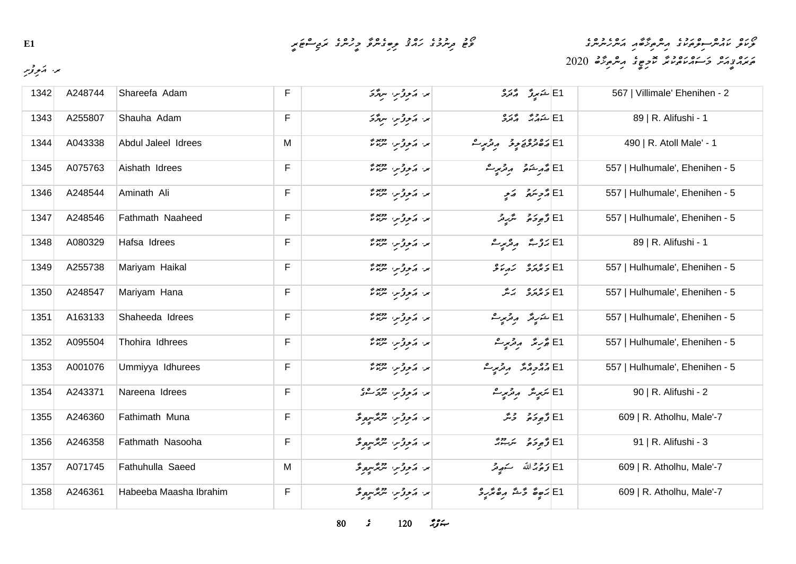*sCw7q7s5w7m< o<n9nOoAw7o< sCq;mAwBoEw7q<m; wBm;vB* م من المرة المرة المرة المرجع المرجع في المركبة 2020<br>مجم*د المريض المربوط المربع المرجع في المراجع المركبة* 

| 1342 | A248744 | Shareefa Adam          | F           | ىر. مەجەۋىر، سەنگەڭ                  | E1 ڪمبرڙ گ <sup>و</sup> ترو      | 567   Villimale' Ehenihen - 2  |
|------|---------|------------------------|-------------|--------------------------------------|----------------------------------|--------------------------------|
| 1343 | A255807 | Shauha Adam            | F           | بر. مَعِرْس سِرَّدَ                  |                                  | 89   R. Alifushi - 1           |
| 1344 | A043338 | Abdul Jaleel Idrees    | M           | بر. م <i>زو</i> قرم، المردون         | E1 גەۋۋە جوڭر بەترىيەت           | 490   R. Atoll Male' - 1       |
| 1345 | A075763 | Aishath Idrees         | F           | بر. م <i>زو</i> تر مردس              | E1 مەم ئەمۇر مەمدىرىسە           | 557   Hulhumale', Ehenihen - 5 |
| 1346 | A248544 | Aminath Ali            | F           | بر. م <i>زو</i> تر مردس              | E1 مُرْحِسَمُ مَعْ               | 557   Hulhumale', Ehenihen - 5 |
| 1347 | A248546 | Fathmath Naaheed       | $\mathsf F$ | بر. م <i>زو</i> تر مردس              | E1 وَّجِوحَةً مُّ سَرِيْتُر      | 557   Hulhumale', Ehenihen - 5 |
| 1348 | A080329 | Hafsa Idrees           | F           | بر. م <i>زو</i> قر مردس              | E1 ئەۋىبە مەھ <i>رىيە</i> شە     | 89   R. Alifushi - 1           |
| 1349 | A255738 | Mariyam Haikal         | $\mathsf F$ | بر. م <i>زو</i> تر مردس              | E1 كانترندى كىرىكى ئى            | 557   Hulhumale', Ehenihen - 5 |
| 1350 | A248547 | Mariyam Hana           | F           | بر. م <i>زو</i> تر مردس              | E1 5 <i>جوہری ب</i> رنگر         | 557   Hulhumale', Ehenihen - 5 |
| 1351 | A163133 | Shaheeda Idrees        | F           | بر مورمن مهد                         | E1 ڪَمرِنَگر پرنگرموٽ<br>ا       | 557   Hulhumale', Ehenihen - 5 |
| 1352 | A095504 | Thohira Idhrees        | $\mathsf F$ | بر. م <i>زو</i> ر مردور              | E1 ۾َرِيمَ پرمِرْمِرِ مُشَ       | 557   Hulhumale', Ehenihen - 5 |
| 1353 | A001076 | Ummiyya Idhurees       | F           | بر. م <i>زو</i> ر مرسم               | E1 <i>مەمۋەمگە مەمرىيە</i>       | 557   Hulhumale', Ehenihen - 5 |
| 1354 | A243371 | Nareena Idrees         | F           | أمرا وكمرور من مترد هاي              | E1 سَرِ پِسَ مِتَرَ پِرِ مُ      | 90   R. Alifushi - 2           |
| 1355 | A246360 | Fathimath Muna         | $\mathsf F$ | أمرا مأفرقرس لترمذ سرجانش            | E1 تَ <i>وْجِرْحَمْ دْمَرَّ</i>  | 609   R. Atholhu, Male'-7      |
| 1356 | A246358 | Fathmath Nasooha       | F           | ما مأمورٌ من الله مع الله عليه و تحر | E1 تُرجوحَ هُ سَرَجَيْدُ         | 91   R. Alifushi - 3           |
| 1357 | A071745 | Fathuhulla Saeed       | M           | أىرا الأفروس التركر سرجر فخر         | E1 وَحَدِّرْ اللّه سَمَّ صِرْتَر | 609   R. Atholhu, Male'-7      |
| 1358 | A246361 | Habeeba Maasha Ibrahim | F           | ىر مۇرۇپ شۇيروگ                      | E1 يَهِمُّ دُمَّہُ رِهِ يُرِدُّ  | 609   R. Atholhu, Male'-7      |

 $80$  *s*  $120$  *n***<sub>s</sub>**  $\frac{2}{3}$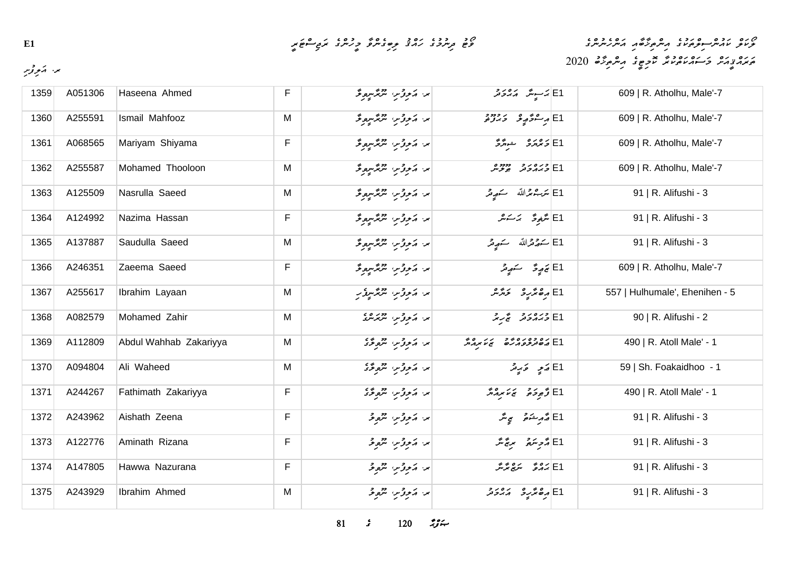*sCw7q7s5w7m< o<n9nOoAw7o< sCq;mAwBoEw7q<m; wBm;vB* م من المرة المرة المرة المرجع المرجع في المركبة 2020<br>مجم*د المريض المربوط المربع المرجع في المراجع المركبة* 

| 1359 | A051306 | Haseena Ahmed          | F           | برا مَرْدِرْس مْرْمَدْسِوِدْ      | E1   يَرْسِعْدُ   مَدْوَمْرُ               | 609   R. Atholhu, Male'-7      |
|------|---------|------------------------|-------------|-----------------------------------|--------------------------------------------|--------------------------------|
| 1360 | A255591 | Ismail Mahfooz         | M           | برا م بروس مترکز سره گ            | E1 <sub>م</sub> رشۇم ئى ئەرەبە             | 609   R. Atholhu, Male'-7      |
| 1361 | A068565 | Mariyam Shiyama        | F           | پر اړکورکس مرکز شرح څ             | E1 <i>وَبُرْمَرْدُ</i> شِ <i>مَرُّدُ</i> ّ | 609   R. Atholhu, Male'-7      |
| 1362 | A255587 | Mohamed Thooloon       | M           | پر اړکورکس، منگر سره د گ          | E1 تربره در دوره و                         | 609   R. Atholhu, Male'-7      |
| 1363 | A125509 | Nasrulla Saeed         | M           | پر مرکز وقرما میں شریع میں میں می | E1 سَرَبَ مِرَ اللّه مَــَمَّةٍ مَّرْ      | 91   R. Alifushi - 3           |
| 1364 | A124992 | Nazima Hassan          | F           | پر مرکز وقرمز میں شرکت میں میں می | E1 سَّمَعِ حَسَّ سَسَسَّر                  | 91   R. Alifushi - 3           |
| 1365 | A137887 | Saudulla Saeed         | M           | پر مرکز وقرمز میں شرکت میں میں می | E1 ستوفر الله ستوريز                       | 91   R. Alifushi - 3           |
| 1366 | A246351 | Zaeema Saeed           | F           | أمرا مكروحوا التركم سروكل         | E1 نح م <i>ی</i> گ سکھیٹر                  | 609   R. Atholhu, Male'-7      |
| 1367 | A255617 | Ibrahim Layaan         | M           | پر مرکز وقرمز متنگر میلاب         | E1 رەئزىر <sup>ى</sup> ئە <i>ئە</i> ر      | 557   Hulhumale', Ehenihen - 5 |
| 1368 | A082579 | Mohamed Zahir          | M           | بر. مَعِرْضٍ مَرْبَرْسُدُ         | E1 <i>وُبَهُ وَمَدْ</i> مَحْ سِمْرَ        | 90   R. Alifushi - 2           |
| 1369 | A112809 | Abdul Wahhab Zakariyya | M           | برا الأحواز من متنفر فرد كا       | E1 رە دەرە دە بر دە چ                      | 490   R. Atoll Male' - 1       |
| 1370 | A094804 | Ali Waheed             | M           | برا أنه تروحوا التمويحي           | E1 <i>ھَ جِه حَبي</i> قر                   | 59   Sh. Foakaidhoo - 1        |
| 1371 | A244267 | Fathimath Zakariyya    | $\mathsf F$ | بر. مَعِرْشٍ شَعِرْتُهُ           | E1 وُجوحه بي مَس مِهْرَ                    | 490   R. Atoll Male' - 1       |
| 1372 | A243962 | Aishath Zeena          | F           | ما الأحراق من متركز في            | E1 مەرشىقى مېگە                            | 91   R. Alifushi - 3           |
| 1373 | A122776 | Aminath Rizana         | F           | بر. مَعِدْرٌ مِنْ مَعْرِفُهِ      | E1 مُرْحِ مَرَمْ مَنْ مِنْ مَرَّ مِنْ      | 91   R. Alifushi - 3           |
| 1374 | A147805 | Hawwa Nazurana         | F           | بر. مُعِرْشٍ مُعْرِفَ             | E1 بَرُوْحٌ سَيْ بِرَّسَ                   | 91   R. Alifushi - 3           |
| 1375 | A243929 | Ibrahim Ahmed          | M           | ما الأعروب الشجور في              | E1 مەھمەر بەردىتە E1                       | 91   R. Alifushi - 3           |

 $81$  *s*  $120$  *n***<sub>s</sub>**  $\frac{2}{3}$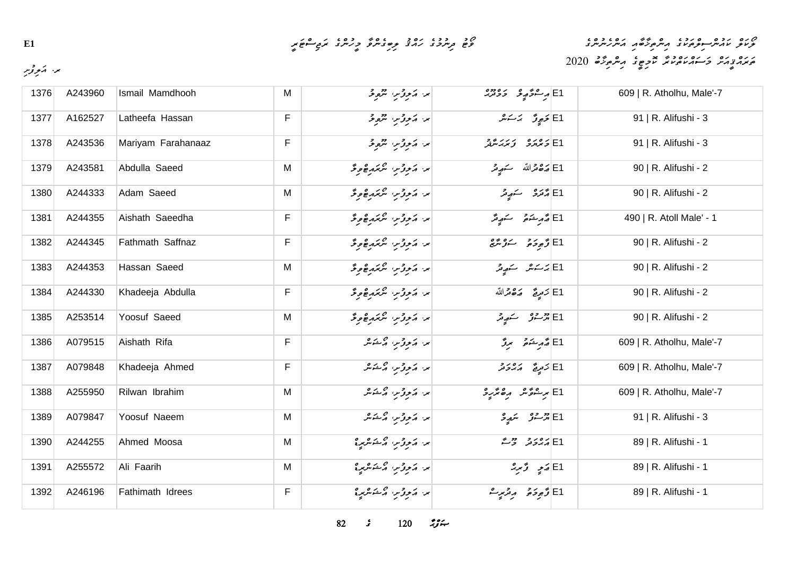*sCw7q7s5w7m< o<n9nOoAw7o< sCq;mAwBoEw7q<m; wBm;vB* م من المرة المرة المرة المرجع المرجع في المركبة 2020<br>مجم*د المريض المربوط المربع المرجع في المراجع المركبة* 

| 1376 | A243960 | Ismail Mamdhooh    | M            | ىن مەجەۋىر، شھوقە               | E1   پرسٹو <i>ٹر پو</i> تر تر پر     | 609   R. Atholhu, Male'-7 |
|------|---------|--------------------|--------------|---------------------------------|--------------------------------------|---------------------------|
| 1377 | A162527 | Latheefa Hassan    | F            | ما الأعراض الثقور في            | E1 تح <i>جوڻ پرڪيل</i>               | 91   R. Alifushi - 3      |
| 1378 | A243536 | Mariyam Farahanaaz | F            | ىر. مەجەۋىر، مەھرىچ             | E1 5 <i>برورة وَبَرَبَ</i> مَثَيْر   | 91   R. Alifushi - 3      |
| 1379 | A243581 | Abdulla Saeed      | M            | أمرا مكروح المراكبة المعروفة    | E1 مَەھمَراللە سَمَ <i>مِ</i> مَّر   | 90   R. Alifushi - 2      |
| 1380 | A244333 | Adam Saeed         | M            | أمرا مأموقاس للمكرم فأوقر       | E1 مُرْمَرْدَ سَم <i>هِ م</i> ُرْ    | 90   R. Alifushi - 2      |
| 1381 | A244355 | Aishath Saeedha    | $\mathsf{F}$ | أمرا مكروحين الكرمام فأوافخه    | E1 مَدْمِرْ حَسَنَةٍ مَسَمَّدٍ مَدَّ | 490   R. Atoll Male' - 1  |
| 1382 | A244345 | Fathmath Saffnaz   | F            | لرا مأثرتن الكرماء وكل          | E1 ۇ <sub>جو</sub> رَى ئەرتىرى       | 90   R. Alifushi - 2      |
| 1383 | A244353 | Hassan Saeed       | M            | مزموقر شكر وعود                 | E1   پرستريٹر   سک <i>ھ</i> وٹر      | 90   R. Alifushi - 2      |
| 1384 | A244330 | Khadeeja Abdulla   | F            | أما أمودس للمكروفور             | E1 تزمریح ک <i>ے م</i> حاکمہ         | 90   R. Alifushi - 2      |
| 1385 | A253514 | Yoosuf Saeed       | M            | أمرا مكروح المستكم المعاهر ومحر | E1 پڑتے پر سکھی <sup>و</sup> ر       | 90   R. Alifushi - 2      |
| 1386 | A079515 | Aishath Rifa       | F            | ىن كەنبوتۇس كەشكىلل             | E1 مُ مِ شَمَّ مِ مِرَّزٌ            | 609   R. Atholhu, Male'-7 |
| 1387 | A079848 | Khadeeja Ahmed     | F            | ىن مەجزىرىن مەشكىل              | E1 كَتَمِيعٌ - <i>مُكْ</i> حَمَّدُ   | 609   R. Atholhu, Male'-7 |
| 1388 | A255950 | Rilwan Ibrahim     | M            | ىن مەجزىرىن مەشكىل              | E1 مرشو <i>م</i> شهر مرکز میگرید و   | 609   R. Atholhu, Male'-7 |
| 1389 | A079847 | Yoosuf Naeem       | M            | أيرا الكروفران الراكشور         | E1 پژگر میگر میگر                    | 91   R. Alifushi - 3      |
| 1390 | A244255 | Ahmed Moosa        | M            | أمرا مكروح والمكشور والمحدر     | $23.22$ E1                           | 89   R. Alifushi - 1      |
| 1391 | A255572 | Ali Faarih         | M            | ىن مەمرۇس مەھەمدىدە             | E1 کے وگر پر                         | 89   R. Alifushi - 1      |
| 1392 | A246196 | Fathimath Idrees   | $\mathsf F$  | أما أكرونس المشاهرة             | E1 وَجوحَة فَرِيْدِيْتْ E1           | 89   R. Alifushi - 1      |

 $82$  *s*  $120$  *n***<sub>s</sub>**  $\frac{2}{3}$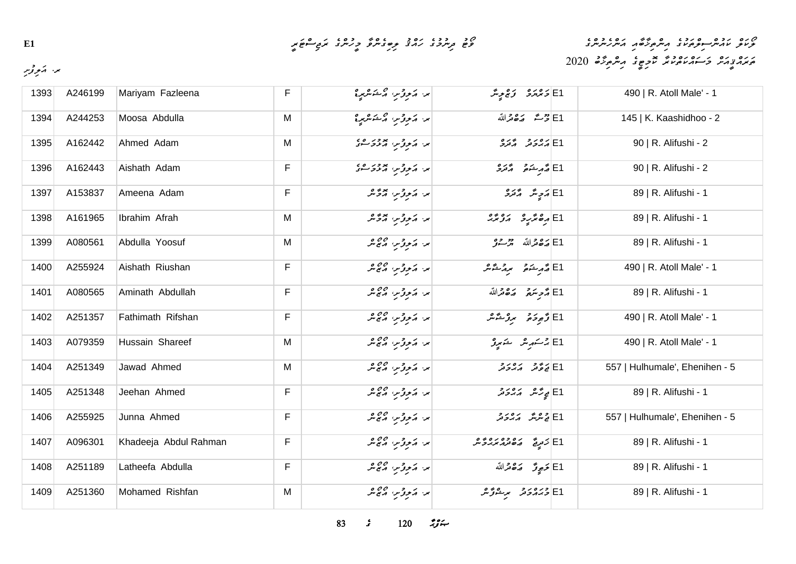*sCw7q7s5w7m< o<n9nOoAw7o< sCq;mAwBoEw7q<m; wBm;vB* م من المسجد المسجد المسجد المسجد المسجد العام 2020<br>مجم*د المسجد المسجد المستجد المسجد المسجد المسجد المسجد المسجد المسجد المسجد المسجد المسجد المسجد المسجد المسجد* 

| 1393 | A246199 | Mariyam Fazleena      | F | برا الكروحي الرحنة شريرة     | E1  <i>ویمبرڈ وی پی</i> گر                | 490   R. Atoll Male' - 1       |
|------|---------|-----------------------|---|------------------------------|-------------------------------------------|--------------------------------|
| 1394 | A244253 | Moosa Abdulla         | M | أيرا الكرفرقرس الكراشكريدي   | E1 تُرْحَمُ بَرَهْ قَرْاللّه              | 145   K. Kaashidhoo - 2        |
| 1395 | A162442 | Ahmed Adam            | M | بر رکوری پردون               | E1 كەبرو ئەرە                             | 90   R. Alifushi - 2           |
| 1396 | A162443 | Aishath Adam          | F | بر ، مَرْدِوْسِ ، مَرْدَوَ ک | E1 مَگْرِسْتَمْ مِنْ مَرْمَرْدَ           | 90   R. Alifushi - 2           |
| 1397 | A153837 | Ameena Adam           | F | بر. مُعِرْسُ مُرْحَمْر       | E1 أ <i>وَجِنْدَ أَرْتَرَ</i> دُّ         | 89   R. Alifushi - 1           |
| 1398 | A161965 | Ibrahim Afrah         | M | بر. مَعِرْسِ مَيْرُمْر       | E1 مەھەرىرى مۇمەم                         | 89   R. Alifushi - 1           |
| 1399 | A080561 | Abdulla Yoosuf        | M | بر مورین می ش                | E1 مَەھْتَراللە مەر <i>ەۋ</i>             | 89   R. Alifushi - 1           |
| 1400 | A255924 | Aishath Riushan       | F | بر. مَعِرْسٍ مَعْ مَرْ       | E1 مُرمِّسَمَّ بِرِمُّ شَمَّرَ            | 490   R. Atoll Male' - 1       |
| 1401 | A080565 | Aminath Abdullah      | F | بر. مَعِرْسِ مَعْ مَرْ       | E1 أَمَّ حِ سَمَّةً مَصْحَدَاللَّهُ       | 89   R. Alifushi - 1           |
| 1402 | A251357 | Fathimath Rifshan     | F | بر موری می ش                 | E1 <i>وَّجِوَدَة</i> بِرِوْشَةَ شَر       | 490   R. Atoll Male' - 1       |
| 1403 | A079359 | Hussain Shareef       | M | بر مرکزویں مگامی             | E1 پرستمبر شرید و مشاہد شریف استقا        | 490   R. Atoll Male' - 1       |
| 1404 | A251349 | Jawad Ahmed           | M | بر הوژنر، چه ه               | E1 نح قرقر مركز تركيز                     | 557   Hulhumale', Ehenihen - 5 |
| 1405 | A251348 | Jeehan Ahmed          | F | ىن مەجزۇس مەھ بىر            | E1 <sub>مح</sub> رش كەنزىقر               | 89   R. Alifushi - 1           |
| 1406 | A255925 | Junna Ahmed           | F | بر. مَعِرْسٍ مَعْ مَرْ       | E1 فے شریئر پر پر تر تر                   | 557   Hulhumale', Ehenihen - 5 |
| 1407 | A096301 | Khadeeja Abdul Rahman | F | بر مورین می ه                | E1 ژىرى <i>جەھەرە بەرە بەرە</i>           | 89   R. Alifushi - 1           |
| 1408 | A251189 | Latheefa Abdulla      | F | پر مرکز وقتی می هم           | E1 <del>كر</del> ېږ <i>وگە كەھ</i> قراللە | 89   R. Alifushi - 1           |
| 1409 | A251360 | Mohamed Rishfan       | M | بر. مَعِرْشٍ مَعْ مَرْ       | E1 37075 مرشور ش                          | 89   R. Alifushi - 1           |

**83** *s* **120** *n***<sub>s</sub>***n***<sub>s</sub>**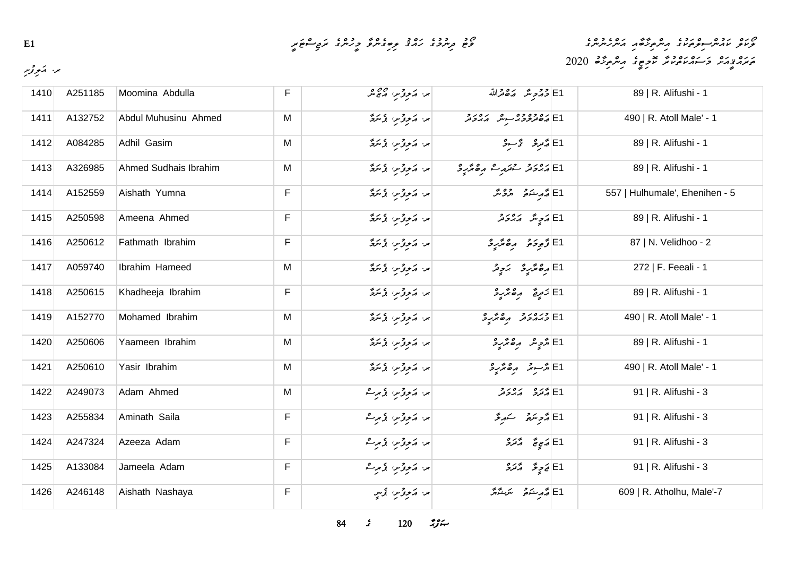*sCw7q7s5w7m< o<n9nOoAw7o< sCq;mAwBoEw7q<m; wBm;vB* م من المرة المرة المرة المرجع المرجع في المركبة 2020<br>مجم*د المريض المربوط المربع المرجع في المراجع المركبة* 

| 1410 | A251185 | Moomina Abdulla       | F           | بر. مَعِرْشٍ مِحْمَدٌ         | E1   3,5ج <i>. مَّر 25</i> مِرَّاللَّه     | 89   R. Alifushi - 1           |
|------|---------|-----------------------|-------------|-------------------------------|--------------------------------------------|--------------------------------|
| 1411 | A132752 | Abdul Muhusinu Ahmed  | M           | أمرا مكروحوا وكالكر           | E1 رە دو دو مەر دەر د                      | 490   R. Atoll Male' - 1       |
| 1412 | A084285 | Adhil Gasim           | M           | برا الأبواري الأمكر           | E1 م <i>مَّىرى تَخْ</i> سِي                | 89   R. Alifushi - 1           |
| 1413 | A326985 | Ahmed Sudhais Ibrahim | M           | برا الأفروس الأنترنج          | E1 <i>ג</i> دورو مقررت مقدرت               | 89   R. Alifushi - 1           |
| 1414 | A152559 | Aishath Yumna         | F           | يا: الأبورقرما: بْرَ يَتْرَةُ | E1 ۾ پرڪو پرونگر                           | 557   Hulhumale', Ehenihen - 5 |
| 1415 | A250598 | Ameena Ahmed          | $\mathsf F$ | أمرا مكروش وكالكر             | E1 كەچ ئىكە كەبدى قىر                      | 89   R. Alifushi - 1           |
| 1416 | A250612 | Fathmath Ibrahim      | F           | أمرا مكروش وكالكرمج           | E1 تۇ <sub>م</sub> وخۇ مەھ <i>ت</i> رىيى   | 87   N. Velidhoo - 2           |
| 1417 | A059740 | Ibrahim Hameed        | M           | ما الموثوب الأسمةُ            | E1 مەھم <i>گىر</i> ۇ كەر ئىگە              | 272   F. Feeali - 1            |
| 1418 | A250615 | Khadheeja Ibrahim     | F           | أمرا مكروحوا وكالكر           | E1 كَتْرِيعٌ - مِنْ مُرْرِدٌ -             | 89   R. Alifushi - 1           |
| 1419 | A152770 | Mohamed Ibrahim       | M           | يا: مَعِوْسٍ وَتَتَرَدُّ      | E1 <i>وبروبر م</i> و <i>مرد</i> و          | 490   R. Atoll Male' - 1       |
| 1420 | A250606 | Yaameen Ibrahim       | M           | أمرا مكروش وكالكر             | E1 مَّر <sub>ْحِ</sub> سْ مِصْرَّرِدْ      | 89   R. Alifushi - 1           |
| 1421 | A250610 | Yasir Ibrahim         | M           | أما المتوفرس وكالمكا          | E1 اگر سوبر مرہ گر پر 2                    | 490   R. Atoll Male' - 1       |
| 1422 | A249073 | Adam Ahmed            | M           | ىر. ئ <i>ۇدۇ</i> س بۇيرىشە    | E1 پژو پژونر                               | 91   R. Alifushi - 3           |
| 1423 | A255834 | Aminath Saila         | F           | أبرا مكورقس وكبرك             | E1 مُتَّحِسَمُ مَسَرَقَمَ                  | 91   R. Alifushi - 3           |
| 1424 | A247324 | Azeeza Adam           | F           | برا مرووس وبرعه               | E1 <sub>ھ</sub> َ <sub>مَج</sub> مَحْرَدُ  | 91   R. Alifushi - 3           |
| 1425 | A133084 | Jameela Adam          | F           | برا مُتَوَوَّينِ وَيَدِيثُ    | E1 ت <sub>ح</sub> جو تحمد محمد المحمدة الس | 91   R. Alifushi - 3           |
| 1426 | A246148 | Aishath Nashaya       | $\mathsf F$ | برا مُتَوَرِّينَ أَرْسٍ       | E1 مَ <i>ذہِ حَذَہِ</i> سَرَحْتَمَرَ       | 609   R. Atholhu, Male'-7      |

 $84$  *s*  $\cancel{0}$  **120** *n***<sub>s</sub>**  $\cancel{0}$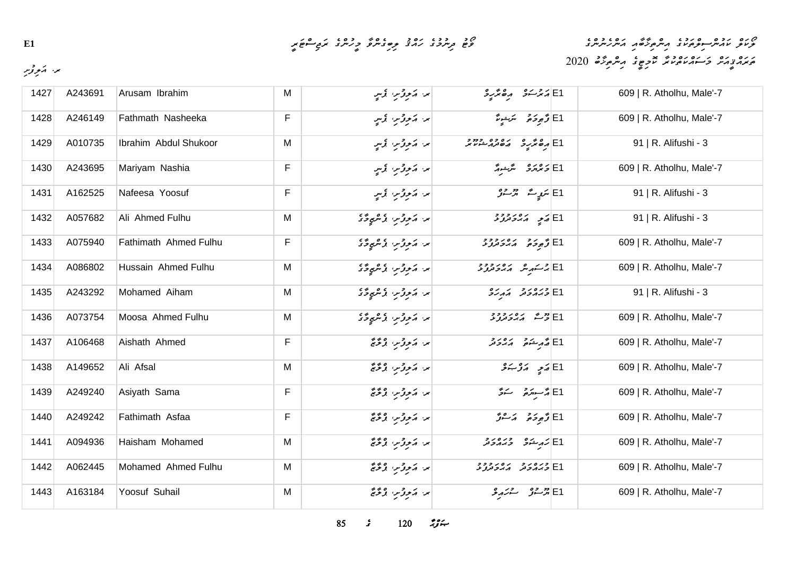*sCw7q7s5w7m< o<n9nOoAw7o< sCq;mAwBoEw7q<m; wBm;vB* م من المرة المرة المرة المرجع المرجع في المركبة 2020<br>مجم*د المريض المربوط المربع المرجع في المراجع المركبة* 

| 1427 | A243691 | Arusam Ibrahim        | M           | برا اړنو ژبوا اوسو              |                                   | 609   R. Atholhu, Male'-7 |
|------|---------|-----------------------|-------------|---------------------------------|-----------------------------------|---------------------------|
| 1428 | A246149 | Fathmath Nasheeka     | $\mathsf F$ | ر. مَعِوْسِ بِيْسٍ              | E1 <i>وَّج</i> وحَةُ گَرَشِيتُرَ  | 609   R. Atholhu, Male'-7 |
| 1429 | A010735 | Ibrahim Abdul Shukoor | M           | بر رکوری کی پر                  | E1 رەپرىي رەپرىرىسى               | 91   R. Alifushi - 3      |
| 1430 | A243695 | Mariyam Nashia        | F           | برا مُتوفر المُرامِنِ           | E1 كەنگە ئەرگە ئىگە ئىشەرگە       | 609   R. Atholhu, Male'-7 |
| 1431 | A162525 | Nafeesa Yoosuf        | F           | برا مُتوفر المُرامِنِ           | E1 سَمَعِي مَشَرِ حَمَرَ E1       | 91   R. Alifushi - 3      |
| 1432 | A057682 | Ali Ahmed Fulhu       | M           | برا أنزور الرائد الرائدي وحرى   | E1 בَمَعِ بِرَوْمِرُوْمَ          | 91   R. Alifushi - 3      |
| 1433 | A075940 | Fathimath Ahmed Fulhu | F           | برا أنجوترس وكاللبي فرد         | E1 ژ <sub>ن</sub> ج د تر پروترو د | 609   R. Atholhu, Male'-7 |
| 1434 | A086802 | Hussain Ahmed Fulhu   | M           | پر انگروژس و مربح و د           | E1 پژڪيريش پروژويونونو            | 609   R. Atholhu, Male'-7 |
| 1435 | A243292 | Mohamed Aiham         | M           | أمرا مكرور والمراكبوني          | $5.222$ $5.223$ $E1$              | 91   R. Alifushi - 3      |
| 1436 | A073754 | Moosa Ahmed Fulhu     | M           | برا مَعِرْوْسِ وْعْرَبِهِ وَّدْ | E1 تۆستە بەر دورىيە               | 609   R. Atholhu, Male'-7 |
| 1437 | A106468 | Aishath Ahmed         | $\mathsf F$ | أيرا الكروحي وتحريج             | E1 مُ مِسْدَمْ كَ مَدْوَمْر       | 609   R. Atholhu, Male'-7 |
| 1438 | A149652 | Ali Afsal             | M           | أمرا مكروحين ولاقرح             | E1 <i>ھَجِ مَوْجَعُ</i>           | 609   R. Atholhu, Male'-7 |
| 1439 | A249240 | Asiyath Sama          | $\mathsf F$ | برا مُعِرْضٍ وَعُنَى            | E1 پڑ ہے کہ منگر                  | 609   R. Atholhu, Male'-7 |
| 1440 | A249242 | Fathimath Asfaa       | F           | أما الموثوب وتحقي               | E1 وَجِعَة مَ مَرْهُ وَ           | 609   R. Atholhu, Male'-7 |
| 1441 | A094936 | Haisham Mohamed       | M           | أيرا مكروحن وتحريج              | E1 كەرشكى ئەمەر ئەرىرىتىلىكى بىر  | 609   R. Atholhu, Male'-7 |
| 1442 | A062445 | Mohamed Ahmed Fulhu   | M           | أبرا مكروس وتحقي                | E1 ورەرو رەرودو                   | 609   R. Atholhu, Male'-7 |
| 1443 | A163184 | Yoosuf Suhail         | M           | پر مکووٹرین بوگرنج              | E1 پژگرو مشرکته کمر               | 609   R. Atholhu, Male'-7 |

 $85$  *s*  $\cancel{5}$  **120** *z*  $\cancel{5}$  *z*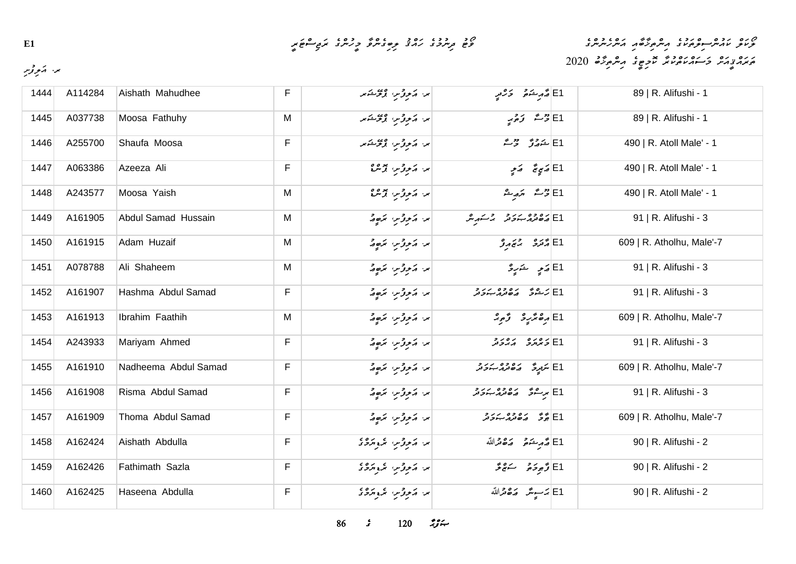*sCw7q7s5w7m< o<n9nOoAw7o< sCq;mAwBoEw7q<m; wBm;vB* م من المرة المرة المرة المرجع المرجع في المركبة 2020<br>مجم*د المريض المربوط المربع المرجع في المراجع المركبة* 

| 1444 | A114284 | Aishath Mahudhee     | F           | برا أنزوقرين ومؤكستها         | E1 مَگْرِسْتَمْ وَكْرُمْرِ                | 89   R. Alifushi - 1      |
|------|---------|----------------------|-------------|-------------------------------|-------------------------------------------|---------------------------|
| 1445 | A037738 | Moosa Fathuhy        | M           | ىن مەمرۇس ۋېھىتەر             | E1 تۇشق ئەتمەير                           | 89   R. Alifushi - 1      |
| 1446 | A255700 | Shaufa Moosa         | F           | ىن مەمرۇس ۋېھىمى              | $23$ $32 = 51$                            | 490   R. Atoll Male' - 1  |
| 1447 | A063386 | Azeeza Ali           | F           | برا م فروس بي همده            | E1 <i>ھَي جَھ</i> مَبِ                    | 490   R. Atoll Male' - 1  |
| 1448 | A243577 | Moosa Yaish          | M           | ما المروس بوقيع               | E1 تُرْمِيشُہِ مُشْرِيْتُہُ ا             | 490   R. Atoll Male' - 1  |
| 1449 | A161905 | Abdul Samad Hussain  | M           | أبرا مكوفر المركامة           | E1 مەھەرمەدىر بىر ئەسكىرىش                | 91   R. Alifushi - 3      |
| 1450 | A161915 | Adam Huzaif          | M           | ما الأفروس المرحاة            | E1 جُرْحَ بِرْبَح مِرْتَو                 | 609   R. Atholhu, Male'-7 |
| 1451 | A078788 | Ali Shaheem          | M           | برا مروس برها                 | E1 <i>جَرِج</i> حَرِجُ                    | 91   R. Alifushi - 3      |
| 1452 | A161907 | Hashma Abdul Samad   | F           | أين أركوفر المركبة            | E1 كەشىۋە مەھەر بەر د                     | 91   R. Alifushi - 3      |
| 1453 | A161913 | Ibrahim Faathih      | M           | بر رووس ترجد                  | E1 مەھەر بۇ ئۇمۇ                          | 609   R. Atholhu, Male'-7 |
| 1454 | A243933 | Mariyam Ahmed        | F           | أيرا مكروس بمركاه             | E1 كەنگەر بەر بەر بەر ئەن                 | 91   R. Alifushi - 3      |
| 1455 | A161910 | Nadheema Abdul Samad | F           | ما الكروتس الكرحافي           | E1 سَعِرِدَ 50 مقرر بيرونر                | 609   R. Atholhu, Male'-7 |
| 1456 | A161908 | Risma Abdul Samad    | $\mathsf F$ | برا مركز مركبة                | E1 برگۇ ھەقىرە بەر د                      | 91   R. Alifushi - 3      |
| 1457 | A161909 | Thoma Abdul Samad    | F           | أين أركوفر المركبة            | E1 پۇق بەھ <i>قرە جەد</i> ىر              | 609   R. Atholhu, Male'-7 |
| 1458 | A162424 | Aishath Abdulla      | F           | بر مورمن ترومرده              | E1 <i>مُذَهرِ حَدَّة مُدَّهَدُ</i> اللَّه | 90   R. Alifushi - 2      |
| 1459 | A162426 | Fathimath Sazla      | F           | بر موري ترومرده               | E1 ژ <sub>ېچ خ</sub> رې سنه عر            | 90   R. Alifushi - 2      |
| 1460 | A162425 | Haseena Abdulla      | F           | برا مُتَوَرِّينا الْمُوامَّدة | E1 كەسپەتت <i>ە كەھ</i> قراللە            | 90   R. Alifushi - 2      |

 $86$  *s*  $\cancel{5}$  **120** *z*  $\cancel{5}$  *z*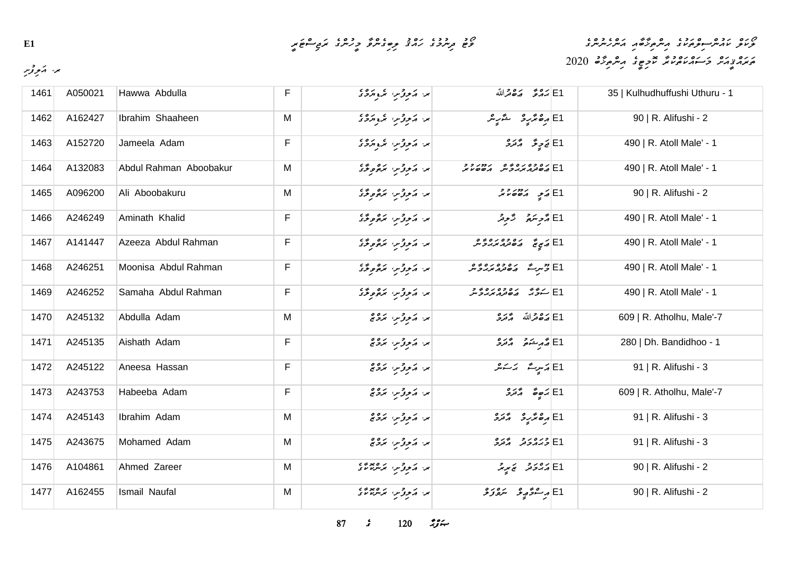*sCw7q7s5w7m< o<n9nOoAw7o< sCq;mAwBoEw7q<m; wBm;vB* م من المرة المرة المرة المرجع المرجع في المركبة 2020<br>مجم*د المريض المربوط المربع المرجع في المراجع المركبة* 

| 1461 | A050021 | Hawwa Abdulla          | $\mathsf{F}$ | أمرا مأمروحس مكموالروى       | E1 يَرْمُوْ   يَرْهُ قَرْاللّه                                                                                                                                                                                                                                     | 35   Kulhudhuffushi Uthuru - 1 |
|------|---------|------------------------|--------------|------------------------------|--------------------------------------------------------------------------------------------------------------------------------------------------------------------------------------------------------------------------------------------------------------------|--------------------------------|
| 1462 | A162427 | Ibrahim Shaaheen       | M            | بر مورمن عمومرده             | E1 ب <i>ر&amp;ټرْرِ</i> وْ گړ <i>ې</i> ش                                                                                                                                                                                                                           | 90   R. Alifushi - 2           |
| 1463 | A152720 | Jameela Adam           | F            | ما الموفرس مكموالروم         | E1] تے <sub>می</sub> گر گرنگرنی                                                                                                                                                                                                                                    | 490   R. Atoll Male' - 1       |
| 1464 | A132083 | Abdul Rahman Aboobakur | M            | برا مَعِرْثُوا مَعْوَفِرْدُ  | E1 גם כם גם זה גמג כ כ                                                                                                                                                                                                                                             | 490   R. Atoll Male' - 1       |
| 1465 | A096200 | Ali Aboobakuru         | M            | أيرا مكروفرس بمقرور ومحمد    | $2222$ $\leq$ $\leq$ $\leq$ $\leq$ $\leq$ $\leq$ $\leq$ $\leq$ $\leq$ $\leq$ $\leq$ $\leq$ $\leq$ $\leq$ $\leq$ $\leq$ $\leq$ $\leq$ $\leq$ $\leq$ $\leq$ $\leq$ $\leq$ $\leq$ $\leq$ $\leq$ $\leq$ $\leq$ $\leq$ $\leq$ $\leq$ $\leq$ $\leq$ $\leq$ $\leq$ $\leq$ | 90   R. Alifushi - 2           |
| 1466 | A246249 | Aminath Khalid         | F            | ىن مەجەۋىر، ئۇھ يۇقى         | E1 مُجَمَّدِ مِنْ مُجَمَّدِ الْمَجَمَّدِ                                                                                                                                                                                                                           | 490   R. Atoll Male' - 1       |
| 1467 | A141447 | Azeeza Abdul Rahman    | F            | پر مَعِرْقُور، بَرَهْ وِعْهُ | E1 בَي تَمْ صَحْرَ مَ مَدَّةٍ مِنْ حَسَنَةٍ مِنْ                                                                                                                                                                                                                   | 490   R. Atoll Male' - 1       |
| 1468 | A246251 | Moonisa Abdul Rahman   | $\mathsf F$  | برا م تروس بره و د د         | E1 ژمړنځ ده ده ده ده<br>E1 ژمړنځ د هندمدبروس                                                                                                                                                                                                                       | 490   R. Atoll Male' - 1       |
| 1469 | A246252 | Samaha Abdul Rahman    | F            | پر مکروژین برگاه وی          | E1 كوير بره ده ده د د                                                                                                                                                                                                                                              | 490   R. Atoll Male' - 1       |
| 1470 | A245132 | Abdulla Adam           | M            | برا متعادموا المروح          | E1 رَصْحَرْاللَّهُ مَعْرَضٍ                                                                                                                                                                                                                                        | 609   R. Atholhu, Male'-7      |
| 1471 | A245135 | Aishath Adam           | F            | ىر. مەجەۋىر، ئەۋى            | E1 مُجم <i>دِ شَمَعِ</i> مُحَمَّدِ                                                                                                                                                                                                                                 | 280   Dh. Bandidhoo - 1        |
| 1472 | A245122 | Aneesa Hassan          | F            | برا م تروس برومي             | E1 كەسرىسى كەسكەنلە                                                                                                                                                                                                                                                | 91   R. Alifushi - 3           |
| 1473 | A243753 | Habeeba Adam           | $\mathsf F$  | برا متعرفر المترومي          |                                                                                                                                                                                                                                                                    | 609   R. Atholhu, Male'-7      |
| 1474 | A245143 | Ibrahim Adam           | M            | بر رکور برده                 | E1 م <i>وھنگرد</i> و م <i>حمد</i> و                                                                                                                                                                                                                                | 91   R. Alifushi - 3           |
| 1475 | A243675 | Mohamed Adam           | M            | برا متعادموا المروح          | E1 3223 دره                                                                                                                                                                                                                                                        | 91   R. Alifushi - 3           |
| 1476 | A104861 | Ahmed Zareer           | M            | بر مورمن برمند               | E1 <i>ג بر دی تا پر ب</i> ر                                                                                                                                                                                                                                        | 90   R. Alifushi - 2           |
| 1477 | A162455 | Ismail Naufal          | M            | بر مورمن برمده               | E1 <sub>م</sub> رےد <sub>گھو</sub> تو س <i>روز</i> و                                                                                                                                                                                                               | 90   R. Alifushi - 2           |

*87 sC 120 nNw?mS*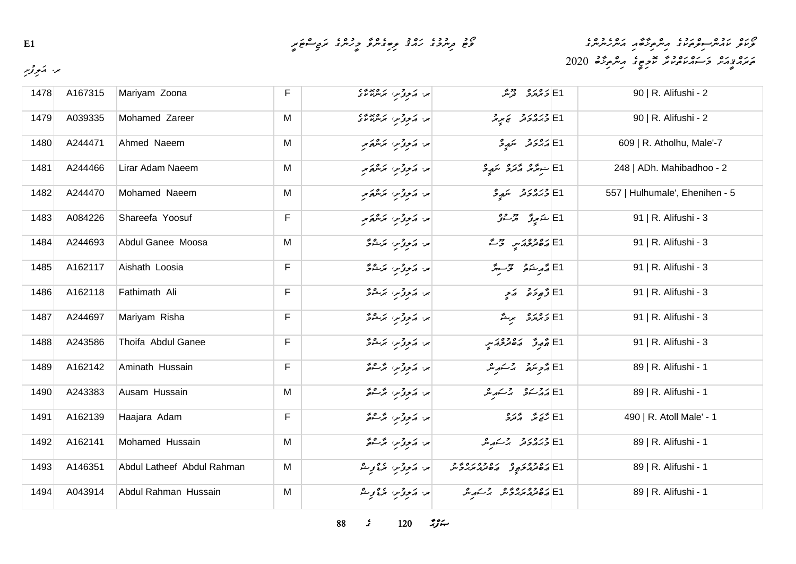*sCw7q7s5w7m< o<n9nOoAw7o< sCq;mAwBoEw7q<m; wBm;vB* م من المرة المرة المرة المرجع المرجع في المركبة 2020<br>مجم*د المريض المربوط المربع المرجع في المراجع المركبة* 

| 1478 | A167315 | Mariyam Zoona              | F           | بر. مجروفریر، تریفرنده کا    | E1 كەبىر بىر ئۇرىتر                                          | 90   R. Alifushi - 2           |
|------|---------|----------------------------|-------------|------------------------------|--------------------------------------------------------------|--------------------------------|
| 1479 | A039335 | Mohamed Zareer             | M           | بر مورمن مگرمن               | E1 <i>\$222 نح بوير</i>                                      | 90   R. Alifushi - 2           |
| 1480 | A244471 | Ahmed Naeem                | M           | ما الأعرفر من مكر مكر مر     | E1 <i>222 سَمِي</i> و                                        | 609   R. Atholhu, Male'-7      |
| 1481 | A244466 | Lirar Adam Naeem           | M           | برا مكروثين بمنفوس           | E1 خو <i>برَّبْر مُ<sup>وَ</sup>رَة</i> سَمِي <sup>و</sup> ُ | 248   ADh. Mahibadhoo - 2      |
| 1482 | A244470 | Mohamed Naeem              | M           | برا مُعِرْمُنِ مُرْمَعُومِ   | E1 \$ 33.23 سَمِي <sup>و</sup>                               | 557   Hulhumale', Ehenihen - 5 |
| 1483 | A084226 | Shareefa Yoosuf            | $\mathsf F$ | برا مأروقرا المكلفة          | E1 ڪمپر <i>ڙ پڙ-و</i> ه                                      | 91   R. Alifushi - 3           |
| 1484 | A244693 | Abdul Ganee Moosa          | M           | برا الكوثورا الكرساني        | E1 رەدەندىر بىر شەم                                          | 91   R. Alifushi - 3           |
| 1485 | A162117 | Aishath Loosia             | F           | أمرا أكروتمن المرشوق         | E1 مەم ئىشقى ھىزىسىدىگە                                      | 91   R. Alifushi - 3           |
| 1486 | A162118 | Fathimath Ali              | F           | برا الكوثر الكرام الكرمندي   | E1 <i>وُجوحَۃ مَ</i> ی                                       | 91   R. Alifushi - 3           |
| 1487 | A244697 | Mariyam Risha              | F           | أمرا الكوثوب الكرشافي        | E1 كا يوپرى مرت                                              | 91   R. Alifushi - 3           |
| 1488 | A243586 | Thoifa Abdul Ganee         | $\mathsf F$ | أمرا الكوثوب الكرشافي        | E1 يۇرۇ ھەھىر ئەدەبىر                                        | 91   R. Alifushi - 3           |
| 1489 | A162142 | Aminath Hussain            | F           | ىر. مۇرۇش ئۇسىم              | E1 مٌ <i>جِي مَدْهِ بِهِ جُسْمَ مِ</i> رْسُ                  | 89   R. Alifushi - 1           |
| 1490 | A243383 | Ausam Hussain              | M           | بر. مَعِرْضٍ بِمُسْتَمْ      | E1 كەرمىكى ئەسكەر ش                                          | 89   R. Alifushi - 1           |
| 1491 | A162139 | Haajara Adam               | F           | برا الأبودي، الدُّر عامُّ    | E1 رَّيَ بَرَ مَرْرَدُ                                       | 490   R. Atoll Male' - 1       |
| 1492 | A162141 | Mohamed Hussain            | M           | برا الأبوقر من الدُّر منه حج | E1 32025 كريمبر مثر                                          | 89   R. Alifushi - 1           |
| 1493 | A146351 | Abdul Latheef Abdul Rahman | M           |                              | E1 رەمەر ئەرە بەرەمەمەمەس بىر مەر ئىروس ئىمارىش              | 89   R. Alifushi - 1           |
| 1494 | A043914 | Abdul Rahman Hussain       | M           | پر ټربوژمو، برنا وی          | E1 <i>مەھەرمەرە بوي بويىدىش</i>                              | 89   R. Alifushi - 1           |

*88 sC 120 nNw?mS*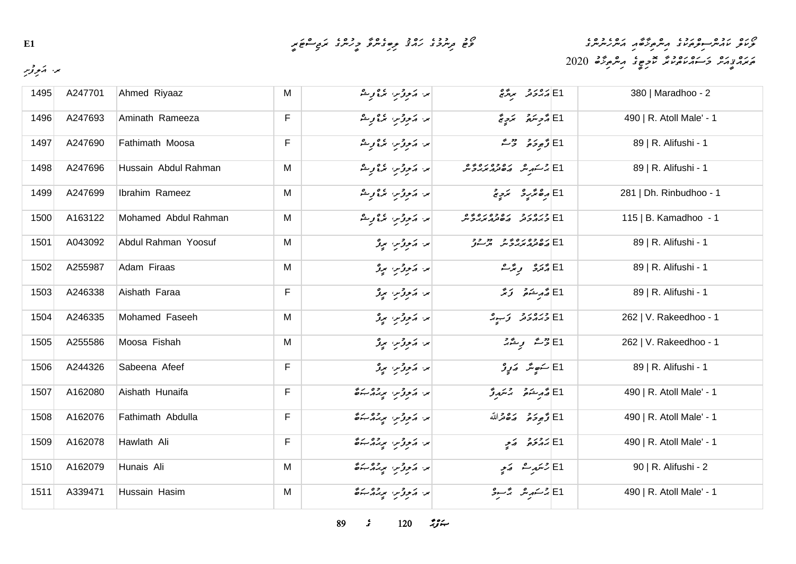*sCw7q7s5w7m< o<n9nOoAw7o< sCq;mAwBoEw7q<m; wBm;vB* م من المرة المرة المرة المرجع المرجع في المركبة 2020<br>مجم*د المريض المربوط المربع المرجع في المراجع المركبة* 

| 1495 | A247701 | Ahmed Riyaaz         | M            | ما الكروترس الكراهيمي وسط     | E1 <i>ג ب</i> حق مرتزع              | 380   Maradhoo - 2       |
|------|---------|----------------------|--------------|-------------------------------|-------------------------------------|--------------------------|
| 1496 | A247693 | Aminath Rameeza      | F            | أما الكوثر الكافريقا          | E1 مُتَّحِبَّتَهُ تَمَرِيَّ         | 490   R. Atoll Male' - 1 |
| 1497 | A247690 | Fathimath Moosa      | $\mathsf{F}$ | أيرا الكروحس الكره والمقر     | E1 تَ <i>وجوجو ج</i> ُ شَ           | 89   R. Alifushi - 1     |
| 1498 | A247696 | Hussain Abdul Rahman | M            | پر انگروگرا انگروگ            | E1 ئەسكەر مەھىرمەمەم دەھ            | 89   R. Alifushi - 1     |
| 1499 | A247699 | Ibrahim Rameez       | M            | پر مرکز وقت مردوسه            | E1 م <i>وھنگر و</i> محمدچ           | 281   Dh. Rinbudhoo - 1  |
| 1500 | A163122 | Mohamed Abdul Rahman | M            | أيرا الكروحس الكره والمقر     |                                     | 115   B. Kamadhoo - 1    |
| 1501 | A043092 | Abdul Rahman Yoosuf  | M            | پر اړکووکس ایرو               | E1 <i>ړه ده ده وه</i> په دو وو      | 89   R. Alifushi - 1     |
| 1502 | A255987 | Adam Firaas          | M            | برا مکووکرا برو               | E1 پژنری پ <i>ر پڑ</i> ے            | 89   R. Alifushi - 1     |
| 1503 | A246338 | Aishath Faraa        | $\mathsf{F}$ | برا مکووکوا برو               | E1 م <sup>ح</sup> مد شقى توتتر      | 89   R. Alifushi - 1     |
| 1504 | A246335 | Mohamed Faseeh       | M            | بر مووس برو                   | E1 <i>35223</i> قرسور               | 262   V. Rakeedhoo - 1   |
| 1505 | A255586 | Moosa Fishah         | M            | ىن مەمرۇس بوۋ                 | E1 تۇشقە بوشقەيز                    | 262   V. Rakeedhoo - 1   |
| 1506 | A244326 | Sabeena Afeef        | $\mathsf F$  | برا مکووکوا برو               | E1 س <i>نومثر مزو</i> ژ             | 89   R. Alifushi - 1     |
| 1507 | A162080 | Aishath Hunaifa      | F            | بر رووس بررومن                | E1 مەم ئىقىم ئىستىدۇ                | 490   R. Atoll Male' - 1 |
| 1508 | A162076 | Fathimath Abdulla    | F            | بر. مُتوفر مريد مشركة         | E1 وَجِوحَة صَ <b>صَ</b> قَرَاللّه  | 490   R. Atoll Male' - 1 |
| 1509 | A162078 | Hawlath Ali          | $\mathsf{F}$ | ىن مەردىن بورمەت كە           | E1   يَرْدُوَهُ - مَ <sup>و</sup> ِ | 490   R. Atoll Male' - 1 |
| 1510 | A162079 | Hunais Ali           | M            | بر. مَعِوْسٍ بِرِيْهِ جَمَّعَ | E1 ئەنتىرىشە كەيچ                   | 90   R. Alifushi - 2     |
| 1511 | A339471 | Hussain Hasim        | M            | بر رووس برروم به              | E1 پر سمبر شر پڑ سور مح             | 490   R. Atoll Male' - 1 |

*89 sC 120 nNw?mS*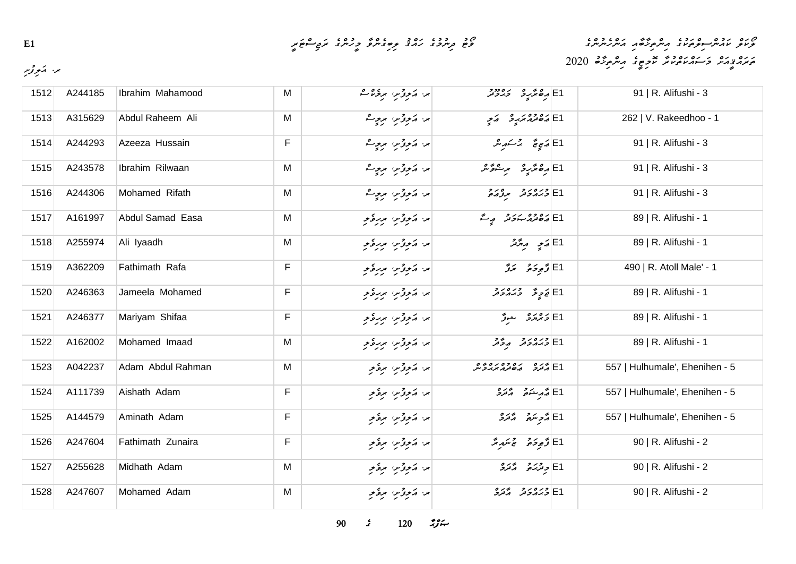*sCw7q7s5w7m< o<n9nOoAw7o< sCq;mAwBoEw7q<m; wBm;vB* م من المرة المرة المرة المرجع المرجع في المركبة 2020<br>مجم*د المريض المربوط المربع المرجع في المراجع المركبة* 

| 1512 | A244185 | Ibrahim Mahamood  | M           | پر ړنورمن بروګات        | E1 ب <i>ەھتۇرو ئەدەد</i>                  | 91   R. Alifushi - 3           |
|------|---------|-------------------|-------------|-------------------------|-------------------------------------------|--------------------------------|
| 1513 | A315629 | Abdul Raheem Ali  | M           | برا اړنوژس بروگ         | E1 <i>مَـُ مَرْمَّدِ وَ مَ</i> حِ         | 262   V. Rakeedhoo - 1         |
| 1514 | A244293 | Azeeza Hussain    | F           | ما اړنووس مروث          | E1 كەيپ قى جاسكىرىش                       | 91   R. Alifushi - 3           |
| 1515 | A243578 | Ibrahim Rilwaan   | M           | بر روور بروے            | E1 مەھەر بولىدىن ھەر بىر ئىستىلىر بىر     | 91   R. Alifushi - 3           |
| 1516 | A244306 | Mohamed Rifath    | M           | پر ړېږدين بروگ          | E1 32023 برومبر<br>E1 3223 برومبر         | 91   R. Alifushi - 3           |
| 1517 | A161997 | Abdul Samad Easa  | M           | ما المروقين المرسطور    | E1 ەھەرمىزدىق مەت                         | 89   R. Alifushi - 1           |
| 1518 | A255974 | Ali Iyaadh        | M           | ما المتوفر مورد مورد مر | E1 کیمو پروگند                            | 89   R. Alifushi - 1           |
| 1519 | A362209 | Fathimath Rafa    | $\mathsf F$ | بر میوژن برره و         | E1 رُج <i>وحَمْ بَرَدُّ</i>               | 490   R. Atoll Male' - 1       |
| 1520 | A246363 | Jameela Mohamed   | F           | ما أكموفرس مرتزعو       | E1 ق ح محمد حرب حرار حرب<br>E1            | 89   R. Alifushi - 1           |
| 1521 | A246377 | Mariyam Shifaa    | F           | ما الموفرس مررد و       | E1 كۆپرى ھو <i>ڙ</i>                      | 89   R. Alifushi - 1           |
| 1522 | A162002 | Mohamed Imaad     | M           | بر مورمن بررؤو          | E1 <i>3223 م</i> گر                       | 89   R. Alifushi - 1           |
| 1523 | A042237 | Adam Abdul Rahman | M           | يرا م تروش الرغام       | E1 ג'ום גם בסינס בים                      | 557   Hulhumale', Ehenihen - 5 |
| 1524 | A111739 | Aishath Adam      | $\mathsf F$ | أبرا وتحوقرا الرغام     | E1 مَگْرِسْتَمْ مُرْتَزَرْ                | 557   Hulhumale', Ehenihen - 5 |
| 1525 | A144579 | Aminath Adam      | F           | ما المروري الروح        | E1 مُجرِسَمَ مُعَرِفٍ                     | 557   Hulhumale', Ehenihen - 5 |
| 1526 | A247604 | Fathimath Zunaira | $\mathsf F$ | ما المروري الروح        | E1 <i>وَّجِوَدَهُ</i> بِمَسَم <i>ِيدٌ</i> | 90   R. Alifushi - 2           |
| 1527 | A255628 | Midhath Adam      | M           | ما الموثر البرغرم       | E1 <i>وِمْهَدَهْ مُ</i> مَعَر             | 90   R. Alifushi - 2           |
| 1528 | A247607 | Mohamed Adam      | M           | برا مأفرقر المتحرفر     | E1 322.3 وره                              | 90   R. Alifushi - 2           |

*90 sC 120 nNw?mS*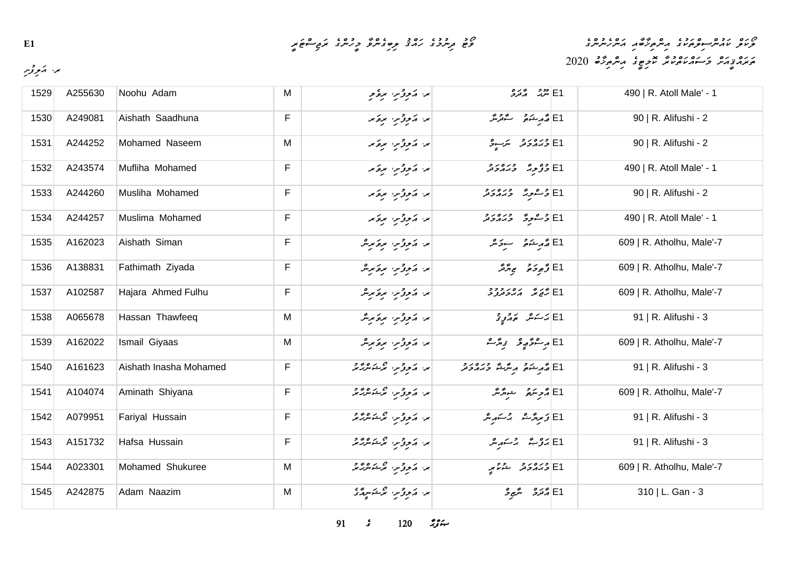*sCw7q7s5w7m< o<n9nOoAw7o< sCq;mAwBoEw7q<m; wBm;vB* م من المرة المرة المرة المرجع المرجع في المركبة 2020<br>مجم*د المريض المربوط المربع المرجع في المراجع المركبة* 

| 1529 | A255630 | Noohu Adam             | M           | ىر. م <i>ۇرۇس ب</i> رۇپر         | E1 ميز مجموع                                            | 490   R. Atoll Male' - 1  |
|------|---------|------------------------|-------------|----------------------------------|---------------------------------------------------------|---------------------------|
| 1530 | A249081 | Aishath Saadhuna       | F           | برا أزود سائر برغامه             | E1 مُەمبەشكە ئىستىرىتىر                                 | 90   R. Alifushi - 2      |
| 1531 | A244252 | Mohamed Naseem         | M           | برا أزود سالا بروكر              | E1 <i>وُبَرُوْدَ تَدَبِّ</i> وڤ                         | 90   R. Alifushi - 2      |
| 1532 | A243574 | Mufliha Mohamed        | F           | برا أنروس برقابر                 | E1 دُرْمِدَ دَيَهُ دَرُ                                 | 490   R. Atoll Male' - 1  |
| 1533 | A244260 | Musliha Mohamed        | F           | برا أزود براوير                  | E1 <sub>ج</sub> ۇش <sub>م</sub> ون <sub>د</sub> ھەرەمىز | 90   R. Alifushi - 2      |
| 1534 | A244257 | Muslima Mohamed        | F           | برا أزودترا الرقائد              | E1 <sub>ج</sub> ۇشمۇق ئ <i>ۇنەدەت</i> ر                 | 490   R. Atoll Male' - 1  |
| 1535 | A162023 | Aishath Siman          | F           | برا أروقوا بروتريك               | E1 مُ مِسْدَمْ سِنَ مَّرْ مِ                            | 609   R. Atholhu, Male'-7 |
| 1536 | A138831 | Fathimath Ziyada       | F           | برا أيحوقوا برقابونكر            | E1 زَّەپرەَ ئ <sup>ە</sup> ر ئەر                        | 609   R. Atholhu, Male'-7 |
| 1537 | A102587 | Hajara Ahmed Fulhu     | F           | برا أروقوا بروترنك               | E1 گەنچ بىر بەر دورى<br>E1                              | 609   R. Atholhu, Male'-7 |
| 1538 | A065678 | Hassan Thawfeeq        | M           | برا أروقوا بروتريثر              | E1 ئەسەمىر ئ <i>وم ب</i> وتۇ                            | 91   R. Alifushi - 3      |
| 1539 | A162022 | Ismail Giyaas          | M           | برا أروقوا بروترنك               | E1  <sub>م</sub> رشۇ <sub>م</sub> پۇ ب <sub>و</sub> رم  | 609   R. Atholhu, Male'-7 |
| 1540 | A161623 | Aishath Inasha Mohamed | F           | أين الكروري المرت المراكبة المحر | E1 مُمبِشَمَ مِسَّنِّہُ وَيَمُدُونَر                    | 91   R. Alifushi - 3      |
| 1541 | A104074 | Aminath Shiyana        | $\mathsf F$ | أما أيجوز المحمد المعاديد        | E1 مَّ حِ سَمَّ مُصَدَّسَ ا                             | 609   R. Atholhu, Male'-7 |
| 1542 | A079951 | Fariyal Hussain        | F           | أمرا مكوفر من المحرك والمحر      | E1 كۆمپەترىشى كەسكەرلىر                                 | 91   R. Alifushi - 3      |
| 1543 | A151732 | Hafsa Hussain          | F           | ىن مەمرۇس ئۇيشەھەمچە             | E1 ئۇرىگە ب <sub>ە</sub> شكەر بىر                       | 91   R. Alifushi - 3      |
| 1544 | A023301 | Mohamed Shukuree       | M           | أمرا مكوفر من المحر المسترجمة    | E1 <i>وُبَرُوْدُوْ</i> شَرْمَ مِرِ                      | 609   R. Atholhu, Male'-7 |
| 1545 | A242875 | Adam Naazim            | M           | أما أرووس الركاسية               | E1 مَرْتَرَدُ     مَرْبِحْ                              | 310   L. Gan - 3          |

 $91$  *s*  $120$  *z***<sub>3</sub>**  $\frac{2}{3}$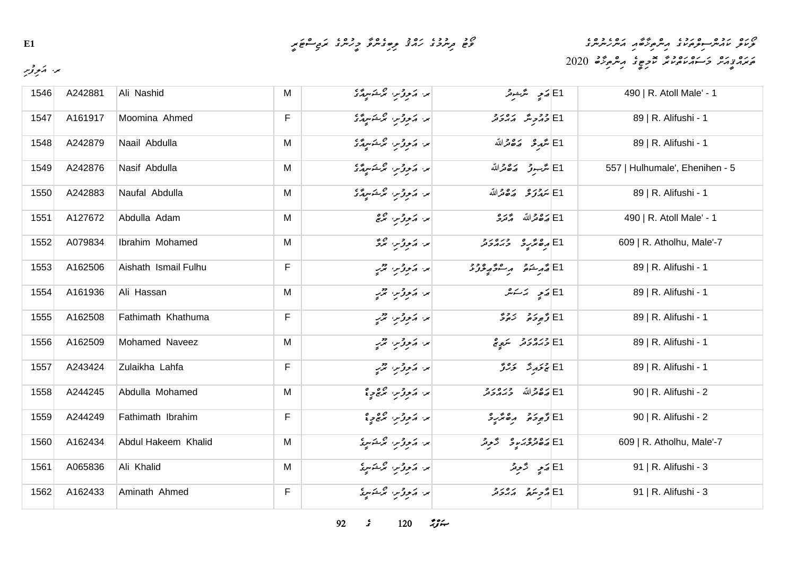*sCw7q7s5w7m< o<n9nOoAw7o< sCq;mAwBoEw7q<m; wBm;vB* م من المرة المرة المرة المرجع المرجع في المركبة 2020<br>مجم*د المريض المربوط المربع المرجع في المراجع المركبة* 

| 1546 | A242881 | Ali Nashid           | M           | بر. مَعِرْفُسِ، مَحْشَسِهُ وَ | E1 <i>۾َ ۾</i> سُرُمومُر                                   | 490   R. Atoll Male' - 1       |
|------|---------|----------------------|-------------|-------------------------------|------------------------------------------------------------|--------------------------------|
| 1547 | A161917 | Moomina Ahmed        | F           | بر م کروکرد مر شور میگانی     | E1 دُيْرِمِيْرَ بِرَيْرِدِيْر                              | 89   R. Alifushi - 1           |
| 1548 | A242879 | Naail Abdulla        | M           | أمرا مكروكس الكسكومية         | E1 سَمَعِ حَمَّ صَحَّمَ اللَّه                             | 89   R. Alifushi - 1           |
| 1549 | A242876 | Nasif Abdulla        | M           | أمرا مكروح المراكب المستمر    | E1 سَرَ-وِتْرَ صَرْحَة مِّدَاللَّه                         | 557   Hulhumale', Ehenihen - 5 |
| 1550 | A242883 | Naufal Abdulla       | M           | برا مكروح المحمد المستمر      | E1 يتم <i>مؤثر مقصد</i> الله                               | 89   R. Alifushi - 1           |
| 1551 | A127672 | Abdulla Adam         | M           | برا اړمولوموا اړه             | E1 رَحْمَدْاللّه مُرْمَرْدْ                                | 490   R. Atoll Male' - 1       |
| 1552 | A079834 | Ibrahim Mohamed      | M           | بر رکوری نرو                  | E1 مەھگرىدى بەر دىر دىر                                    | 609   R. Atholhu, Male'-7      |
| 1553 | A162506 | Aishath Ismail Fulhu | $\mathsf F$ | برا مأثوقر المجمير            | E1 مەم شىم بەر مەم دورى                                    | 89   R. Alifushi - 1           |
| 1554 | A161936 | Ali Hassan           | M           | برا م مروشرا محرب             | E1 کی پر تک شر                                             | 89   R. Alifushi - 1           |
| 1555 | A162508 | Fathimath Khathuma   | F           | بر رکور پر                    | E1 تَ <i>وْجِوَة</i> رَجْرَةَ                              | 89   R. Alifushi - 1           |
| 1556 | A162509 | Mohamed Naveez       | M           | برا م مروشرا محرب             | E1 <i>وبروبرو مربوع</i>                                    | 89   R. Alifushi - 1           |
| 1557 | A243424 | Zulaikha Lahfa       | F           | برا م کروگرا میں              | E1 يحترر بحرار محرار في الس                                | 89   R. Alifushi - 1           |
| 1558 | A244245 | Abdulla Mohamed      | M           | بر مورمن مي د و               | E1 مَدْهْ مَدْاللّه حَمَدْ مَدَوْمَرْ                      | 90   R. Alifushi - 2           |
| 1559 | A244249 | Fathimath Ibrahim    | $\mathsf F$ | برا مأفروش لرجوح              | E1 ژ <sub>مو</sub> ځن <sub>و</sub> ره ټرېږ د               | 90   R. Alifushi - 2           |
| 1560 | A162434 | Abdul Hakeem Khalid  | M           | أبرا الكروحي الكركشيرة        | E1 رَەتر <i>ۇرَ بِ</i> ئ <sup>ِ</sup> ئ <sub>ُ</sub> مِتْر | 609   R. Atholhu, Male'-7      |
| 1561 | A065836 | Ali Khalid           | M           | أبرا الكولوكس الكراشيكي       | E1 کے پر گروٹر                                             | 91   R. Alifushi - 3           |
| 1562 | A162433 | Aminath Ahmed        | F           | ىن مەمرۇس ئۇيغەنىي            | E1 مَّ حِسَمَ مَدَحَّ مَنْ                                 | 91   R. Alifushi - 3           |

*92 sC 120 nNw?mS*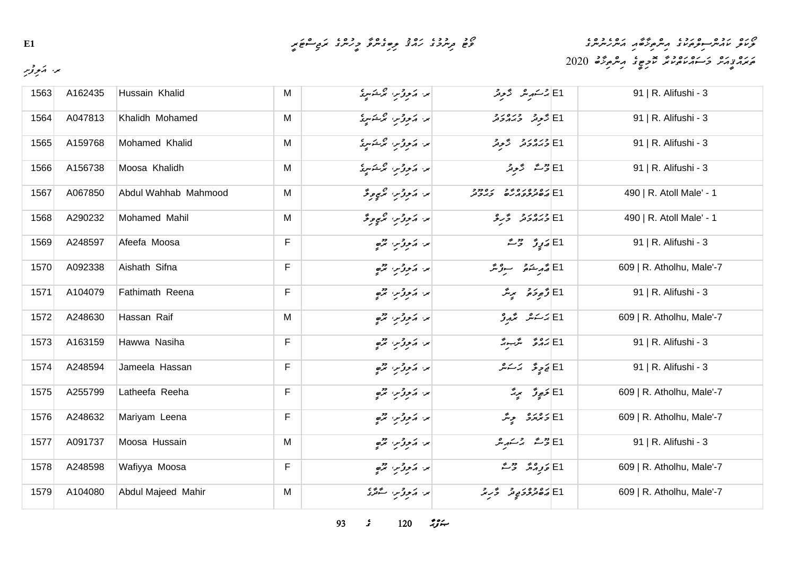*sCw7q7s5w7m< o<n9nOoAw7o< sCq;mAwBoEw7q<m; wBm;vB* م من المرة المرة المرة المرجع المرجع في المركبة 2020<br>مجم*د المريض المربوط المربع المرجع في المراجع المركبة* 

| 1563 | A162435 | Hussain Khalid       | M | ىن مەرۋىن ئۇخەمبۇ             | E1 پرڪيريش - رُحوِيْرُ-                      | 91   R. Alifushi - 3      |
|------|---------|----------------------|---|-------------------------------|----------------------------------------------|---------------------------|
| 1564 | A047813 | Khalidh Mohamed      | M | أبرا الكروحي الكركشيرة        | E1 تَرْمِعْرُ     وَيَرُومُرُ     وَ         | 91   R. Alifushi - 3      |
| 1565 | A159768 | Mohamed Khalid       | M | أما الموثر المراعين           | E1 ة <i>بَرْدْدَوْدْ</i> گَرْمِتْرُ          | 91   R. Alifushi - 3      |
| 1566 | A156738 | Moosa Khalidh        | M | ما الأخروجين المراكبة من معنى | E1 تخریقر گروتر                              | 91   R. Alifushi - 3      |
| 1567 | A067850 | Abdul Wahhab Mahmood | M | پر انگروژس انگرمونژ           | / E1 ره وه ره دو در ره دو و                  | 490   R. Atoll Male' - 1  |
| 1568 | A290232 | Mohamed Mahil        | M | بر ټروژنو، نژېږو د            | E1 ك <i>ېندونتى</i> گېرن <i>ى</i>            | 490   R. Atoll Male' - 1  |
| 1569 | A248597 | Afeefa Moosa         | F | برا م تروش المرضح             | E1 <i>آروڈ</i> تھ ش                          | 91   R. Alifushi - 3      |
| 1570 | A092338 | Aishath Sifna        | F | بر. م تورش بره                | E1 مُ مِسْمَعْ سِوْسٌر                       | 609   R. Atholhu, Male'-7 |
| 1571 | A104079 | Fathimath Reena      | F | برا م تروش المره              | E1 <i>ؤودة</i> بري <i>د</i> ً                | 91   R. Alifushi - 3      |
| 1572 | A248630 | Hassan Raif          | M | ىن مەجرىق ئوي                 | E1   پرسترس مگر <i>م</i> وثر                 | 609   R. Atholhu, Male'-7 |
| 1573 | A163159 | Hawwa Nasiha         | F | برا وكتروح المجمع             | E1 بَرْدُوْ سُرْبِہ بُرْ                     | 91   R. Alifushi - 3      |
| 1574 | A248594 | Jameela Hassan       | F | برا مأفروش محمي               | E1 ت <sub>ح</sub> جو تر تر تر شر             | 91   R. Alifushi - 3      |
| 1575 | A255799 | Latheefa Reeha       | F | بر. م توفر من المرضح          | E1 كَرْجِوزٌ مُرِيَّزٌ                       | 609   R. Atholhu, Male'-7 |
| 1576 | A248632 | Mariyam Leena        | F | برا م تروژس تره               | E1 <i>5ندود</i> ب <sub>و</sub> یژ            | 609   R. Atholhu, Male'-7 |
| 1577 | A091737 | Moosa Hussain        | M | بر ، مَعِرْسٌ مِرْهِ          | E1 جي شه جي شهر مثر                          | 91   R. Alifushi - 3      |
| 1578 | A248598 | Wafiyya Moosa        | F | بر ، مَعِرْسٌ مِرْهِ          | E1 <sub>ح</sub> وړې وخت                      | 609   R. Atholhu, Male'-7 |
| 1579 | A104080 | Abdul Majeed Mahir   | M | بر. ړو ژمر، گروه              | E1 <i>בَ ھُترَ جُوتَوِ بِ</i> رُ مُحْرِ بِرُ | 609   R. Atholhu, Male'-7 |

*93 sC 120 nNw?mS*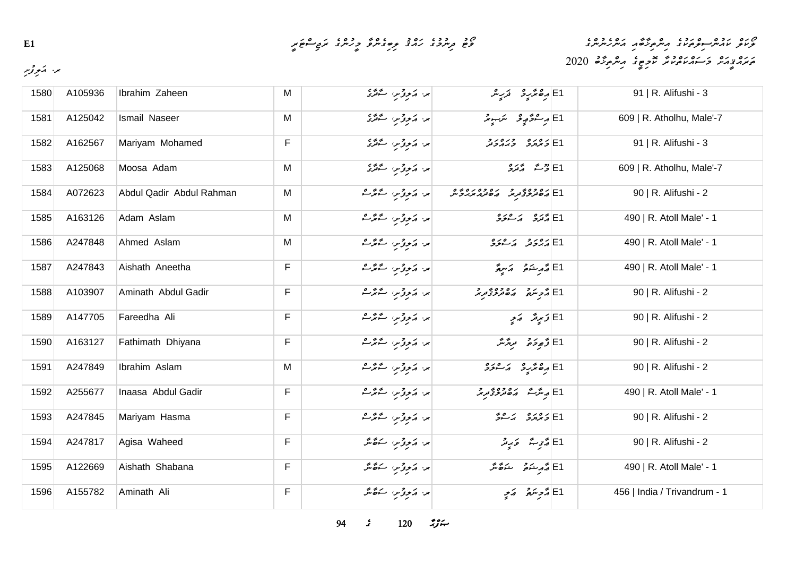*sCw7q7s5w7m< o<n9nOoAw7o< sCq;mAwBoEw7q<m; wBm;vB* م من المرة المرة المرة المرجع المرجع في المركبة 2020<br>مجم*د المريض المربوط المربع المرجع في المراجع المركبة* 

| 1580 | A105936 | Ibrahim Zaheen           | M           | بر· مَرْمُورُ مِنْ مُتَعَمَّدُ | E1 م <i>وڭ ئۇرى</i> گە قۇرىيەتلىر                                      | 91   R. Alifushi - 3         |
|------|---------|--------------------------|-------------|--------------------------------|------------------------------------------------------------------------|------------------------------|
| 1581 | A125042 | <b>Ismail Naseer</b>     | M           | بر منووش کشور                  | E1 <sub>م</sub> رےد <i>ۇ <sub>م</sub>و</i> قى س <i>رىيەتى</i>          | 609   R. Atholhu, Male'-7    |
| 1582 | A162567 | Mariyam Mohamed          | F           | بر پروژن سکرد                  | E1 <i>בינתל בנ</i> מכת                                                 | 91   R. Alifushi - 3         |
| 1583 | A125068 | Moosa Adam               | M           | بر پروژن سکرد                  | $3.5$ $2.7$ E1                                                         | 609   R. Atholhu, Male'-7    |
| 1584 | A072623 | Abdul Qadir Abdul Rahman | M           | برا مَرْدِوْسِ سُمَعَرْتْ      | E1 ره ده په په په ره ده ره په ه<br>E1 پرې ترڅنگ تر په په کاربر تر تر ش | 90   R. Alifushi - 2         |
| 1585 | A163126 | Adam Aslam               | M           | برا م بروس سنگر شد             | E1 پژنرو پر شوترو                                                      | 490   R. Atoll Male' - 1     |
| 1586 | A247848 | Ahmed Aslam              | M           | برا اړموژنو، سنگرسته           | E1 كەبرى كەنگە كەنگەنى                                                 | 490   R. Atoll Male' - 1     |
| 1587 | A247843 | Aishath Aneetha          | F           | بر. مَعِوْسِ سُمَرَّتْ         | E1 مَگْرِسْتَمْ مَرْسِعٌ                                               | 490   R. Atoll Male' - 1     |
| 1588 | A103907 | Aminath Abdul Gadir      | F           | بر. مَعِرْسِ سُمَرَّتْ         | E1 مُتصِبَعة مُتَصْبِرْ وَقَوْمِتْرَ                                   | 90   R. Alifushi - 2         |
| 1589 | A147705 | Fareedha Ali             | F           | برا ړېوتولو، سنګور شو          | E1 تزمیٹر کرم                                                          | 90   R. Alifushi - 2         |
| 1590 | A163127 | Fathimath Dhiyana        | $\mathsf F$ | ىر. ئەبوقەر، سەئەر             | E1 <i>وَّجوحَمْ مِرمَّدَّمَّ</i>                                       | 90   R. Alifushi - 2         |
| 1591 | A247849 | Ibrahim Aslam            | M           | أبرا وكروري ستعرضه             | E1 مەھمگىرى كەشى <del>ك</del> ى                                        | 90   R. Alifushi - 2         |
| 1592 | A255677 | Inaasa Abdul Gadir       | F           | ىر. ئەبوقەر، سەئەر             | E1 مەنىرىشقى بەر <i>ھەندى ۋە ب</i> ىرىمە                               | 490   R. Atoll Male' - 1     |
| 1593 | A247845 | Mariyam Hasma            | F           | پر مرکزوری سنگر شد             | E1 كانترنز كالمحافظة المحافظة المح                                     | 90   R. Alifushi - 2         |
| 1594 | A247817 | Agisa Waheed             | F           | بر. مَعِوْسِ سَقَامَرُ         | E1 ۾ُت <sub>و</sub> بہُ وَرِيْر                                        | 90   R. Alifushi - 2         |
| 1595 | A122669 | Aishath Shabana          | F           | پر مرکز وقت سنگر               | E1 <sub>م</sub> ُّ مِرْ مُرَى مُّ مُّ مَّرَّ مُّ                       | 490   R. Atoll Male' - 1     |
| 1596 | A155782 | Aminath Ali              | F           | بر. مَعِرْوْسِ، سَنَصْبَر      | E1 أ <i>مَّ و سَع</i> ْدَ مَسْتِي                                      | 456   India / Trivandrum - 1 |

*94 sC 120 nNw?mS*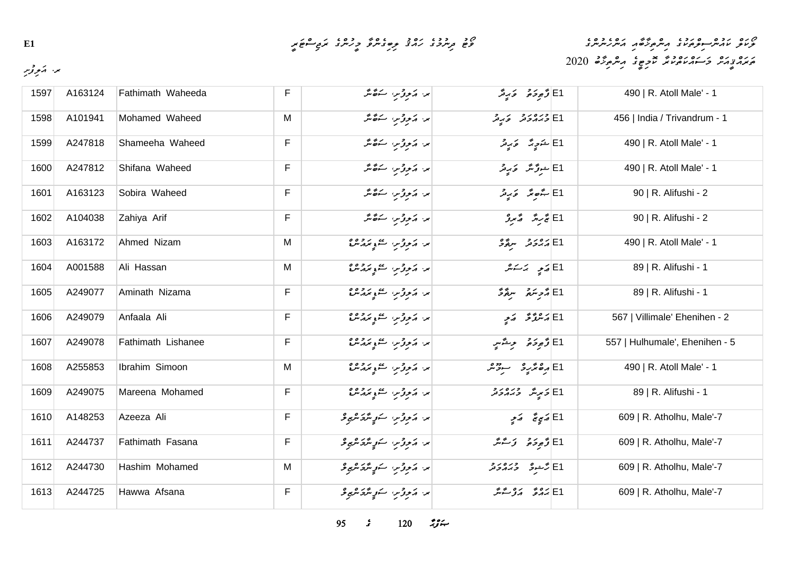*sCw7q7s5w7m< o<n9nOoAw7o< sCq;mAwBoEw7q<m; wBm;vB* م من المسجد المسجد المسجد المسجد المسجد العام 2020<br>مجم*د المسجد المسجد المستجد المسجد المسجد المسجد المسجد المسجد المسجد المسجد المسجد المسجد المسجد المسجد المسجد* 

| 1597 | A163124 | Fathimath Waheeda  | F | برا اړکروژس، سکھنگر                              | E1 وَجِوحَة وَرِيْدَ                       | 490   R. Atoll Male' - 1       |
|------|---------|--------------------|---|--------------------------------------------------|--------------------------------------------|--------------------------------|
| 1598 | A101941 | Mohamed Waheed     | м | برا اړکروژس، سکھنگر                              | E1 <i>5223 قب</i> رتر                      | 456   India / Trivandrum - 1   |
| 1599 | A247818 | Shameeha Waheed    | F | برا اړکرونس، سکھنگر                              | E1 ڪوپڙ کوپور                              | 490   R. Atoll Male' - 1       |
| 1600 | A247812 | Shifana Waheed     | F | بر. مَعِوْسِ سَقَمَّدَ                           | E1 شورٌ مَدَّ مَرِ مَرْ                    | 490   R. Atoll Male' - 1       |
| 1601 | A163123 | Sobira Waheed      | F | ىر. ئەبرۇس سۇھەر                                 | E1 بەھ بىر ئەرىتر                          | 90   R. Alifushi - 2           |
| 1602 | A104038 | Zahiya Arif        | F | ىر. ئەبرۇس سەھىگە                                | E1 تج سرمائی می محرموثی                    | 90   R. Alifushi - 2           |
| 1603 | A163172 | Ahmed Nizam        | M | أيرا مأثروش الشويمار وه                          | E1 <i>2525 سرة 3</i>                       | 490   R. Atoll Male' - 1       |
| 1604 | A001588 | Ali Hassan         | M | أيرا م تحرقر المحلي على المرد المعنى             | E1  <i>ھي۔ بن</i> شھ                       | 89   R. Alifushi - 1           |
| 1605 | A249077 | Aminath Nizama     | F | ىر. مەجەۋىر، سەء بىرمەسمى                        | E1 مُتَّحِسَّعَ سِمُّتَّ                   | 89   R. Alifushi - 1           |
| 1606 | A249079 | Anfaala Ali        | F | أيرا م تحرقر المحلي على المرد المعنى             | E1 كەشرۇق كەم                              | 567   Villimale' Ehenihen - 2  |
| 1607 | A249078 | Fathimath Lishanee | F | برا مركز وقريب عصي برو وه                        | E1 <i>وَّج</i> ودَة وِحْسٍ                 | 557   Hulhumale', Ehenihen - 5 |
| 1608 | A255853 | Ibrahim Simoon     | M | ما م كورش سكو محدد من                            | E1 رەئزىر ئىستى بىرىشىسى E1                | 490   R. Atoll Male' - 1       |
| 1609 | A249075 | Mareena Mohamed    | F | أمرا وكتوفر من الشكاية بمرور هونا                | E1 ك <sup>ې</sup> رىنگە ق <i>ەتمەد ق</i> ر | 89   R. Alifushi - 1           |
| 1610 | A148253 | Azeeza Ali         | F | برا    مركز كرد براير مركز مركز كريم كر          | E1 <i>ھَي جَھ</i> مَي                      | 609   R. Atholhu, Male'-7      |
| 1611 | A244737 | Fathimath Fasana   | F | ير،    مَرْوِرْسِ،    سَوَرٍ مَرَّدَ مَرْبِعِ وَ | E1 ۇ <sub>ج</sub> وقىھ <b>زى</b> گىگر      | 609   R. Atholhu, Male'-7      |
| 1612 | A244730 | Hashim Mohamed     | M | برا    مركز كرد مركز مركز مركز كرد كر            | E1 رَّحْبِوْ وَيَرْدُونْرَ                 | 609   R. Atholhu, Male'-7      |
| 1613 | A244725 | Hawwa Afsana       | F | أما أيأورش سكو يترة يتربع في                     | E1 ئەيرۇ بەر ئەشر                          | 609   R. Atholhu, Male'-7      |

 $95$  *s*  $120$  *n***<sub>s</sub>**  $\frac{2}{3}$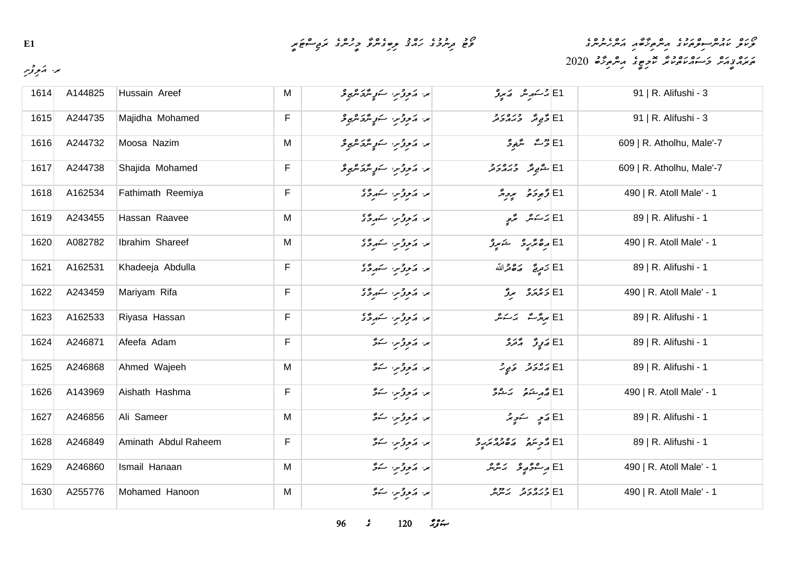*sCw7q7s5w7m< o<n9nOoAw7o< sCq;mAwBoEw7q<m; wBm;vB* م من المرة المرة المرة المرجع المرجع في المركبة 2020<br>مجم*د المريض المربوط المربع المرجع في المراجع المركبة* 

| 1614 | A144825 | Hussain Areef        | M            | برا    مركز كرد مركز مركز كريم كر | E1 پرڪيرنگر ڪيپو                           | 91   R. Alifushi - 3      |
|------|---------|----------------------|--------------|-----------------------------------|--------------------------------------------|---------------------------|
| 1615 | A244735 | Majidha Mohamed      | F            | برا الكروتران الكوا بتركة بتربوعي | E1 وَّمِهِ مَدَّ دَيَرَ دَرَ لَهِ دَ       | 91   R. Alifushi - 3      |
| 1616 | A244732 | Moosa Nazim          | M            | أىرا مأثور الأسكو بتركا منتوفر    | E1 حَمَّ مُّہْدِ مُحَمَّدٍ مِنْ ا          | 609   R. Atholhu, Male'-7 |
| 1617 | A244738 | Shajida Mohamed      | $\mathsf F$  | أىر. مەجوۋىر، سەرپەنگەنلىرى ئ     | E1 شگھونگر كەندەكەر 3                      | 609   R. Atholhu, Male'-7 |
| 1618 | A162534 | Fathimath Reemiya    | $\mathsf{F}$ | پر ټربوژس شهروند                  | E1 زُّجِرْدَةُ بِرِدِيَّزُ                 | 490   R. Atoll Male' - 1  |
| 1619 | A243455 | Hassan Raavee        | M            | ىن مەمرۇس سەردە ئا                | E1   پرسکس مگ <sub>ھی</sub>                | 89   R. Alifushi - 1      |
| 1620 | A082782 | Ibrahim Shareef      | M            | أيرا أتروش التهرونى               | E1 مەھەر ئەر ئىكەنبەتر E1                  | 490   R. Atoll Male' - 1  |
| 1621 | A162531 | Khadeeja Abdulla     | F            | بر. ג' وژس، سکه و د کا            | E1 تَرْمِيعٌ صَرَّةَ مَدَاللَّه            | 89   R. Alifushi - 1      |
| 1622 | A243459 | Mariyam Rifa         | F            | بر رووی سروی                      | E1 كەنگەنى ئىراش بىراش                     | 490   R. Atoll Male' - 1  |
| 1623 | A162533 | Riyasa Hassan        | F            | بر ړوژنو، شروی                    | E1 بربر ممبر برسکر کر                      | 89   R. Alifushi - 1      |
| 1624 | A246871 | Afeefa Adam          | $\mathsf F$  | ىن مەمرۇس سەۋ                     | E1 <i>ړَږِوْ پ</i> نځرو                    | 89   R. Alifushi - 1      |
| 1625 | A246868 | Ahmed Wajeeh         | M            | ىن مەمرۇس سەۋ                     | E1 كەندى قىم ئىقى قىلىمىتى ئىقى ئى         | 89   R. Alifushi - 1      |
| 1626 | A143969 | Aishath Hashma       | $\mathsf F$  | بر. مَعِوْسِ سَوَّ                | E1 مەم ئىشى بەشىرى                         | 490   R. Atoll Male' - 1  |
| 1627 | A246856 | Ali Sameer           | M            | بر. مَعِوْسِ سَوَّ                | E1 <i>ھو</i> سکوپٽر                        | 89   R. Alifushi - 1      |
| 1628 | A246849 | Aminath Abdul Raheem | F            | بر. مَعِرْسِ سَوَّ                | E1 جُعِ سَمَعَ صَدَّهُ جَمَعِ مِرْدِ       | 89   R. Alifushi - 1      |
| 1629 | A246860 | Ismail Hanaan        | M            | بر. مَعِوْسِ سَوَّ                | E1 <sub>م</sub> رےد <sub>گ</sub> ے پر ترتر | 490   R. Atoll Male' - 1  |
| 1630 | A255776 | Mohamed Hanoon       | M            | ىن مەرۋىن سەۋ                     | E1 3223 كروپىر                             | 490   R. Atoll Male' - 1  |

 $96$  *s*  $120$  *z*  $3\frac{2}{3}$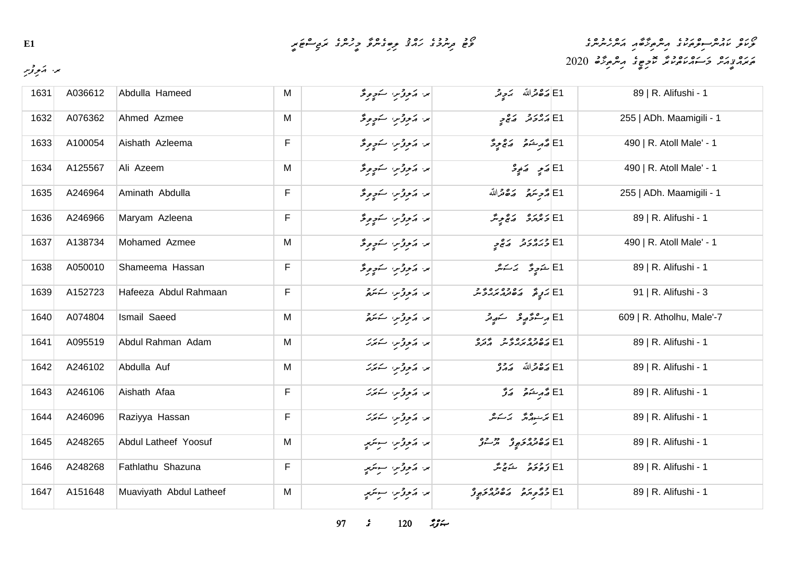*sCw7q7s5w7m< o<n9nOoAw7o< sCq;mAwBoEw7q<m; wBm;vB* م من المرة المرة المرة المرجع المرجع في المركبة 2020<br>مجم*د المريض المربوط المربع المرجع في المراجع المركبة* 

| 1631 | A036612 | Abdulla Hameed          | M           | پر اړکورفرمان سکوچونځه  | E1 مَەھمَراللە بەر قىر                           | 89   R. Alifushi - 1      |
|------|---------|-------------------------|-------------|-------------------------|--------------------------------------------------|---------------------------|
| 1632 | A076362 | Ahmed Azmee             | M           | پر ټربوژس ڪوپونځ        | E1 <i>גُرُدُدَ ډُڄ</i> پِ                        | 255   ADh. Maamigili - 1  |
| 1633 | A100054 | Aishath Azleema         | F           | پر اړیوژنو، سکوپونځ     | E1 مَّ مِ شَمَّ مَتَ مِرْحَمٍ مَّ                | 490   R. Atoll Male' - 1  |
| 1634 | A125567 | Ali Azeem               | M           | پر انگروگران سکوپونځ    | E1 <i>ڇَجِ ڇَچُو</i>                             | 490   R. Atoll Male' - 1  |
| 1635 | A246964 | Aminath Abdulla         | F           | پر ټريوتور، سکوپاونځ    | E1 مَرْحِ سَرَمَ مَرْحَدَّ اللّه                 | 255   ADh. Maamigili - 1  |
| 1636 | A246966 | Maryam Azleena          | $\mathsf F$ | پر ړېږوتن شوږد و        | E1 <i>ويروو د ويونگ</i> ر                        | 89   R. Alifushi - 1      |
| 1637 | A138734 | Mohamed Azmee           | M           | پر اړیوژنو، ڪوږي        | E1 <i>5223 كەنج م</i>                            | 490   R. Atoll Male' - 1  |
| 1638 | A050010 | Shameema Hassan         | $\mathsf F$ | پر اړیوژنو، سکوپونځ     | E1] ڪ <sub>ي</sub> چي پر چين سنڌ جي پير ال       | 89   R. Alifushi - 1      |
| 1639 | A152723 | Hafeeza Abdul Rahmaan   | $\mathsf F$ | برا اړنوژنو، سنگهو      | E1 ټرنځ     ټره وه بره پور                       | 91   R. Alifushi - 3      |
| 1640 | A074804 | <b>Ismail Saeed</b>     | M           | بر. مَعِوْسٍ سَيَنْهُمْ | E1 م <i>ېرىشۇمۇ سىمبەت</i> ر                     | 609   R. Atholhu, Male'-7 |
| 1641 | A095519 | Abdul Rahman Adam       | M           | برا اړکووکس، سکورګ      | E1 בפנק בנפי בינס                                | 89   R. Alifushi - 1      |
| 1642 | A246102 | Abdulla Auf             | M           | برا مكووثين سكرك        | E1 22 محمدالله ص <i>مرو</i>                      | 89   R. Alifushi - 1      |
| 1643 | A246106 | Aishath Afaa            | F           | برا اړکووکس، سکورګ      | E1 م <i>ەم ھەقى ھەقى</i>                         | 89   R. Alifushi - 1      |
| 1644 | A246096 | Raziyya Hassan          | F           | برا مرکز وقرار استعداد  | E1 <i>بَرْجِيهِ بَرْجَيْرٍ</i>                   | 89   R. Alifushi - 1      |
| 1645 | A248265 | Abdul Latheef Yoosuf    | M           | پر اړیووس سوسرپر        | E1 <sub>مُ</sub> 0,000 م موجود من المستوفر<br>E1 | 89   R. Alifushi - 1      |
| 1646 | A248268 | Fathlathu Shazuna       | F           | برا الكووحوا السوسكين   | E1 ئۈچر <i>ۈچ</i> ە ئەيجەنگر                     | 89   R. Alifushi - 1      |
| 1647 | A151648 | Muaviyath Abdul Latheef | M           | يرا مكوفر من سونترين    | E1 جەمەمەدە مەھەممەمۇمۇ                          | 89   R. Alifushi - 1      |

*97 sC 120 nNw?mS*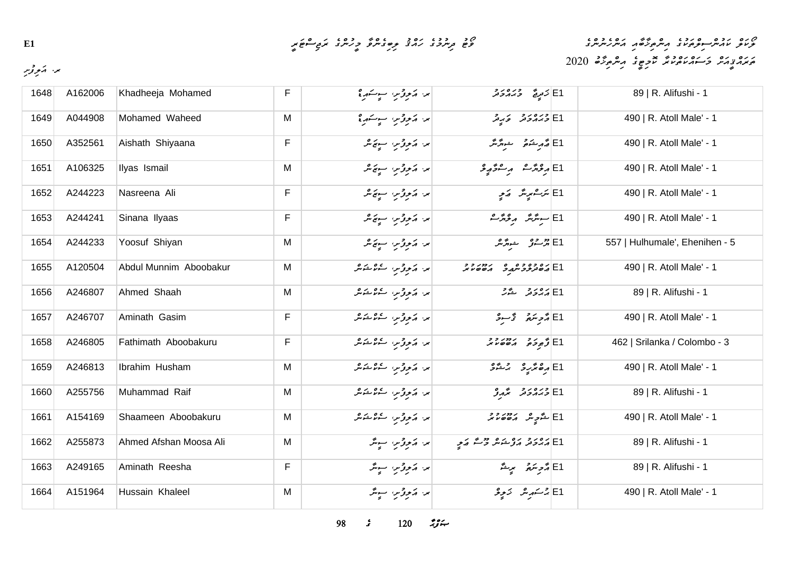*sCw7q7s5w7m< o<n9nOoAw7o< sCq;mAwBoEw7q<m; wBm;vB* م من المرة المرة المرة المرجع المرجع في المركبة 2020<br>مجم*د المريض المربوط المربع المرجع في المراجع المركبة* 

| 1648 | A162006 | Khadheeja Mohamed      | F | ىلا مەلوگەن سوسكەن؟             | E1 زَمِرِةً وَبَرُودَتَر                | 89   R. Alifushi - 1           |
|------|---------|------------------------|---|---------------------------------|-----------------------------------------|--------------------------------|
| 1649 | A044908 | Mohamed Waheed         | M | برا مكروحوس سوسكرة              | E1 <i>وبروونر ک</i> ېږنر                | 490   R. Atoll Male' - 1       |
| 1650 | A352561 | Aishath Shiyaana       | F | برا مُتَوَرِّس اللهِ عَلَمَ     | E1 م <i>ەم ھۇمۇسى</i> ھەر <i>گەنگ</i> ە | 490   R. Atoll Male' - 1       |
| 1651 | A106325 | Ilyas Ismail           | M | ىن مەكرۇس سىھىگە                | E1 مرتزم میگرمری د                      | 490   R. Atoll Male' - 1       |
| 1652 | A244223 | Nasreena Ali           | F | ىن مەجەۋىر، سىيەتكە             | E1 مَرَسْمَىِيْتَر كَمَعِي              | 490   R. Atoll Male' - 1       |
| 1653 | A244241 | Sinana Ilyaas          | F | ىن مەمرۇس سىھەش                 | E1 سویٹریٹر پروٹریشہ                    | 490   R. Atoll Male' - 1       |
| 1654 | A244233 | Yoosuf Shiyan          | M | ىن مەكرۇس سىھىگە                | E1 ترجو ہے گھر                          | 557   Hulhumale', Ehenihen - 5 |
| 1655 | A120504 | Abdul Munnim Aboobakur | M | بر. مَعِرْتُور، سَمْلاَ شَمَلْر | 13 גם כם כם ם 2007 ברי כב               | 490   R. Atoll Male' - 1       |
| 1656 | A246807 | Ahmed Shaah            | M | ىن مەمرۇس سىرىشىر               | E1 كەبرى تەرىخى ئىس                     | 89   R. Alifushi - 1           |
| 1657 | A246707 | Aminath Gasim          | F | ىن مەرگەن سىرىشىر               | E1 أُمُّ <i>جِسَعْهُ</i> تَخْسِعْرُ     | 490   R. Atoll Male' - 1       |
| 1658 | A246805 | Fathimath Aboobakuru   | F | ىن مەمرۇس سىرىشىر               | E1 ژُجِرَة رَمُصَّة رَ                  | 462   Srilanka / Colombo - 3   |
| 1659 | A246813 | Ibrahim Husham         | M | ىر. مەمۇرىي، سەھ شەھ            | E1 مەھەر بۇ بۇ ئەشكى                    | 490   R. Atoll Male' - 1       |
| 1660 | A255756 | Muhammad Raif          | M | أين أركوفرس الكراشوش            | E1 <i>3222 مگ</i> رو                    | 89   R. Alifushi - 1           |
| 1661 | A154169 | Shaameen Aboobakuru    | M | أيرا مكروحس الكالاشكار          | E1 څوپر مقصد پر                         | 490   R. Atoll Male' - 1       |
| 1662 | A255873 | Ahmed Afshan Moosa Ali | M | برا اړکووکس اسپانگر             | E1 پره د د پره شهر وحت که پ             | 89   R. Alifushi - 1           |
| 1663 | A249165 | Aminath Reesha         | F | پر انگروژین سونڈ                | E1 <i>مُّتَّرِسَمُ</i> مِيشَ            | 89   R. Alifushi - 1           |
| 1664 | A151964 | Hussain Khaleel        | M | برا مُتَوَوَّينِ البَيْشُ       | E1 پرڪوين ڪچو                           | 490   R. Atoll Male' - 1       |

*o6q?oBm< .8*

*98 sC 120 nNw?mS*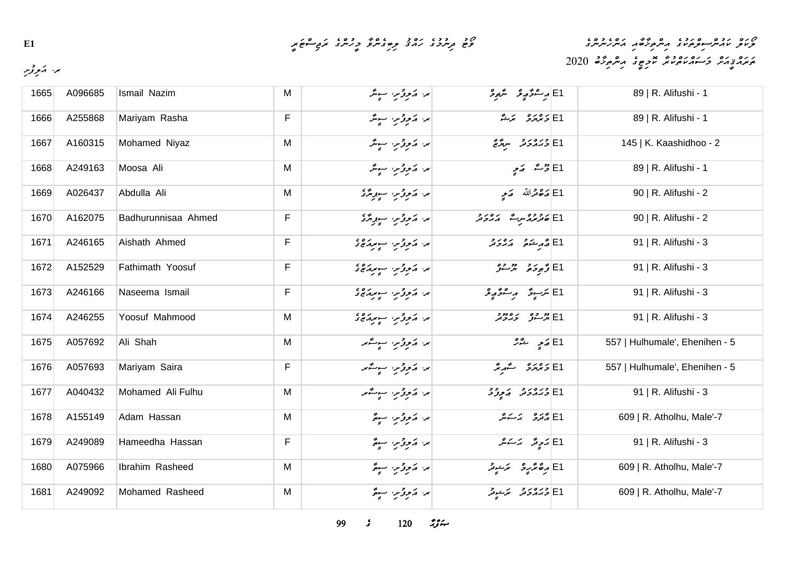*sCw7q7s5w7m< o<n9nOoAw7o< sCq;mAwBoEw7q<m; wBm;vB* م من المرة المرة المرة المرجع المرجع في المركبة 2020<br>مجم*د المريض المربوط المربع المرجع في المراجع المركبة* 

| 1665 | A096685 | <b>Ismail Nazim</b> | M           | سر مکوفر سوینگ         | E1 <sub>م</sub> رےد <i>و پ</i> و س <i>گھ</i> وٹ  | 89   R. Alifushi - 1           |
|------|---------|---------------------|-------------|------------------------|--------------------------------------------------|--------------------------------|
| 1666 | A255868 | Mariyam Rasha       | F           | بر رکوری سونڈ          | E1 كا <i>بحر برگ</i> محرك                        | 89   R. Alifushi - 1           |
| 1667 | A160315 | Mohamed Niyaz       | M           | أيرا مكروحوا السونتر   | E1 <i>دېرو د</i> سرگړي                           | 145   K. Kaashidhoo - 2        |
| 1668 | A249163 | Moosa Ali           | M           | أيرا مكروحوا السونتر   | E1 <i>5 شيغ</i> ه                                | 89   R. Alifushi - 1           |
| 1669 | A026437 | Abdulla Ali         | M           | پر ټربوی سورندی        | E1 كەھىراللە ك <i>ەي</i>                         | 90   R. Alifushi - 2           |
| 1670 | A162075 | Badhurunnisaa Ahmed | $\mathsf F$ | بر. גوژس سورگرد        | E1 <i>کافریزہ میرٹ کردو</i> نر                   | 90   R. Alifushi - 2           |
| 1671 | A246165 | Aishath Ahmed       | F           | بر رکوری سویرره د      | E1 مُەم شەھ مەردىتە                              | 91   R. Alifushi - 3           |
| 1672 | A152529 | Fathimath Yoosuf    | F           | بر رکورش سورده د       | E1 ژ <sub>ېو</sub> ده پر ده                      | 91   R. Alifushi - 3           |
| 1673 | A246166 | Naseema Ismail      | $\mathsf F$ | بر رکور سورره          | E1 <sub>سَرَس</sub> ِرَ م <i>ِ مِـدْدُودِ</i> رْ | 91   R. Alifushi - 3           |
| 1674 | A246255 | Yoosuf Mahmood      | M           | بر رکورش سوپرده        | E1 ټرينو ئەرەبىر                                 | 91   R. Alifushi - 3           |
| 1675 | A057692 | Ali Shah            | M           | ىر. ئەببۇتىر، سوسەتلىر | E1 کی جگہ می                                     | 557   Hulhumale', Ehenihen - 5 |
| 1676 | A057693 | Mariyam Saira       | F           | بر رکوویں سونے پر      | E1 دېمەر ئەرىمىگە                                | 557   Hulhumale', Ehenihen - 5 |
| 1677 | A040432 | Mohamed Ali Fulhu   | M           | بر. مکروکرد. سوستایر   | E1 <i>5223 مَوِوْنَ</i>                          | 91   R. Alifushi - 3           |
| 1678 | A155149 | Adam Hassan         | M           | بر، مکووکر، سیٹر       | E1 كەتىرى كەسكەنلە                               | 609   R. Atholhu, Male'-7      |
| 1679 | A249089 | Hameedha Hassan     | F           | أيرا مكروش سيرهم       | E1 كەچەنگە كەسكەنلەر                             | 91   R. Alifushi - 3           |
| 1680 | A075966 | Ibrahim Rasheed     | M           | پر انگروژین استانگر    | E1 مەھەرىرى سىمئىدىمە                            | 609   R. Atholhu, Male'-7      |
| 1681 | A249092 | Mohamed Rasheed     | M           | بر رکور سرگر           | E1 <i>\$22.23. مَرْ</i> خِيصْ                    | 609   R. Atholhu, Male'-7      |

*99 sC 120 nNw?mS*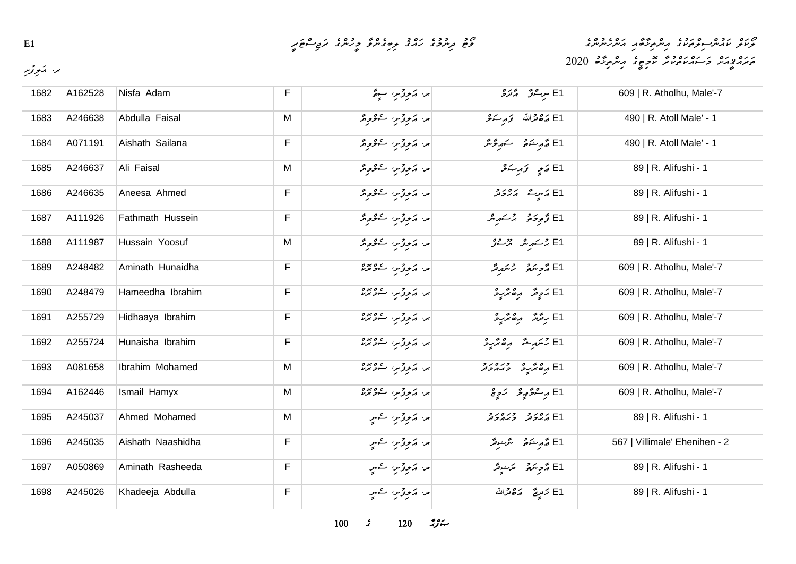*sCw7q7s5w7m< o<n9nOoAw7o< sCq;mAwBoEw7q<m; wBm;vB* م من المرة المرة المرة المرجع المرجع في المركبة 2020<br>مجم*د المريض المربوط المربع المرجع في المراجع المركبة* 

| 1682 | A162528 | Nisfa Adam          | F           | بر رکور سوځ                | E1 سرشۇ گەنزۇ                       | 609   R. Atholhu, Male'-7     |
|------|---------|---------------------|-------------|----------------------------|-------------------------------------|-------------------------------|
| 1683 | A246638 | Abdulla Faisal      | M           | پر ړېږدنې شوه پر           | E1 #چىقراللە قەرىبكى                | 490   R. Atoll Male' - 1      |
| 1684 | A071191 | Aishath Sailana     | F           | پر ټرېوترما شوې پر         | E1 مۇمەشقىق سىمبوقىتىر              | 490   R. Atoll Male' - 1      |
| 1685 | A246637 | Ali Faisal          | M           | بر. مَعِرْضٍ سُعْوَةٍ مَّ  | E1 <i>ھَجِ وَمِ</i> سَك             | 89   R. Alifushi - 1          |
| 1686 | A246635 | Aneesa Ahmed        | $\mathsf F$ | پر پرتوژین کے عروبر        | E1 كەسرىسى كەندى قىر                | 89   R. Alifushi - 1          |
| 1687 | A111926 | Fathmath Hussein    | F           | أيرا مكروفرس سكوه ومر      | E1 <i>وَّجِوحَةْ بِرْسَهِب</i> شْ   | 89   R. Alifushi - 1          |
| 1688 | A111987 | Hussain Yoosuf      | M           | أيرا مكروفون الشوقومة      | E1 برسمبر میں میں سور               | 89   R. Alifushi - 1          |
| 1689 | A248482 | Aminath Hunaidha    | F           | بر. مَعِرْضٍ سَعْرَ مَهُ   | E1 مُجَمِّسَمُ مَسَمَّدِمَّ         | 609   R. Atholhu, Male'-7     |
| 1690 | A248479 | Hameedha Ibrahim    | F           | بر. ړوژنو، شو بره          | E1 بَرَجِعٌ مِنْ مُرْكَبِرْ \$      | 609   R. Atholhu, Male'-7     |
| 1691 | A255729 | Hidhaaya Ibrahim    | $\mathsf F$ | بر. ړووس شونده             | E1 بِتَرْتَرُ مِنْ تَحْرِبُوْ       | 609   R. Atholhu, Male'-7     |
| 1692 | A255724 | Hunaisha Ibrahim    | F           | بر. مَعِرْضٍ سَعْرَ مَرْرٍ | E1 ئىترىش مەھمىي 3                  | 609   R. Atholhu, Male'-7     |
| 1693 | A081658 | Ibrahim Mohamed     | M           | بر. ړوژنو، شو پره          | E1 مەھگرىدى بەر دىكەردىر            | 609   R. Atholhu, Male'-7     |
| 1694 | A162446 | <b>Ismail Hamyx</b> | M           | بر. ړووس شونده             | E1 مرڪو <i>گھي</i> و ڪچھ            | 609   R. Atholhu, Male'-7     |
| 1695 | A245037 | Ahmed Mohamed       | M           | أين الكروحين التكسي        | E1 ג' 250 250 وره د و               | 89   R. Alifushi - 1          |
| 1696 | A245035 | Aishath Naashidha   | F           | پر اړکورکس ک               | E1 مُرمِشَمُ     مُرْسِمُرٌ         | 567   Villimale' Ehenihen - 2 |
| 1697 | A050869 | Aminath Rasheeda    | F           | بر، مکروکر، سکس            | E1 مَّ حِسَمَۃُ مَنْ مَشِيقَہ       | 89   R. Alifushi - 1          |
| 1698 | A245026 | Khadeeja Abdulla    | F           | بر، مَعِرْشٍ ڪِسِ          | E1 كَسِيعٌ صَ <b>صَ</b> مَّرْاللَّه | 89   R. Alifushi - 1          |

*100 sC 120 nNw?mS*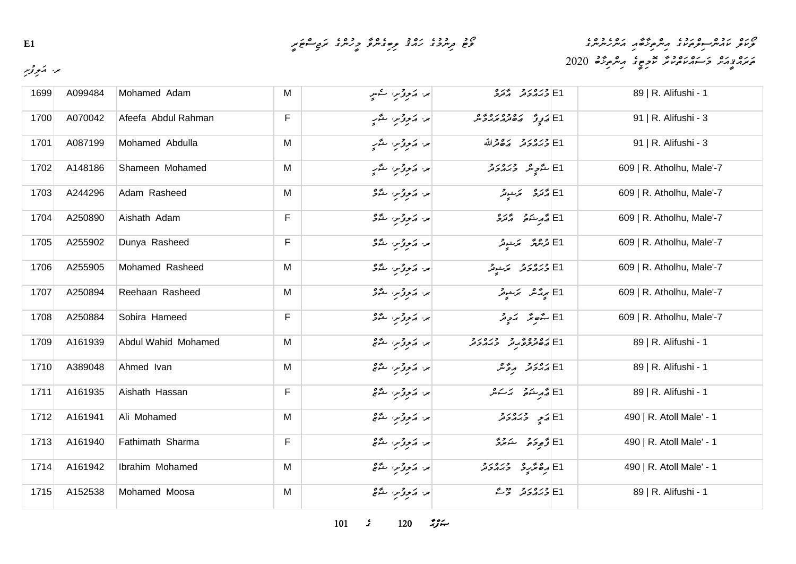*sCw7q7s5w7m< o<n9nOoAw7o< sCq;mAwBoEw7q<m; wBm;vB* م من المرة المرة المرة المرجع المرجع في المركبة 2020<br>مجم*د المريض المربوط المربع المرجع في المراجع المركبة* 

| 1699 | A099484 | Mohamed Adam        | M           | بر. مکورهور، سکاسی | E1 <i>32022</i> محمدہ                    | 89   R. Alifushi - 1      |
|------|---------|---------------------|-------------|--------------------|------------------------------------------|---------------------------|
| 1700 | A070042 | Afeefa Abdul Rahman | F           | پر انگروژس ڪرپ     | E1 <i>ړُوِژ په موسمه پرچ</i> مر          | 91   R. Alifushi - 3      |
| 1701 | A087199 | Mohamed Abdulla     | M           | أماء الكوثوس المشي | E1 32025 مَركة اللّه                     | 91   R. Alifushi - 3      |
| 1702 | A148186 | Shameen Mohamed     | M           | بر مووین نقر       | E1 څوپر ډيره د                           | 609   R. Atholhu, Male'-7 |
| 1703 | A244296 | Adam Rasheed        | M           | بر. مَعِرْسِ ڪُرُ  | E1 مُرْتَرَدُ - مَرْشِ <sub>و</sub> تَرُ | 609   R. Atholhu, Male'-7 |
| 1704 | A250890 | Aishath Adam        | $\mathsf F$ | ىن مەمرۇس ئىگى     | E1 مَگْرِسْتَمْ مُگْرُو                  | 609   R. Atholhu, Male'-7 |
| 1705 | A255902 | Dunya Rasheed       | F           | بر. مَعِرْسِ ڪُرُ  | E1 قرشرنگر - ترشی <sup>و</sup> ر         | 609   R. Atholhu, Male'-7 |
| 1706 | A255905 | Mohamed Rasheed     | M           | بر. مَعِرْسِ ڪُرُ  | E1 <i>وُبَرُوُدُو تَرَجُونُو</i>         | 609   R. Atholhu, Male'-7 |
| 1707 | A250894 | Reehaan Rasheed     | M           | پر انگروٹرین کے بح | E1 مریڈیٹر کرنے ویٹر                     | 609   R. Atholhu, Male'-7 |
| 1708 | A250884 | Sobira Hameed       | F           | بر. مَعِرْسِ ڪُرُ  | E1 جُوءٌ ب <sub>َ</sub> حوِثَرَ          | 609   R. Atholhu, Male'-7 |
| 1709 | A161939 | Abdul Wahid Mohamed | M           | بر رکور شگاه       | E1 رەدە بورە دىرە دىر                    | 89   R. Alifushi - 1      |
| 1710 | A389048 | Ahmed Ivan          | M           | برا مكورش كمشيخ    | E1 <i>جَهْدُوَ بَوَ</i> مِعْ مَرْ        | 89   R. Alifushi - 1      |
| 1711 | A161935 | Aishath Hassan      | $\mathsf F$ | برا مكورش كمشيخ    | E1 م <i>ۇم ھۇم بىر شەش</i>               | 89   R. Alifushi - 1      |
| 1712 | A161941 | Ali Mohamed         | M           | بر رکور شده        | E1 <i>مَيْ وَبَهُ</i> وَمَرَ             | 490   R. Atoll Male' - 1  |
| 1713 | A161940 | Fathimath Sharma    | F           | برا مكورش كمشيخ    | E1 تُرجوحَ حَمَدَ حَمَدَتَ               | 490   R. Atoll Male' - 1  |
| 1714 | A161942 | Ibrahim Mohamed     | M           | أمرا مكوفرس المشيج | E1 رەئمرىرو دىمەددىر                     | 490   R. Atoll Male' - 1  |
| 1715 | A152538 | Mohamed Moosa       | M           | ىن مەمرۇس ئىگى     | E1 3323 وسمبر                            | 89   R. Alifushi - 1      |

*101 sC 120 nNw?mS*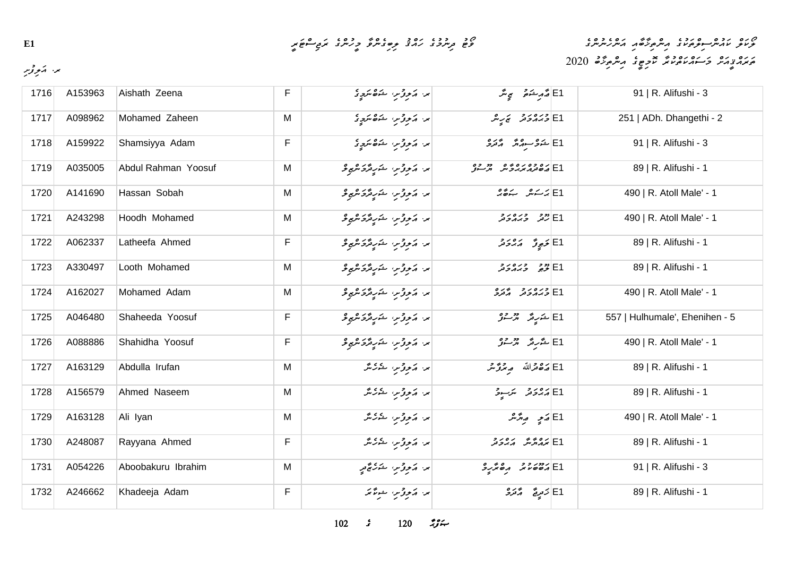*sCw7q7s5w7m< o<n9nOoAw7o< sCq;mAwBoEw7q<m; wBm;vB* م من المرة المرة المرة المرجع المرجع في المركبة 2020<br>مجم*د المريض المربوط المربع المرجع في المراجع المركبة* 

| 1716 | A153963 | Aishath Zeena       | F           | برا أن تروح من المسكن التي تحرير كا | E1 مَدْمِ شَمَّةٍ بِمِسَّر       | 91   R. Alifushi - 3           |
|------|---------|---------------------|-------------|-------------------------------------|----------------------------------|--------------------------------|
| 1717 | A098962 | Mohamed Zaheen      | M           | ما الأمروجين الشكل مكرج و           | E1 <i>وبروبرو بي پ</i> ر         | 251   ADh. Dhangethi - 2       |
| 1718 | A159922 | Shamsiyya Adam      | F           | برا الأبوقرس الشكاه للرواكل         | E1 شكى سەر مەردە                 | 91   R. Alifushi - 3           |
| 1719 | A035005 | Abdul Rahman Yoosuf | M           | پر انگروگران ڪريگروگري ٿو           | E1 גەכەرەپەر بورە                | 89   R. Alifushi - 1           |
| 1720 | A141690 | Hassan Sobah        | M           | أمرا مكووكس المشر مكرد كمكانو فخر   | E1 پرسٹر ہے تھ                   | 490   R. Atoll Male' - 1       |
| 1721 | A243298 | Hoodh Mohamed       | M           | ىر. مەجوۋىر، ھەرپەردە ئارىمى ئ      | E1 جو دي ديور                    | 490   R. Atoll Male' - 1       |
| 1722 | A062337 | Latheefa Ahmed      | F           | ىر. مەجوگىر، ھەر مەگەكلىمى ئ        | E1 خَفْرٍ وَمَسْتَحَمَّدَ        | 89   R. Alifushi - 1           |
| 1723 | A330497 | Looth Mohamed       | M           | ىن مەرۋىر، ھەرەگەكلىمى ئ            | E1 خوج ح بره د ح                 | 89   R. Alifushi - 1           |
| 1724 | A162027 | Mohamed Adam        | M           | أمرا الكروحي المشر وكركر للرجاعي    | E1 322.3 وره                     | 490   R. Atoll Male' - 1       |
| 1725 | A046480 | Shaheeda Yoosuf     | F           | ىر. مەجەۋىر، ھەرەھەم چى             | E1 ڪريگر گ <i>ر شو</i>           | 557   Hulhumale', Ehenihen - 5 |
| 1726 | A088886 | Shahidha Yoosuf     | $\mathsf F$ | أمرا مكروحوا المشر مكروكري والمحالج | E1 ڪُريگر تر <i>شڪر</i> مح       | 490   R. Atoll Male' - 1       |
| 1727 | A163129 | Abdulla Irufan      | M           | پر ټربولومو، ڪرمگر                  | E1 كەھەراللە م <i>ېغىۋىتر</i>    | 89   R. Alifushi - 1           |
| 1728 | A156579 | Ahmed Naseem        | M           | أين الكروفين المشكش                 | E1 <i>ړېری تر سرب</i>            | 89   R. Alifushi - 1           |
| 1729 | A163128 | Ali Iyan            | M           | بر. مَعِرْشٍ ڪَرَنگر                | E1 کی په مرگنگر                  | 490   R. Atoll Male' - 1       |
| 1730 | A248087 | Rayyana Ahmed       | F           | أيرا مكروش المشكش                   | E1 <i>بزورش م</i> رور و          | 89   R. Alifushi - 1           |
| 1731 | A054226 | Aboobakuru Ibrahim  | M           | برا اړکوروس ڪريءَ پر                | $5.2001$ $8.2002$ $E1$           | 91   R. Alifushi - 3           |
| 1732 | A246662 | Khadeeja Adam       | F           | ىن مەمرۇس ھەتكە                     | E1 كَمَدٍ مُعَ مُحَمَّد مُحَمَّد | 89   R. Alifushi - 1           |

*102 sC 120 nNw?mS*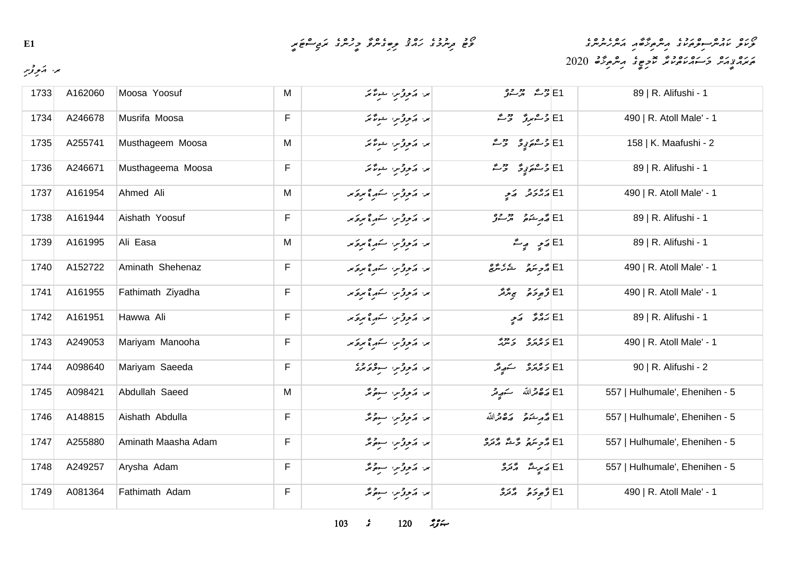*sCw7q7s5w7m< o<n9nOoAw7o< sCq;mAwBoEw7q<m; wBm;vB* م من المرة المرة المرة المرجع المرجع في المركبة 2020<br>مجم*د المريض المربوط المربع المرجع في المراجع المركبة* 

| 1733 | A162060 | Moosa Yoosuf        | M | ىن مەمرۇس ھەمگە              | $3 - 3$ $2$ $\approx$ E1                        | 89   R. Alifushi - 1           |
|------|---------|---------------------|---|------------------------------|-------------------------------------------------|--------------------------------|
| 1734 | A246678 | Musrifa Moosa       | F | أين الكرموقوب القوظائل       | E1 تى-شىرى ئەسىم                                | 490   R. Atoll Male' - 1       |
| 1735 | A255741 | Musthageem Moosa    | M | أين الكروفس المسافكر         | E1 تر مصمّ پوځيسته حق                           | 158   K. Maafushi - 2          |
| 1736 | A246671 | Musthageema Moosa   | F | برا مكووش المسامر            | E1 <sub>ج</sub> ۇر مەم پ <sub>و</sub> گە ئەسىگە | 89   R. Alifushi - 1           |
| 1737 | A161954 | Ahmed Ali           | M | برا مكوفر السكرة برقائد      | E1 <i>גُرُدُوَنْھُ مَ</i> حِي                   | 490   R. Atoll Male' - 1       |
| 1738 | A161944 | Aishath Yoosuf      | F | برا مكوفر السكرة برقائد      | E1 ۾ م شموھ مرڪو                                | 89   R. Alifushi - 1           |
| 1739 | A161995 | Ali Easa            | M | أيرا الكواؤس التكارة بوقائد  | E1 کی <sub>می</sub> ٹ                           | 89   R. Alifushi - 1           |
| 1740 | A152722 | Aminath Shehenaz    | F | برا مأفروهن التنهالج بروكر   | E1 مُجِسَمَة مُشَرَسَّةٍ                        | 490   R. Atoll Male' - 1       |
| 1741 | A161955 | Fathimath Ziyadha   | F | أمرا مكروفرس سكرة بروتمر     | E1 ژ <sub>ن</sub> جوځنځ ب <sub>ې</sub> رژگر     | 490   R. Atoll Male' - 1       |
| 1742 | A161951 | Hawwa Ali           | F | برا مأفروش التنهايم بركاس    | E1 يَرْدُوَّ   يَرْمِ                           | 89   R. Alifushi - 1           |
| 1743 | A249053 | Mariyam Manooha     | F | أيرا الكروفرس التكرية برقائد | E1 كەيمەر ئەرەپە                                | 490   R. Atoll Male' - 1       |
| 1744 | A098640 | Mariyam Saeeda      | F | بر رَوِرْسِ سِوْءَ بَرْءَ    | E1 ئ <i>ۇنىڭ شەپى</i> گە                        | 90   R. Alifushi - 2           |
| 1745 | A098421 | Abdullah Saeed      | M | برا م تروش سورتمر            | E1 #چەقراللە س <i>ەم</i> بەتر                   | 557   Hulhumale', Ehenihen - 5 |
| 1746 | A148815 | Aishath Abdulla     | F | برا م تروژس سوځ تر           | E1 مُحرِسْدَمْ مَرْهُ قَرْاللّه                 | 557   Hulhumale', Ehenihen - 5 |
| 1747 | A255880 | Aminath Maasha Adam | F | بر رکوری سورنگ               | E1 أَرَّحِ سَمَّ الْمَحْرَ الْمَعْرَى           | 557   Hulhumale', Ehenihen - 5 |
| 1748 | A249257 | Arysha Adam         | F | بر. مَعِرْشٍ سوءِ مُ         | E1 كەمپىش گەند <i>ۇ</i>                         | 557   Hulhumale', Ehenihen - 5 |
| 1749 | A081364 | Fathimath Adam      | F | ىن مەمرۇس سىھەتتە            | E1 تَ <i>وْجِحَمْ مُ</i> تَرَدُّ                | 490   R. Atoll Male' - 1       |

*103 sC 120 nNw?mS*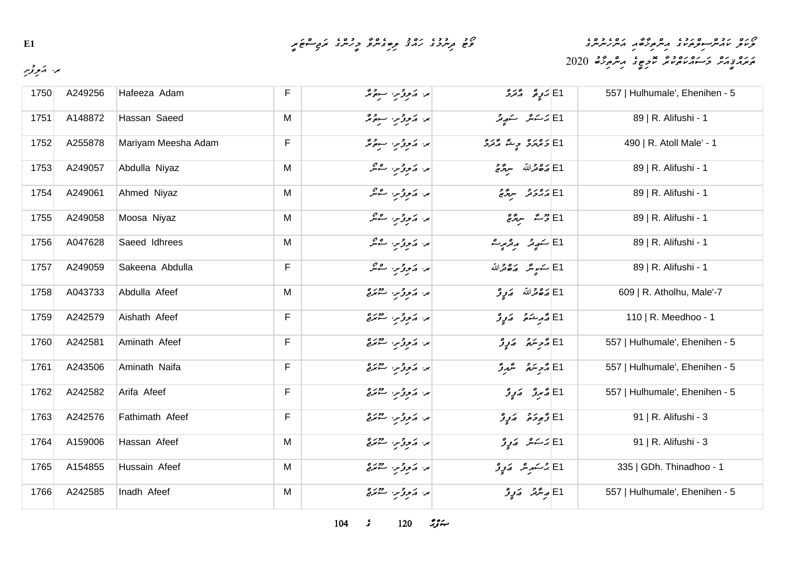*sCw7q7s5w7m< o<n9nOoAw7o< sCq;mAwBoEw7q<m; wBm;vB* م من المرة المرة المرة المرجع المراجع المراجع المراجع المراجع المراجع المراجع المراجع المراجع المراجع المراجع<br>مرين المراجع المراجع المرجع المراجع المراجع المراجع المراجع المراجع المراجع المراجع المراجع المراجع المراجع ال

| 1750 | A249256 | Hafeeza Adam        | F            | ىن مەمرۇس سوقەتمە       | E1  يَر <sub>وِخٌ</sub> گ <sup>و</sup> ترو                   | 557   Hulhumale', Ehenihen - 5 |
|------|---------|---------------------|--------------|-------------------------|--------------------------------------------------------------|--------------------------------|
| 1751 | A148872 | Hassan Saeed        | M            | أبرا وكروش سوهر         | E1 بَرَسَسْ سَمِيقَر                                         | 89   R. Alifushi - 1           |
| 1752 | A255878 | Mariyam Meesha Adam | $\mathsf{F}$ | پر مرکز دیگر مستقری     | E1 <i>وَبُرْمَرْوْ</i> <sub>حِ</sub> مِيَّةٌ <i>مُنْزَوْ</i> | 490   R. Atoll Male' - 1       |
| 1753 | A249057 | Abdulla Niyaz       | M            | برا م تحرقرس الشرها     | $\frac{25}{3}$ مَرْدَة سِتَرْمَى                             | 89   R. Alifushi - 1           |
| 1754 | A249061 | Ahmed Niyaz         | M            | أبرا وتحوفر المحمد      | E1 كەندى كىلە يېزىتى بىر                                     | 89   R. Alifushi - 1           |
| 1755 | A249058 | Moosa Niyaz         | M            | بر. مُتورُّسِ، ڪنگر     | E1 میں پر میں میں تھے<br>مسلمان                              | 89   R. Alifushi - 1           |
| 1756 | A047628 | Saeed Idhrees       | M            | بر. مُتَوَوَّينَ سُمْسٌ | E1 سَمرٍیْر پریژیرِ مُ                                       | 89   R. Alifushi - 1           |
| 1757 | A249059 | Sakeena Abdulla     | $\mathsf{F}$ | ما الأفراق من المحمد    | E1 كويەتش كەنھەتراللە                                        | 89   R. Alifushi - 1           |
| 1758 | A043733 | Abdulla Afeef       | M            | بر. مَعِرْضٍ معمومٍ     | E1 رَصْحَرْاللَّهُ     رَوِ وَ                               | 609   R. Atholhu, Male'-7      |
| 1759 | A242579 | Aishath Afeef       | F            | برا مكروحورا المتعرف    | E1 م <sup>2</sup> م شكرة مكركوثر                             | 110   R. Meedhoo - 1           |
| 1760 | A242581 | Aminath Afeef       | $\mathsf F$  | بر. مرکز و استعمال      | E1 <i>مُحْمِدِ مَعْ مَوِرْ</i>                               | 557   Hulhumale', Ehenihen - 5 |
| 1761 | A243506 | Aminath Naifa       | F            | برا مكروحورا المتعرف    | E1 مُتَّحِسَمُ مُتَّمَرُدٌ                                   | 557   Hulhumale', Ehenihen - 5 |
| 1762 | A242582 | Arifa Afeef         | $\mathsf F$  | برا مكروكس المعمدة      | E1 م <i>مَّ</i> بِرَدَ م <i>َ وَرِدْ</i>                     | 557   Hulhumale', Ehenihen - 5 |
| 1763 | A242576 | Fathimath Afeef     | F            | بر رودوس متعرفه         | E1 ز <sub>نجو</sub> ر قررٍ و                                 | 91   R. Alifushi - 3           |
| 1764 | A159006 | Hassan Afeef        | M            | بر رکوری گے کرو         | E1 پرسش ک <i>ے پ</i> ولو                                     | 91   R. Alifushi - 3           |
| 1765 | A154855 | Hussain Afeef       | M            | بر. رکوری، مشروره       | E1 پر <i>ڪمبر بلهي ڪي پي</i>                                 | 335   GDh. Thinadhoo - 1       |
| 1766 | A242585 | Inadh Afeef         | M            | ما الأعرفر من المستقرح  | E1 م <i>وسَّنة مَدٍوْ</i>                                    | 557   Hulhumale', Ehenihen - 5 |

*104 sC 120 nNw?mS*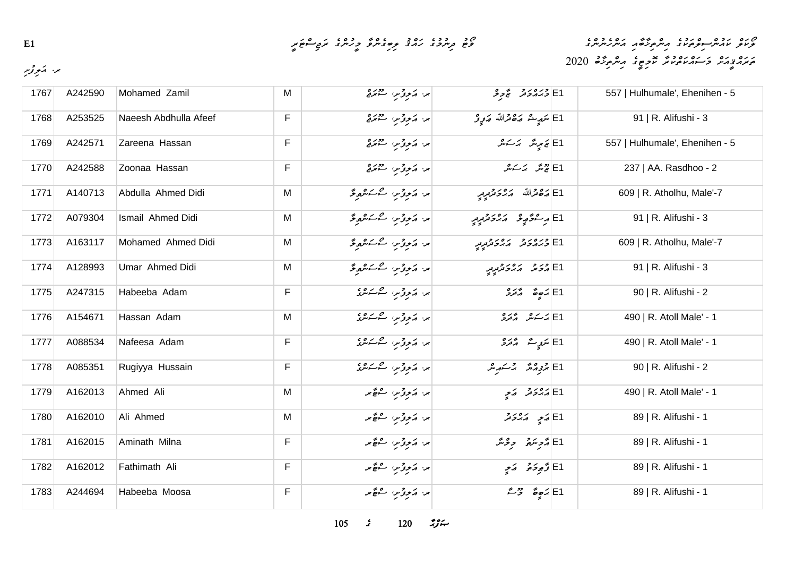*sCw7q7s5w7m< o<n9nOoAw7o< sCq;mAwBoEw7q<m; wBm;vB* م من المرة المرة المرة المرجع المراجع المراجع المراجع المراجع المراجع المراجع المراجع المراجع المراجع المراجع<br>مرين المراجع المراجع المرجع المراجع المراجع المراجع المراجع المراجع المراجع المراجع المراجع المراجع المراجع ال

| 1767 | A242590 | Mohamed Zamil         | M           | بر. مَرْمُورْ بِنْ مَسْتَمَدَّةِ  | E1 <i>\$222 \$ج</i> ر                 | 557   Hulhumale', Ehenihen - 5 |
|------|---------|-----------------------|-------------|-----------------------------------|---------------------------------------|--------------------------------|
| 1768 | A253525 | Naeesh Abdhulla Afeef | F           | برا مرکز قریب مشتری               | E1 سَمِيْتْہ صَرْحَدَاللّهِ صَوِيْرٌ  | 91   R. Alifushi - 3           |
| 1769 | A242571 | Zareena Hassan        | F           | بر روومر، مشترج                   | E1 ئ <sub>ى مېرىنگە كەسكەنلە</sub>    | 557   Hulhumale', Ehenihen - 5 |
| 1770 | A242588 | Zoonaa Hassan         | $\mathsf F$ | برا مكرور المستعمد                | E1 جي پڻ پرڪيش                        | 237   AA. Rasdhoo - 2          |
| 1771 | A140713 | Abdulla Ahmed Didi    | M           | بر. مُعِرْسِ سُكْسُورُ            | E1 كەھەراللە كەردىس بورىيە            | 609   R. Atholhu, Male'-7      |
| 1772 | A079304 | Ismail Ahmed Didi     | M           | پر مرکوری کے سکھونگ               | E1 م <i>ېرىشتۇم بۇ مەركەترىپ</i> ر    | 91   R. Alifushi - 3           |
| 1773 | A163117 | Mohamed Ahmed Didi    | M           | برا مَعِوْسٍ سُکِسَتَسْرِهِ مَدَّ | E1 <i>32,025 م</i> كروتربرير          | 609   R. Atholhu, Male'-7      |
| 1774 | A128993 | Umar Ahmed Didi       | M           | بر. مَعِوْسِ سُكَسْعُومٌ          | E1   252   252 قرىرىر                 | 91   R. Alifushi - 3           |
| 1775 | A247315 | Habeeba Adam          | $\mathsf F$ | پر مرکز قریق سوستگیری             | E1 يَهِ صَبَّ مَعْرَفَ                | 90   R. Alifushi - 2           |
| 1776 | A154671 | Hassan Adam           | M           | ىر. مەجەزىر، سەسىھىدى             | E1 پُرکس گھری                         | 490   R. Atoll Male' - 1       |
| 1777 | A088534 | Nafeesa Adam          | $\mathsf F$ | بر. مَعِرْضٍ ڪَسَمَسُ             | E1 سَمِرٍ شَمَّ مَحْمَدَة ال          | 490   R. Atoll Male' - 1       |
| 1778 | A085351 | Rugiyya Hussain       | $\mathsf F$ | بر. مَعِرْضٍ ڪَسَمَسُ             | E1 تر <sub>قب</sub> رم محر جر شهر مثر | 90   R. Alifushi - 2           |
| 1779 | A162013 | Ahmed Ali             | M           | ىن مەجرۇس سوھىر                   | E1 <i>مَدْدَوْرٌ مَ</i> جِ            | 490   R. Atoll Male' - 1       |
| 1780 | A162010 | Ali Ahmed             | M           | بر. مَعِرْوْسِ سُقِيم             | E1 <i>ړې د د</i> وتر                  | 89   R. Alifushi - 1           |
| 1781 | A162015 | Aminath Milna         | $\mathsf F$ | برا مركز وقرار الشقاعر            | E1 مُتَّحِسَمُ وَعَسَّ                | 89   R. Alifushi - 1           |
| 1782 | A162012 | Fathimath Ali         | $\mathsf F$ | بر رکور معظم                      | E1 <i>وُجوح</i> تم <sub>م</sub> َبِي  | 89   R. Alifushi - 1           |
| 1783 | A244694 | Habeeba Moosa         | $\mathsf F$ | ىن مەمرۇس سىھىم                   | $23$ $60/5$ E1                        | 89   R. Alifushi - 1           |

 $105$  *s*  $120$  *n***<sub>s</sub>** $\frac{2}{5}$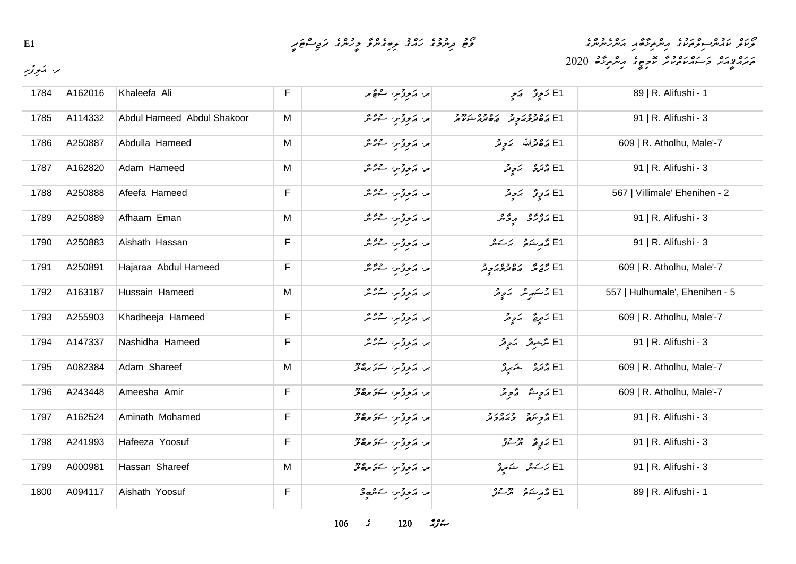*sCw7q7s5w7m< o<n9nOoAw7o< sCq;mAwBoEw7q<m; wBm;vB* م من المرة المرة المرة المرجع المراجع المراجع المراجع المراجع المراجع المراجع المراجع المراجع المراجع المراجع<br>مرين المراجع المراجع المرجع المراجع المراجع المراجع المراجع المراجع المراجع المراجع المراجع المراجع المراجع ال

| ىر، ئەبرۇپر |         |                    |
|-------------|---------|--------------------|
| 1784        | A162016 | Khaleefa Ali       |
| 1785        | A114332 | Abdul Hameed Abdul |
| 1786        | A250887 | Abdulla Hameed     |
| 1787        | A162820 | Adam Hameed        |
| 1788        | A250888 | Afeefa Hameed      |

| 1784 | A162016 | Khaleefa Ali               | F           | برا اړکروژس، ڪنگابلا        | E1 زَمٍوٌ کَمَ پ                           | 89   R. Alifushi - 1           |
|------|---------|----------------------------|-------------|-----------------------------|--------------------------------------------|--------------------------------|
| 1785 | A114332 | Abdul Hameed Abdul Shakoor | M           | برا م توویل سنگنگر          | E1 <i>ق ۱۵۶۵ و ده ده ده دو د</i> ر در در د | 91   R. Alifushi - 3           |
| 1786 | A250887 | Abdulla Hameed             | M           | بر. مَعِوْسُ سُمْتُمْرُ     | E1 كەھەراللە كەربىر                        | 609   R. Atholhu, Male'-7      |
| 1787 | A162820 | Adam Hameed                | M           | برا م تحرقرس سنگنگر         | E1 مَ <i>ُمَرَدُ بَہِ مِ</i> مَّ           | 91   R. Alifushi - 3           |
| 1788 | A250888 | Afeefa Hameed              | F           | ىر. ئەبوۋىر، سەرمىگە        | E1 <i>ھَ پِ</i> وَ کوچر                    | 567   Villimale' Ehenihen - 2  |
| 1789 | A250889 | Afhaam Eman                | M           | ىر. ئەبوقۇم، سەرمىگە        | E1 <i>ټرو ژی پ</i> وټر                     | 91   R. Alifushi - 3           |
| 1790 | A250883 | Aishath Hassan             | F           | بر. مَعِوْمِنْ سَمْتُكُمْ   | E1 مۇمەشقى ئەسكىلىر                        | 91   R. Alifushi - 3           |
| 1791 | A250891 | Hajaraa Abdul Hameed       | $\mathsf F$ | برا م تحرقرس سنگنگر         | E1 جُهْرَ مُصْرُوْبَرَوِتْرَ               | 609   R. Atholhu, Male'-7      |
| 1792 | A163187 | Hussain Hameed             | M           | برا م تحرقرس سنگنگر         | E1 پُرڪمبرنگر -پروگر-                      | 557   Hulhumale', Ehenihen - 5 |
| 1793 | A255903 | Khadheeja Hameed           | F           | برا م تحرقر المستقرنتر      |                                            | 609   R. Atholhu, Male'-7      |
| 1794 | A147337 | Nashidha Hameed            | $\mathsf F$ | ىر. ئەبوقۇس، سەرمىگە        | E1 سَّرْجُوسَّر بَرْجِ مَرْ                | 91   R. Alifushi - 3           |
| 1795 | A082384 | Adam Shareef               | M           | بر. مُتَوَرُّسِ، سُوَبَرە د | E1 أَيَرْتُرْدُ شَمَعِرُوْ                 | 609   R. Atholhu, Male'-7      |
| 1796 | A243448 | Ameesha Amir               | F           | ىن مەر ئۇس سەكە ئەھلى       | E1 مَرِيشٌ مَرْرِيمُ                       | 609   R. Atholhu, Male'-7      |
| 1797 | A162524 | Aminath Mohamed            | $\mathsf F$ | بر رکوری سکوره د            | E1 مُوسَع ويرەرو                           | 91   R. Alifushi - 3           |
| 1798 | A241993 | Hafeeza Yoosuf             | F           | بر. ړوژنو، سکونده په        | E1 بَرَرٍ پُرِ جُمْ بِرْ مِنْ وَ           | 91   R. Alifushi - 3           |
| 1799 | A000981 | Hassan Shareef             | M           | بر. مُتوفر من سُوَمُره مُ   | E1 پرسترش ڪ <i>يون</i> و                   | 91   R. Alifushi - 3           |
| 1800 | A094117 | Aishath Yoosuf             | F           | پر ټروژین کرهود             | E1 ۾ مرڪبو - <i>هندو</i> م                 | 89   R. Alifushi - 1           |

 $106$  *s*  $120$  *z***<sub>f</sub>** $\frac{2}{5}$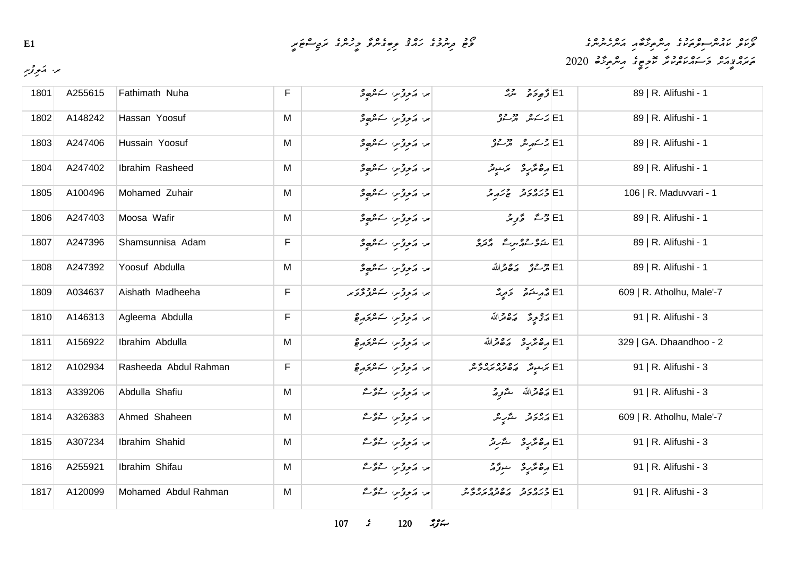*sCw7q7s5w7m< o<n9nOoAw7o< sCq;mAwBoEw7q<m; wBm;vB* م من المرة المرة المرة المرجع المراجع المراجع المراجع المراجع المراجع المراجع المراجع المراجع المراجع المراجع<br>مرين المراجع المراجع المرجع المراجع المراجع المراجع المراجع المراجع المراجع المراجع المراجع المراجع المراجع ال

| 1801 | A255615 | Fathimath Nuha        | F | ىن مەردۇس سەھرەپە             | E1 <i>وُجوح</i> قو مثرثة                | 89   R. Alifushi - 1      |
|------|---------|-----------------------|---|-------------------------------|-----------------------------------------|---------------------------|
| 1802 | A148242 | Hassan Yoosuf         | M | أين أركوفرس الكرهوفي          | E1 پرسەش تەرىپۇ                         | 89   R. Alifushi - 1      |
| 1803 | A247406 | Hussain Yoosuf        | M | أيرا مكروحوس الكامهوفى        | E1 پرسند میں میں قریباتو                | 89   R. Alifushi - 1      |
| 1804 | A247402 | Ibrahim Rasheed       | M | پر اړکورکس، سکنگرچونځ         | E1 مەھەر ئەر ئىم ئىسىمىتى E1            | 89   R. Alifushi - 1      |
| 1805 | A100496 | Mohamed Zuhair        | M | پر مرکز وقرمان کے مگرچ ک      | E1 32823 5282                           | 106   R. Maduvvari - 1    |
| 1806 | A247403 | Moosa Wafir           | M | أيرا أيروقس الكاشرة و         | E1 جي محمو بحر                          | 89   R. Alifushi - 1      |
| 1807 | A247396 | Shamsunnisa Adam      | F | پر رکوری کرامرہ د             | E1 خۇرخەم بىر مەرد                      | 89   R. Alifushi - 1      |
| 1808 | A247392 | Yoosuf Abdulla        | M | أيرا مكروحوس الكامهوفى        | E1 ترتو مەھىراللە                       | 89   R. Alifushi - 1      |
| 1809 | A034637 | Aishath Madheeha      | F | پر اړکووکس، سکس وگړي کله      | E1 مَ <i>ذہِ حَقو</i> حَم <i>دٍ مَّ</i> | 609   R. Atholhu, Male'-7 |
| 1810 | A146313 | Agleema Abdulla       | F | بر. مَعِرْتُو، سَمْتَرْوَمِ ١ | E1 <i>مَدَّوْمِ</i> مَنْ مَصْمَرْاللَّه | 91   R. Alifushi - 3      |
| 1811 | A156922 | Ibrahim Abdulla       | M | مرا م كمورقرس سك مركز مربع    | E1 م <i>وڭ مُدَّرِدْ مَ</i> صَرَاللَّه  | 329   GA. Dhaandhoo - 2   |
| 1812 | A102934 | Rasheeda Abdul Rahman | F | مرا مَرْوِرْس سَكْرْدَمْ ع    | E1 <i>برخوش مەھەرە بەرە</i>             | 91   R. Alifushi - 3      |
| 1813 | A339206 | Abdulla Shafiu        | M | ىر. ئەبوق بىر سىۋىت           | E1 مَەھْتَراللە مەھم <i>ۇر</i>          | 91   R. Alifushi - 3      |
| 1814 | A326383 | Ahmed Shaheen         | M | برا اړکرونس، سفونسته          | E1 <i>ړېر دی سگړین</i> و                | 609   R. Atholhu, Male'-7 |
| 1815 | A307234 | Ibrahim Shahid        | M | برا م تروژس، سقوشهٔ           | E1 م <i>وڭ ئۇرىقى</i><br>E1             | 91   R. Alifushi - 3      |
| 1816 | A255921 | Ibrahim Shifau        | M | پر مرکز وقت سفر مع            | E1 مەھمگىر ئىس سىردە ئە                 | 91   R. Alifushi - 3      |
| 1817 | A120099 | Mohamed Abdul Rahman  | M | پر مرمورش سعومت               | E1 37070 دەمەم مەدەبىر                  | 91   R. Alifushi - 3      |

*107 sC 120 nNw?mS*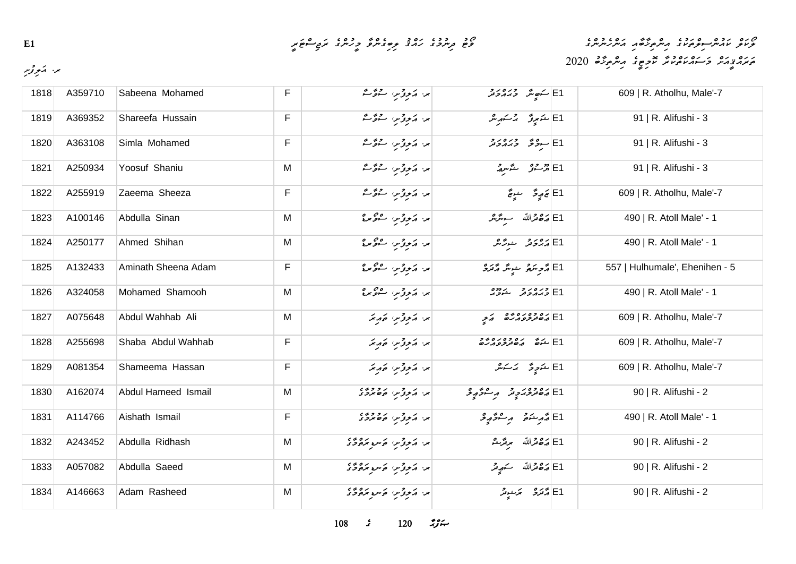*sCw7q7s5w7m< o<n9nOoAw7o< sCq;mAwBoEw7q<m; wBm;vB* م من المرة المرة المرة المرجع المراجع المراجع المراجع المراجع المراجع المراجع المراجع المراجع المراجع المراجع<br>مرين المراجع المراجع المرجع المراجع المراجع المراجع المراجع المراجع المراجع المراجع المراجع المراجع المراجع ال

| 1818 | A359710 | Sabeena Mohamed            | F           | پر اړمورمن کشوشته              | E1 س <i>تھ شہر 25,25</i> تر             | 609   R. Atholhu, Male'-7      |
|------|---------|----------------------------|-------------|--------------------------------|-----------------------------------------|--------------------------------|
| 1819 | A369352 | Shareefa Hussain           | F           | بر. مَعِرْشٍ سُمَوَّسَ         | E1 ڪمپرڙ پرڪ <i>ر پر</i>                | 91   R. Alifushi - 3           |
| 1820 | A363108 | Simla Mohamed              | F           | ىر. مۇرۇش سۇڭ                  | E1 بەرگە ئەيرەمىز                       | 91   R. Alifushi - 3           |
| 1821 | A250934 | Yoosuf Shaniu              | M           | ىن مەمرۇس سەھەشە               | E1 ترجو ش <sup>م</sup> سمهٔ             | 91   R. Alifushi - 3           |
| 1822 | A255919 | Zaeema Sheeza              | F           | بر. مَعِوْمِنِ سُعْوَسَهُ      | E1 نح مرگز سونج                         | 609   R. Atholhu, Male'-7      |
| 1823 | A100146 | Abdulla Sinan              | M           | بر. مَعِوْسِ مُقومَة           | E1 كەھەراللە سوش <i>رىش</i>             | 490   R. Atoll Male' - 1       |
| 1824 | A250177 | Ahmed Shihan               | M           | پر مرکز وقت سفر مرد            | E1   دیروتر ب برگبر                     | 490   R. Atoll Male' - 1       |
| 1825 | A132433 | Aminath Sheena Adam        | $\mathsf F$ | بر. مُعِرْسِ صَحيحة            | E1 أَمُّ حِ سَمَّةَ صَوِيمٌ أَمُّ تَدَى | 557   Hulhumale', Ehenihen - 5 |
| 1826 | A324058 | Mohamed Shamooh            | M           | بر موزير، مقومه                | E1 322.25 منزوم                         | 490   R. Atoll Male' - 1       |
| 1827 | A075648 | Abdul Wahhab Ali           | M           | برا مأفروش الحاريخه            | E1 رەپرە دەپرە ھېر                      | 609   R. Atholhu, Male'-7      |
| 1828 | A255698 | Shaba Abdul Wahhab         | $\mathsf F$ | برا مُتَوَوَّينا عَمْدَ مُ     | E1 خەن ھەمر <i>ومەدە</i>                | 609   R. Atholhu, Male'-7      |
| 1829 | A081354 | Shameema Hassan            | $\mathsf F$ | برا متعادموا الحامان           | E1] ڪ <sub>ي</sub> وِي - پرڪش           | 609   R. Atholhu, Male'-7      |
| 1830 | A162074 | <b>Abdul Hameed Ismail</b> | M           | بر موري وه دوه                 | E1 مەمرى <i>دى مەشۋە</i> بى             | 90   R. Alifushi - 2           |
| 1831 | A114766 | Aishath Ismail             | F           | بر مورمر مقدم                  | E1 مۇرىشمۇ بېرىشى <i>ۋە ي</i> ۇ         | 490   R. Atoll Male' - 1       |
| 1832 | A243452 | Abdulla Ridhash            | M           | أين أكروفرس المساويرة والمحالج | E1 مَەھىراللە م <sub>ى</sub> تَرْشە     | 90   R. Alifushi - 2           |
| 1833 | A057082 | Abdulla Saeed              | M           | أمرا مكروفرس كاسع مكرودى       | E1 كەڭ قىراللە     سەمەيقر              | 90   R. Alifushi - 2           |
| 1834 | A146663 | Adam Rasheed               | M           | برا أرود المسموع براه والمجمع  | E1 <i>مُحَمَّرة مَرَ</i> حْمِي <i>د</i> | 90   R. Alifushi - 2           |

*108 sC 120 nNw?mS*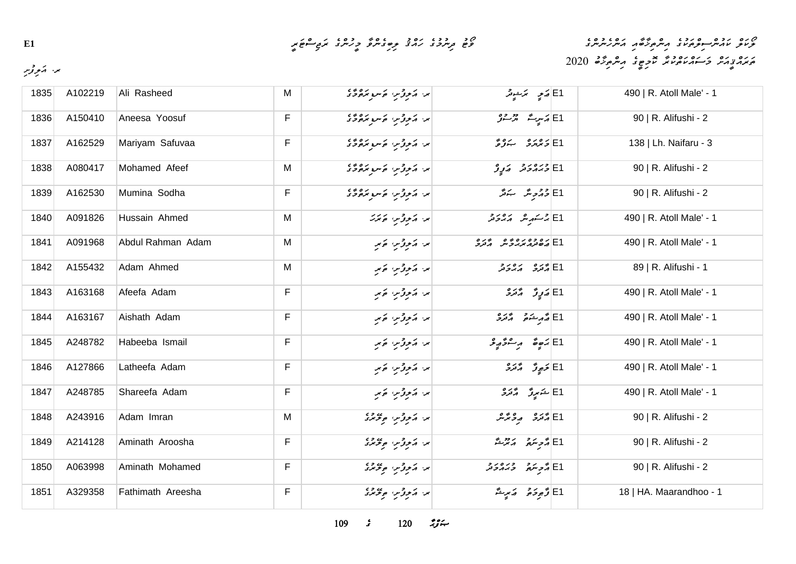*sCw7q7s5w7m< o<n9nOoAw7o< sCq;mAwBoEw7q<m; wBm;vB* م من المرة المرة المرة المرجع المرجع في المركبة 2020<br>مجم*د المريض المربوط المربع المرجع في المراجع المركبة* 

| 1835 | A102219 | Ali Rasheed       | M           | بر مرور مؤسوع مره وه         | E1 رَمِ بَرَسِيْرَ                     | 490   R. Atoll Male' - 1 |
|------|---------|-------------------|-------------|------------------------------|----------------------------------------|--------------------------|
| 1836 | A150410 | Aneesa Yoosuf     | F           | أين أكموفرس المحاسو بمقرفري  | E1 كەسرىگە ئ <i>ەرجى</i> تى            | 90   R. Alifushi - 2     |
| 1837 | A162529 | Mariyam Safuvaa   | F           | برا الكروفرا المحاسبة بمكروف | E1 كەمەر مەدەپە                        | 138   Lh. Naifaru - 3    |
| 1838 | A080417 | Mohamed Afeef     | M           | أمزا أكروفر المحاسو مراوحات  | E1 <i>جەممى ھۆ</i> ر                   | 90   R. Alifushi - 2     |
| 1839 | A162530 | Mumina Sodha      | F           | أمرا مكروفرس كاسع بمكرودي    | E1 دُمُّ دِیمٌ سَکَمَّ                 | 90   R. Alifushi - 2     |
| 1840 | A091826 | Hussain Ahmed     | M           | برا وكروفرا وتمركته          | E1 پر شہر میں محمد تھا۔<br>ا           | 490   R. Atoll Male' - 1 |
| 1841 | A091968 | Abdul Rahman Adam | M           | أيرا وتحوقر موالحوس          | E1 גەכەرەپ ھەدە                        | 490   R. Atoll Male' - 1 |
| 1842 | A155432 | Adam Ahmed        | M           | برا مکونو کور                | E1 كەتىر <i>ى بەرەب</i> ر              | 89   R. Alifushi - 1     |
| 1843 | A163168 | Afeefa Adam       | F           | برا مكوفرس بمبر              | E1 <i>ړَږِوْ پ</i> نځرو                | 490   R. Atoll Male' - 1 |
| 1844 | A163167 | Aishath Adam      | F           | برا مُتوفر من مُحبّ          | E1 مُجمِّد مُعَرِّدٍ                   | 490   R. Atoll Male' - 1 |
| 1845 | A248782 | Habeeba Ismail    | F           | برا مکورهن المجل             | E1 بَرَصِرَةً مِ مِسْتَرَمِيثَر        | 490   R. Atoll Male' - 1 |
| 1846 | A127866 | Latheefa Adam     | F           | برا مُتوفر موس               | E1 كَرْجِوتْر مُرَّتْرَدُّ             | 490   R. Atoll Male' - 1 |
| 1847 | A248785 | Shareefa Adam     | $\mathsf F$ | برا مُتوفر من مُحبّ          | E1 ڪمبرڙ گ <sup>و</sup> ندو            | 490   R. Atoll Male' - 1 |
| 1848 | A243916 | Adam Imran        | M           | بر مورمن وبحده               | E1 <i>جُمُعَر مِنْ جُمُعَر</i>         | 90   R. Alifushi - 2     |
| 1849 | A214128 | Aminath Aroosha   | $\mathsf F$ | بر ، كمروثر، وتخيره          | E1 أَدَّحِ سَمَعَ مَسْرَ يَشْهُدُ      | 90   R. Alifushi - 2     |
| 1850 | A063998 | Aminath Mohamed   | F           | بر رکور و و دره              | E1 أَمُّ حِرْمُهُ مَسْرَوْمُرَ حَرَّمَ | 90   R. Alifushi - 2     |
| 1851 | A329358 | Fathimath Areesha | $\mathsf F$ | بر· م <i>زود و مو</i> نزو ،  | E1 ژَّجِرَة دَيْرِيَّة                 | 18   HA. Maarandhoo - 1  |

*109 sC 120 nNw?mS*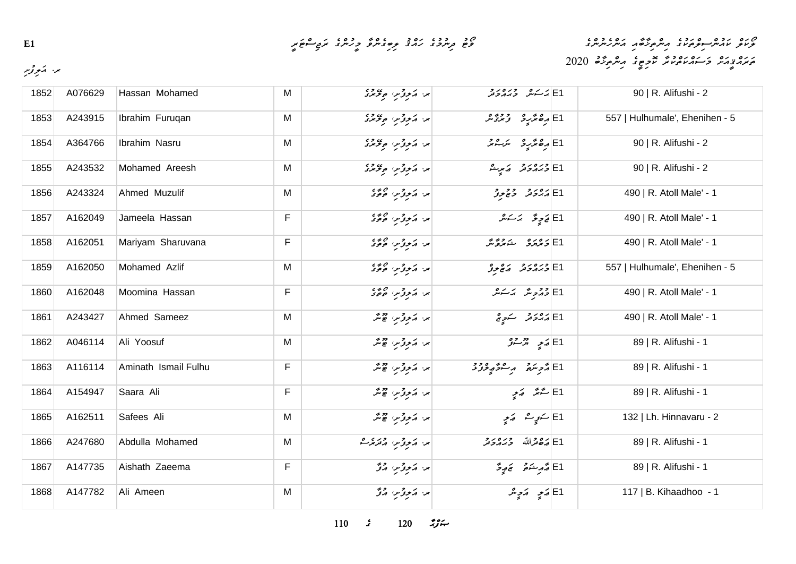*sCw7q7s5w7m< o<n9nOoAw7o< sCq;mAwBoEw7q<m; wBm;vB* م من المرة المرة المرة المرجع المرجع في المركبة 2020<br>مجم*د المريض المربوط المربع المرجع في المراجع المركبة* 

| 1852 | A076629 | Hassan Mohamed       | M           | بر پروژیر، موتونده      | E1   پرسكس ئى ئەرە ئىر                                                                                         | 90   R. Alifushi - 2           |
|------|---------|----------------------|-------------|-------------------------|----------------------------------------------------------------------------------------------------------------|--------------------------------|
| 1853 | A243915 | Ibrahim Furuqan      | M           | بر رکور و و دره         | E1 <sub>م</sub> ەمگەر قىمىتى ئىس                                                                               | 557   Hulhumale', Ehenihen - 5 |
| 1854 | A364766 | Ibrahim Nasru        | M           | پر مرکز و مورد مورد و ه | E1 رەئزىر ئىسىمىسى E1                                                                                          | 90   R. Alifushi - 2           |
| 1855 | A243532 | Mohamed Areesh       | M           | بر رکور و و در          | E1 <i>وُبَرُوُوَ</i> تَرَ مَرِيْدُ                                                                             | 90   R. Alifushi - 2           |
| 1856 | A243324 | Ahmed Muzulif        | M           | بر ، كروژس ، ه ه د ،    | E1 كەركەتر كى مىتجامى                                                                                          | 490   R. Atoll Male' - 1       |
| 1857 | A162049 | Jameela Hassan       | F           | بر ، كروژس همود         | E1 تح وِى - تەسەئىر                                                                                            | 490   R. Atoll Male' - 1       |
| 1858 | A162051 | Mariyam Sharuvana    | F           | بر ارکوری همود          | E1 كەبەر ھەم ئىش <i>ەر ئە</i>                                                                                  | 490   R. Atoll Male' - 1       |
| 1859 | A162050 | Mohamed Azlif        | M           | بر. مُعِرْضٍ صحيح       | E1 <i>3222 مَجْعِولَ</i>                                                                                       | 557   Hulhumale', Ehenihen - 5 |
| 1860 | A162048 | Moomina Hassan       | F           | بر موزیر، مهم           | E1 دَيْرَ دِيتْرَ بَرَسَتَشْ                                                                                   | 490   R. Atoll Male' - 1       |
| 1861 | A243427 | Ahmed Sameez         | M           | ىر. مَعِرْشٍ ھِتَر      | E1 <i>222 سکوچ</i>                                                                                             | 490   R. Atoll Male' - 1       |
| 1862 | A046114 | Ali Yoosuf           | M           | ىر. مۇرۇپ ھەش           | E1 کی پر میں شریقی کی ایرانی کی میں ایرانی کے ایرانی کے ایرانی کے ایرانی کے ایرانی کے ایرانی کے ان کے ایرانی ک | 89   R. Alifushi - 1           |
| 1863 | A116114 | Aminath Ismail Fulhu | F           | ىن مەجوۋىر، ھەنگە       | E1 مُتصِبَعَ مِسْتَوَمٍ وَوَرْ                                                                                 | 89   R. Alifushi - 1           |
| 1864 | A154947 | Saara Ali            | $\mathsf F$ | ىن مەجوۋىر، ھەنگە       | E1 سمبر کرمبر                                                                                                  | 89   R. Alifushi - 1           |
| 1865 | A162511 | Safees Ali           | M           | ىر. مۇرۇس ھەش           | E1 ڪرپ <i>ھي</i>                                                                                               | 132   Lh. Hinnavaru - 2        |
| 1866 | A247680 | Abdulla Mohamed      | M           | ىر. مەجوۋىر، مەمەركى    | E1 مَەھْتَراللە جەمەدىر                                                                                        | 89   R. Alifushi - 1           |
| 1867 | A147735 | Aishath Zaeema       | F           | برا مُتَوَوَّينَ مِنْ   | E1 مُرمِشَمُ نَمَ <i>مِ</i> حَ                                                                                 | 89   R. Alifushi - 1           |
| 1868 | A147782 | Ali Ameen            | M           | ىر. مۇرۇش مۇ            | E1 <i>ھَي مَيِ</i> سُ                                                                                          | 117   B. Kihaadhoo - 1         |

 $110$  *s*  $120$  *n***<sub>s</sub>**  $\frac{2}{3}$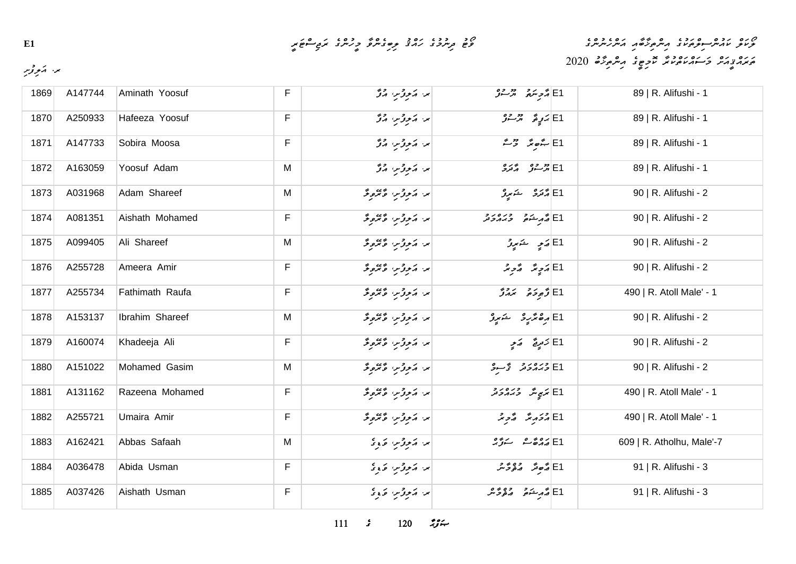*sCw7q7s5w7m< o<n9nOoAw7o< sCq;mAwBoEw7q<m; wBm;vB* م من المرة المرة المرة المرجع المرجع في المركبة 2020<br>مجم*د المريض المربوط المربع المرجع في المراجع المركبة* 

| 1869 | A147744 | Aminath Yoosuf  | F           | پر مربورفر مربی           | E1 أَمُّ مِسْمَعُ مُسْتَرَكَّرُ                     | 89   R. Alifushi - 1      |
|------|---------|-----------------|-------------|---------------------------|-----------------------------------------------------|---------------------------|
| 1870 | A250933 | Hafeeza Yoosuf  | F           | برا مُتَوَوَّينَ مُرَوَّ  | E1 <i>يَرُوٍ وَ"سُرُوْ</i>                          | 89   R. Alifushi - 1      |
| 1871 | A147733 | Sobira Moosa    | F           | برا مُتوفِّسا مِنْ        | $23$ $20 - 5$ $\approx$ $-1$                        | 89   R. Alifushi - 1      |
| 1872 | A163059 | Yoosuf Adam     | M           | برا مکووکوا مگ            | E1 پژیز گروی                                        | 89   R. Alifushi - 1      |
| 1873 | A031968 | Adam Shareef    | M           | أيرا مكروش ومحروف         | E1 ۾ <i>ترو</i> ش <sub>م</sub> يو                   | 90   R. Alifushi - 2      |
| 1874 | A081351 | Aishath Mohamed | $\mathsf F$ | أيرا مأبوقرس فأنكرونخ     | E1 مُصِنْعَمُ وَيَدْوَمُرُ                          | 90   R. Alifushi - 2      |
| 1875 | A099405 | Ali Shareef     | M           | پر انگروژین افزادگار      | E1 کی پر شکیرو<br>ا                                 | 90   R. Alifushi - 2      |
| 1876 | A255728 | Ameera Amir     | F           | أيرا مأتروش وتكروف        | E1  مَرِیمٌ مُحْرِیمٌ                               | 90   R. Alifushi - 2      |
| 1877 | A255734 | Fathimath Raufa | F           | أيرا مأبوقرس لأعجزه بخر   | E1 تۇم <sub>ە</sub> رى ئەرتى                        | 490   R. Atoll Male' - 1  |
| 1878 | A153137 | Ibrahim Shareef | M           | أيرا مكروش ومحروف         | E1 رەئزىرى شىرى <sub>ر</sub> ى                      | 90   R. Alifushi - 2      |
| 1879 | A160074 | Khadeeja Ali    | $\mathsf F$ | پر انگروژین او محکومونځه  | E1 كَتَمِيعٌ - مَرَمٍّ _                            | 90   R. Alifushi - 2      |
| 1880 | A151022 | Mohamed Gasim   | M           | ما الأمروز من الأمينجو في | E1 <i>جەممى جى جى</i> بىر                           | 90   R. Alifushi - 2      |
| 1881 | A131162 | Razeena Mohamed | $\mathsf F$ | أيرا مأثروش الأنجورة      | E1 يَرَ <sub>ّيم</sub> شَرَّ حَ <i>مْدُ حَ</i> مَرَ | 490   R. Atoll Male' - 1  |
| 1882 | A255721 | Umaira Amir     | F           | برا مَعِوْسٍ وَتَرْوِعُ   | E1 ا <i>ن جزء ب</i> ھ انگر پر                       | 490   R. Atoll Male' - 1  |
| 1883 | A162421 | Abbas Safaah    | M           | بر وتحوفر وتوتح           | E1 22 مئون                                          | 609   R. Atholhu, Male'-7 |
| 1884 | A036478 | Abida Usman     | F           | أبرا وكموثر وكالمحافي     | E1 مُڑھوَّر مُؤُوَّسَ                               | 91   R. Alifushi - 3      |
| 1885 | A037426 | Aishath Usman   | F           | بر وتحوفر وتوتح           | E1 مۇم شۇر مەمۇرىس                                  | 91   R. Alifushi - 3      |

*111 sC 120 nNw?mS*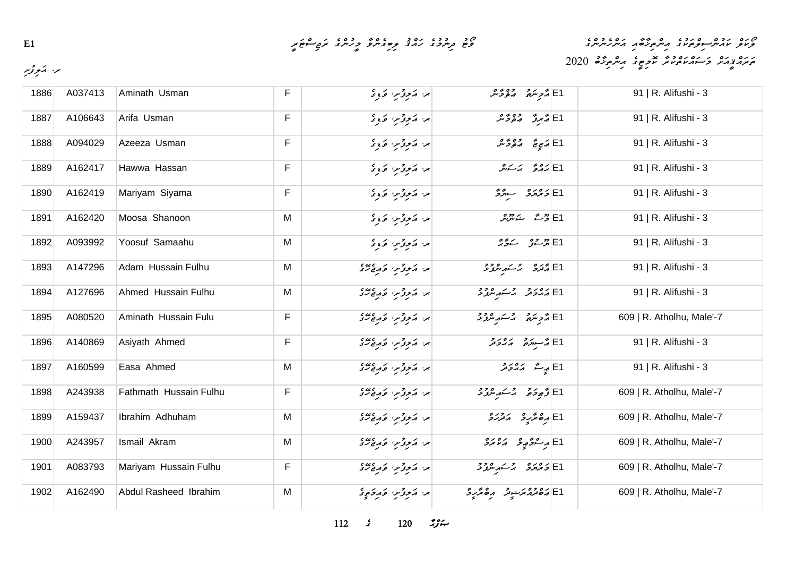*sCw7q7s5w7m< o<n9nOoAw7o< sCq;mAwBoEw7q<m; wBm;vB* م من المرة المرة المرة المرجع المرجع في المركبة 2020<br>مجم*د المريض المربوط المربع المرجع في المراجع المركبة* 

| 1886 | A037413 | Aminath Usman          | F           | ىر. م <i>ۇرۇس ق</i> ابۇ        | E1 أَدۡحِ مَرَةٌ ﴾ مَدۡوَكُ مَدۡ               | 91   R. Alifushi - 3      |
|------|---------|------------------------|-------------|--------------------------------|------------------------------------------------|---------------------------|
| 1887 | A106643 | Arifa Usman            | F           | پر ټريونوس ځای                 | E1 مەسىرى مەھمەتىر                             | 91   R. Alifushi - 3      |
| 1888 | A094029 | Azeeza Usman           | F           | بر مورمن تروی                  | E1 <i>ھَي جَ</i> مَّ ھُوُ <i>ح</i> َ سُر       | 91   R. Alifushi - 3      |
| 1889 | A162417 | Hawwa Hassan           | $\mathsf F$ | برا أتروش أوءتى                | E1 يَرْدُمُّ بَرَسَرْسُ                        | 91   R. Alifushi - 3      |
| 1890 | A162419 | Mariyam Siyama         | F           | بر مورمن تروی                  | E1 دېرو سوگړ                                   | 91   R. Alifushi - 3      |
| 1891 | A162420 | Moosa Shanoon          | M           | برا مكروح وأكالح               | E1 جُرْحُہ شَہْشِرْ سُر                        | 91   R. Alifushi - 3      |
| 1892 | A093992 | Yoosuf Samaahu         | M           | برا مكوفرس قروع                | E1 پر ہے مگر میں ت                             | 91   R. Alifushi - 3      |
| 1893 | A147296 | Adam Hussain Fulhu     | M           | بر پروژنو، خهره مره            | E1 جۇنزى بەسىمبە ھەج ئى                        | 91   R. Alifushi - 3      |
| 1894 | A127696 | Ahmed Hussain Fulhu    | M           | بر مووس قهره ده                | E1 كەندى كەرگە ئىسكەر ئىرىدىكى ئى              | 91   R. Alifushi - 3      |
| 1895 | A080520 | Aminath Hussain Fulu   | F           | بر مووس قهره ده                | E1 مُجِسَمَة بِرْسَهِ مِرْبَزِ                 | 609   R. Atholhu, Male'-7 |
| 1896 | A140869 | Asiyath Ahmed          | F           | بر הوژیر ءَ ده ده              | E1 گەسىمى ھەر مەر دەر د                        | 91   R. Alifushi - 3      |
| 1897 | A160599 | Easa Ahmed             | M           | بر موزمر تمده من               | E1 <sub>جو</sub> ت پر پروتر                    | 91   R. Alifushi - 3      |
| 1898 | A243938 | Fathmath Hussain Fulhu | F           | من مكونق ومقامى                | E1 زُب <i>وِدَهْ بْهُ سَهر مُرْ</i> ئْر        | 609   R. Atholhu, Male'-7 |
| 1899 | A159437 | Ibrahim Adhuham        | M           | پر مرکز قرق عربی دی            | E1 مەھەر بەر ئەمەردى<br>E1                     | 609   R. Atholhu, Male'-7 |
| 1900 | A243957 | Ismail Akram           | M           | پر مرکز قریب حرم می            | E1 <sub>م</sub> ر شو <i>ڈ پر محمد م</i> حمد ا  | 609   R. Atholhu, Male'-7 |
| 1901 | A083793 | Mariyam Hussain Fulhu  | F           | من الكوافح من المحام والمحامري | E1 <i>وَيُرْمَرُوْ بِرْسَمْهِ مَرْبِّرْ</i> مُ | 609   R. Atholhu, Male'-7 |
| 1902 | A162490 | Abdul Rasheed Ibrahim  | M           | بر مورقر ومروءٍ و              | E1 גەدە <i>برخونى مەھەرد</i>                   | 609   R. Atholhu, Male'-7 |

*112 sC 120 nNw?mS*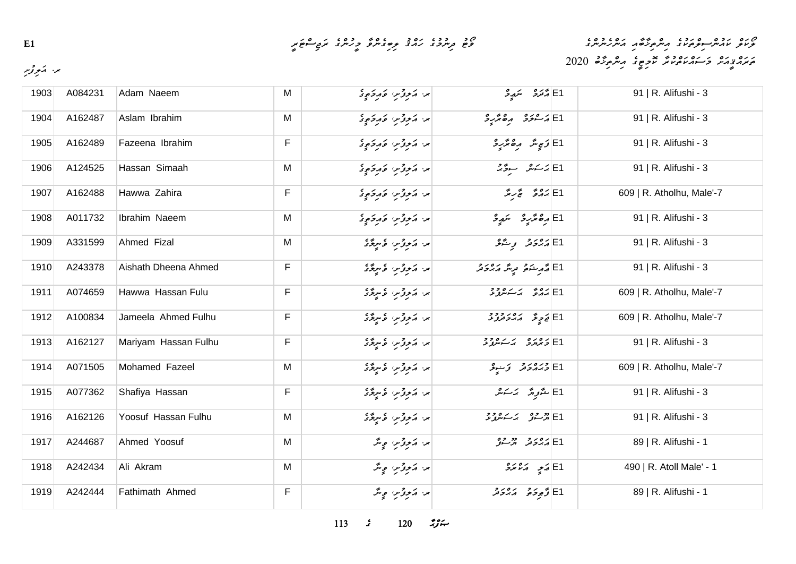*sCw7q7s5w7m< o<n9nOoAw7o< sCq;mAwBoEw7q<m; wBm;vB* م من المرة المرة المرة المرجع المرجع في المركبة 2020<br>مجم*د المريض المربوط المربع المرجع في المراجع المركبة* 

| 1903 | A084231 | Adam Naeem           | M | أيرا مكروفرس فكرخوء       |                                           | 91   R. Alifushi - 3      |
|------|---------|----------------------|---|---------------------------|-------------------------------------------|---------------------------|
| 1904 | A162487 | Aslam Ibrahim        | M | ما الكروحين الكروكليونج   | E1 كەسىمى ھەھەر يەھ                       | 91   R. Alifushi - 3      |
| 1905 | A162489 | Fazeena Ibrahim      | F | أما أأووهن وأروءه         | E1 ئۇي ئىگە مەھەتگەر بى                   | 91   R. Alifushi - 3      |
| 1906 | A124525 | Hassan Simaah        | M | بر مُعِرْسٍ وَمِرْوَةٍ وَ | E1   پرسته معدد مستقر <sup>م</sup> هٔ ج   | 91   R. Alifushi - 3      |
| 1907 | A162488 | Hawwa Zahira         | F | أما أروقوس فأرقبونى       | E1 يَرْدُوَّ جِي بِرَّ                    | 609   R. Atholhu, Male'-7 |
| 1908 | A011732 | Ibrahim Naeem        | M | أمرا مكروفر وأمركوني      | E1 رەپرى <sub>چە</sub> سَمِي <sup>و</sup> | 91   R. Alifushi - 3      |
| 1909 | A331599 | Ahmed Fizal          | M | برا أنزوين كالبرقرة       |                                           | 91   R. Alifushi - 3      |
| 1910 | A243378 | Aishath Dheena Ahmed | F | برا الكروفرا الأسرقرة     | E1 مَّ مِ حَوَمٍ مِ مِسَّرٍ مَدَوَمَر     | 91   R. Alifushi - 3      |
| 1911 | A074659 | Hawwa Hassan Fulu    | F | أيرا مكروحن كالبرقرة      | E1 ئەرمۇ بەسەمبىرى                        | 609   R. Atholhu, Male'-7 |
| 1912 | A100834 | Jameela Ahmed Fulhu  | F | أيرا الكروفرا الأسرقرة    |                                           | 609   R. Atholhu, Male'-7 |
| 1913 | A162127 | Mariyam Hassan Fulhu | F | ىن مەجەۋىر، كەسپۇرى       | E1 كەبەرە بەر يەردو                       | 91   R. Alifushi - 3      |
| 1914 | A071505 | Mohamed Fazeel       | M | برا م تروس كالبردمج       | E1 <i>5&gt;۶۶ ق. وَ</i> خو                | 609   R. Atholhu, Male'-7 |
| 1915 | A077362 | Shafiya Hassan       | F | يرا أيخوفرس فأسرقنى       | E1 ڪروگر کرڪشر                            | 91   R. Alifushi - 3      |
| 1916 | A162126 | Yoosuf Hassan Fulhu  | M | ين الأبواؤس كالبريدة      | E1 پژيز پر پر پرويز و                     | 91   R. Alifushi - 3      |
| 1917 | A244687 | Ahmed Yoosuf         | M | برا مُتورُّس وٍلَّدُ      | E1 كەبروتىر بىر مەدرە                     | 89   R. Alifushi - 1      |
| 1918 | A242434 | Ali Akram            | M | برا مکووکرا او مگ         | E1 <i>مَرْمِی مَنْ مَرَّةً</i>            | 490   R. Atoll Male' - 1  |
| 1919 | A242444 | Fathimath Ahmed      | F | برا مکووکرا ، وینگ        | E1 <i>وُّهِ وَمَعْ مَدْوَمْ</i> رَ        | 89   R. Alifushi - 1      |

*113 sC 120 nNw?mS*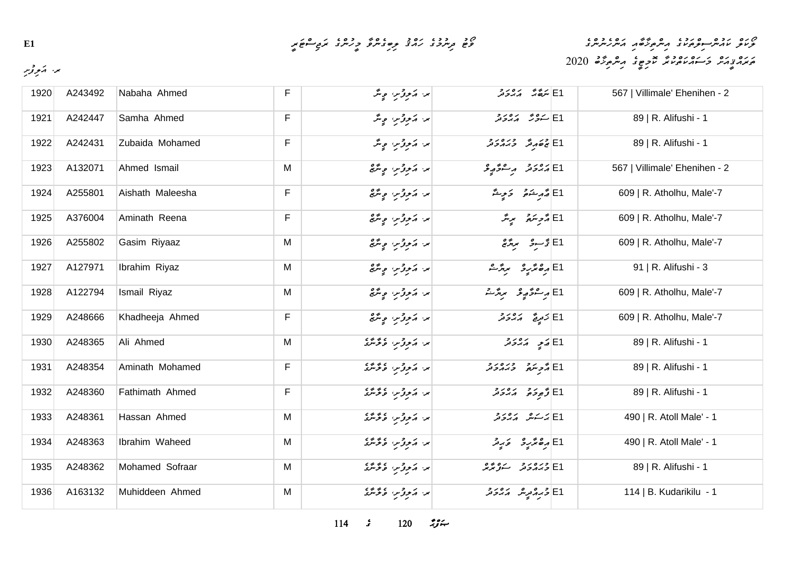*sCw7q7s5w7m< o<n9nOoAw7o< sCq;mAwBoEw7q<m; wBm;vB* م من المرة المرة المرة المرجع المرجع في المركبة 2020<br>مجم*د المريض المربوط المربع المرجع في المراجع المركبة* 

| 1920 | A243492 | Nabaha Ahmed        | F | برا مُتَوَرِّس وِيَّدُ     | E1 يَرْجُدُّ بِرَرْدَ بْر                | 567   Villimale' Ehenihen - 2 |
|------|---------|---------------------|---|----------------------------|------------------------------------------|-------------------------------|
| 1921 | A242447 | Samha Ahmed         | F | برا مکووکرا او مگر         | E1 كەبىر بەردىر                          | 89   R. Alifushi - 1          |
| 1922 | A242431 | Zubaida Mohamed     | F | برا مکووکرا او مگر         | E1 تح <i>قه قرق وبرودو</i>               | 89   R. Alifushi - 1          |
| 1923 | A132071 | Ahmed Ismail        | M | پر اړکونومو او مگړي        | E1 كەردى ئەر مەمۇرى 2                    | 567   Villimale' Ehenihen - 2 |
| 1924 | A255801 | Aishath Maleesha    | F | برا م تروس و مرتبع         | E1 مَّەرِ شَمَّة = وَمِرْ 15             | 609   R. Atholhu, Male'-7     |
| 1925 | A376004 | Aminath Reena       | F | برا م تروس و مثبتي         | E1 أَمُّ حِ سَمَّةً مَ سِمَّر            | 609   R. Atholhu, Male'-7     |
| 1926 | A255802 | Gasim Riyaaz        | M | برا م تروس و مرتبع         | E1 تَرْسِوْ بِرِ <i>مَزْج</i>            | 609   R. Atholhu, Male'-7     |
| 1927 | A127971 | Ibrahim Riyaz       | M | پر انگروژس او مگرچ         | E1 مەھمەر ئەرمەر بىر                     | 91   R. Alifushi - 3          |
| 1928 | A122794 | <b>Ismail Riyaz</b> | M | پر انگروژس کوینگی          | E1 رسشۇرىي بىرگەشە                       | 609   R. Atholhu, Male'-7     |
| 1929 | A248666 | Khadheeja Ahmed     | F | ما الأعروس المح يترجى      | E1 كَتَمَرِيحٌ - <i>مُرْدَوْمُ</i> رُ    | 609   R. Atholhu, Male'-7     |
| 1930 | A248365 | Ali Ahmed           | M | ىر. مەجەۋىر، ئۇنۇشمە       |                                          | 89   R. Alifushi - 1          |
| 1931 | A248354 | Aminath Mohamed     | F | أمرا الكروفران لأقرش       | E1 مُتَّحِسَمَةُ فَ <i>حْدَمْ</i> دَمَّد | 89   R. Alifushi - 1          |
| 1932 | A248360 | Fathimath Ahmed     | F | ىر. مُتَوَرِّسْ، وَوَسَّدَ | E1 وَجوحَم مَدَحَمَد                     | 89   R. Alifushi - 1          |
| 1933 | A248361 | Hassan Ahmed        | M | برا الأبودي، الأوهمة       | E1 ئەسەبىر مەيروت <sub>ىر</sub>          | 490   R. Atoll Male' - 1      |
| 1934 | A248363 | Ibrahim Waheed      | M | برا م بروژس کار محمد می    | E1 مەھەرىپ كەرىر                         | 490   R. Atoll Male' - 1      |
| 1935 | A248362 | Mohamed Sofraar     | M | برا الأبودي، الأوهمة       | E1 دېږدور خوړه ده                        | 89   R. Alifushi - 1          |
| 1936 | A163132 | Muhiddeen Ahmed     | M | أمرا مأفروش وكالمحاشى      | E1  <i>ۇبرۇموپىڭ مەم</i> كى              | 114   B. Kudarikilu - 1       |

*114 sC 120 nNw?mS*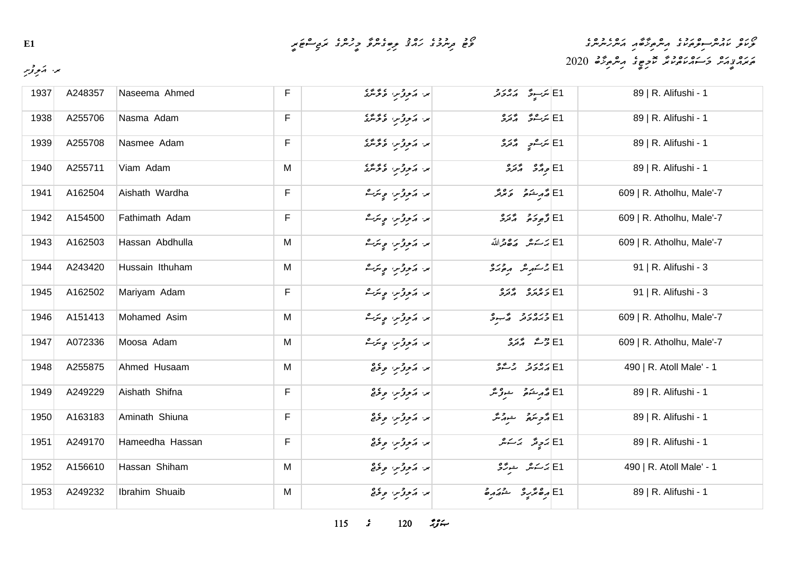*sCw7q7s5w7m< o<n9nOoAw7o< sCq;mAwBoEw7q<m; wBm;vB* م من المرة المرة المرة المرجع المرجع في المركبة 2020<br>مجم*د المريض المربوط المربع المرجع في المراجع المركبة* 

| 1937 | A248357 | Naseema Ahmed   | $\mathsf F$ | بر· مَرْحَوْسُ وَقَرْمَتْهُ | E1   سَرَسِوتٌ   سَ <sup>ر</sup> ْدَدَتْر | 89   R. Alifushi - 1      |
|------|---------|-----------------|-------------|-----------------------------|-------------------------------------------|---------------------------|
| 1938 | A255706 | Nasma Adam      | F           | أيرا مكروش وكالمنكا         | E1 يَرْتَّقُ مُحْمَدُ                     | 89   R. Alifushi - 1      |
| 1939 | A255708 | Nasmee Adam     | F           | ىر. مۇرۇش قۇشق              | E1 <sub>سَرَ</sub> ے پہنچ د               | 89   R. Alifushi - 1      |
| 1940 | A255711 | Viam Adam       | M           | ىر. مۇرۇش قۇشق              | E1 ج <sub>ەم</sub> مى ھەمدىن ئىل          | 89   R. Alifushi - 1      |
| 1941 | A162504 | Aishath Wardha  | F           | برا مركزوس ويترك            | E1 مەم ھەم ھەم بىر ئىستىر                 | 609   R. Atholhu, Male'-7 |
| 1942 | A154500 | Fathimath Adam  | $\mathsf F$ | بر. גَرُوژس وٍ بَرَتْ       | E1 تَ <i>وجوجه م</i> ُعرَفه               | 609   R. Atholhu, Male'-7 |
| 1943 | A162503 | Hassan Abdhulla | M           | برا مركز ويترك              | E1   يَرْسَمْشْ     يَرْهُ قَرْاللّهِ     | 609   R. Atholhu, Male'-7 |
| 1944 | A243420 | Hussain Ithuham | M           | برا متوويرا كإنترن          | E1 پر شهر مهم پروترو                      | 91   R. Alifushi - 3      |
| 1945 | A162502 | Mariyam Adam    | $\mathsf F$ | برا مرکز و مرکز موسکر       | E1 <i>وَبُرْمَرْدُ مُقْرِدُ</i>           | 91   R. Alifushi - 3      |
| 1946 | A151413 | Mohamed Asim    | M           | بر. גَرُوژس وٍ بَرَتْ       | E1 <i>جەممى ھىبدى</i>                     | 609   R. Atholhu, Male'-7 |
| 1947 | A072336 | Moosa Adam      | M           | بر. م توفر و پرک            | E1 تۇشە ئەتەرى                            | 609   R. Atholhu, Male'-7 |
| 1948 | A255875 | Ahmed Husaam    | M           | من مكتورهمبرا موقت ح        | E1 كەنزى بىر بىر ئىستىر                   | 490   R. Atoll Male' - 1  |
| 1949 | A249229 | Aishath Shifna  | F           | بر رکور و وی                | E1 مَ <i>ذہب خود شور شر</i>               | 89   R. Alifushi - 1      |
| 1950 | A163183 | Aminath Shiuna  | $\mathsf F$ | برا مكروح و عرفي            | E1 مُرْحِسَمُ مُشِ <i>مِدْ</i> مُنْ       | 89   R. Alifushi - 1      |
| 1951 | A249170 | Hameedha Hassan | $\mathsf F$ | أبرا مكروحس وكروهي          | E1 پ <sub>َج</sub> وِمَ <i>ڑ پرڪس</i>     | 89   R. Alifushi - 1      |
| 1952 | A156610 | Hassan Shiham   | M           | بر رکور و وی                | E1   پرسکس حقید صحیحہ<br>ساحہ سے مشرقہ    | 490   R. Atoll Male' - 1  |
| 1953 | A249232 | Ibrahim Shuaib  | M           | برا أتروش وتحقى             | E1 رەئزىر ئىقمەم ق                        | 89   R. Alifushi - 1      |

*115 sC 120 nNw?mS*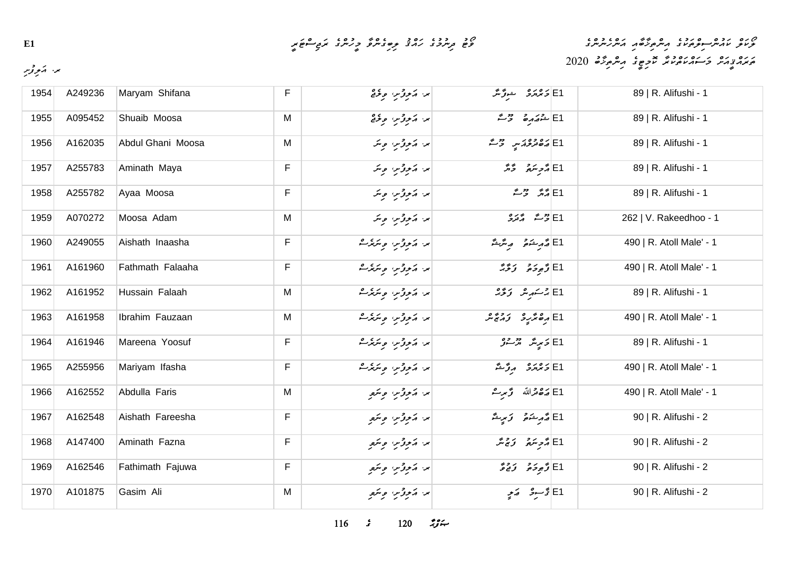*sCw7q7s5w7m< o<n9nOoAw7o< sCq;mAwBoEw7q<m; wBm;vB* م من المرة المرة المرة المرجع المرجع في المركبة 2020<br>مجم*د المريض المربوط المربع المرجع في المراجع المركبة* 

| 1954 | A249236 | Maryam Shifana    | F | برا مجروحين ويحقى            | E1 <i>5 تەرەر ئىبو تىگ</i>    | 89   R. Alifushi - 1     |
|------|---------|-------------------|---|------------------------------|-------------------------------|--------------------------|
| 1955 | A095452 | Shuaib Moosa      | M | برا الأبواري الموقع في       | $23$ $22$                     | 89   R. Alifushi - 1     |
| 1956 | A162035 | Abdul Ghani Moosa | M | برا مکووکرا او مک            | E1   رَەمْعَرْدَىبِ بِهِ حَمْ | 89   R. Alifushi - 1     |
| 1957 | A255783 | Aminath Maya      | F | برا مکووکرا او مک            | E1 أَدُوِ سَمَّةً وَأَثَّرُ   | 89   R. Alifushi - 1     |
| 1958 | A255782 | Ayaa Moosa        | F | برا مکووکرا ویک              | $23$ $35$ E1                  | 89   R. Alifushi - 1     |
| 1959 | A070272 | Moosa Adam        | M | برا مکووکرا ویک              | $33.23$ E1                    | 262   V. Rakeedhoo - 1   |
| 1960 | A249055 | Aishath Inaasha   | F | برا م و ژیرا و مرکز ک        | E1 مَّ مِشَمَّ مِسَّرْحَہُ    | 490   R. Atoll Male' - 1 |
| 1961 | A161960 | Fathmath Falaaha  | F | برا مكروثين وتتركرك          | E1 وَجِعَمَ وَقَدْ            | 490   R. Atoll Male' - 1 |
| 1962 | A161952 | Hussain Falaah    | M | برا مكروثين وتتركمت          | E1 پرستهر شرکت تر             | 89   R. Alifushi - 1     |
| 1963 | A161958 | Ibrahim Fauzaan   | M | برا مجوفر و مرکز م           | E1 رەئزىر زىر ئ               | 490   R. Atoll Male' - 1 |
| 1964 | A161946 | Mareena Yoosuf    | F | برا مُتَوَوَّين وِسَرَيْرَتْ | E1 <sub>كۈ</sub> يىر برگەردۇ  | 89   R. Alifushi - 1     |
| 1965 | A255956 | Mariyam Ifasha    | F | بر مورمن وتنده               | E1 ئ <i>ۇيرۇ بوڭ</i> ش        | 490   R. Atoll Male' - 1 |
| 1966 | A162552 | Abdulla Faris     | M | برا مزور وتنو                | E1 مَەھْرَاللە   تَرَىمِتْ    | 490   R. Atoll Male' - 1 |
| 1967 | A162548 | Aishath Fareesha  | F | برا مجورهن ويتو              | E1 مَیْرِسْدَہ وَمِرِسْہُ     | 90   R. Alifushi - 2     |
| 1968 | A147400 | Aminath Fazna     | F | برا مرور و یکو               | E1 مَّ حِسَمَ وَيَحْسَّر      | 90   R. Alifushi - 2     |
| 1969 | A162546 | Fathimath Fajuwa  | F | برا مجروش ونتو               | E1 وَّجِودَةٌ وَيَنْ مَحْ     | 90   R. Alifushi - 2     |
| 1970 | A101875 | Gasim Ali         | M | برا مجوزهن ويتو              | E1 تخ سوڤر صَعٍ _             | 90   R. Alifushi - 2     |

*116 sC 120 nNw?mS*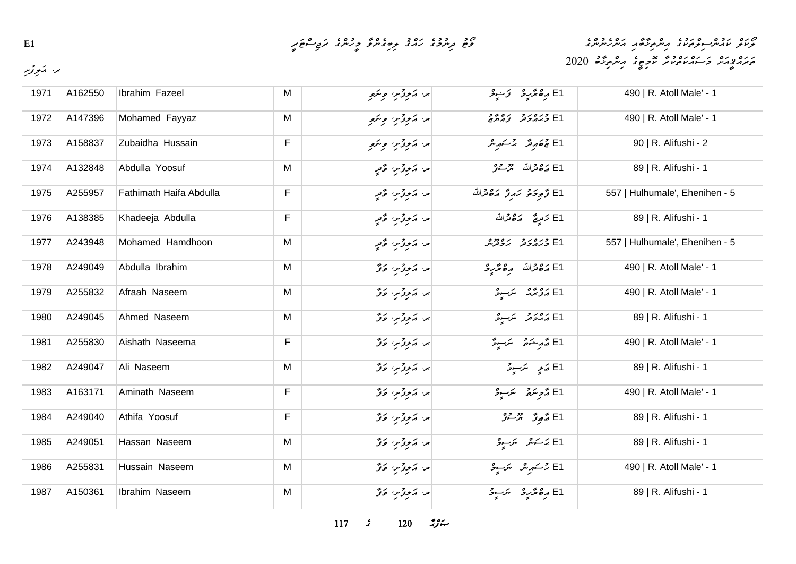*sCw7q7s5w7m< o<n9nOoAw7o< sCq;mAwBoEw7q<m; wBm;vB* م من المرة المرة المرة المرجع المرجع في المركبة 2020<br>مجم*د المريض المربوط المربع المرجع في المراجع المركبة* 

| 1971 | A162550 | Ibrahim Fazeel          | M           | برا أنجوقرما أوسكوا | E1 بەھ <i>ئۇر</i> 5 كەنىپى ئى         | 490   R. Atoll Male' - 1       |
|------|---------|-------------------------|-------------|---------------------|---------------------------------------|--------------------------------|
| 1972 | A147396 | Mohamed Fayyaz          | M           | برا م فروش ویتنو    | E1 32023 رەپرىر                       | 490   R. Atoll Male' - 1       |
| 1973 | A158837 | Zubaidha Hussain        | F           | ما أنجوفر موسكو     | E1 ىن ھەرىگە كەسكەر بىر               | 90   R. Alifushi - 2           |
| 1974 | A132848 | Abdulla Yoosuf          | M           | بر رکووی گی         | E1 مَهْ مَرْ اللّه مَرْ فَرْ وَ       | 89   R. Alifushi - 1           |
| 1975 | A255957 | Fathimath Haifa Abdulla | $\mathsf F$ | بر رکووی گی         | E1 تُرجوحَمْ سَمِرتُ صَرَّحْدَاللَّهُ | 557   Hulhumale', Ehenihen - 5 |
| 1976 | A138385 | Khadeeja Abdulla        | $\mathsf F$ | أمرا مكوفر المحمي   |                                       | 89   R. Alifushi - 1           |
| 1977 | A243948 | Mohamed Hamdhoon        | M           | پر انگروژس گافی     | E1 در در در برودور E1                 | 557   Hulhumale', Ehenihen - 5 |
| 1978 | A249049 | Abdulla Ibrahim         | M           | بر رکووکرا وَوَّ    | E1 مَەھمَراللە م <i>ەھمَّرى</i> 3     | 490   R. Atoll Male' - 1       |
| 1979 | A255832 | Afraah Naseem           | M           | پر انگووگوں اوگ     | E1 <i>مۇنىڭ سەبب</i> و                | 490   R. Atoll Male' - 1       |
| 1980 | A249045 | Ahmed Naseem            | M           | أمرا الكوثوس أفاتى  | E1 <i>222 مگرسو</i> گر                | 89   R. Alifushi - 1           |
| 1981 | A255830 | Aishath Naseema         | $\mathsf F$ | بر رکوویں وَوَّ     | E1 مَّ مِشَمَّ سَنَ مِنَّةِ مَّ       | 490   R. Atoll Male' - 1       |
| 1982 | A249047 | Ali Naseem              | M           | بر رکوویں وَوَّ     | E1  رَمِ سَرَسِيرَ                    | 89   R. Alifushi - 1           |
| 1983 | A163171 | Aminath Naseem          | $\mathsf F$ | بر رکووکرا وَوَّ    | E1 مُتَّحِسَمُ مَسِيرٌ                | 490   R. Atoll Male' - 1       |
| 1984 | A249040 | Athifa Yoosuf           | F           | أمرا الكوثوس أفاتى  | E1 أَهُ مِرْشَ مَرْ سُرْرٌ            | 89   R. Alifushi - 1           |
| 1985 | A249051 | Hassan Naseem           | M           | أما الكووهن أوتى    | E1   پزشکل مگرسونی                    | 89   R. Alifushi - 1           |
| 1986 | A255831 | Hussain Naseem          | M           | پر انگوویس افزاد    | E1 پرسکوپٹر کرکے مح                   | 490   R. Atoll Male' - 1       |
| 1987 | A150361 | Ibrahim Naseem          | M           | ىن مەمۇرىن ئۇگ      | E1 رەڭرىرى سىرىدۇ                     | 89   R. Alifushi - 1           |

*117 sC 120 nNw?mS*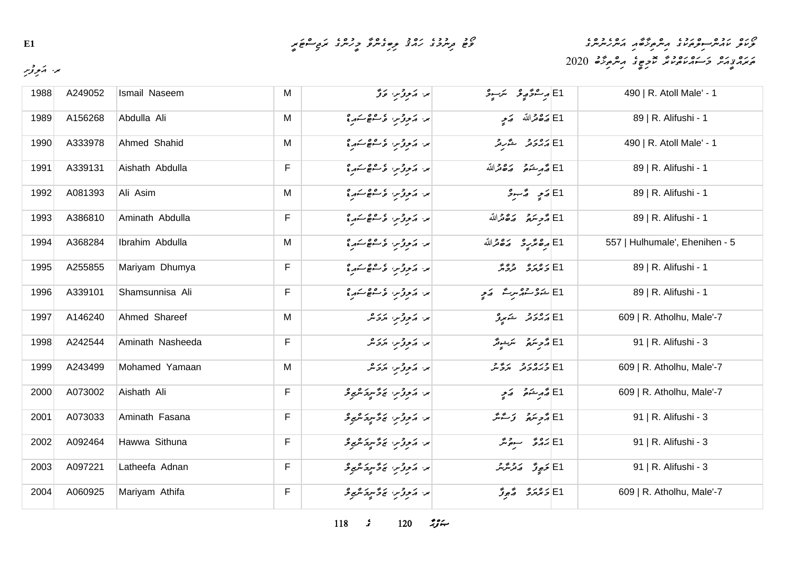*sCw7q7s5w7m< o<n9nOoAw7o< sCq;mAwBoEw7q<m; wBm;vB* م من المسجد المسجد المسجد المسجد المسجد العام 2020<br>مسجد المسجد المسجد المسجد المسجد المسجد المسجد المسجد المسجد ال

| 1988 | A249052 | Ismail Naseem    | M           | ىن مەجوۋىن ئۆگ                                                                                   | E1 پرے دو پو میں ہو اور اس کی میں ایک ا         | 490   R. Atoll Male' - 1       |
|------|---------|------------------|-------------|--------------------------------------------------------------------------------------------------|-------------------------------------------------|--------------------------------|
| 1989 | A156268 | Abdulla Ali      | M           | أمرا مكروح من والمحافظ كتمار في                                                                  | E1 مَەھىراللە   مَرمح                           | 89   R. Alifushi - 1           |
| 1990 | A333978 | Ahmed Shahid     | M           | أمرا مكروح مراع والمقال والمحامدة                                                                | E1   <i>دَ ب</i> دُوتر - شَ <sup>م</sup> ِرِيمُ | 490   R. Atoll Male' - 1       |
| 1991 | A339131 | Aishath Abdulla  | $\mathsf F$ | أبرا مأبوقوس وسقط سكرة                                                                           | E1 صَّمِرِ شَمَّعْ صَرَّةَ صَرَاللَّه           | 89   R. Alifushi - 1           |
| 1992 | A081393 | Ali Asim         | M           | أبرا مكوفرس وسقط سكرة                                                                            | E1 <i>ڇَجِ ڇُ-ڌُ</i>                            | 89   R. Alifushi - 1           |
| 1993 | A386810 | Aminath Abdulla  | $\mathsf F$ | من الكونون المحاسنة عليه عليه المجمع المراجع                                                     | E1 أَدَّحِ سَمَّعَ مَدَّدَّاللَّهُ              | 89   R. Alifushi - 1           |
| 1994 | A368284 | Ibrahim Abdulla  | M           | أمرا مكروح مراع والمسكرة والمحاربة                                                               | E1 م <i>وڭ مگرىي</i> ھەھمەللە                   | 557   Hulhumale', Ehenihen - 5 |
| 1995 | A255855 | Mariyam Dhumya   | F           | أمرا مكروح من والمحافظ سكردة                                                                     | E1 5 <i>برورہ</i> مر <i>و</i> ر                 | 89   R. Alifushi - 1           |
| 1996 | A339101 | Shamsunnisa Ali  | F           | أمرا مكوري والمسقط المستهدة                                                                      | E1 خۇر مەھرىرىگە بەر يە                         | 89   R. Alifushi - 1           |
| 1997 | A146240 | Ahmed Shareef    | M           | برا مُتَوَوَّينِ الْمُتَوَسَّرُ                                                                  | E1 <i>222 شمېر</i> و                            | 609   R. Atholhu, Male'-7      |
| 1998 | A242544 | Aminath Nasheeda | $\mathsf F$ | أيرا أتروقرا الركاش                                                                              | E1 مَرْحِ مَرَمْ مَسَنِّبِرْ مَنْ               | 91   R. Alifushi - 3           |
| 1999 | A243499 | Mohamed Yamaan   | M           | أأرا أأتروس أأركره                                                                               | E1 <i>ۋېزو دۆ</i> مرگ <i>رى</i> گ               | 609   R. Atholhu, Male'-7      |
| 2000 | A073002 | Aishath Ali      | F           | أما أأتروس لالح والبركا للباقر                                                                   | E1 مەم ھەم ھەم                                  | 609   R. Atholhu, Male'-7      |
| 2001 | A073033 | Aminath Fasana   | F           | أمرا مكروحوس لاكر وكروكر الرامج                                                                  | E1 مَّ حِسَمَعُ وَسَنَّسَّر                     | 91   R. Alifushi - 3           |
| 2002 | A092464 | Hawwa Sithuna    | $\mathsf F$ | ما ما ما مورد الله عن الله عن الله عن الله عن الله عن الله عن الله عن الله عن الله عن الله عن ال | E1 بَرْدُعٌ سِعْرَ مَثَر                        | 91   R. Alifushi - 3           |
| 2003 | A097221 | Latheefa Adnan   | F           | أمرا مكروحوس لاكر وكروكر وكالمحافر                                                               | E1 خَفْرٍ وَ مَقْرَمْتَرَ بِرَ                  | 91   R. Alifushi - 3           |
| 2004 | A060925 | Mariyam Athifa   | F           | ىر. مۇرۇس ئۇسچىر ئىلى ئ                                                                          | E1 <i>وَ بُرْمَرْ فَمُ بِوَ</i> رَّ             | 609   R. Atholhu, Male'-7      |

*118 sC 120 nNw?mS*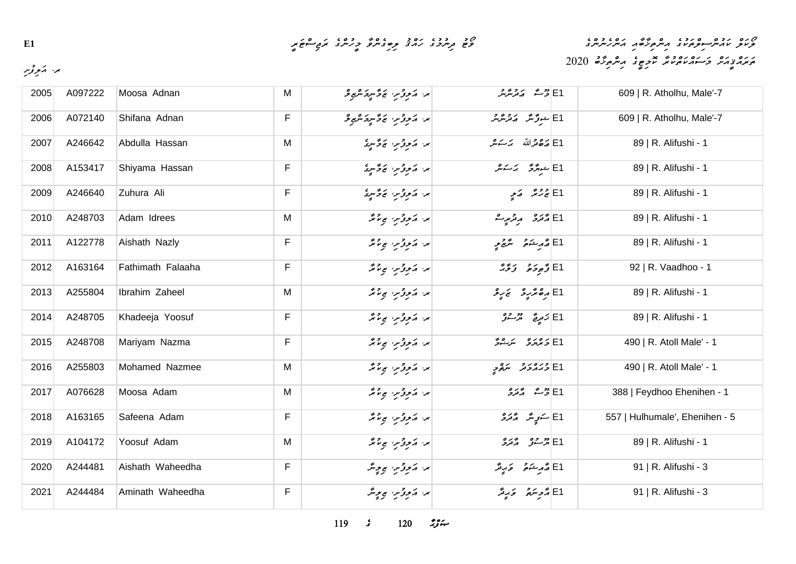*sCw7q7s5w7m< o<n9nOoAw7o< sCq;mAwBoEw7q<m; wBm;vB* م من المرة المرة المرة المرجع المرجع في المركبة 2020<br>مجم*د المريض المربوط المربع المرجع في المراجع المركبة* 

| 2005 | A097222 | Moosa Adnan       | M           | أيرا الكروفران كالأمر كالكرافر | E1 تۇشە كەنگەنگەر                    | 609   R. Atholhu, Male'-7      |
|------|---------|-------------------|-------------|--------------------------------|--------------------------------------|--------------------------------|
| 2006 | A072140 | Shifana Adnan     | F           |                                | E1 جورٌ مَرَّ مَرْمَّرْ مَرْ         | 609   R. Atholhu, Male'-7      |
| 2007 | A246642 | Abdulla Hassan    | M           | أمرا مكروثين المحافيرة         | E1 مَەھْتَراللە تەسكەنتْر            | 89   R. Alifushi - 1           |
| 2008 | A153417 | Shiyama Hassan    | F           | بر مورمن پاڻو                  | E1 حيدگر كەسكەش                      | 89   R. Alifushi - 1           |
| 2009 | A246640 | Zuhura Ali        | F           | أمرا مكروفرا الأوضرع           | E1 كانج ثريجر - م <i>ح</i> مي        | 89   R. Alifushi - 1           |
| 2010 | A248703 | Adam Idrees       | M           | برا م تروش ہاتھ                | E1 ۾ <i>قدم</i> ۾ قرم پ              | 89   R. Alifushi - 1           |
| 2011 | A122778 | Aishath Nazly     | F           | برا م تروش ہاتھ                | E1 مَەرشەق مىتى مو                   | 89   R. Alifushi - 1           |
| 2012 | A163164 | Fathimath Falaaha | $\mathsf F$ | برا م تروش ہاتھ                | E1 تُجِرَمُو تَرَمَّدُ               | 92   R. Vaadhoo - 1            |
| 2013 | A255804 | Ibrahim Zaheel    | M           | برا مأفروش لبالم مثمر          | E1 مەھەرىپ كىمىيىتى E1               | 89   R. Alifushi - 1           |
| 2014 | A248705 | Khadeeja Yoosuf   | F           | ما الأحواز من المحدد من المحمد | E1 كَرْمِيعٌ مَرْسُولُ               | 89   R. Alifushi - 1           |
| 2015 | A248708 | Mariyam Nazma     | F           | برا م تروش ہاتھ                | E1 ويوبرو سرشو <del>گ</del>          | 490   R. Atoll Male' - 1       |
| 2016 | A255803 | Mohamed Nazmee    | M           | برا م تروش ہاتھ                | E1 <i>\$222 مَنْ وِ</i>              | 490   R. Atoll Male' - 1       |
| 2017 | A076628 | Moosa Adam        | M           | ىن مەجەۋىر، ئاپاتتى            | $3.5$ $2.3$ E1                       | 388   Feydhoo Ehenihen - 1     |
| 2018 | A163165 | Safeena Adam      | F           | ما مأجور فريد موسم محمد        | E1 سَرپِسَ مَرْمَرْدَ                | 557   Hulhumale', Ehenihen - 5 |
| 2019 | A104172 | Yoosuf Adam       | M           | برا مأفروش بإنائيل             | E1 پژینز گروچ                        | 89   R. Alifushi - 1           |
| 2020 | A244481 | Aishath Waheedha  | F           | بر مورمن پریگر                 | E1 م <i>ەُم ھۇم قۇم</i> بەنگە        | 91   R. Alifushi - 3           |
| 2021 | A244484 | Aminath Waheedha  | F           | بر. مَعِرْشٍ بِإِحِيا          | E1 مَّ <i>حِ سَع</i> ْرِ عَصَبِ مَّد | 91   R. Alifushi - 3           |

*119 sC 120 nNw?mS*